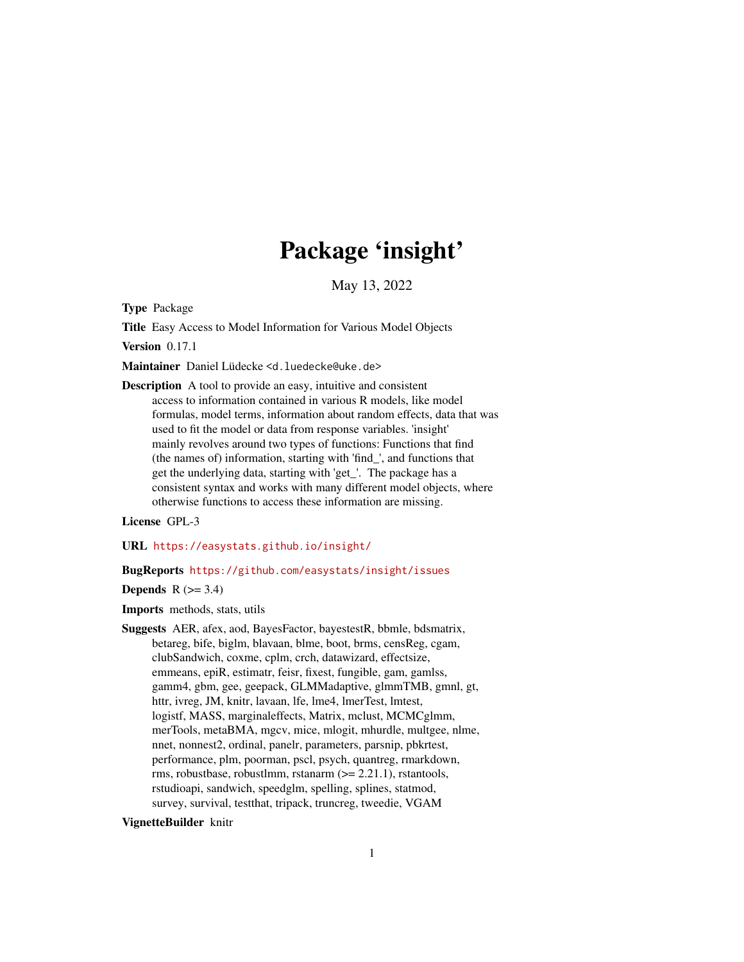# Package 'insight'

May 13, 2022

<span id="page-0-0"></span>Type Package

Title Easy Access to Model Information for Various Model Objects

Version 0.17.1

Maintainer Daniel Lüdecke <d. luedecke@uke.de>

Description A tool to provide an easy, intuitive and consistent access to information contained in various R models, like model formulas, model terms, information about random effects, data that was used to fit the model or data from response variables. 'insight' mainly revolves around two types of functions: Functions that find (the names of) information, starting with 'find\_', and functions that get the underlying data, starting with 'get\_'. The package has a consistent syntax and works with many different model objects, where otherwise functions to access these information are missing.

License GPL-3

URL <https://easystats.github.io/insight/>

#### BugReports <https://github.com/easystats/insight/issues>

**Depends**  $R$  ( $>= 3.4$ )

Imports methods, stats, utils

Suggests AER, afex, aod, BayesFactor, bayestestR, bbmle, bdsmatrix, betareg, bife, biglm, blavaan, blme, boot, brms, censReg, cgam, clubSandwich, coxme, cplm, crch, datawizard, effectsize, emmeans, epiR, estimatr, feisr, fixest, fungible, gam, gamlss, gamm4, gbm, gee, geepack, GLMMadaptive, glmmTMB, gmnl, gt, httr, ivreg, JM, knitr, lavaan, lfe, lme4, lmerTest, lmtest, logistf, MASS, marginaleffects, Matrix, mclust, MCMCglmm, merTools, metaBMA, mgcv, mice, mlogit, mhurdle, multgee, nlme, nnet, nonnest2, ordinal, panelr, parameters, parsnip, pbkrtest, performance, plm, poorman, pscl, psych, quantreg, rmarkdown, rms, robustbase, robustlmm, rstanarm  $(>= 2.21.1)$ , rstantools, rstudioapi, sandwich, speedglm, spelling, splines, statmod, survey, survival, testthat, tripack, truncreg, tweedie, VGAM

## VignetteBuilder knitr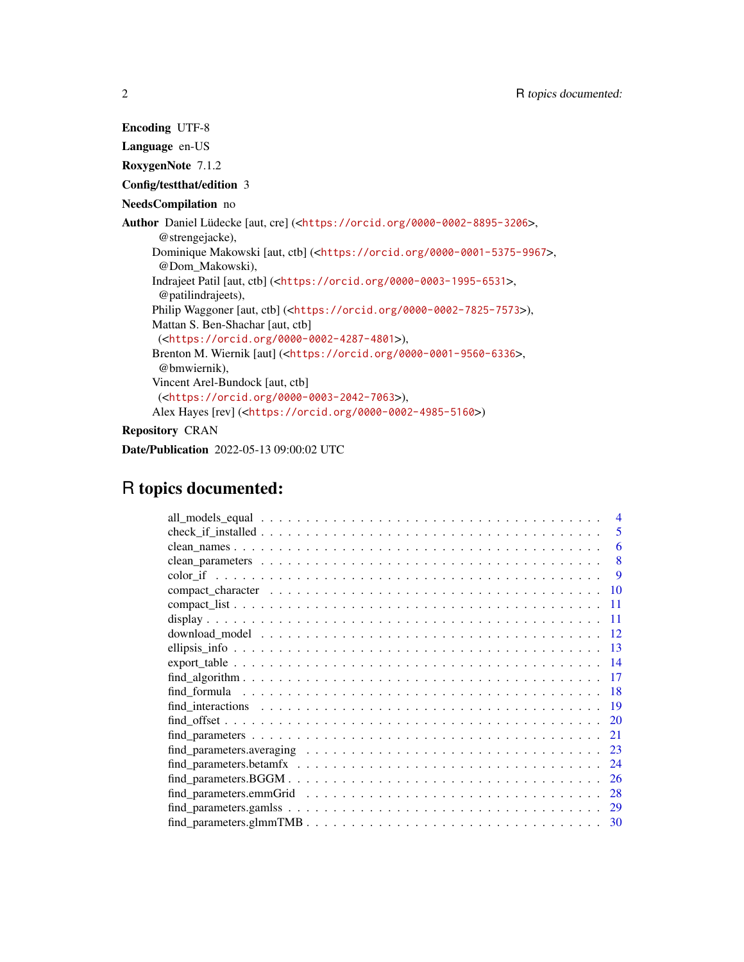Encoding UTF-8 Language en-US RoxygenNote 7.1.2 Config/testthat/edition 3 NeedsCompilation no Author Daniel Lüdecke [aut, cre] (<<https://orcid.org/0000-0002-8895-3206>>, @strengejacke), Dominique Makowski [aut, ctb] (<<https://orcid.org/0000-0001-5375-9967>>, @Dom\_Makowski), Indrajeet Patil [aut, ctb] (<<https://orcid.org/0000-0003-1995-6531>>, @patilindrajeets), Philip Waggoner [aut, ctb] (<<https://orcid.org/0000-0002-7825-7573>>), Mattan S. Ben-Shachar [aut, ctb] (<<https://orcid.org/0000-0002-4287-4801>>), Brenton M. Wiernik [aut] (<<https://orcid.org/0000-0001-9560-6336>>, @bmwiernik), Vincent Arel-Bundock [aut, ctb] (<<https://orcid.org/0000-0003-2042-7063>>), Alex Hayes [rev] (<<https://orcid.org/0000-0002-4985-5160>>) Repository CRAN

Date/Publication 2022-05-13 09:00:02 UTC

## R topics documented:

| $\overline{\mathcal{A}}$                                                                                                             |
|--------------------------------------------------------------------------------------------------------------------------------------|
| 5                                                                                                                                    |
| 6                                                                                                                                    |
| 8                                                                                                                                    |
| <b>9</b>                                                                                                                             |
| 10                                                                                                                                   |
| -11                                                                                                                                  |
| 11                                                                                                                                   |
| 12                                                                                                                                   |
| 13                                                                                                                                   |
|                                                                                                                                      |
| 17                                                                                                                                   |
| -18                                                                                                                                  |
| -19                                                                                                                                  |
| <b>20</b>                                                                                                                            |
| 21                                                                                                                                   |
| $find\_parameters. averaging \ldots \ldots \ldots \ldots \ldots \ldots \ldots \ldots \ldots \ldots \ldots$<br>23                     |
| 24                                                                                                                                   |
| 26                                                                                                                                   |
| 28                                                                                                                                   |
| $find\_parameters.gamlss \dots \dots \dots \dots \dots \dots \dots \dots \dots \dots \dots \dots \dots \dots \dots$<br><sup>29</sup> |
| 30                                                                                                                                   |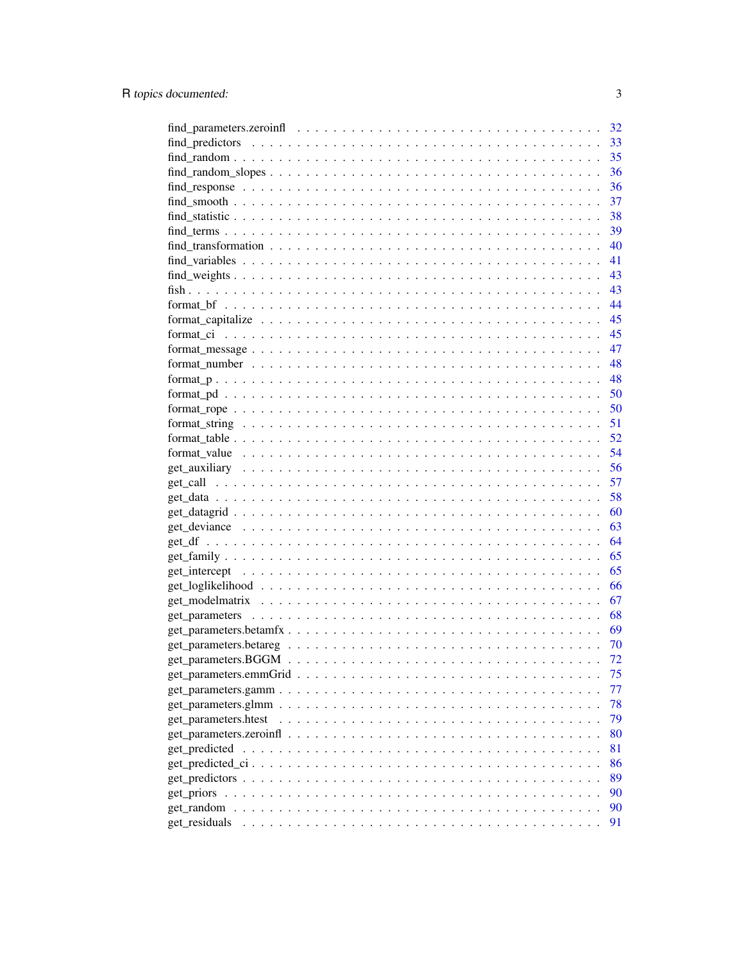|                                                                                                                      | 32 |
|----------------------------------------------------------------------------------------------------------------------|----|
|                                                                                                                      | 33 |
| $find\_random \dots \dots \dots \dots \dots \dots \dots \dots \dots \dots \dots \dots \dots \dots \dots \dots \dots$ | 35 |
|                                                                                                                      | 36 |
|                                                                                                                      | 36 |
|                                                                                                                      | 37 |
|                                                                                                                      | 38 |
|                                                                                                                      | 39 |
|                                                                                                                      | 40 |
|                                                                                                                      | 41 |
|                                                                                                                      | 43 |
|                                                                                                                      | 43 |
|                                                                                                                      | 44 |
|                                                                                                                      | 45 |
|                                                                                                                      | 45 |
|                                                                                                                      | 47 |
|                                                                                                                      | 48 |
|                                                                                                                      |    |
|                                                                                                                      | 48 |
|                                                                                                                      | 50 |
|                                                                                                                      | 50 |
|                                                                                                                      | 51 |
|                                                                                                                      | 52 |
|                                                                                                                      | 54 |
|                                                                                                                      | 56 |
|                                                                                                                      | 57 |
|                                                                                                                      | 58 |
|                                                                                                                      | 60 |
|                                                                                                                      | 63 |
|                                                                                                                      | 64 |
|                                                                                                                      | 65 |
|                                                                                                                      | 65 |
|                                                                                                                      | 66 |
|                                                                                                                      | 67 |
|                                                                                                                      | 68 |
|                                                                                                                      | 69 |
|                                                                                                                      | 70 |
|                                                                                                                      | 72 |
|                                                                                                                      | 75 |
|                                                                                                                      | 77 |
|                                                                                                                      | 78 |
| get_parameters.htest                                                                                                 | 79 |
|                                                                                                                      | 80 |
| get_predicted                                                                                                        | 81 |
|                                                                                                                      | 86 |
|                                                                                                                      | 89 |
|                                                                                                                      | 90 |
| get_random                                                                                                           | 90 |
| get_residuals                                                                                                        | 91 |
|                                                                                                                      |    |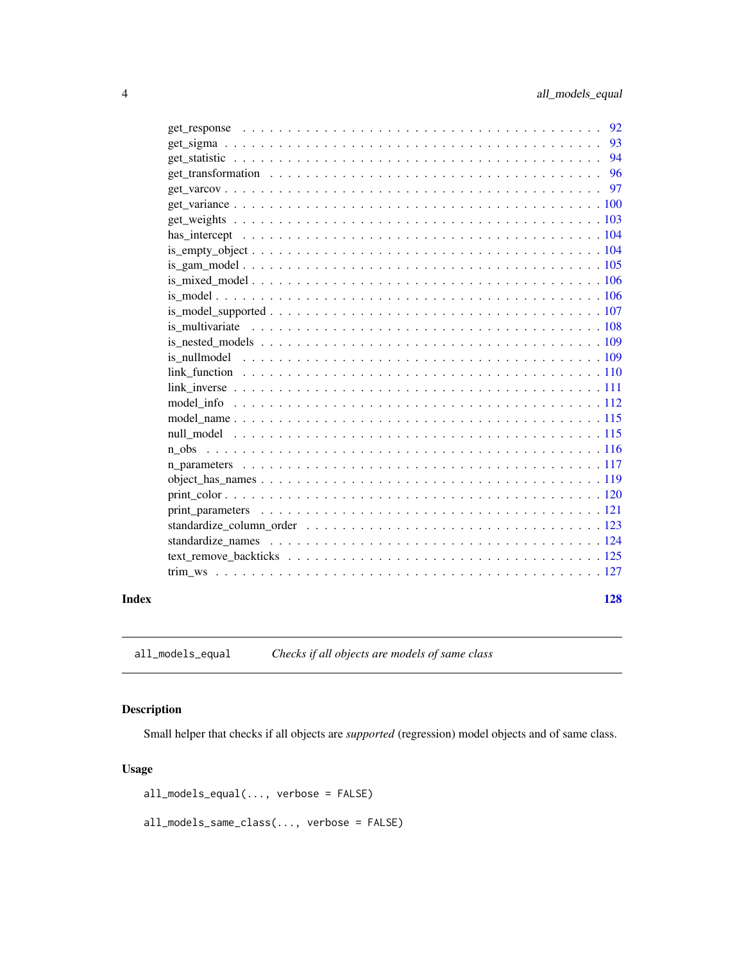<span id="page-3-0"></span>

|  |  | 97 |
|--|--|----|
|  |  | 96 |
|  |  | 94 |
|  |  | 93 |
|  |  |    |

all\_models\_equal *Checks if all objects are models of same class*

## Description

Small helper that checks if all objects are *supported* (regression) model objects and of same class.

## Usage

all\_models\_equal(..., verbose = FALSE)

all\_models\_same\_class(..., verbose = FALSE)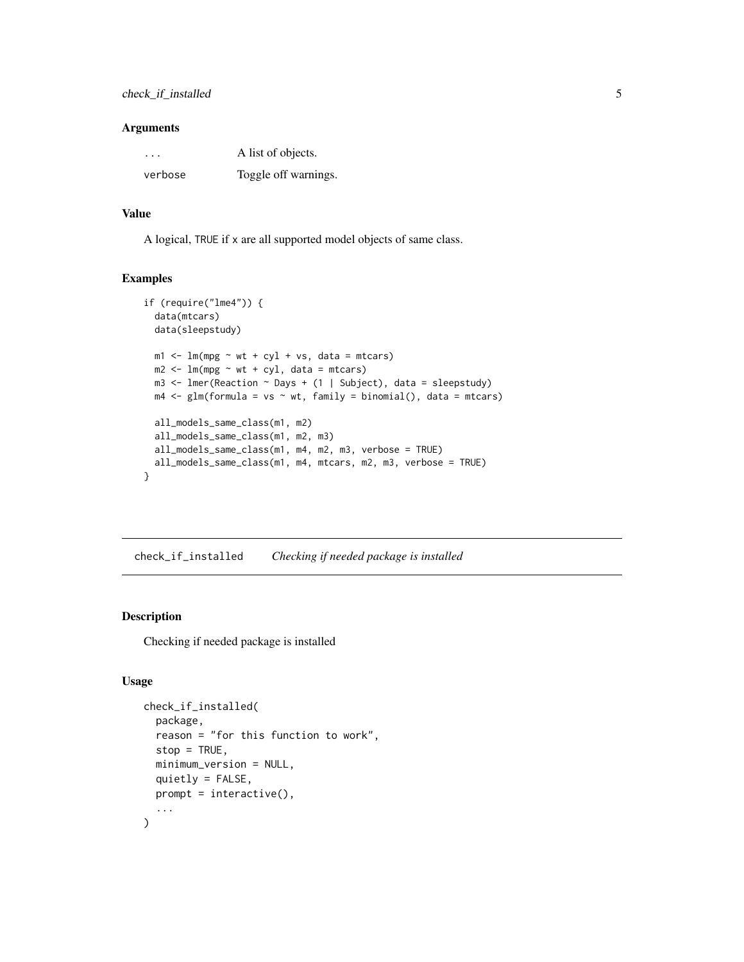<span id="page-4-0"></span>

| $\ddot{\phantom{0}}$ | A list of objects.   |
|----------------------|----------------------|
| verbose              | Toggle off warnings. |

## Value

A logical, TRUE if x are all supported model objects of same class.

#### Examples

```
if (require("lme4")) {
  data(mtcars)
  data(sleepstudy)
  m1 < -1m(mpg \sim wt + cyl + vs, data = mtcars)m2 < - \ln(mpg \sim wt + cyl, data = mtcars)m3 <- lmer(Reaction ~ Days + (1 | Subject), data = sleepstudy)
  m4 \leq glm(formula = vs \sim wt, family = binomial(), data = mtcars)all_models_same_class(m1, m2)
  all_models_same_class(m1, m2, m3)
  all_models_same_class(m1, m4, m2, m3, verbose = TRUE)
  all_models_same_class(m1, m4, mtcars, m2, m3, verbose = TRUE)
}
```
check\_if\_installed *Checking if needed package is installed*

## Description

Checking if needed package is installed

```
check_if_installed(
  package,
  reason = "for this function to work",
  stop = TRUE,minimum_version = NULL,
  quietly = FALSE,
 prompt = interactive(),
  ...
\mathcal{L}
```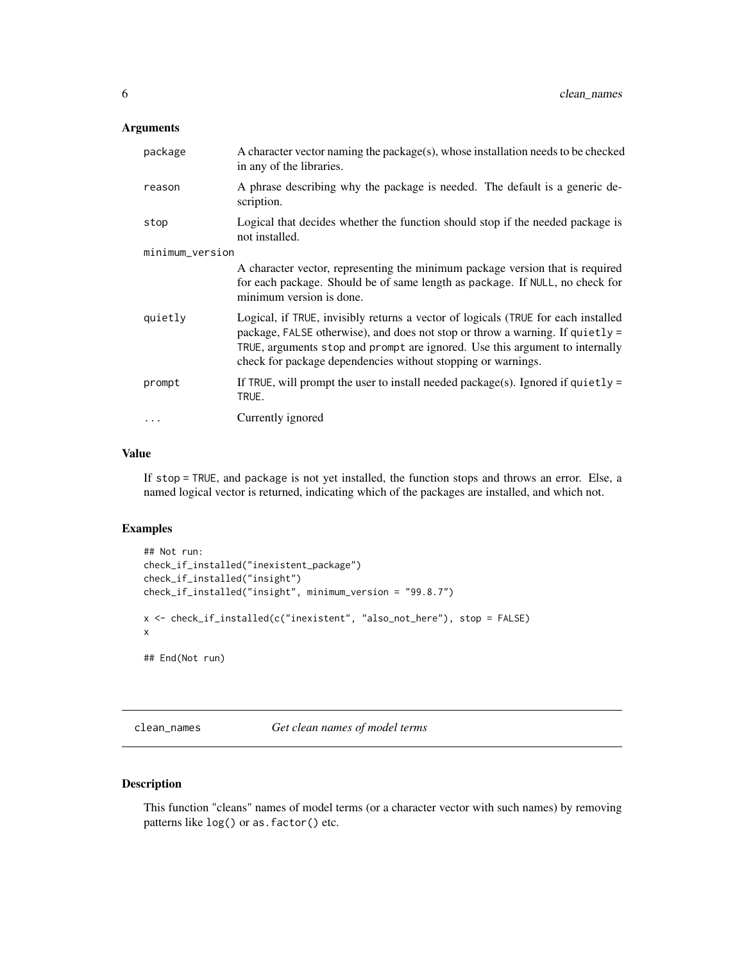<span id="page-5-0"></span>

| package         | A character vector naming the package(s), whose installation needs to be checked<br>in any of the libraries.                                                                                                                                                                                                       |  |
|-----------------|--------------------------------------------------------------------------------------------------------------------------------------------------------------------------------------------------------------------------------------------------------------------------------------------------------------------|--|
| reason          | A phrase describing why the package is needed. The default is a generic de-<br>scription.                                                                                                                                                                                                                          |  |
| stop            | Logical that decides whether the function should stop if the needed package is<br>not installed.                                                                                                                                                                                                                   |  |
| minimum_version |                                                                                                                                                                                                                                                                                                                    |  |
|                 | A character vector, representing the minimum package version that is required<br>for each package. Should be of same length as package. If NULL, no check for<br>minimum version is done.                                                                                                                          |  |
| quietly         | Logical, if TRUE, invisibly returns a vector of logicals (TRUE for each installed<br>package, FALSE otherwise), and does not stop or throw a warning. If quietly =<br>TRUE, arguments stop and prompt are ignored. Use this argument to internally<br>check for package dependencies without stopping or warnings. |  |
| prompt          | If TRUE, will prompt the user to install needed package(s). Ignored if quietly $=$<br>TRUE.                                                                                                                                                                                                                        |  |
|                 | Currently ignored                                                                                                                                                                                                                                                                                                  |  |

#### Value

If stop = TRUE, and package is not yet installed, the function stops and throws an error. Else, a named logical vector is returned, indicating which of the packages are installed, and which not.

### Examples

```
## Not run:
check_if_installed("inexistent_package")
check_if_installed("insight")
check_if_installed("insight", minimum_version = "99.8.7")
x <- check_if_installed(c("inexistent", "also_not_here"), stop = FALSE)
x
## End(Not run)
```
clean\_names *Get clean names of model terms*

## Description

This function "cleans" names of model terms (or a character vector with such names) by removing patterns like log() or as.factor() etc.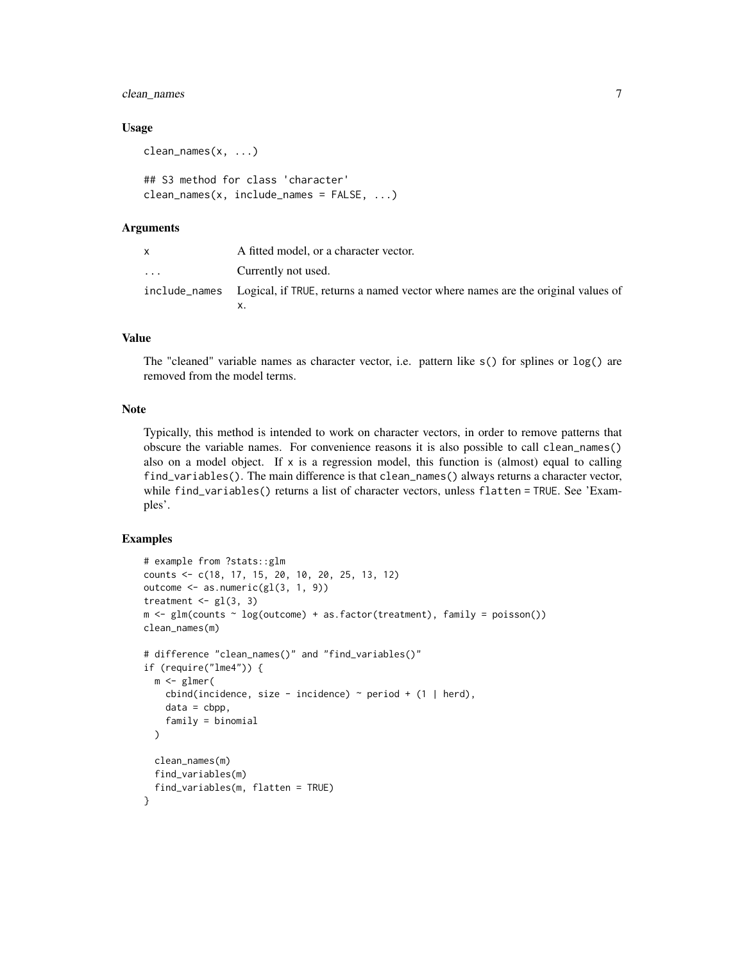## clean\_names 7

#### Usage

```
clean_names(x, ...)
## S3 method for class 'character'
clean_names(x, include_names = FALSE, ...)
```
#### Arguments

|                         | A fitted model, or a character vector.                                                        |
|-------------------------|-----------------------------------------------------------------------------------------------|
| $\cdot$ $\cdot$ $\cdot$ | Currently not used.                                                                           |
|                         | include_names Logical, if TRUE, returns a named vector where names are the original values of |
|                         |                                                                                               |

#### Value

The "cleaned" variable names as character vector, i.e. pattern like s() for splines or log() are removed from the model terms.

## Note

Typically, this method is intended to work on character vectors, in order to remove patterns that obscure the variable names. For convenience reasons it is also possible to call clean\_names() also on a model object. If  $x$  is a regression model, this function is (almost) equal to calling find\_variables(). The main difference is that clean\_names() always returns a character vector, while find\_variables() returns a list of character vectors, unless flatten = TRUE. See 'Examples'.

```
# example from ?stats::glm
counts <- c(18, 17, 15, 20, 10, 20, 25, 13, 12)
outcome <- as.numeric(gl(3, 1, 9))
treatment \leq gl(3, 3)
m \leq glm(counts \sim log(outcome) + as.factor(treatment), family = poisson())clean_names(m)
# difference "clean_names()" and "find_variables()"
if (require("lme4")) {
 m <- glmer(
   cbind(incidence, size - incidence) \sim period + (1 | herd),
    data = cbp,
    family = binomial
 \mathcal{L}clean_names(m)
 find_variables(m)
 find_variables(m, flatten = TRUE)
}
```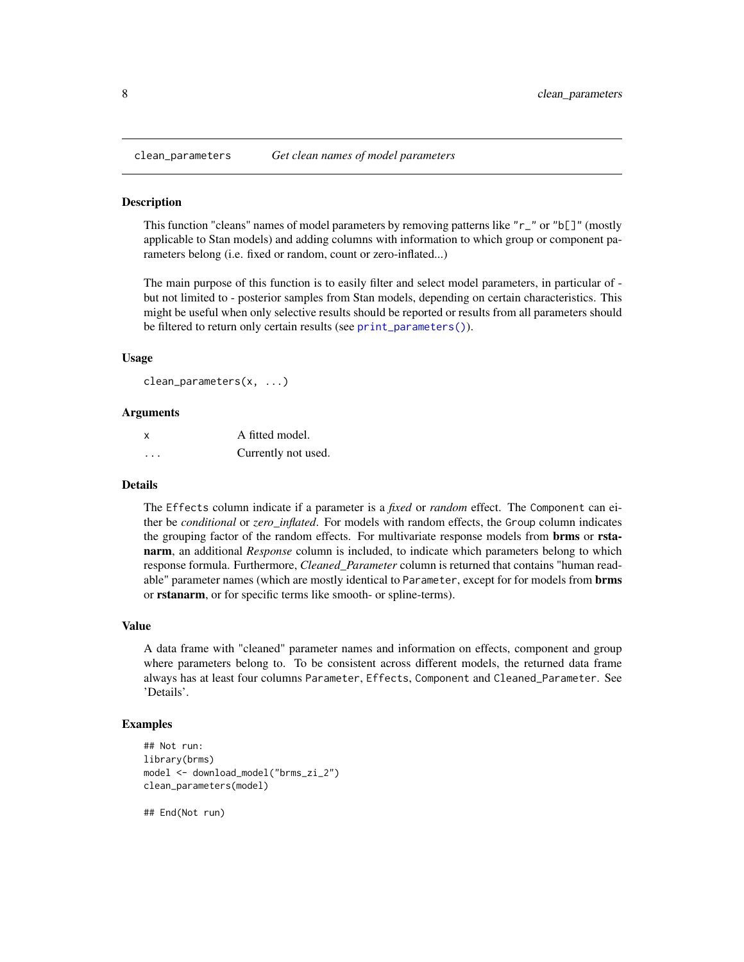<span id="page-7-0"></span>

#### Description

This function "cleans" names of model parameters by removing patterns like " $r_{\perp}$ " or " $\frac{1}{2}$ " (mostly applicable to Stan models) and adding columns with information to which group or component parameters belong (i.e. fixed or random, count or zero-inflated...)

The main purpose of this function is to easily filter and select model parameters, in particular of but not limited to - posterior samples from Stan models, depending on certain characteristics. This might be useful when only selective results should be reported or results from all parameters should be filtered to return only certain results (see [print\\_parameters\(\)](#page-120-1)).

#### Usage

```
clean_parameters(x, ...)
```
#### Arguments

| X | A fitted model.     |
|---|---------------------|
| . | Currently not used. |

#### Details

The Effects column indicate if a parameter is a *fixed* or *random* effect. The Component can either be *conditional* or *zero\_inflated*. For models with random effects, the Group column indicates the grouping factor of the random effects. For multivariate response models from **brms** or **rsta**narm, an additional *Response* column is included, to indicate which parameters belong to which response formula. Furthermore, *Cleaned\_Parameter* column is returned that contains "human readable" parameter names (which are mostly identical to Parameter, except for for models from **brms** or rstanarm, or for specific terms like smooth- or spline-terms).

#### Value

A data frame with "cleaned" parameter names and information on effects, component and group where parameters belong to. To be consistent across different models, the returned data frame always has at least four columns Parameter, Effects, Component and Cleaned\_Parameter. See 'Details'.

#### Examples

```
## Not run:
library(brms)
model <- download_model("brms_zi_2")
clean_parameters(model)
```
## End(Not run)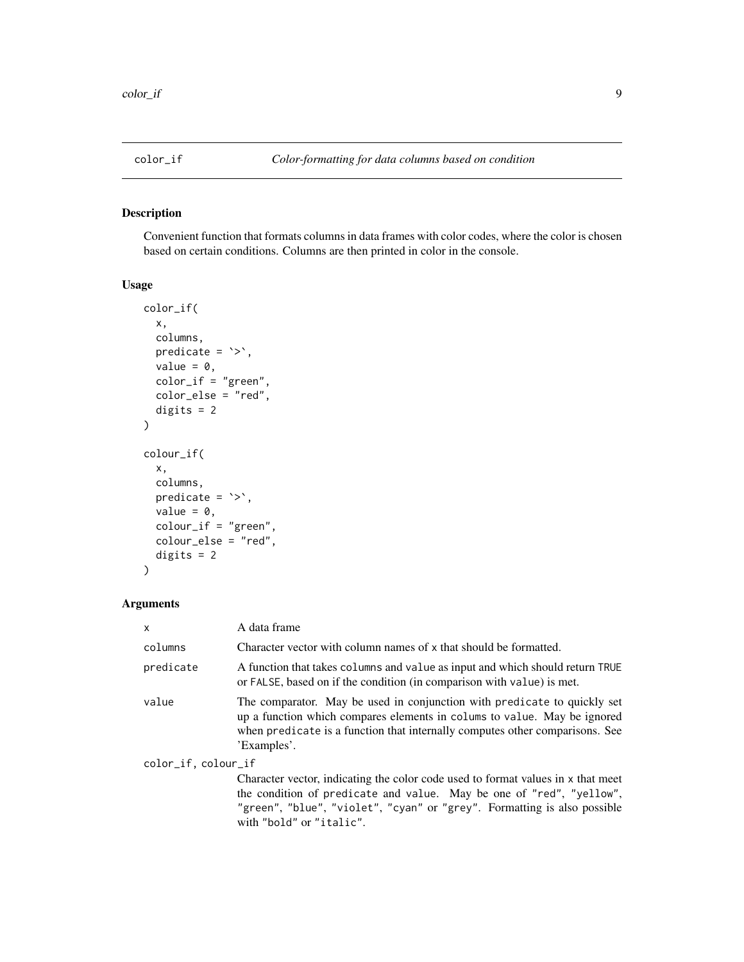<span id="page-8-0"></span>

## Description

Convenient function that formats columns in data frames with color codes, where the color is chosen based on certain conditions. Columns are then printed in color in the console.

#### Usage

```
color_if(
  x,
 columns,
 predicate = \rightarrow,
  value = 0,color_i = "green",
  color_else = "red",
  digits = 2)
colour_if(
  x,
  columns,
 predicate = \rightarrow,
  value = 0,
  colour_if = "green",
  colour_else = "red",
  digits = 2)
```
## Arguments

| X                   | A data frame                                                                                                                                                                                                                                        |
|---------------------|-----------------------------------------------------------------------------------------------------------------------------------------------------------------------------------------------------------------------------------------------------|
| columns             | Character vector with column names of x that should be formatted.                                                                                                                                                                                   |
| predicate           | A function that takes columns and value as input and which should return TRUE<br>or FALSE, based on if the condition (in comparison with value) is met.                                                                                             |
| value               | The comparator. May be used in conjunction with predicate to quickly set<br>up a function which compares elements in colums to value. May be ignored<br>when predicate is a function that internally computes other comparisons. See<br>'Examples'. |
| color_if, colour_if |                                                                                                                                                                                                                                                     |
|                     | Character vector, indicating the color code used to format values in x that meet<br>the condition of predicate and value. May be one of "red", "yellow",<br>"green", "blue", "violet", "cyan" or "grey". Formatting is also possible                |

with "bold" or "italic".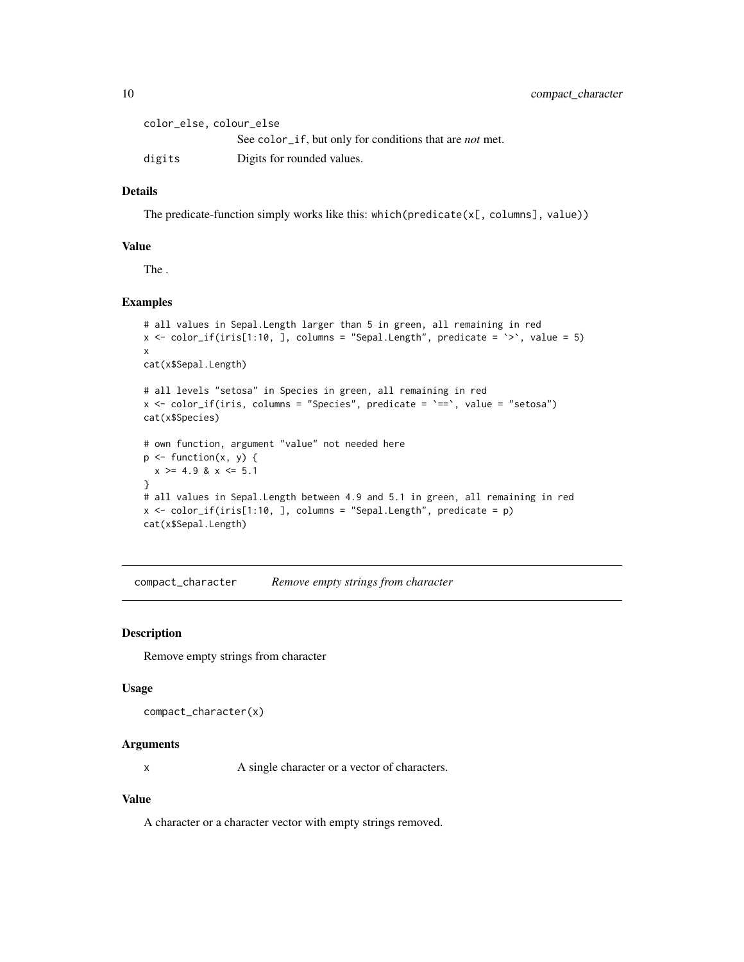<span id="page-9-0"></span>

| color_else, colour_else |                                                                |
|-------------------------|----------------------------------------------------------------|
|                         | See color_if, but only for conditions that are <i>not</i> met. |
| digits                  | Digits for rounded values.                                     |

## Details

The predicate-function simply works like this: which(predicate(x[, columns], value))

#### Value

The .

## Examples

```
# all values in Sepal.Length larger than 5 in green, all remaining in red
x \le color_if(iris[1:10, ], columns = "Sepal.Length", predicate = `>`, value = 5)
x
cat(x$Sepal.Length)
# all levels "setosa" in Species in green, all remaining in red
x <- color_if(iris, columns = "Species", predicate = `==`, value = "setosa")
cat(x$Species)
# own function, argument "value" not needed here
p \leftarrow function(x, y) {
 x \ge 4.9 & x \le 5.1}
# all values in Sepal.Length between 4.9 and 5.1 in green, all remaining in red
x \le color_if(iris[1:10, ], columns = "Sepal.Length", predicate = p)
cat(x$Sepal.Length)
```
compact\_character *Remove empty strings from character*

#### Description

Remove empty strings from character

#### Usage

```
compact_character(x)
```
#### Arguments

x A single character or a vector of characters.

## Value

A character or a character vector with empty strings removed.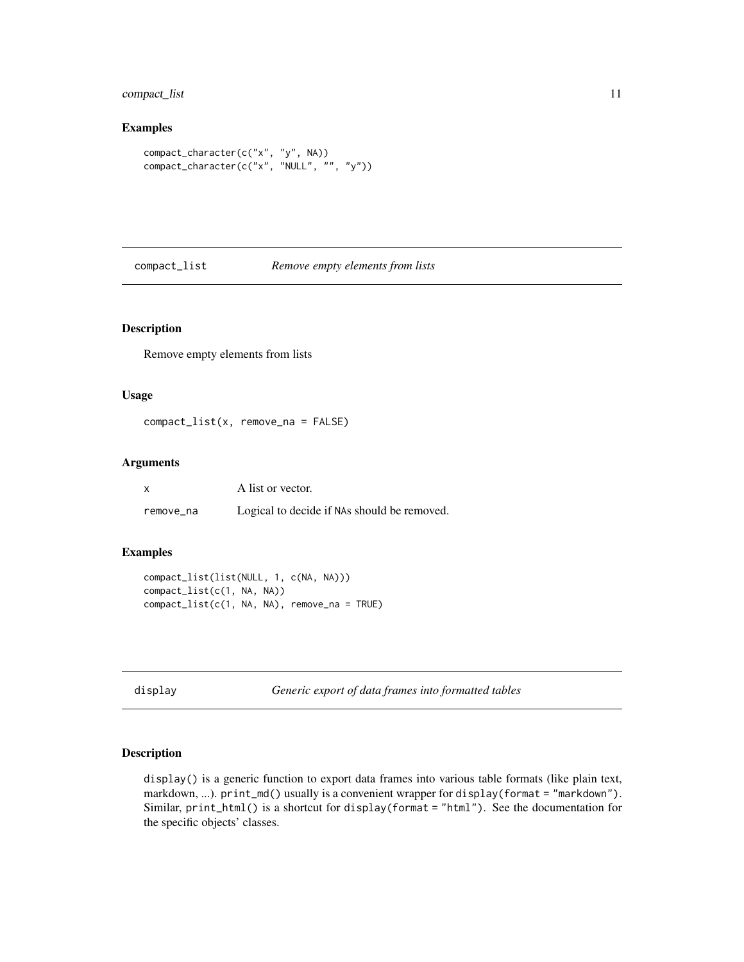## <span id="page-10-0"></span>compact\_list 11

## Examples

```
compact_character(c("x", "y", NA))
compact_character(c("x", "NULL", "", "y"))
```
compact\_list *Remove empty elements from lists*

## Description

Remove empty elements from lists

## Usage

compact\_list(x, remove\_na = FALSE)

## Arguments

| x         | A list or vector.                           |
|-----------|---------------------------------------------|
| remove_na | Logical to decide if NAs should be removed. |

#### Examples

```
compact_list(list(NULL, 1, c(NA, NA)))
compact_list(c(1, NA, NA))
compact_list(c(1, NA, NA), remove_na = TRUE)
```

```
display Generic export of data frames into formatted tables
```
#### Description

display() is a generic function to export data frames into various table formats (like plain text, markdown, ...). print\_md() usually is a convenient wrapper for display(format = "markdown"). Similar, print\_html() is a shortcut for display(format = "html"). See the documentation for the specific objects' classes.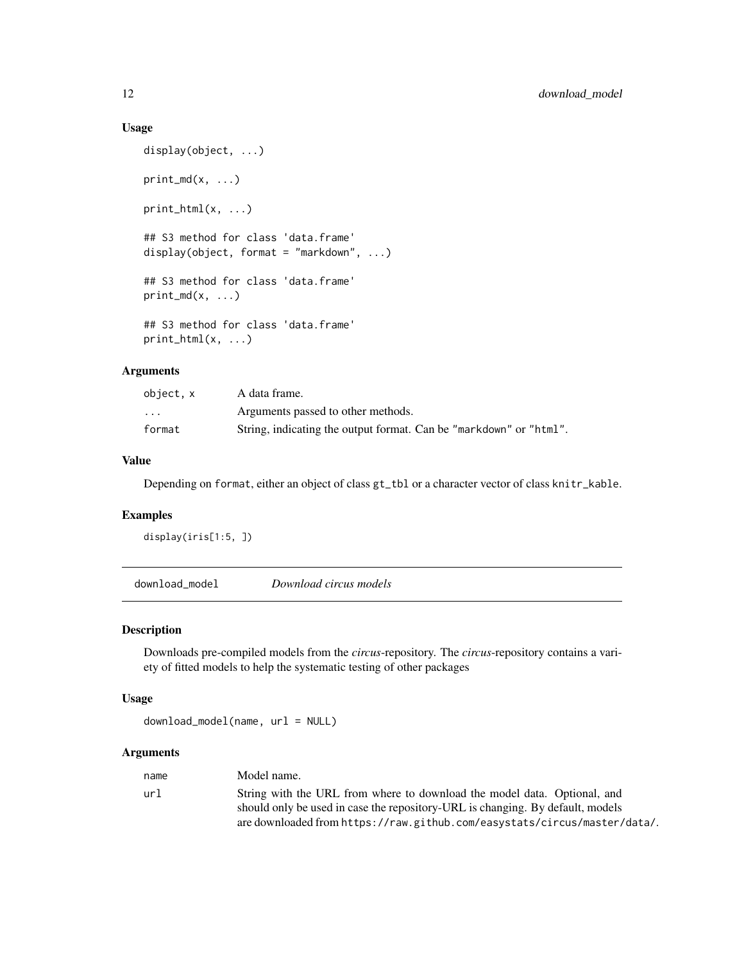## Usage

```
display(object, ...)
print_m d(x, \ldots)print\_html(x, ...)## S3 method for class 'data.frame'
display(object, format = "markdown", \ldots)
## S3 method for class 'data.frame'
print_m d(x, \ldots)## S3 method for class 'data.frame'
print\_html(x, ...)
```
## Arguments

| object, x               | A data frame.                                                      |
|-------------------------|--------------------------------------------------------------------|
| $\cdot$ $\cdot$ $\cdot$ | Arguments passed to other methods.                                 |
| format                  | String, indicating the output format. Can be "markdown" or "html". |

## Value

Depending on format, either an object of class gt\_tbl or a character vector of class knitr\_kable.

#### Examples

```
display(iris[1:5, ])
```
download\_model *Download circus models*

## Description

Downloads pre-compiled models from the *circus*-repository. The *circus*-repository contains a variety of fitted models to help the systematic testing of other packages

#### Usage

download\_model(name, url = NULL)

### Arguments

| name | Model name.                                                                                                                                                |
|------|------------------------------------------------------------------------------------------------------------------------------------------------------------|
| url  | String with the URL from where to download the model data. Optional, and<br>should only be used in case the repository-URL is changing. By default, models |
|      | are downloaded from https://raw.github.com/easystats/circus/master/data/.                                                                                  |

<span id="page-11-0"></span>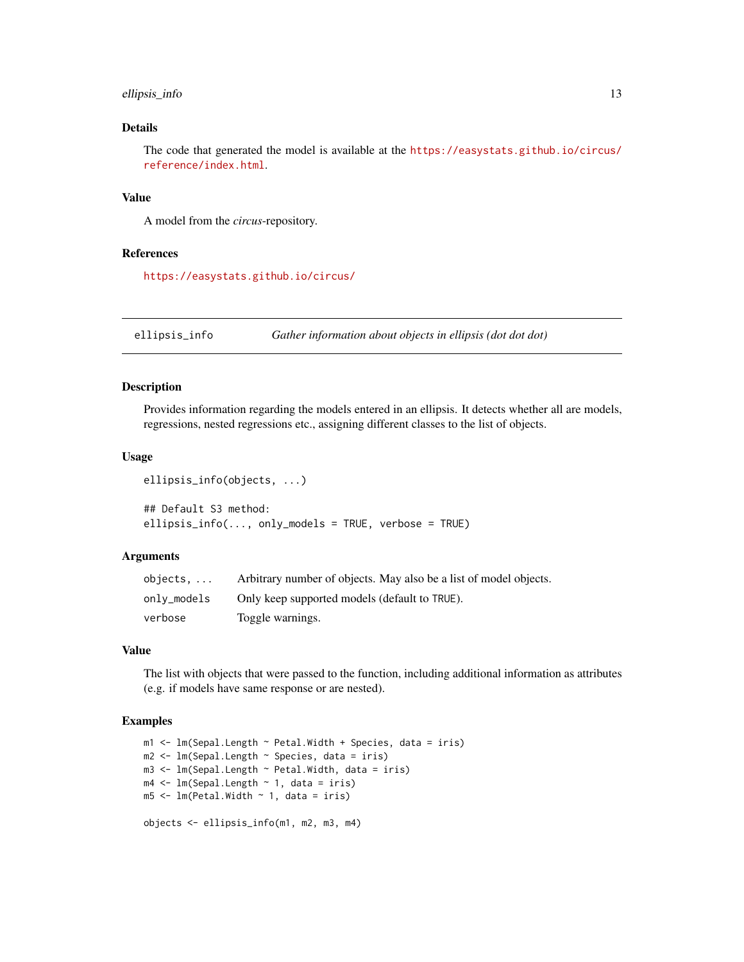## <span id="page-12-0"></span>ellipsis\_info 13

## Details

The code that generated the model is available at the [https://easystats.github.io/circus/](https://easystats.github.io/circus/reference/index.html) [reference/index.html](https://easystats.github.io/circus/reference/index.html).

## Value

A model from the *circus*-repository.

#### References

<https://easystats.github.io/circus/>

ellipsis\_info *Gather information about objects in ellipsis (dot dot dot)*

#### Description

Provides information regarding the models entered in an ellipsis. It detects whether all are models, regressions, nested regressions etc., assigning different classes to the list of objects.

#### Usage

```
ellipsis_info(objects, ...)
## Default S3 method:
ellipsis_info(..., only_models = TRUE, verbose = TRUE)
```
#### Arguments

| objects.    | Arbitrary number of objects. May also be a list of model objects. |
|-------------|-------------------------------------------------------------------|
| onlv_models | Only keep supported models (default to TRUE).                     |
| verbose     | Toggle warnings.                                                  |

#### Value

The list with objects that were passed to the function, including additional information as attributes (e.g. if models have same response or are nested).

```
m1 <- lm(Sepal.Length ~ Petal.Width + Species, data = iris)
m2 <- lm(Sepal.Length ~ Species, data = iris)
m3 <- lm(Sepal.Length ~ Petal.Width, data = iris)
m4 \leftarrow \text{lm(Sepal.Length} \sim 1, \text{ data = iris})m5 < -1m(Petal.Width ~ 1, data = iris)objects <- ellipsis_info(m1, m2, m3, m4)
```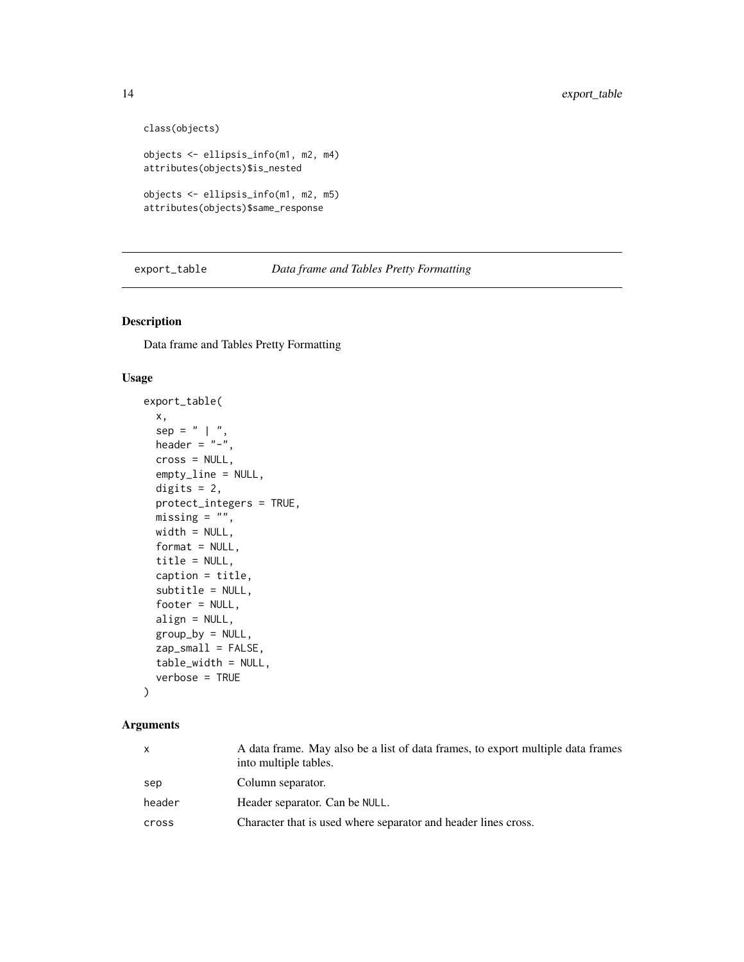```
class(objects)
objects <- ellipsis_info(m1, m2, m4)
attributes(objects)$is_nested
objects <- ellipsis_info(m1, m2, m5)
attributes(objects)$same_response
```
export\_table *Data frame and Tables Pretty Formatting*

## Description

Data frame and Tables Pretty Formatting

## Usage

```
export_table(
 x,
  sep = " | "header = "-",
 cross = NULL,
  empty_line = NULL,
 digits = 2,
 protect_integers = TRUE,
 missing = "",width = NULL,format = NULL,title = NULL,
 caption = title,
  subtitle = NULL,
  footer = NULL,
 align = NULL,
 group_by = NULL,zap_small = FALSE,
 table_width = NULL,
 verbose = TRUE
)
```
#### Arguments

| $\mathsf{X}$ | A data frame. May also be a list of data frames, to export multiple data frames<br>into multiple tables. |
|--------------|----------------------------------------------------------------------------------------------------------|
| sep          | Column separator.                                                                                        |
| header       | Header separator. Can be NULL.                                                                           |
| cross        | Character that is used where separator and header lines cross.                                           |

<span id="page-13-0"></span>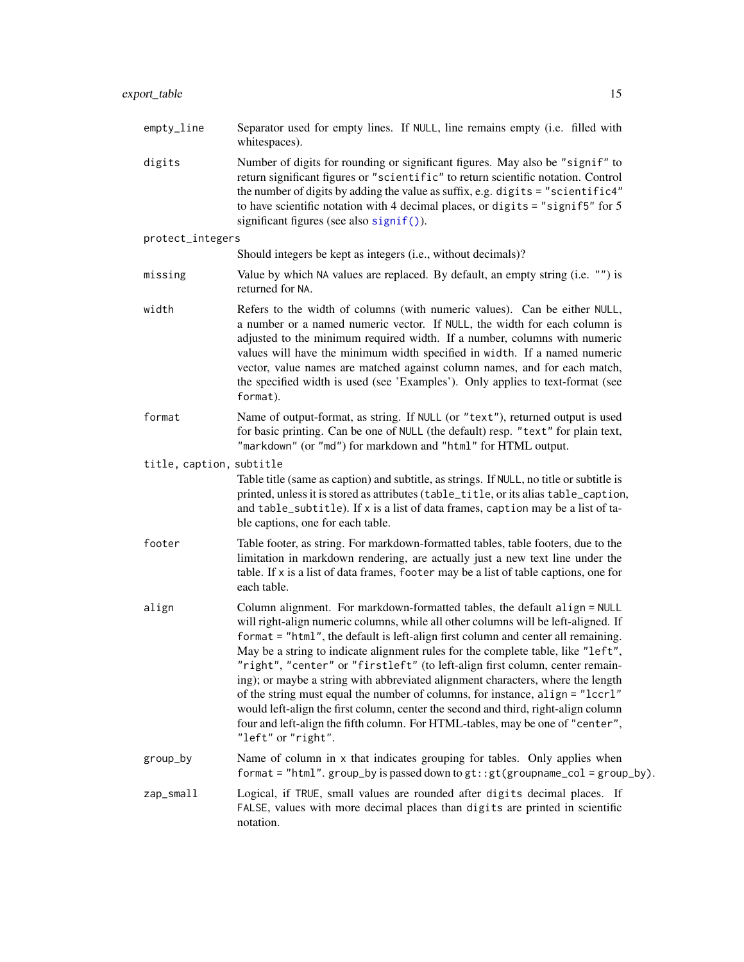| empty_line               | Separator used for empty lines. If NULL, line remains empty (i.e. filled with<br>whitespaces).                                                                                                                                                                                                                                                                                                                                                                                                                                                                                                                                                                                                                                                                                             |
|--------------------------|--------------------------------------------------------------------------------------------------------------------------------------------------------------------------------------------------------------------------------------------------------------------------------------------------------------------------------------------------------------------------------------------------------------------------------------------------------------------------------------------------------------------------------------------------------------------------------------------------------------------------------------------------------------------------------------------------------------------------------------------------------------------------------------------|
| digits                   | Number of digits for rounding or significant figures. May also be "signif" to<br>return significant figures or "scientific" to return scientific notation. Control<br>the number of digits by adding the value as suffix, e.g. digits = "scientific4"<br>to have scientific notation with 4 decimal places, or digits = "signif5" for $5$<br>significant figures (see also signif()).                                                                                                                                                                                                                                                                                                                                                                                                      |
| protect_integers         |                                                                                                                                                                                                                                                                                                                                                                                                                                                                                                                                                                                                                                                                                                                                                                                            |
|                          | Should integers be kept as integers (i.e., without decimals)?                                                                                                                                                                                                                                                                                                                                                                                                                                                                                                                                                                                                                                                                                                                              |
| missing                  | Value by which NA values are replaced. By default, an empty string (i.e. "") is<br>returned for NA.                                                                                                                                                                                                                                                                                                                                                                                                                                                                                                                                                                                                                                                                                        |
| width                    | Refers to the width of columns (with numeric values). Can be either NULL,<br>a number or a named numeric vector. If NULL, the width for each column is<br>adjusted to the minimum required width. If a number, columns with numeric<br>values will have the minimum width specified in width. If a named numeric<br>vector, value names are matched against column names, and for each match,<br>the specified width is used (see 'Examples'). Only applies to text-format (see<br>format).                                                                                                                                                                                                                                                                                                |
| format                   | Name of output-format, as string. If NULL (or "text"), returned output is used<br>for basic printing. Can be one of NULL (the default) resp. "text" for plain text,<br>"markdown" (or "md") for markdown and "html" for HTML output.                                                                                                                                                                                                                                                                                                                                                                                                                                                                                                                                                       |
| title, caption, subtitle | Table title (same as caption) and subtitle, as strings. If NULL, no title or subtitle is<br>printed, unless it is stored as attributes (table_title, or its alias table_caption,<br>and table_subtitle). If x is a list of data frames, caption may be a list of ta-<br>ble captions, one for each table.                                                                                                                                                                                                                                                                                                                                                                                                                                                                                  |
| footer                   | Table footer, as string. For markdown-formatted tables, table footers, due to the<br>limitation in markdown rendering, are actually just a new text line under the<br>table. If x is a list of data frames, footer may be a list of table captions, one for<br>each table.                                                                                                                                                                                                                                                                                                                                                                                                                                                                                                                 |
| align                    | Column alignment. For markdown-formatted tables, the default align = NULL<br>will right-align numeric columns, while all other columns will be left-aligned. If<br>format = "html", the default is left-align first column and center all remaining.<br>May be a string to indicate alignment rules for the complete table, like "left",<br>"right", "center" or "firstleft" (to left-align first column, center remain-<br>ing); or maybe a string with abbreviated alignment characters, where the length<br>of the string must equal the number of columns, for instance, align = "lccrl"<br>would left-align the first column, center the second and third, right-align column<br>four and left-align the fifth column. For HTML-tables, may be one of "center",<br>"left" or "right". |
| group_by                 | Name of column in x that indicates grouping for tables. Only applies when<br>format = "html". group_by is passed down to $gt$ : : $gt$ (groupname_col = group_by).                                                                                                                                                                                                                                                                                                                                                                                                                                                                                                                                                                                                                         |
| zan emall                | Logical if TRUE small values are rounded after digits decimal places. If                                                                                                                                                                                                                                                                                                                                                                                                                                                                                                                                                                                                                                                                                                                   |

zap\_small Logical, if TRUE, small values are rounded after digits decimal places. If FALSE, values with more decimal places than digits are printed in scientific notation.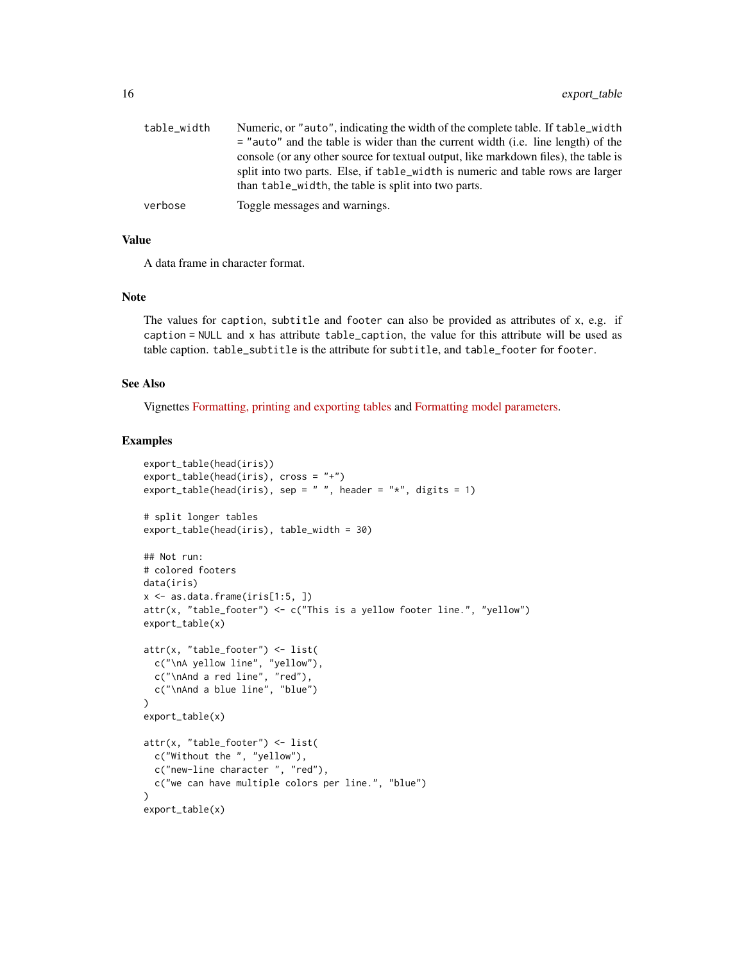| table width | Numeric, or "auto", indicating the width of the complete table. If table_width      |
|-------------|-------------------------------------------------------------------------------------|
|             | $=$ "auto" and the table is wider than the current width (i.e. line length) of the  |
|             | console (or any other source for textual output, like markdown files), the table is |
|             | split into two parts. Else, if table_width is numeric and table rows are larger     |
|             | than table_width, the table is split into two parts.                                |
| verbose     | Toggle messages and warnings.                                                       |

## Value

A data frame in character format.

#### Note

The values for caption, subtitle and footer can also be provided as attributes of x, e.g. if caption = NULL and x has attribute table\_caption, the value for this attribute will be used as table caption. table\_subtitle is the attribute for subtitle, and table\_footer for footer.

## See Also

Vignettes [Formatting, printing and exporting tables](https://easystats.github.io/insight/articles/display.html) and [Formatting model parameters.](https://easystats.github.io/parameters/articles/model_parameters_formatting.html)

```
export_table(head(iris))
export_table(head(iris), cross = "+")
export_table(head(iris), sep = " ", header = "*", digits = 1)
# split longer tables
export_table(head(iris), table_width = 30)
## Not run:
# colored footers
data(iris)
x \leftarrow as.data.frame(iris[1:5, ])
attr(x, "table_footer") <- c("This is a yellow footer line.", "yellow")
export_table(x)
attr(x, "table_footer") <- list(
  c("\nA yellow line", "yellow"),
  c("\nAnd a red line", "red"),
  c("\nAnd a blue line", "blue")
\mathcal{L}export_table(x)
attr(x, "table_footer") <- list(
  c("Without the ", "yellow"),
  c("new-line character ", "red"),
  c("we can have multiple colors per line.", "blue")
)
export_table(x)
```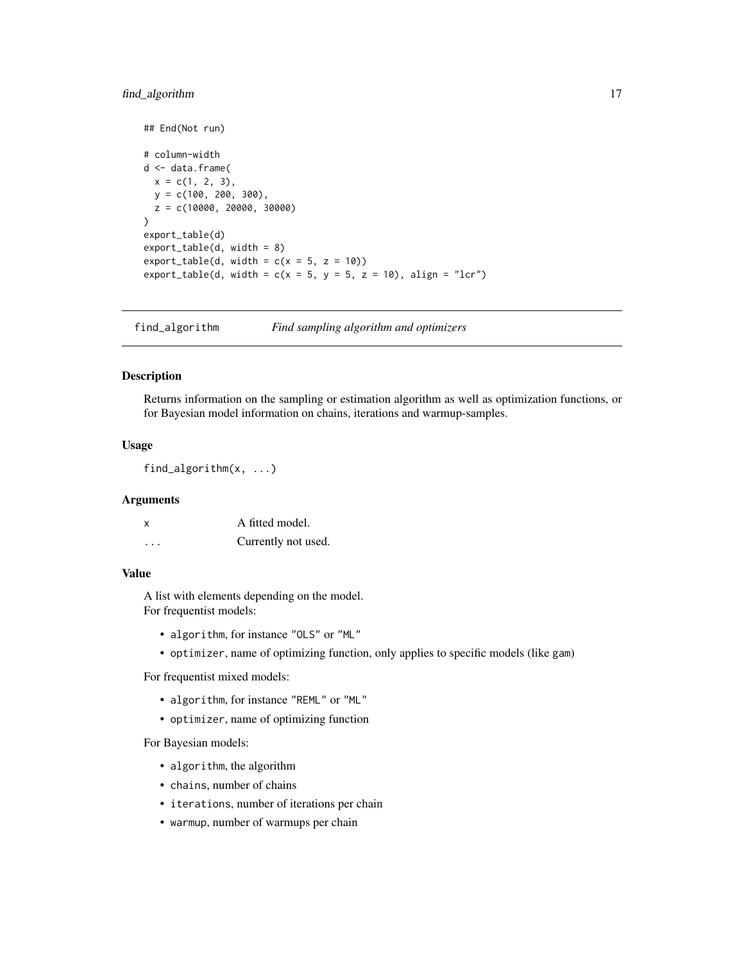## <span id="page-16-0"></span>find\_algorithm 17

```
## End(Not run)
# column-width
d <- data.frame(
 x = c(1, 2, 3),
 y = c(100, 200, 300),
 z = c(10000, 20000, 30000)
)
export_table(d)
export_table(d, width = 8)
export_table(d, width = c(x = 5, z = 10))export_table(d, width = c(x = 5, y = 5, z = 10), align = "lcr")
```
find\_algorithm *Find sampling algorithm and optimizers*

#### Description

Returns information on the sampling or estimation algorithm as well as optimization functions, or for Bayesian model information on chains, iterations and warmup-samples.

#### Usage

find\_algorithm(x, ...)

## Arguments

| x        | A fitted model.     |
|----------|---------------------|
| $\cdots$ | Currently not used. |

### Value

A list with elements depending on the model. For frequentist models:

- algorithm, for instance "OLS" or "ML"
- optimizer, name of optimizing function, only applies to specific models (like gam)

For frequentist mixed models:

- algorithm, for instance "REML" or "ML"
- optimizer, name of optimizing function

For Bayesian models:

- algorithm, the algorithm
- chains, number of chains
- iterations, number of iterations per chain
- warmup, number of warmups per chain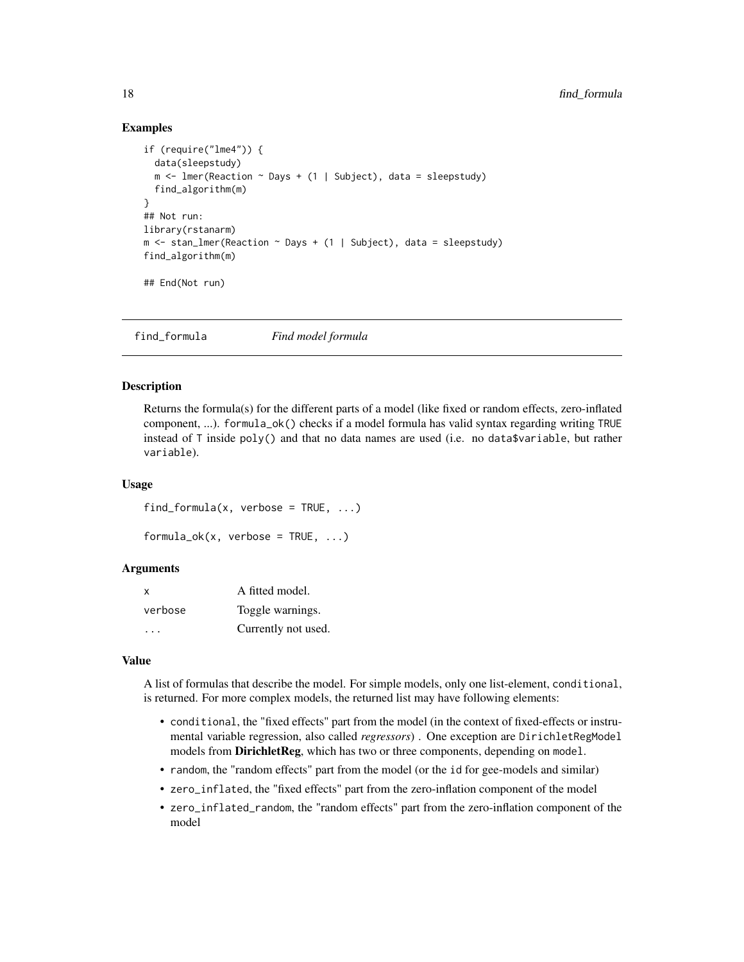## Examples

```
if (require("lme4")) {
  data(sleepstudy)
  m \le - lmer(Reaction \sim Days + (1 | Subject), data = sleepstudy)
  find_algorithm(m)
}
## Not run:
library(rstanarm)
m \le stan_lmer(Reaction \sim Days + (1 | Subject), data = sleepstudy)
find_algorithm(m)
## End(Not run)
```
find\_formula *Find model formula*

#### Description

Returns the formula(s) for the different parts of a model (like fixed or random effects, zero-inflated component, ...). formula\_ok() checks if a model formula has valid syntax regarding writing TRUE instead of T inside poly() and that no data names are used (i.e. no data\$variable, but rather variable).

#### Usage

find\_formula(x, verbose =  $TRUE$ , ...)

```
formula\_ok(x, verbose = TRUE, \dots)
```
#### Arguments

| x       | A fitted model.     |
|---------|---------------------|
| verbose | Toggle warnings.    |
|         | Currently not used. |

#### Value

A list of formulas that describe the model. For simple models, only one list-element, conditional, is returned. For more complex models, the returned list may have following elements:

- conditional, the "fixed effects" part from the model (in the context of fixed-effects or instrumental variable regression, also called *regressors*) . One exception are DirichletRegModel models from DirichletReg, which has two or three components, depending on model.
- random, the "random effects" part from the model (or the id for gee-models and similar)
- zero\_inflated, the "fixed effects" part from the zero-inflation component of the model
- zero\_inflated\_random, the "random effects" part from the zero-inflation component of the model

<span id="page-17-0"></span>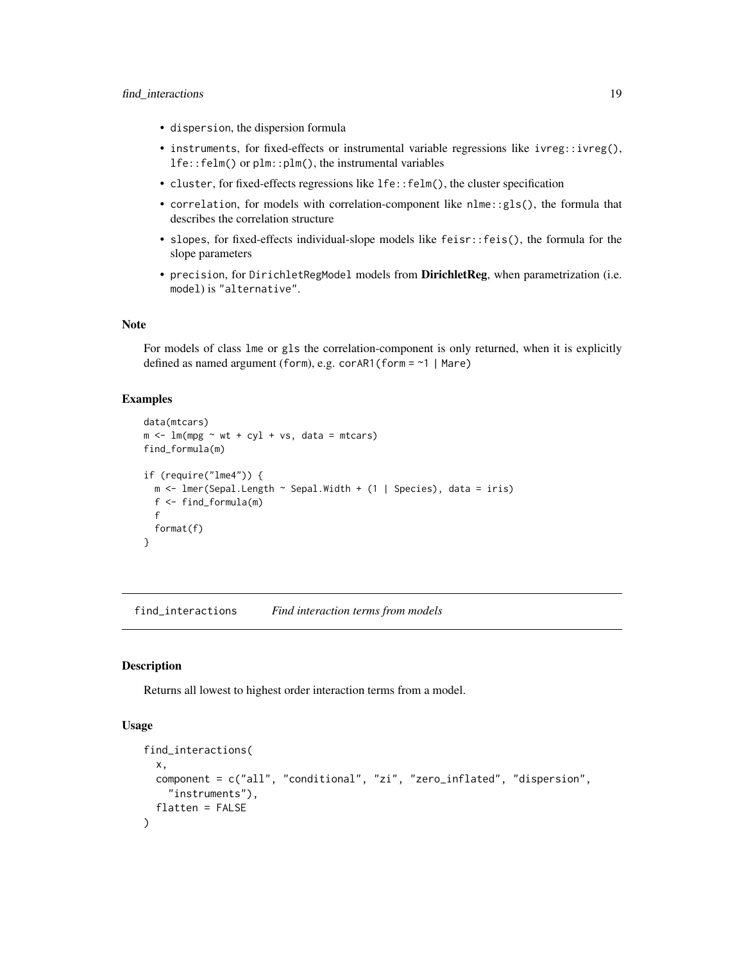- <span id="page-18-0"></span>• dispersion, the dispersion formula
- instruments, for fixed-effects or instrumental variable regressions like ivreg::ivreg(), lfe::felm() or plm::plm(), the instrumental variables
- cluster, for fixed-effects regressions like lfe::felm(), the cluster specification
- correlation, for models with correlation-component like nlme::gls(), the formula that describes the correlation structure
- slopes, for fixed-effects individual-slope models like feisr::feis(), the formula for the slope parameters
- precision, for DirichletRegModel models from DirichletReg, when parametrization (i.e. model) is "alternative".

#### Note

For models of class lme or gls the correlation-component is only returned, when it is explicitly defined as named argument (form), e.g. corAR1(form = ~1 | Mare)

#### Examples

```
data(mtcars)
m \le - \ln(mpg \sim wt + cyl + vs, data = mtcars)find_formula(m)
if (require("lme4")) {
 m \leq 1mer(Sepal.Length \sim Sepal.Width + (1 | Species), data = iris)
 f <- find_formula(m)
 f
 format(f)
}
```
find\_interactions *Find interaction terms from models*

#### Description

Returns all lowest to highest order interaction terms from a model.

```
find_interactions(
  x,
  component = c("all", "conditional", "zi", "zero_inflated", "dispersion",
    "instruments"),
  flatten = FALSE
)
```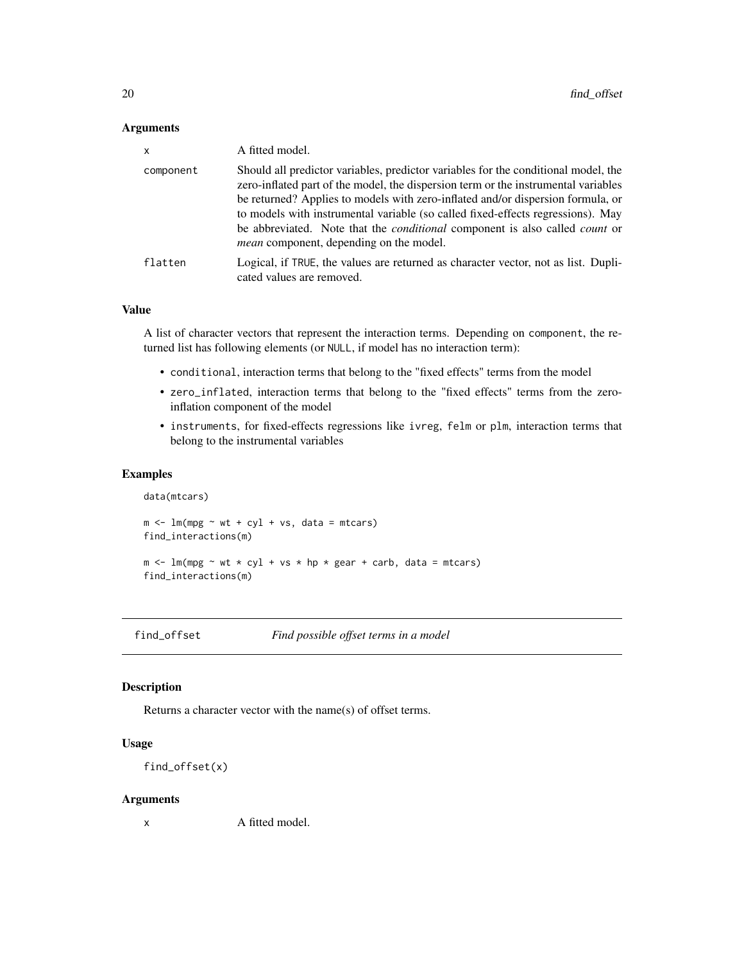<span id="page-19-0"></span>

| $\mathsf{x}$ | A fitted model.                                                                                                                                                                                                                                                                                                                                                                                                                                                                               |
|--------------|-----------------------------------------------------------------------------------------------------------------------------------------------------------------------------------------------------------------------------------------------------------------------------------------------------------------------------------------------------------------------------------------------------------------------------------------------------------------------------------------------|
| component    | Should all predictor variables, predictor variables for the conditional model, the<br>zero-inflated part of the model, the dispersion term or the instrumental variables<br>be returned? Applies to models with zero-inflated and/or dispersion formula, or<br>to models with instrumental variable (so called fixed-effects regressions). May<br>be abbreviated. Note that the <i>conditional</i> component is also called <i>count</i> or<br><i>mean</i> component, depending on the model. |
| flatten      | Logical, if TRUE, the values are returned as character vector, not as list. Dupli-<br>cated values are removed.                                                                                                                                                                                                                                                                                                                                                                               |

#### Value

A list of character vectors that represent the interaction terms. Depending on component, the returned list has following elements (or NULL, if model has no interaction term):

- conditional, interaction terms that belong to the "fixed effects" terms from the model
- zero\_inflated, interaction terms that belong to the "fixed effects" terms from the zeroinflation component of the model
- instruments, for fixed-effects regressions like ivreg, felm or plm, interaction terms that belong to the instrumental variables

#### Examples

```
data(mtcars)
m \le - \ln(mpg \sim wt + cyl + vs, data = mtcars)find_interactions(m)
m \le - \ln(mpg \sim wt \times cyl + vs \times hp \times gear + carb, data = mtcars)find_interactions(m)
```
find\_offset *Find possible offset terms in a model*

## Description

Returns a character vector with the name(s) of offset terms.

#### Usage

```
find_offset(x)
```
#### Arguments

x A fitted model.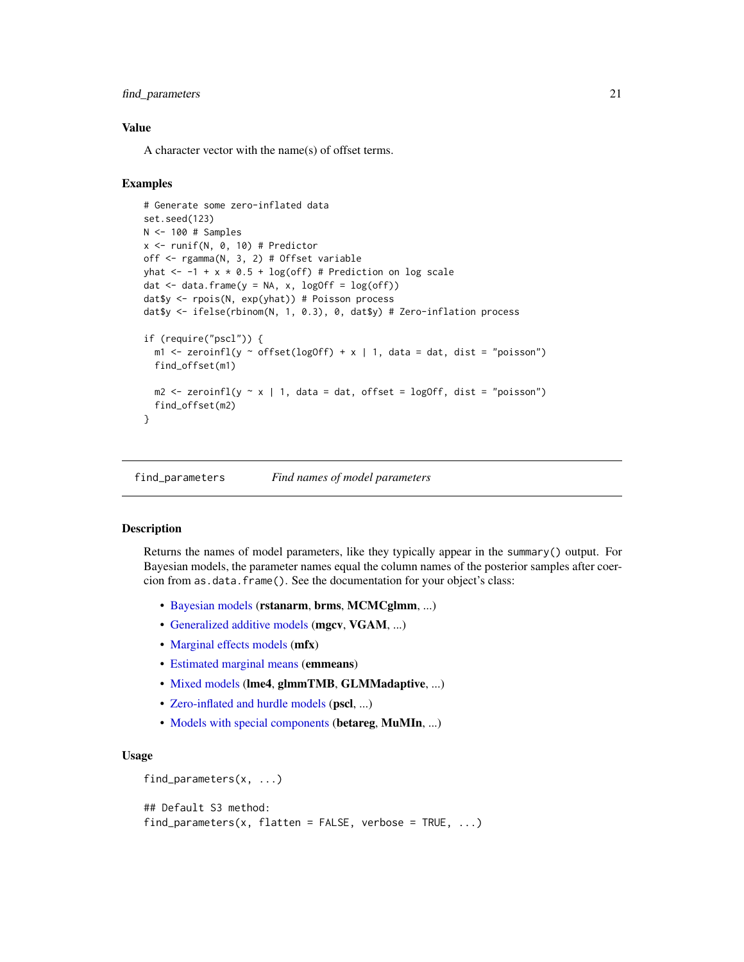## <span id="page-20-0"></span>find\_parameters 21

## Value

A character vector with the name(s) of offset terms.

#### Examples

```
# Generate some zero-inflated data
set.seed(123)
N <- 100 # Samples
x \leftarrow runif(N, 0, 10) # Predictor
off <- rgamma(N, 3, 2) # Offset variable
yhat \leftarrow -1 + x * 0.5 + \log(\text{off}) # Prediction on log scale
dat \leq data.frame(y = NA, x, logOff = log(off))
dat$y <- rpois(N, exp(yhat)) # Poisson process
dat$y <- ifelse(rbinom(N, 1, 0.3), 0, dat$y) # Zero-inflation process
if (require("pscl")) {
  m1 <- zeroinfl(y ~ offset(logOff) + x | 1, data = dat, dist = "poisson")
  find_offset(m1)
  m2 \le zeroinfl(y \sim x | 1, data = dat, offset = logOff, dist = "poisson")
  find_offset(m2)
}
```
<span id="page-20-1"></span>find\_parameters *Find names of model parameters*

#### **Description**

Returns the names of model parameters, like they typically appear in the summary() output. For Bayesian models, the parameter names equal the column names of the posterior samples after coercion from as.data.frame(). See the documentation for your object's class:

- [Bayesian models](#page-25-1) (rstanarm, brms, MCMCglmm, ...)
- [Generalized additive models](#page-28-1) (mgcv, VGAM, ...)
- [Marginal effects models](#page-23-1) (mfx)
- [Estimated marginal means](#page-27-1) (emmeans)
- [Mixed models](#page-29-1) (lme4, glmmTMB, GLMMadaptive, ...)
- [Zero-inflated and hurdle models](#page-31-1) (pscl, ...)
- [Models with special components](#page-22-1) (betareg, MuMIn, ...)

```
find_parameters(x, ...)
```

```
## Default S3 method:
find\_parameters(x, flatten = FALSE, verbose = TRUE, ...)
```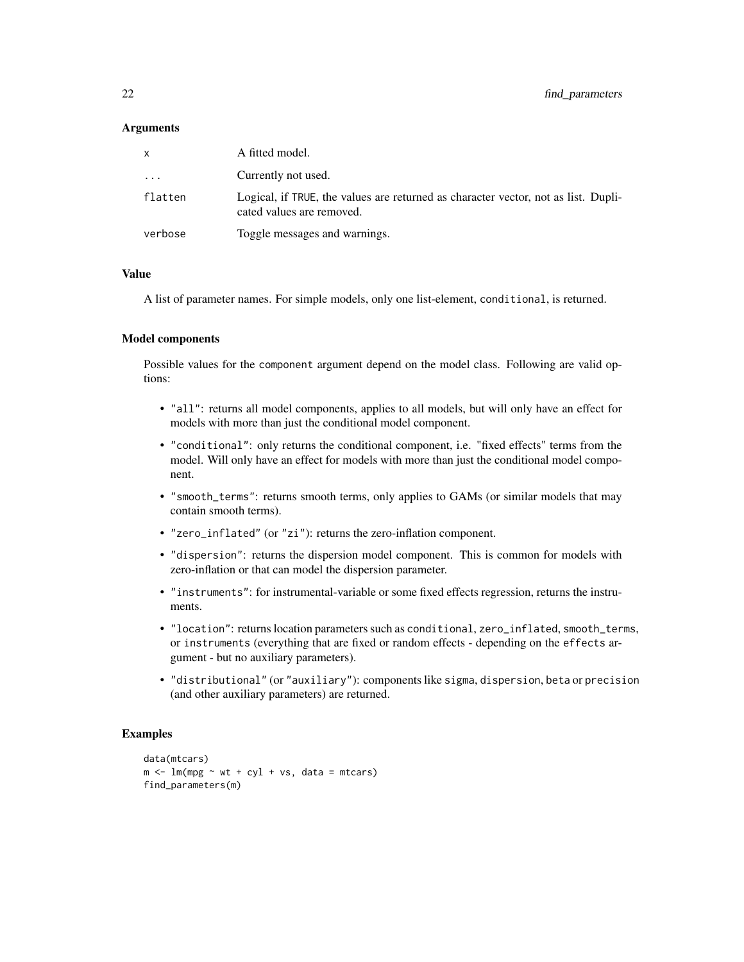| x       | A fitted model.                                                                                                 |
|---------|-----------------------------------------------------------------------------------------------------------------|
| .       | Currently not used.                                                                                             |
| flatten | Logical, if TRUE, the values are returned as character vector, not as list. Dupli-<br>cated values are removed. |
| verbose | Toggle messages and warnings.                                                                                   |

## Value

A list of parameter names. For simple models, only one list-element, conditional, is returned.

#### Model components

Possible values for the component argument depend on the model class. Following are valid options:

- "all": returns all model components, applies to all models, but will only have an effect for models with more than just the conditional model component.
- "conditional": only returns the conditional component, i.e. "fixed effects" terms from the model. Will only have an effect for models with more than just the conditional model component.
- "smooth\_terms": returns smooth terms, only applies to GAMs (or similar models that may contain smooth terms).
- "zero\_inflated" (or "zi"): returns the zero-inflation component.
- "dispersion": returns the dispersion model component. This is common for models with zero-inflation or that can model the dispersion parameter.
- "instruments": for instrumental-variable or some fixed effects regression, returns the instruments.
- "location": returns location parameters such as conditional, zero\_inflated, smooth\_terms, or instruments (everything that are fixed or random effects - depending on the effects argument - but no auxiliary parameters).
- "distributional" (or "auxiliary"): components like sigma, dispersion, beta or precision (and other auxiliary parameters) are returned.

```
data(mtcars)
m \le - \ln(mpg \sim wt + cyl + vs, data = mtcars)find_parameters(m)
```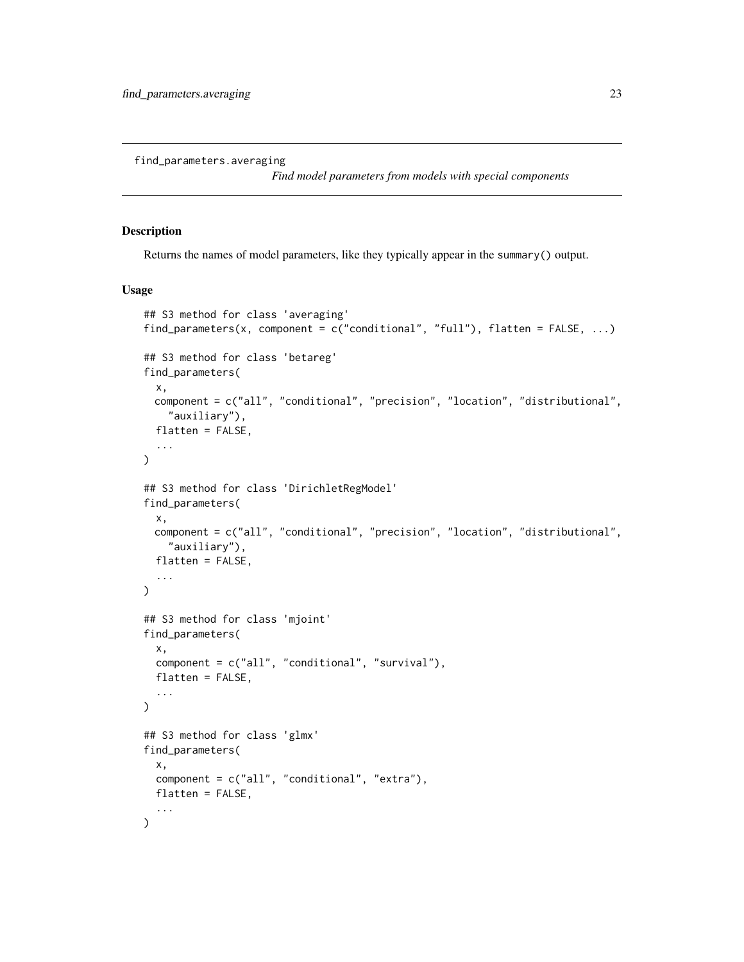<span id="page-22-1"></span><span id="page-22-0"></span>find\_parameters.averaging

*Find model parameters from models with special components*

#### Description

Returns the names of model parameters, like they typically appear in the summary() output.

```
## S3 method for class 'averaging'
find_parameters(x, component = c("conditional", "full"), flatten = FALSE, ...)
## S3 method for class 'betareg'
find_parameters(
 x,
 component = c("all", "conditional", "precision", "location", "distributional",
    "auxiliary"),
 flatten = FALSE,
  ...
)
## S3 method for class 'DirichletRegModel'
find_parameters(
 x,
 component = c("all", "conditional", "precision", "location", "distributional",
    "auxiliary"),
 flatten = FALSE,
  ...
\lambda## S3 method for class 'mjoint'
find_parameters(
 x,
 component = c("all", "conditional", "survival"),
 flatten = FALSE,
  ...
)
## S3 method for class 'glmx'
find_parameters(
 x,
 component = c("all", "conditional", "extra"),
 flatten = FALSE,
  ...
)
```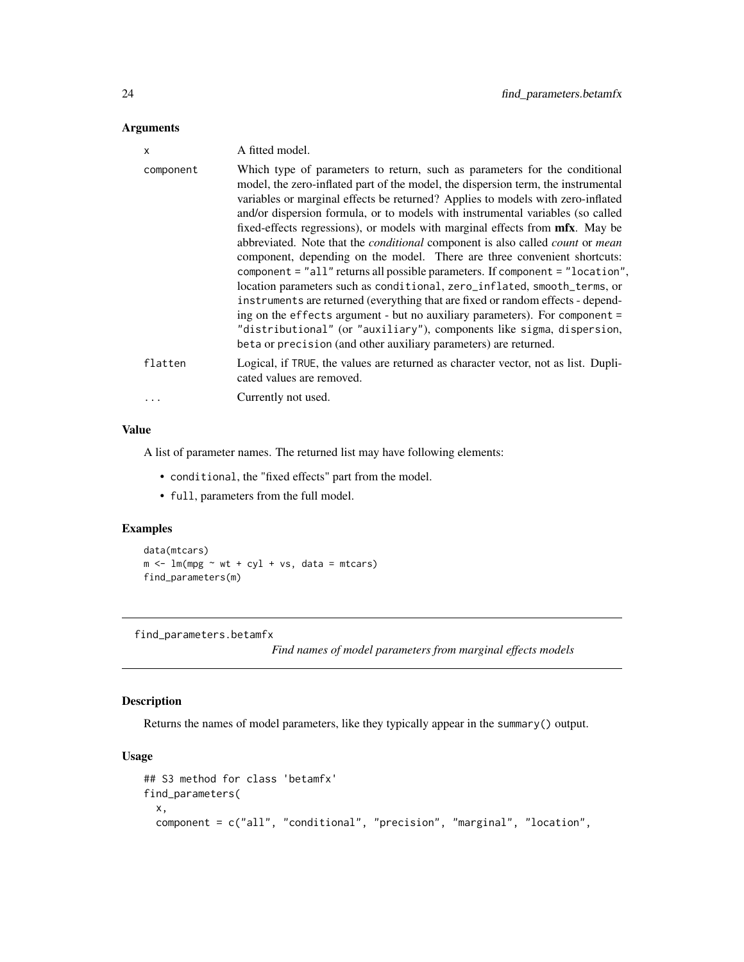<span id="page-23-0"></span>

| X         | A fitted model.                                                                                                                                                                                                                                                                                                                                                                                                                                                                                                                                                                                                                                                                                                                                                                                                                                                                                                                                                                                                                                                                    |
|-----------|------------------------------------------------------------------------------------------------------------------------------------------------------------------------------------------------------------------------------------------------------------------------------------------------------------------------------------------------------------------------------------------------------------------------------------------------------------------------------------------------------------------------------------------------------------------------------------------------------------------------------------------------------------------------------------------------------------------------------------------------------------------------------------------------------------------------------------------------------------------------------------------------------------------------------------------------------------------------------------------------------------------------------------------------------------------------------------|
| component | Which type of parameters to return, such as parameters for the conditional<br>model, the zero-inflated part of the model, the dispersion term, the instrumental<br>variables or marginal effects be returned? Applies to models with zero-inflated<br>and/or dispersion formula, or to models with instrumental variables (so called<br>fixed-effects regressions), or models with marginal effects from mfx. May be<br>abbreviated. Note that the <i>conditional</i> component is also called <i>count</i> or <i>mean</i><br>component, depending on the model. There are three convenient shortcuts:<br>component = "all" returns all possible parameters. If component = "location",<br>location parameters such as conditional, zero_inflated, smooth_terms, or<br>instruments are returned (everything that are fixed or random effects - depend-<br>ing on the effects argument - but no auxiliary parameters). For component =<br>"distributional" (or "auxiliary"), components like sigma, dispersion,<br>beta or precision (and other auxiliary parameters) are returned. |
| flatten   | Logical, if TRUE, the values are returned as character vector, not as list. Dupli-<br>cated values are removed.                                                                                                                                                                                                                                                                                                                                                                                                                                                                                                                                                                                                                                                                                                                                                                                                                                                                                                                                                                    |
|           | Currently not used.                                                                                                                                                                                                                                                                                                                                                                                                                                                                                                                                                                                                                                                                                                                                                                                                                                                                                                                                                                                                                                                                |

### Value

A list of parameter names. The returned list may have following elements:

- conditional, the "fixed effects" part from the model.
- full, parameters from the full model.

## Examples

```
data(mtcars)
m \leftarrow \text{lm}(mpg \sim wt + cy1 + vs, data = mtcars)find_parameters(m)
```
<span id="page-23-1"></span>find\_parameters.betamfx

*Find names of model parameters from marginal effects models*

## Description

Returns the names of model parameters, like they typically appear in the summary() output.

```
## S3 method for class 'betamfx'
find_parameters(
 x,
  component = c("all", "conditional", "precision", "marginal", "location",
```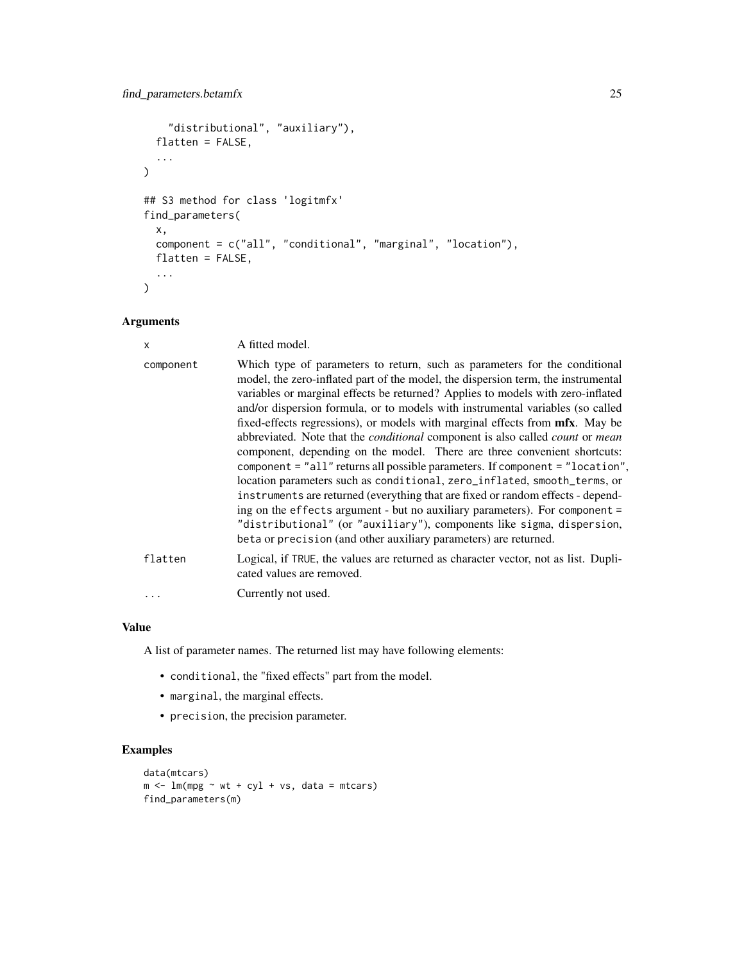```
"distributional", "auxiliary"),
 flatten = FALSE,
  ...
\mathcal{L}## S3 method for class 'logitmfx'
find_parameters(
  x,
  component = c("all", "conditional", "marginal", "location"),
 flatten = FALSE,
  ...
)
```

| X         | A fitted model.                                                                                                                                                                                                                                                                                                                                                                                                                                                                                                                                                                                                                                                                                                                                                                                                                                                                                                                                                                                                                                                                    |
|-----------|------------------------------------------------------------------------------------------------------------------------------------------------------------------------------------------------------------------------------------------------------------------------------------------------------------------------------------------------------------------------------------------------------------------------------------------------------------------------------------------------------------------------------------------------------------------------------------------------------------------------------------------------------------------------------------------------------------------------------------------------------------------------------------------------------------------------------------------------------------------------------------------------------------------------------------------------------------------------------------------------------------------------------------------------------------------------------------|
| component | Which type of parameters to return, such as parameters for the conditional<br>model, the zero-inflated part of the model, the dispersion term, the instrumental<br>variables or marginal effects be returned? Applies to models with zero-inflated<br>and/or dispersion formula, or to models with instrumental variables (so called<br>fixed-effects regressions), or models with marginal effects from mfx. May be<br>abbreviated. Note that the <i>conditional</i> component is also called <i>count</i> or <i>mean</i><br>component, depending on the model. There are three convenient shortcuts:<br>component = "all" returns all possible parameters. If component = "location",<br>location parameters such as conditional, zero_inflated, smooth_terms, or<br>instruments are returned (everything that are fixed or random effects - depend-<br>ing on the effects argument - but no auxiliary parameters). For component =<br>"distributional" (or "auxiliary"), components like sigma, dispersion,<br>beta or precision (and other auxiliary parameters) are returned. |
| flatten   | Logical, if TRUE, the values are returned as character vector, not as list. Dupli-<br>cated values are removed.                                                                                                                                                                                                                                                                                                                                                                                                                                                                                                                                                                                                                                                                                                                                                                                                                                                                                                                                                                    |
|           | Currently not used.                                                                                                                                                                                                                                                                                                                                                                                                                                                                                                                                                                                                                                                                                                                                                                                                                                                                                                                                                                                                                                                                |

## Value

A list of parameter names. The returned list may have following elements:

- conditional, the "fixed effects" part from the model.
- marginal, the marginal effects.
- precision, the precision parameter.

```
data(mtcars)
m <- lm(mpg \sim wt + cyl + vs, data = mtcars)find_parameters(m)
```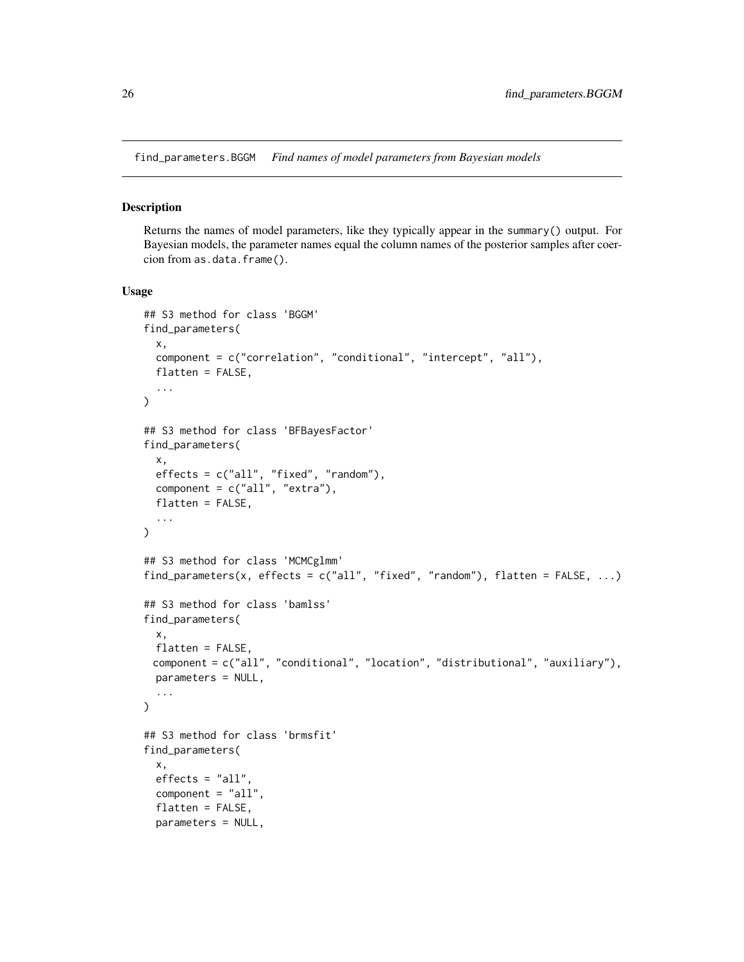<span id="page-25-1"></span><span id="page-25-0"></span>find\_parameters.BGGM *Find names of model parameters from Bayesian models*

#### Description

Returns the names of model parameters, like they typically appear in the summary() output. For Bayesian models, the parameter names equal the column names of the posterior samples after coercion from as.data.frame().

```
## S3 method for class 'BGGM'
find_parameters(
  x,
  component = c("correlation", "conditional", "intercept", "all"),
  flatten = FALSE,
  ...
\lambda## S3 method for class 'BFBayesFactor'
find_parameters(
  x,
  effects = c("all", "fixed", "random"),
  component = c("all", "extra"),flatten = FALSE,
  ...
\lambda## S3 method for class 'MCMCglmm'
find_parameters(x, effects = c("all", "fixed", "random"), flatten = FALSE, ...)
## S3 method for class 'bamlss'
find_parameters(
  x,
  flatten = FALSE,
 component = c("all", "conditional", "location", "distributional", "auxiliary"),
 parameters = NULL,
  ...
)
## S3 method for class 'brmsfit'
find_parameters(
  x,
  effects = "all".component = "all",
  flatten = FALSE,
  parameters = NULL,
```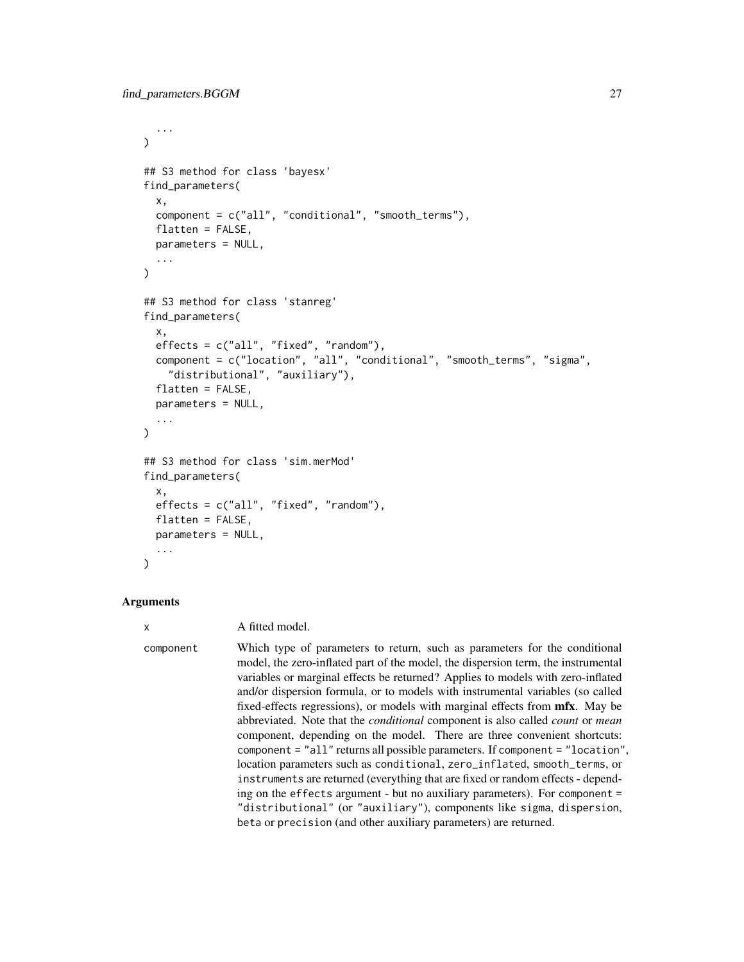```
...
\lambda## S3 method for class 'bayesx'
find_parameters(
  x,
  component = c("all", "conditional", "smooth_terms"),
  flatten = FALSE,parameters = NULL,
  ...
)
## S3 method for class 'stanreg'
find_parameters(
  x,
  effects = c("all", "fixed", "random"),
  component = c("location", "all", "conditional", "smooth_terms", "sigma",
    "distributional", "auxiliary"),
  flatten = FALSE,
  parameters = NULL,
  ...
\lambda## S3 method for class 'sim.merMod'
find_parameters(
  x,
  effects = c("all", "fixed", "random"),
  flatten = FALSE,
 parameters = NULL,
  ...
)
```
## x A fitted model.

component Which type of parameters to return, such as parameters for the conditional model, the zero-inflated part of the model, the dispersion term, the instrumental variables or marginal effects be returned? Applies to models with zero-inflated and/or dispersion formula, or to models with instrumental variables (so called fixed-effects regressions), or models with marginal effects from mfx. May be abbreviated. Note that the *conditional* component is also called *count* or *mean* component, depending on the model. There are three convenient shortcuts: component = "all" returns all possible parameters. If component = "location", location parameters such as conditional, zero\_inflated, smooth\_terms, or instruments are returned (everything that are fixed or random effects - depending on the effects argument - but no auxiliary parameters). For component = "distributional" (or "auxiliary"), components like sigma, dispersion, beta or precision (and other auxiliary parameters) are returned.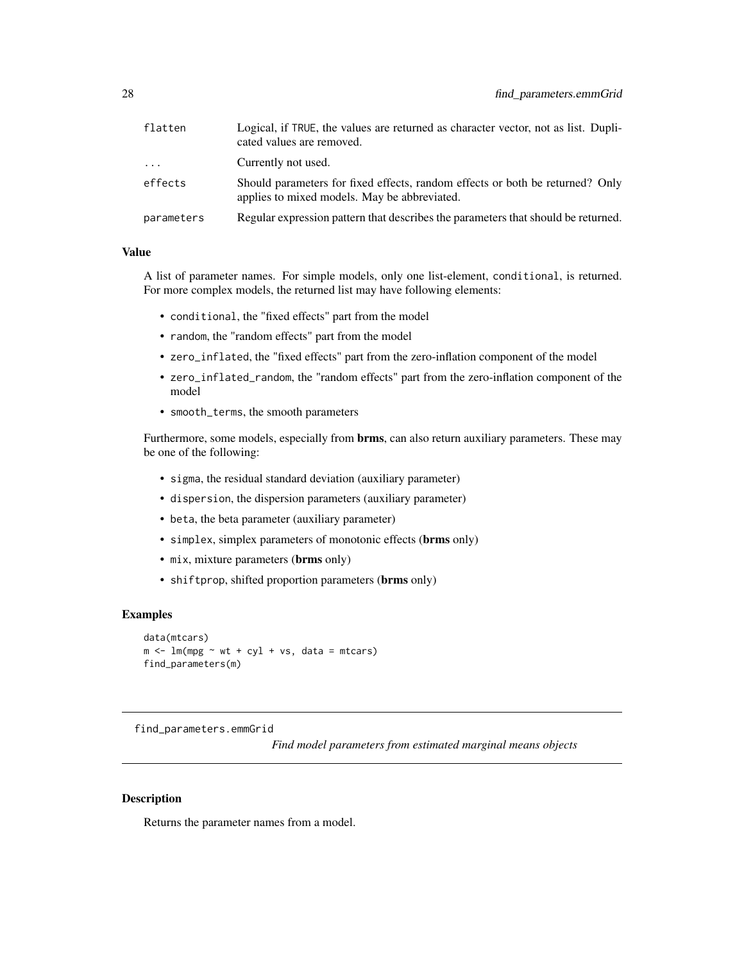<span id="page-27-0"></span>

| flatten    | Logical, if TRUE, the values are returned as character vector, not as list. Dupli-<br>cated values are removed.               |
|------------|-------------------------------------------------------------------------------------------------------------------------------|
| $\cdots$   | Currently not used.                                                                                                           |
| effects    | Should parameters for fixed effects, random effects or both be returned? Only<br>applies to mixed models. May be abbreviated. |
| parameters | Regular expression pattern that describes the parameters that should be returned.                                             |

#### Value

A list of parameter names. For simple models, only one list-element, conditional, is returned. For more complex models, the returned list may have following elements:

- conditional, the "fixed effects" part from the model
- random, the "random effects" part from the model
- zero\_inflated, the "fixed effects" part from the zero-inflation component of the model
- zero\_inflated\_random, the "random effects" part from the zero-inflation component of the model
- smooth\_terms, the smooth parameters

Furthermore, some models, especially from **brms**, can also return auxiliary parameters. These may be one of the following:

- sigma, the residual standard deviation (auxiliary parameter)
- dispersion, the dispersion parameters (auxiliary parameter)
- beta, the beta parameter (auxiliary parameter)
- simplex, simplex parameters of monotonic effects (brms only)
- mix, mixture parameters (brms only)
- shiftprop, shifted proportion parameters (brms only)

## Examples

```
data(mtcars)
m \le - \ln(mpg \sim wt + cyl + vs, data = mtcars)find_parameters(m)
```
<span id="page-27-1"></span>find\_parameters.emmGrid

*Find model parameters from estimated marginal means objects*

## Description

Returns the parameter names from a model.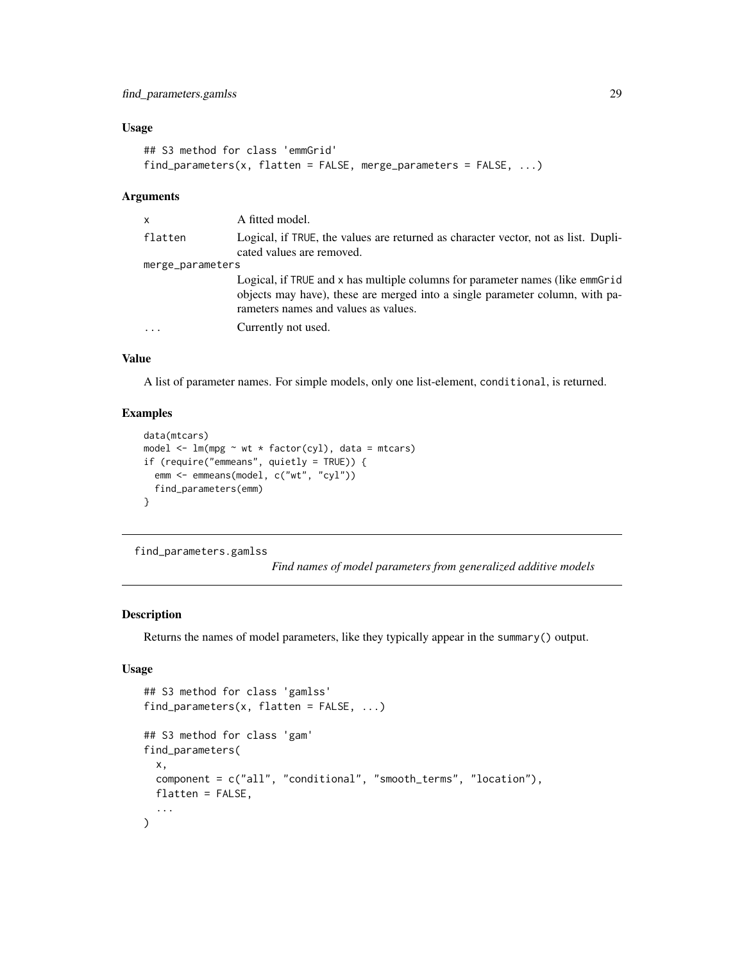## <span id="page-28-0"></span>Usage

```
## S3 method for class 'emmGrid'
find_parameters(x, flatten = FALSE, merge_parameters = FALSE, ...)
```
#### Arguments

| x                | A fitted model.                                                                                                                                                                                       |  |
|------------------|-------------------------------------------------------------------------------------------------------------------------------------------------------------------------------------------------------|--|
| flatten          | Logical, if TRUE, the values are returned as character vector, not as list. Dupli-<br>cated values are removed.                                                                                       |  |
| merge_parameters |                                                                                                                                                                                                       |  |
|                  | Logical, if TRUE and x has multiple columns for parameter names (like emmGrid<br>objects may have), these are merged into a single parameter column, with pa-<br>rameters names and values as values. |  |
| $\cdots$         | Currently not used.                                                                                                                                                                                   |  |

#### Value

A list of parameter names. For simple models, only one list-element, conditional, is returned.

## Examples

```
data(mtcars)
model \leq lm(mpg \sim wt \star factor(cyl), data = mtcars)
if (require("emmeans", quietly = TRUE)) {
  emm <- emmeans(model, c("wt", "cyl"))
  find_parameters(emm)
}
```
<span id="page-28-1"></span>find\_parameters.gamlss

*Find names of model parameters from generalized additive models*

#### Description

Returns the names of model parameters, like they typically appear in the summary() output.

```
## S3 method for class 'gamlss'
find_parameters(x, flatten = FALSE, ...)
## S3 method for class 'gam'
find_parameters(
  x,
  component = c("all", "conditional", "smooth_terms", "location"),
 flatten = FALSE,
  ...
)
```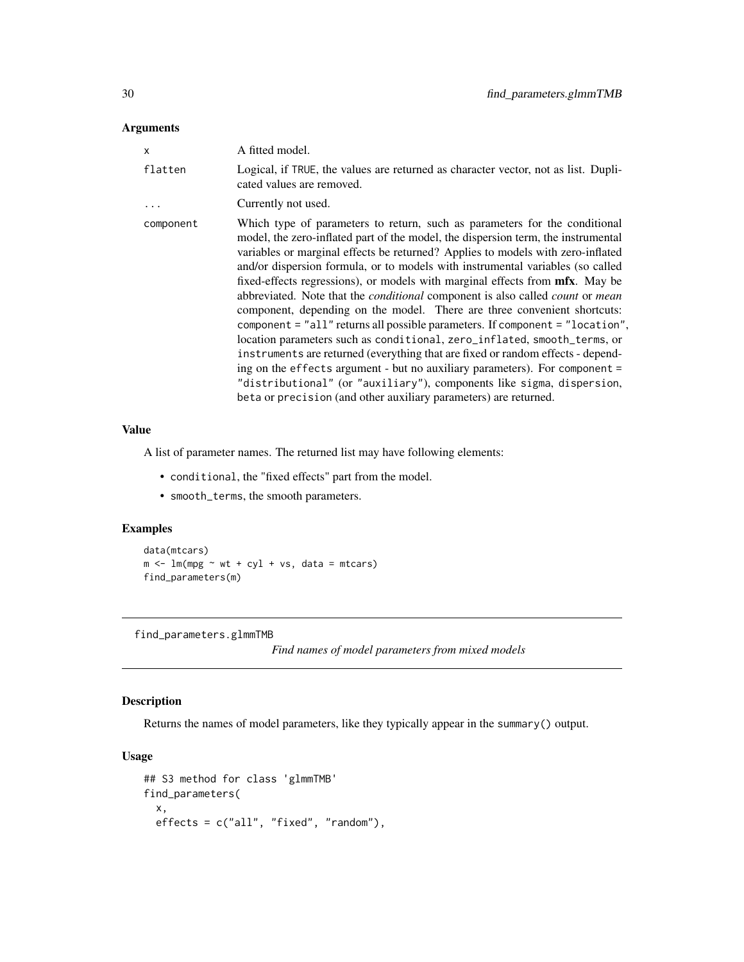<span id="page-29-0"></span>

| x         | A fitted model.                                                                                                                                                                                                                                                                                                                                                                                                                                                                                                                                                                                                                                                                                                                                                                                                                                                                                                                                                                                                                                                                            |
|-----------|--------------------------------------------------------------------------------------------------------------------------------------------------------------------------------------------------------------------------------------------------------------------------------------------------------------------------------------------------------------------------------------------------------------------------------------------------------------------------------------------------------------------------------------------------------------------------------------------------------------------------------------------------------------------------------------------------------------------------------------------------------------------------------------------------------------------------------------------------------------------------------------------------------------------------------------------------------------------------------------------------------------------------------------------------------------------------------------------|
| flatten   | Logical, if TRUE, the values are returned as character vector, not as list. Dupli-<br>cated values are removed.                                                                                                                                                                                                                                                                                                                                                                                                                                                                                                                                                                                                                                                                                                                                                                                                                                                                                                                                                                            |
| $\ldots$  | Currently not used.                                                                                                                                                                                                                                                                                                                                                                                                                                                                                                                                                                                                                                                                                                                                                                                                                                                                                                                                                                                                                                                                        |
| component | Which type of parameters to return, such as parameters for the conditional<br>model, the zero-inflated part of the model, the dispersion term, the instrumental<br>variables or marginal effects be returned? Applies to models with zero-inflated<br>and/or dispersion formula, or to models with instrumental variables (so called<br>fixed-effects regressions), or models with marginal effects from <b>mfx</b> . May be<br>abbreviated. Note that the <i>conditional</i> component is also called <i>count</i> or <i>mean</i><br>component, depending on the model. There are three convenient shortcuts:<br>component = "all" returns all possible parameters. If component = "location",<br>location parameters such as conditional, zero_inflated, smooth_terms, or<br>instruments are returned (everything that are fixed or random effects - depend-<br>ing on the effects argument - but no auxiliary parameters). For component =<br>"distributional" (or "auxiliary"), components like sigma, dispersion,<br>beta or precision (and other auxiliary parameters) are returned. |

## Value

A list of parameter names. The returned list may have following elements:

- conditional, the "fixed effects" part from the model.
- smooth\_terms, the smooth parameters.

## Examples

```
data(mtcars)
m \leftarrow \text{lm}(mpg \sim wt + cy1 + vs, data = mtcars)find_parameters(m)
```
<span id="page-29-1"></span>find\_parameters.glmmTMB

*Find names of model parameters from mixed models*

## Description

Returns the names of model parameters, like they typically appear in the summary() output.

```
## S3 method for class 'glmmTMB'
find_parameters(
  x,
 effects = c("all", "fixed", "random"),
```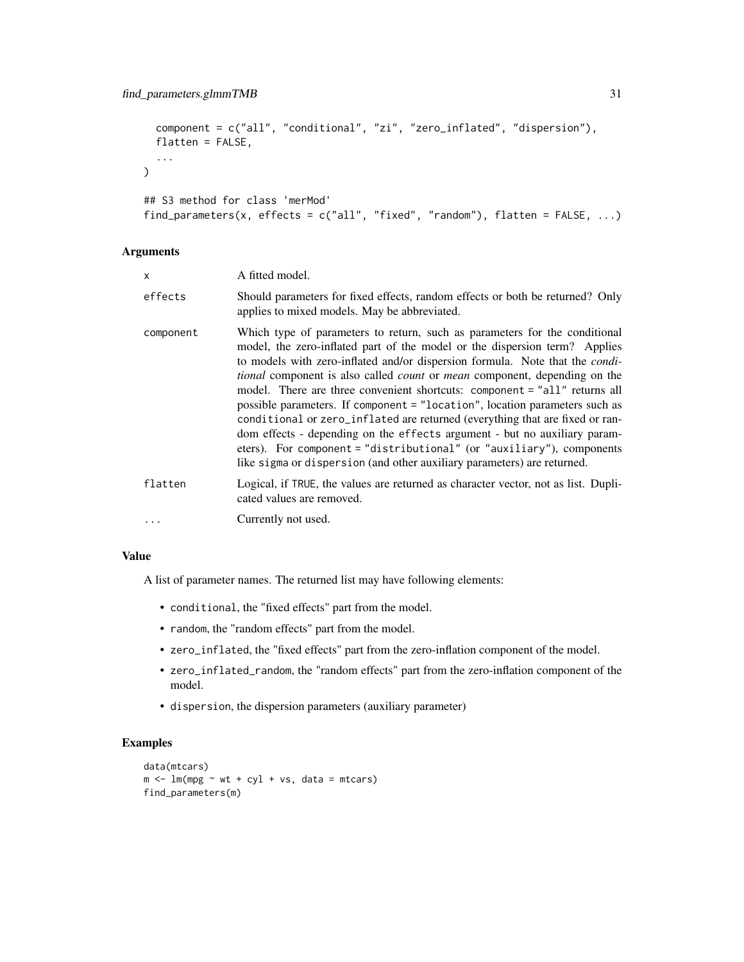```
component = c("all", "conditional", "zi", "zero_inflated", "dispersion"),
 flatten = FALSE,
  ...
\mathcal{L}## S3 method for class 'merMod'
find_parameters(x, effects = c("all", "fixed", "random"), flatten = FALSE, ...)
```

| X         | A fitted model.                                                                                                                                                                                                                                                                                                                                                                                                                                                                                                                                                                                                                                                                                                                                                                                                                  |
|-----------|----------------------------------------------------------------------------------------------------------------------------------------------------------------------------------------------------------------------------------------------------------------------------------------------------------------------------------------------------------------------------------------------------------------------------------------------------------------------------------------------------------------------------------------------------------------------------------------------------------------------------------------------------------------------------------------------------------------------------------------------------------------------------------------------------------------------------------|
| effects   | Should parameters for fixed effects, random effects or both be returned? Only<br>applies to mixed models. May be abbreviated.                                                                                                                                                                                                                                                                                                                                                                                                                                                                                                                                                                                                                                                                                                    |
| component | Which type of parameters to return, such as parameters for the conditional<br>model, the zero-inflated part of the model or the dispersion term? Applies<br>to models with zero-inflated and/or dispersion formula. Note that the <i>condi</i> -<br><i>tional</i> component is also called <i>count</i> or <i>mean</i> component, depending on the<br>model. There are three convenient shortcuts: component = "all" returns all<br>possible parameters. If component = "location", location parameters such as<br>conditional or zero_inflated are returned (everything that are fixed or ran-<br>dom effects - depending on the effects argument - but no auxiliary param-<br>eters). For component = "distributional" (or "auxiliary"), components<br>like sigma or dispersion (and other auxiliary parameters) are returned. |
| flatten   | Logical, if TRUE, the values are returned as character vector, not as list. Dupli-<br>cated values are removed.                                                                                                                                                                                                                                                                                                                                                                                                                                                                                                                                                                                                                                                                                                                  |
|           | Currently not used.                                                                                                                                                                                                                                                                                                                                                                                                                                                                                                                                                                                                                                                                                                                                                                                                              |

## Value

A list of parameter names. The returned list may have following elements:

- conditional, the "fixed effects" part from the model.
- random, the "random effects" part from the model.
- zero\_inflated, the "fixed effects" part from the zero-inflation component of the model.
- zero\_inflated\_random, the "random effects" part from the zero-inflation component of the model.
- dispersion, the dispersion parameters (auxiliary parameter)

```
data(mtcars)
m \leq Im(mpg \sim wt + cyl + vs, data = mtcars)find_parameters(m)
```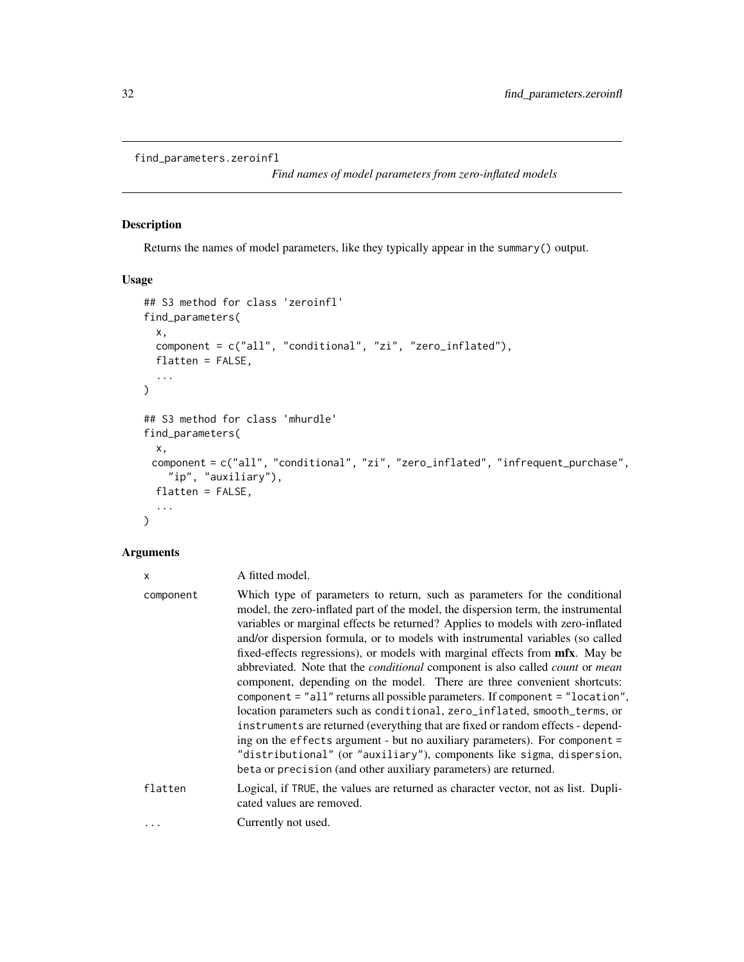```
find_parameters.zeroinfl
```
*Find names of model parameters from zero-inflated models*

## Description

Returns the names of model parameters, like they typically appear in the summary() output.

## Usage

```
## S3 method for class 'zeroinfl'
find_parameters(
  x,
  component = c("all", "conditional", "zi", "zero_inflated"),
 flatten = FALSE,
  ...
\mathcal{L}## S3 method for class 'mhurdle'
find_parameters(
 x,
 component = c("all", "conditional", "zi", "zero_inflated", "infrequent_purchase",
    "ip", "auxiliary"),
 flatten = FALSE,
  ...
)
```
## Arguments

| X         | A fitted model.                                                                                                                                                                                                                                                                                                                                                                                                                                                                                                                                                                                                                                                                                                                                                                                                                                                                                                                                                                                                                                                                    |
|-----------|------------------------------------------------------------------------------------------------------------------------------------------------------------------------------------------------------------------------------------------------------------------------------------------------------------------------------------------------------------------------------------------------------------------------------------------------------------------------------------------------------------------------------------------------------------------------------------------------------------------------------------------------------------------------------------------------------------------------------------------------------------------------------------------------------------------------------------------------------------------------------------------------------------------------------------------------------------------------------------------------------------------------------------------------------------------------------------|
| component | Which type of parameters to return, such as parameters for the conditional<br>model, the zero-inflated part of the model, the dispersion term, the instrumental<br>variables or marginal effects be returned? Applies to models with zero-inflated<br>and/or dispersion formula, or to models with instrumental variables (so called<br>fixed-effects regressions), or models with marginal effects from mfx. May be<br>abbreviated. Note that the <i>conditional</i> component is also called <i>count</i> or <i>mean</i><br>component, depending on the model. There are three convenient shortcuts:<br>component = "all" returns all possible parameters. If component = "location",<br>location parameters such as conditional, zero_inflated, smooth_terms, or<br>instruments are returned (everything that are fixed or random effects - depend-<br>ing on the effects argument - but no auxiliary parameters). For component =<br>"distributional" (or "auxiliary"), components like sigma, dispersion,<br>beta or precision (and other auxiliary parameters) are returned. |
| flatten   | Logical, if TRUE, the values are returned as character vector, not as list. Dupli-<br>cated values are removed.                                                                                                                                                                                                                                                                                                                                                                                                                                                                                                                                                                                                                                                                                                                                                                                                                                                                                                                                                                    |
| $\cdots$  | Currently not used.                                                                                                                                                                                                                                                                                                                                                                                                                                                                                                                                                                                                                                                                                                                                                                                                                                                                                                                                                                                                                                                                |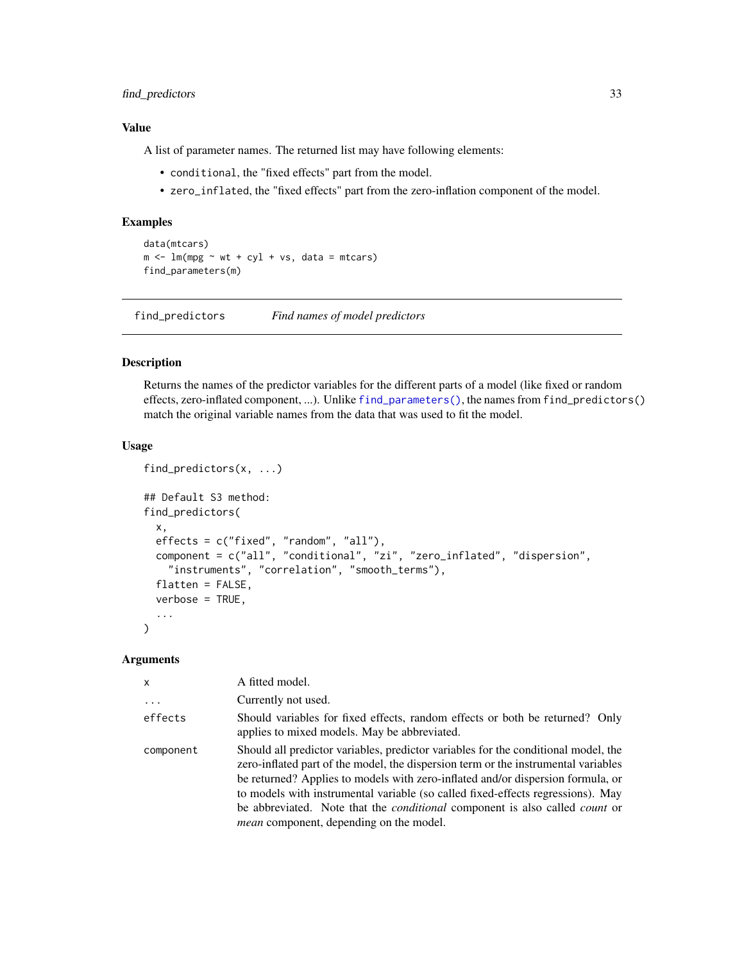## <span id="page-32-0"></span>find\_predictors 33

#### Value

A list of parameter names. The returned list may have following elements:

- conditional, the "fixed effects" part from the model.
- zero\_inflated, the "fixed effects" part from the zero-inflation component of the model.

## Examples

```
data(mtcars)
m \le - \ln(mpg \sim wt + cyl + vs, data = mtcars)find_parameters(m)
```
find\_predictors *Find names of model predictors*

#### Description

Returns the names of the predictor variables for the different parts of a model (like fixed or random effects, zero-inflated component, ...). Unlike [find\\_parameters\(\)](#page-20-1), the names from find\_predictors() match the original variable names from the data that was used to fit the model.

#### Usage

```
find_predictors(x, ...)
## Default S3 method:
find_predictors(
  x,
 effects = c("fixed", "random", "all"),
 component = c("all", "conditional", "zi", "zero_inflated", "dispersion",
    "instruments", "correlation", "smooth_terms"),
  flatten = FALSE,
  verbose = TRUE,
  ...
)
```
#### **Arguments**

| x          | A fitted model.                                                                                                                                                                                                                                                                                                                                                                                                                                                                               |
|------------|-----------------------------------------------------------------------------------------------------------------------------------------------------------------------------------------------------------------------------------------------------------------------------------------------------------------------------------------------------------------------------------------------------------------------------------------------------------------------------------------------|
| $\ddots$ . | Currently not used.                                                                                                                                                                                                                                                                                                                                                                                                                                                                           |
| effects    | Should variables for fixed effects, random effects or both be returned? Only<br>applies to mixed models. May be abbreviated.                                                                                                                                                                                                                                                                                                                                                                  |
| component  | Should all predictor variables, predictor variables for the conditional model, the<br>zero-inflated part of the model, the dispersion term or the instrumental variables<br>be returned? Applies to models with zero-inflated and/or dispersion formula, or<br>to models with instrumental variable (so called fixed-effects regressions). May<br>be abbreviated. Note that the <i>conditional</i> component is also called <i>count</i> or<br><i>mean</i> component, depending on the model. |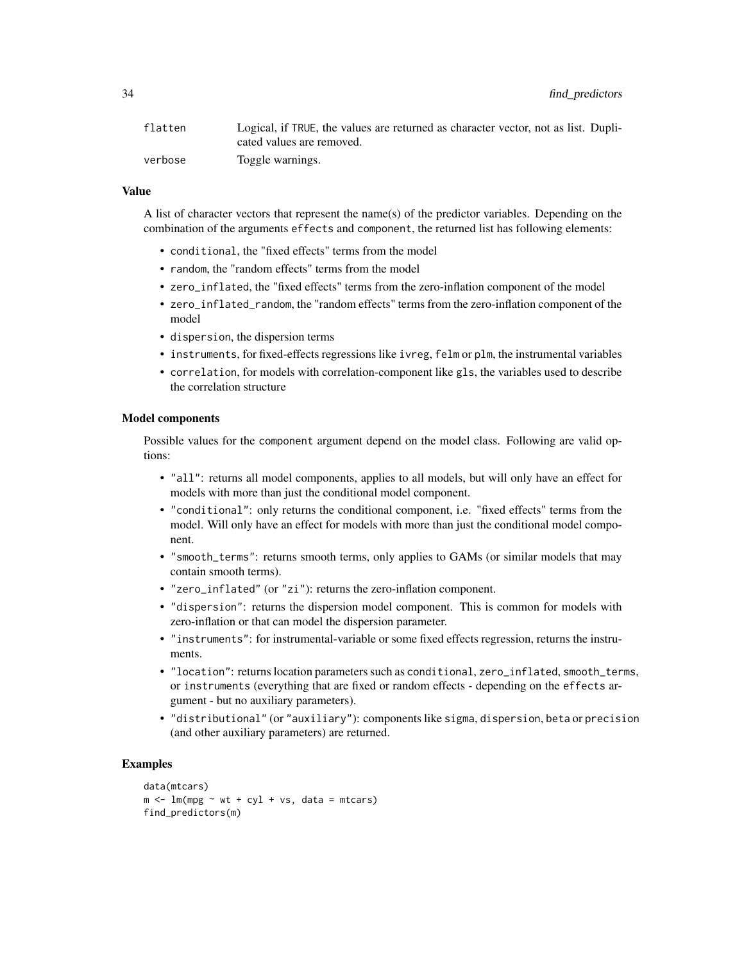| flatten | Logical, if TRUE, the values are returned as character vector, not as list. Dupli- |
|---------|------------------------------------------------------------------------------------|
|         | cated values are removed.                                                          |
| verbose | Toggle warnings.                                                                   |

## Value

A list of character vectors that represent the name(s) of the predictor variables. Depending on the combination of the arguments effects and component, the returned list has following elements:

- conditional, the "fixed effects" terms from the model
- random, the "random effects" terms from the model
- zero\_inflated, the "fixed effects" terms from the zero-inflation component of the model
- zero\_inflated\_random, the "random effects" terms from the zero-inflation component of the model
- dispersion, the dispersion terms
- instruments, for fixed-effects regressions like ivreg, felm or plm, the instrumental variables
- correlation, for models with correlation-component like gls, the variables used to describe the correlation structure

#### Model components

Possible values for the component argument depend on the model class. Following are valid options:

- "all": returns all model components, applies to all models, but will only have an effect for models with more than just the conditional model component.
- "conditional": only returns the conditional component, i.e. "fixed effects" terms from the model. Will only have an effect for models with more than just the conditional model component.
- "smooth\_terms": returns smooth terms, only applies to GAMs (or similar models that may contain smooth terms).
- "zero\_inflated" (or "zi"): returns the zero-inflation component.
- "dispersion": returns the dispersion model component. This is common for models with zero-inflation or that can model the dispersion parameter.
- "instruments": for instrumental-variable or some fixed effects regression, returns the instruments.
- "location": returns location parameters such as conditional, zero\_inflated, smooth\_terms, or instruments (everything that are fixed or random effects - depending on the effects argument - but no auxiliary parameters).
- "distributional" (or "auxiliary"): components like sigma, dispersion, beta or precision (and other auxiliary parameters) are returned.

```
data(mtcars)
m \le - \ln(mpg \sim wt + cyl + vs, data = mtcars)find_predictors(m)
```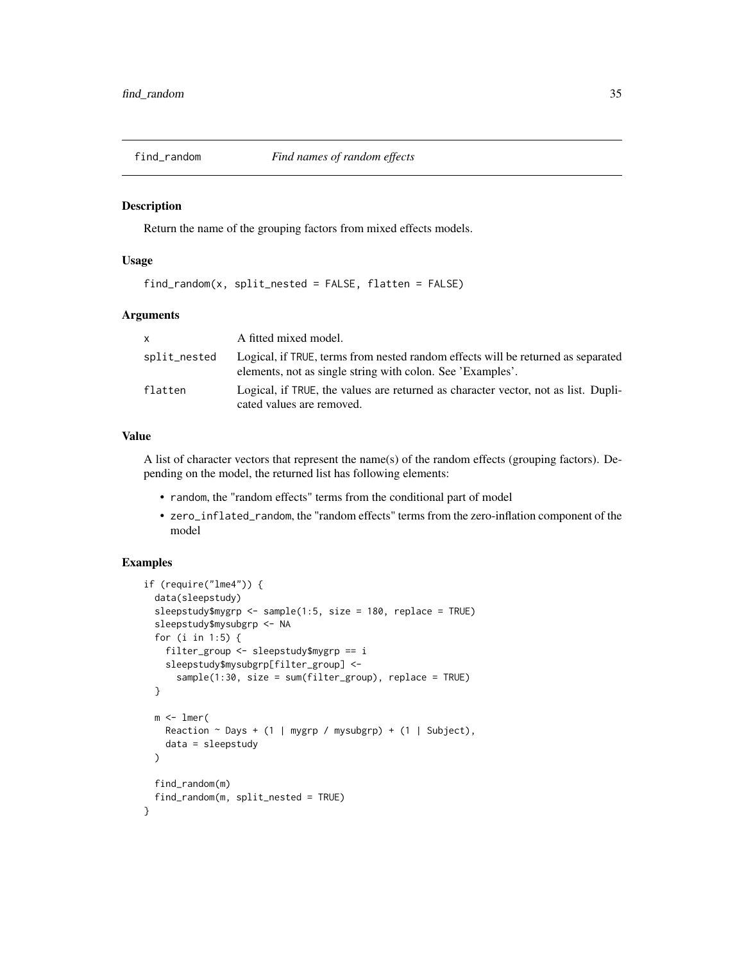<span id="page-34-0"></span>

## Description

Return the name of the grouping factors from mixed effects models.

## Usage

 $find\_random(x, split\_nested = FALSE, flatten = FALSE)$ 

## Arguments

| $\mathsf{x}$ | A fitted mixed model.                                                                                                                          |
|--------------|------------------------------------------------------------------------------------------------------------------------------------------------|
| split_nested | Logical, if TRUE, terms from nested random effects will be returned as separated<br>elements, not as single string with colon. See 'Examples'. |
| flatten      | Logical, if TRUE, the values are returned as character vector, not as list. Dupli-<br>cated values are removed.                                |

#### Value

A list of character vectors that represent the name(s) of the random effects (grouping factors). Depending on the model, the returned list has following elements:

- random, the "random effects" terms from the conditional part of model
- zero\_inflated\_random, the "random effects" terms from the zero-inflation component of the model

```
if (require("lme4")) {
 data(sleepstudy)
 sleepstudy$mygrp <- sample(1:5, size = 180, replace = TRUE)
 sleepstudy$mysubgrp <- NA
 for (i in 1:5) {
   filter_group <- sleepstudy$mygrp == i
   sleepstudy$mysubgrp[filter_group] <-
      sample(1:30, size = sum(filter_group), replace = TRUE)
 }
 m < -1mer(
   Reaction \sim Days + (1 | mygrp / mysubgrp) + (1 | Subject),
   data = sleepstudy
 )
 find_random(m)
 find_random(m, split_nested = TRUE)
}
```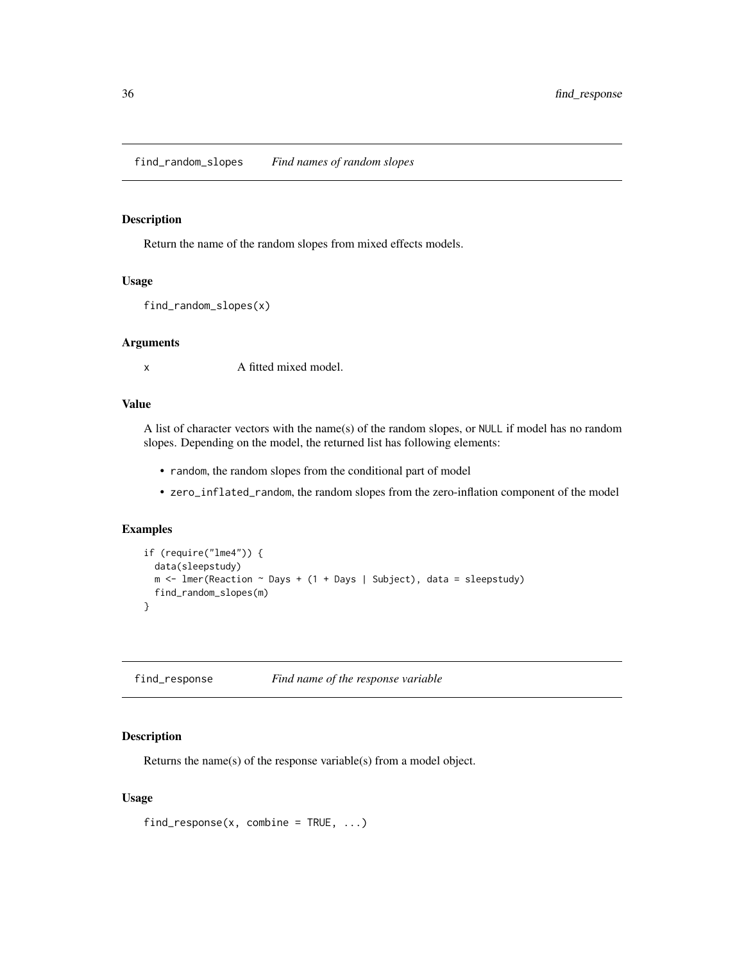## <span id="page-35-0"></span>Description

Return the name of the random slopes from mixed effects models.

#### Usage

```
find_random_slopes(x)
```
#### Arguments

x A fitted mixed model.

#### Value

A list of character vectors with the name(s) of the random slopes, or NULL if model has no random slopes. Depending on the model, the returned list has following elements:

- random, the random slopes from the conditional part of model
- zero\_inflated\_random, the random slopes from the zero-inflation component of the model

## Examples

```
if (require("lme4")) {
  data(sleepstudy)
  m \le - lmer(Reaction \sim Days + (1 + Days | Subject), data = sleepstudy)
  find_random_slopes(m)
}
```
find\_response *Find name of the response variable*

## Description

Returns the name(s) of the response variable(s) from a model object.

#### Usage

find\_response(x, combine =  $TRUE$ , ...)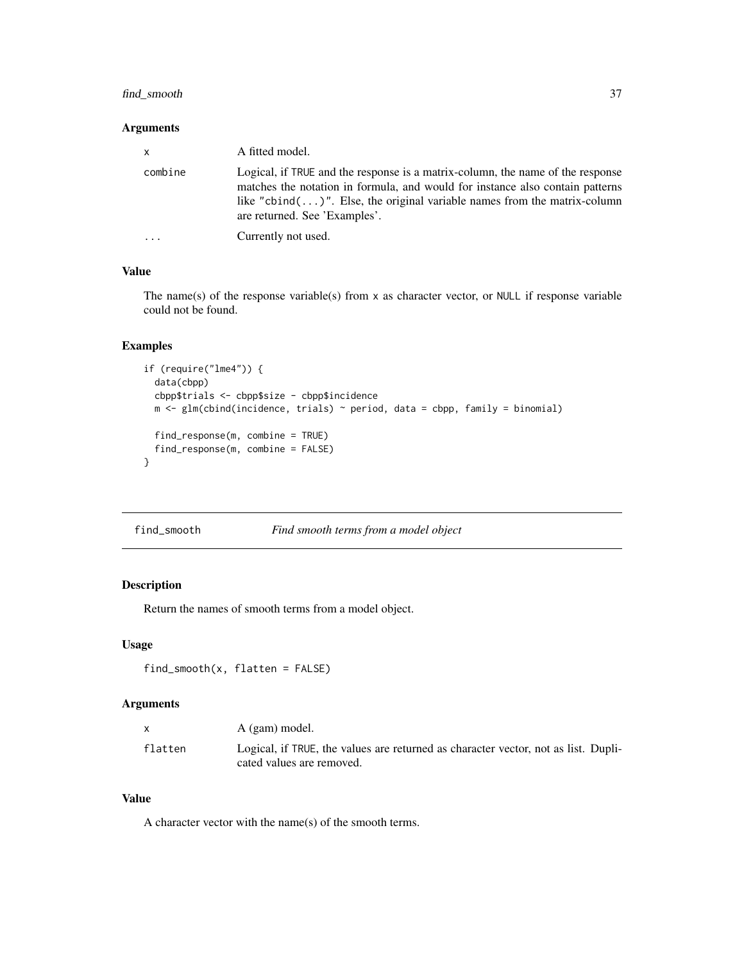## find\_smooth 37

### Arguments

| $\mathsf{x}$ | A fitted model.                                                                                                                                                                                                                                                                         |
|--------------|-----------------------------------------------------------------------------------------------------------------------------------------------------------------------------------------------------------------------------------------------------------------------------------------|
| combine      | Logical, if TRUE and the response is a matrix-column, the name of the response<br>matches the notation in formula, and would for instance also contain patterns<br>like "cbind $( \dots )$ ". Else, the original variable names from the matrix-column<br>are returned. See 'Examples'. |
| $\ddotsc$    | Currently not used.                                                                                                                                                                                                                                                                     |

### Value

The name(s) of the response variable(s) from x as character vector, or NULL if response variable could not be found.

# Examples

```
if (require("lme4")) {
  data(cbpp)
  cbpp$trials <- cbpp$size - cbpp$incidence
  m <- glm(cbind(incidence, trials) ~ period, data = cbpp, family = binomial)
  find_response(m, combine = TRUE)
  find_response(m, combine = FALSE)
}
```

| find_smooth | Find smooth terms from a model object |  |
|-------------|---------------------------------------|--|
|             |                                       |  |

## Description

Return the names of smooth terms from a model object.

### Usage

```
find_s \text{smooth}(x, flatten = FALSE)
```
### Arguments

|         | A (gam) model.                                                                                                  |
|---------|-----------------------------------------------------------------------------------------------------------------|
| flatten | Logical, if TRUE, the values are returned as character vector, not as list. Dupli-<br>cated values are removed. |

### Value

A character vector with the name(s) of the smooth terms.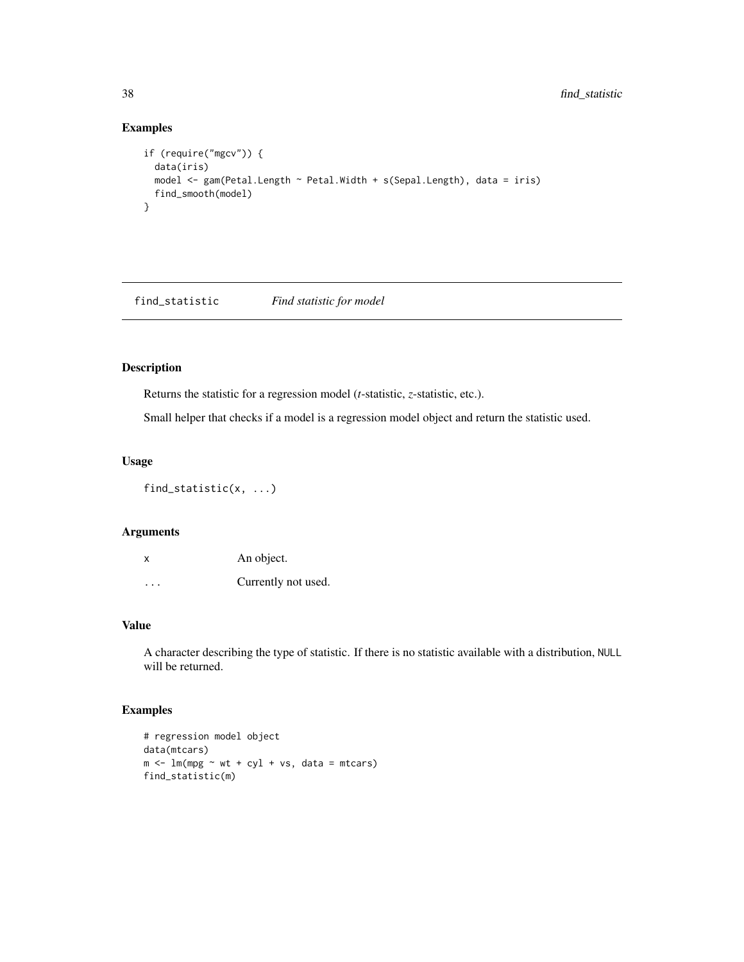## Examples

```
if (require("mgcv")) {
  data(iris)
  model <- gam(Petal.Length ~ Petal.Width + s(Sepal.Length), data = iris)
  find_smooth(model)
}
```
find\_statistic *Find statistic for model*

# Description

Returns the statistic for a regression model (*t*-statistic, *z*-statistic, etc.).

Small helper that checks if a model is a regression model object and return the statistic used.

## Usage

find\_statistic(x, ...)

### Arguments

| X       | An object.          |
|---------|---------------------|
| $\cdot$ | Currently not used. |

# Value

A character describing the type of statistic. If there is no statistic available with a distribution, NULL will be returned.

```
# regression model object
data(mtcars)
m \le - \ln(mpg \sim wt + cyl + vs, data = mtcars)find_statistic(m)
```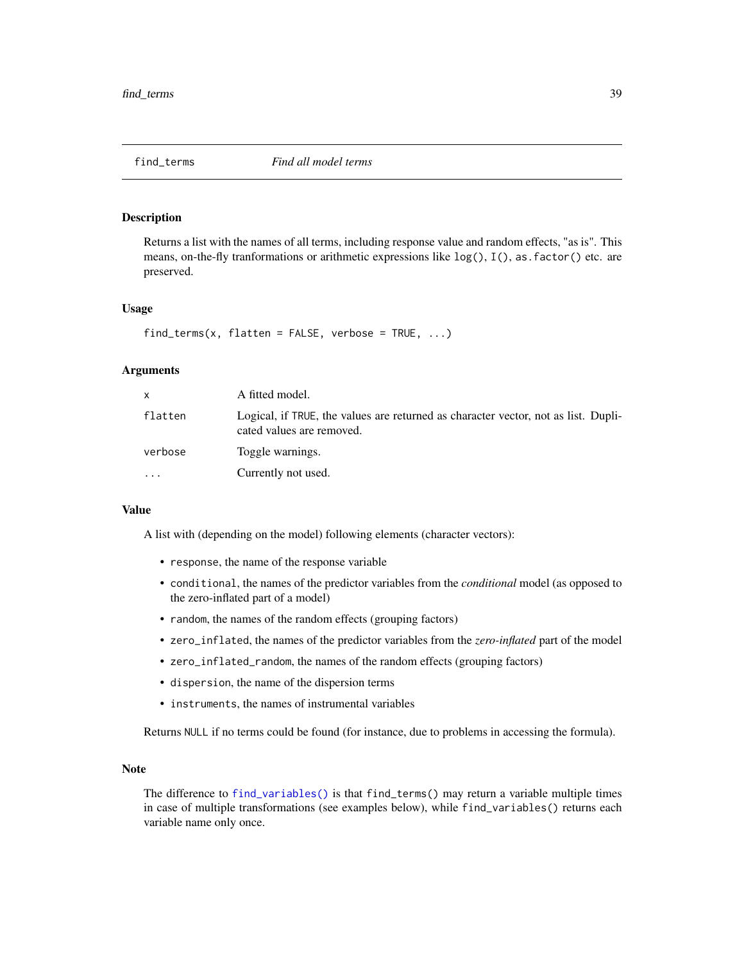<span id="page-38-0"></span>

Returns a list with the names of all terms, including response value and random effects, "as is". This means, on-the-fly tranformations or arithmetic expressions like  $log($ ),  $I($ ), as. factor() etc. are preserved.

### Usage

```
find\_terms(x, flatten = FALSE, verbose = TRUE, ...)
```
### Arguments

| X       | A fitted model.                                                                                                 |
|---------|-----------------------------------------------------------------------------------------------------------------|
| flatten | Logical, if TRUE, the values are returned as character vector, not as list. Dupli-<br>cated values are removed. |
| verbose | Toggle warnings.                                                                                                |
| $\cdot$ | Currently not used.                                                                                             |

### Value

A list with (depending on the model) following elements (character vectors):

- response, the name of the response variable
- conditional, the names of the predictor variables from the *conditional* model (as opposed to the zero-inflated part of a model)
- random, the names of the random effects (grouping factors)
- zero\_inflated, the names of the predictor variables from the *zero-inflated* part of the model
- zero\_inflated\_random, the names of the random effects (grouping factors)
- dispersion, the name of the dispersion terms
- instruments, the names of instrumental variables

Returns NULL if no terms could be found (for instance, due to problems in accessing the formula).

## Note

The difference to [find\\_variables\(\)](#page-40-0) is that find\_terms() may return a variable multiple times in case of multiple transformations (see examples below), while find\_variables() returns each variable name only once.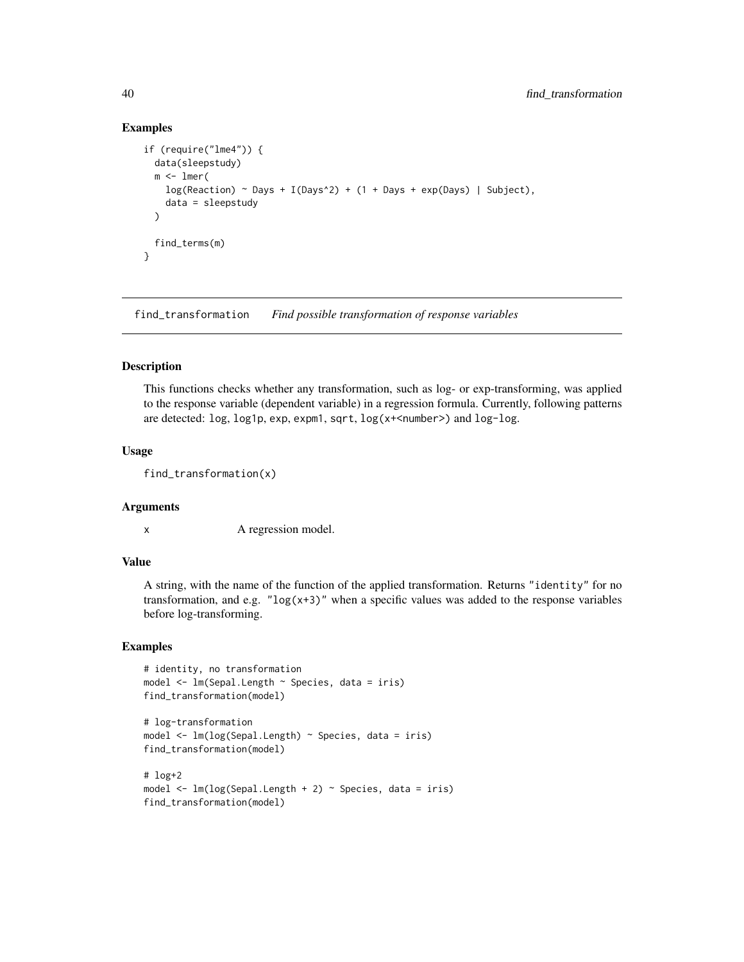### Examples

```
if (require("lme4")) {
 data(sleepstudy)
 m < -1mer(
   log(Reaction) ~ ~ Days + I(Days^2) + (1 + Days + exp(Days) | Subject),
    data = sleepstudy
 \lambdafind_terms(m)
}
```
find\_transformation *Find possible transformation of response variables*

### Description

This functions checks whether any transformation, such as log- or exp-transforming, was applied to the response variable (dependent variable) in a regression formula. Currently, following patterns are detected: log, log1p, exp, expm1, sqrt, log(x+<number>) and log-log.

### Usage

find\_transformation(x)

### Arguments

x A regression model.

### Value

A string, with the name of the function of the applied transformation. Returns "identity" for no transformation, and e.g. " $log(x+3)$ " when a specific values was added to the response variables before log-transforming.

```
# identity, no transformation
model <- lm(Sepal.Length ~ Species, data = iris)
find_transformation(model)
```

```
# log-transformation
model <- lm(log(Sepal.Length) ~ Species, data = iris)
find_transformation(model)
# log+2
```

```
model <- lm(log(Sepal.Length + 2) ~ Species, data = iris)
find_transformation(model)
```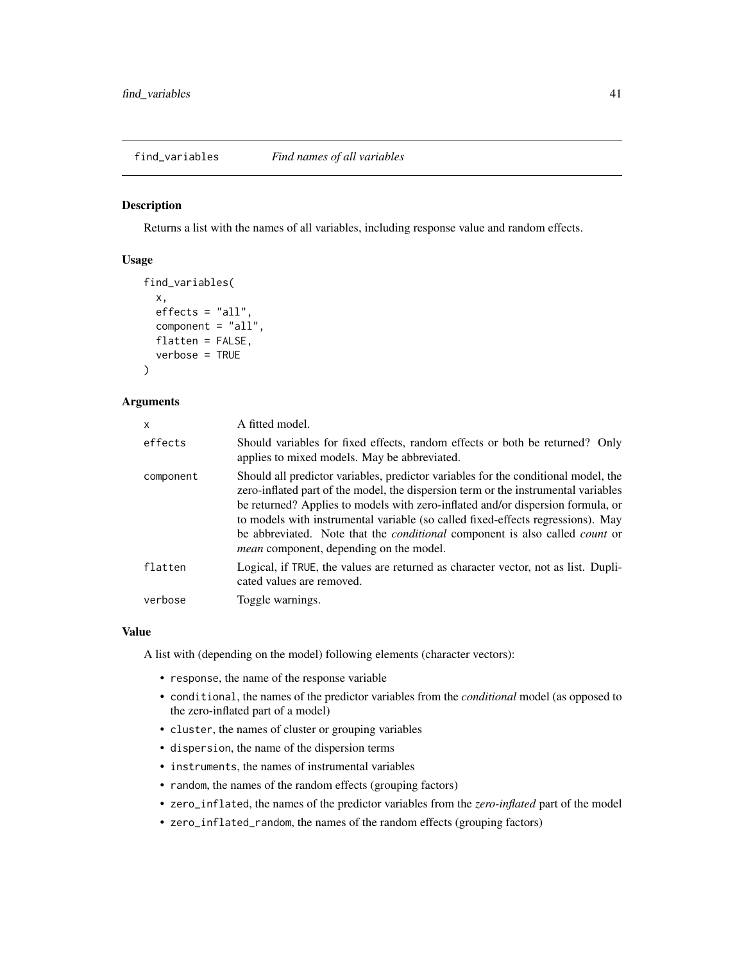<span id="page-40-0"></span>find\_variables *Find names of all variables*

### Description

Returns a list with the names of all variables, including response value and random effects.

## Usage

```
find_variables(
  x,
 effects = "all",component = "all",
  flatten = FALSE,
  verbose = TRUE
)
```
# Arguments

| X         | A fitted model.                                                                                                                                                                                                                                                                                                                                                                                                                                                                               |
|-----------|-----------------------------------------------------------------------------------------------------------------------------------------------------------------------------------------------------------------------------------------------------------------------------------------------------------------------------------------------------------------------------------------------------------------------------------------------------------------------------------------------|
| effects   | Should variables for fixed effects, random effects or both be returned? Only<br>applies to mixed models. May be abbreviated.                                                                                                                                                                                                                                                                                                                                                                  |
| component | Should all predictor variables, predictor variables for the conditional model, the<br>zero-inflated part of the model, the dispersion term or the instrumental variables<br>be returned? Applies to models with zero-inflated and/or dispersion formula, or<br>to models with instrumental variable (so called fixed-effects regressions). May<br>be abbreviated. Note that the <i>conditional</i> component is also called <i>count</i> or<br><i>mean</i> component, depending on the model. |
| flatten   | Logical, if TRUE, the values are returned as character vector, not as list. Dupli-<br>cated values are removed.                                                                                                                                                                                                                                                                                                                                                                               |
| verbose   | Toggle warnings.                                                                                                                                                                                                                                                                                                                                                                                                                                                                              |

### Value

A list with (depending on the model) following elements (character vectors):

- response, the name of the response variable
- conditional, the names of the predictor variables from the *conditional* model (as opposed to the zero-inflated part of a model)
- cluster, the names of cluster or grouping variables
- dispersion, the name of the dispersion terms
- instruments, the names of instrumental variables
- random, the names of the random effects (grouping factors)
- zero\_inflated, the names of the predictor variables from the *zero-inflated* part of the model
- zero\_inflated\_random, the names of the random effects (grouping factors)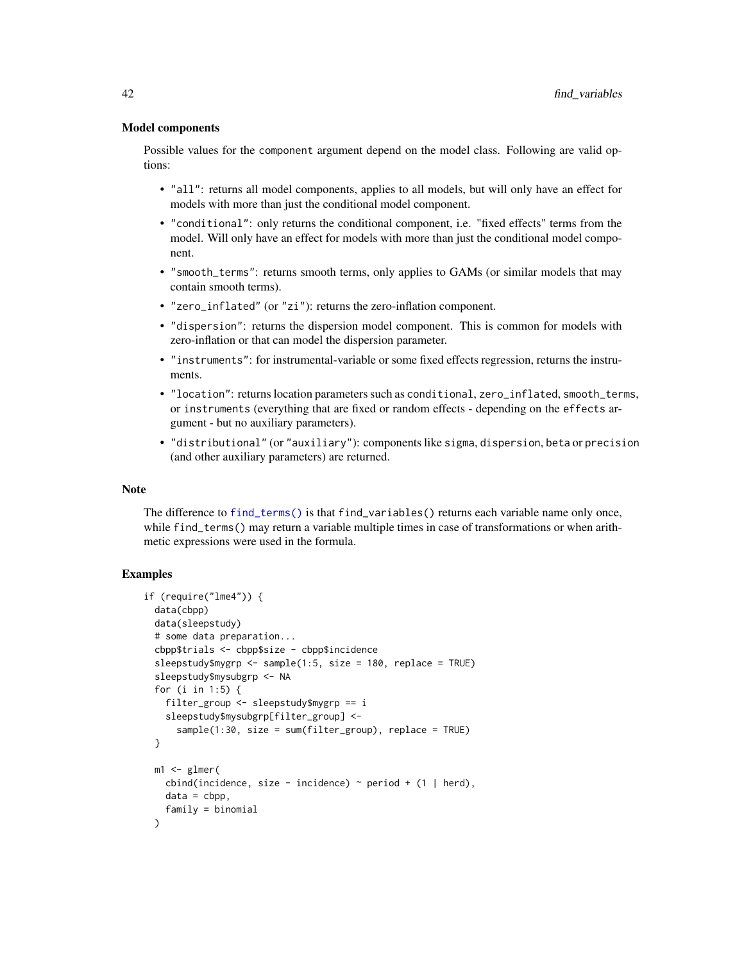### Model components

Possible values for the component argument depend on the model class. Following are valid options:

- "all": returns all model components, applies to all models, but will only have an effect for models with more than just the conditional model component.
- "conditional": only returns the conditional component, i.e. "fixed effects" terms from the model. Will only have an effect for models with more than just the conditional model component.
- "smooth\_terms": returns smooth terms, only applies to GAMs (or similar models that may contain smooth terms).
- "zero\_inflated" (or "zi"): returns the zero-inflation component.
- "dispersion": returns the dispersion model component. This is common for models with zero-inflation or that can model the dispersion parameter.
- "instruments": for instrumental-variable or some fixed effects regression, returns the instruments.
- "location": returns location parameters such as conditional, zero\_inflated, smooth\_terms, or instruments (everything that are fixed or random effects - depending on the effects argument - but no auxiliary parameters).
- "distributional" (or "auxiliary"): components like sigma, dispersion, beta or precision (and other auxiliary parameters) are returned.

### Note

The difference to [find\\_terms\(\)](#page-38-0) is that find\_variables() returns each variable name only once, while find\_terms() may return a variable multiple times in case of transformations or when arithmetic expressions were used in the formula.

```
if (require("lme4")) {
 data(cbpp)
 data(sleepstudy)
 # some data preparation...
 cbpp$trials <- cbpp$size - cbpp$incidence
 sleepstudy$mygrp <- sample(1:5, size = 180, replace = TRUE)
 sleepstudy$mysubgrp <- NA
 for (i in 1:5) {
   filter_group <- sleepstudy$mygrp == i
   sleepstudy$mysubgrp[filter_group] <-
      sample(1:30, size = sum(filter_group), replace = TRUE)
 }
 m1 \leq glmer(cbind(incidence, size - incidence) \sim period + (1 | herd),
   data = cbp,
   family = binomial
 )
```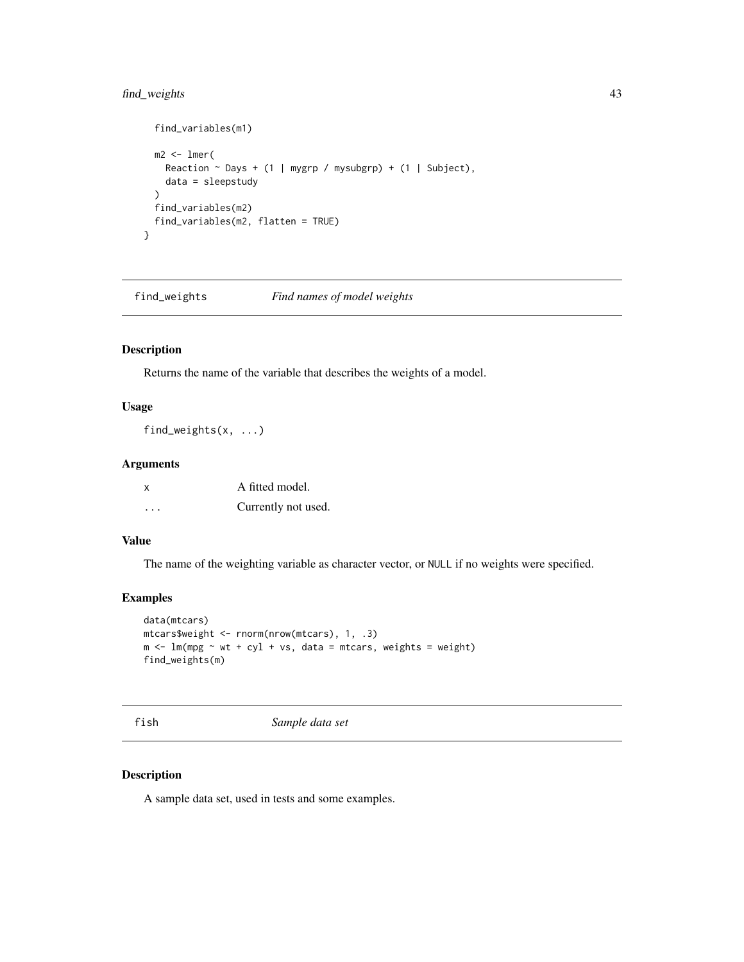## find\_weights 43

```
find_variables(m1)
  m2 < -1mer(
    Reaction \sim Days + (1 | mygrp / mysubgrp) + (1 | Subject),
    data = sleepstudy
  \mathcal{L}find_variables(m2)
  find_variables(m2, flatten = TRUE)
}
```
find\_weights *Find names of model weights*

## Description

Returns the name of the variable that describes the weights of a model.

# Usage

find\_weights(x, ...)

### Arguments

| X | A fitted model.     |
|---|---------------------|
| . | Currently not used. |

## Value

The name of the weighting variable as character vector, or NULL if no weights were specified.

### Examples

```
data(mtcars)
mtcars$weight <- rnorm(nrow(mtcars), 1, .3)
m <- lm(mpg \sim wt + cyl + vs, data = mtcars, weights = weight)
find_weights(m)
```
fish *Sample data set*

# Description

A sample data set, used in tests and some examples.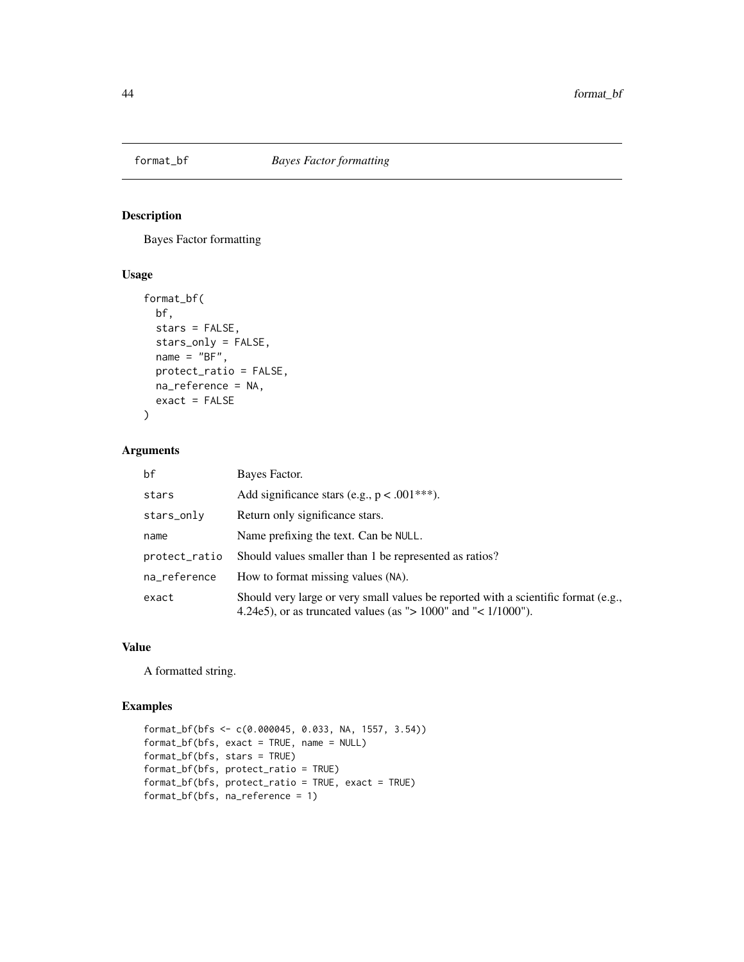Bayes Factor formatting

## Usage

```
format_bf(
 bf,
 stars = FALSE,
 stars_only = FALSE,
 name = "BF",protect_ratio = FALSE,
 na_reference = NA,
 exact = FALSE)
```
## Arguments

| bf            | Bayes Factor.                                                                                                                                           |
|---------------|---------------------------------------------------------------------------------------------------------------------------------------------------------|
| stars         | Add significance stars (e.g., $p < .001***$ ).                                                                                                          |
| stars_only    | Return only significance stars.                                                                                                                         |
| name          | Name prefixing the text. Can be NULL.                                                                                                                   |
| protect_ratio | Should values smaller than 1 be represented as ratios?                                                                                                  |
| na_reference  | How to format missing values (NA).                                                                                                                      |
| exact         | Should very large or very small values be reported with a scientific format (e.g.,<br>4.24e5), or as truncated values (as " $> 1000$ " and "< 1/1000"). |

### Value

A formatted string.

```
format_bf(bfs <- c(0.000045, 0.033, NA, 1557, 3.54))
format_bf(bfs, exact = TRUE, name = NULL)
format_bf(bfs, stars = TRUE)
format_bf(bfs, protect_ratio = TRUE)
format_bf(bfs, protect_ratio = TRUE, exact = TRUE)
format_bf(bfs, na_reference = 1)
```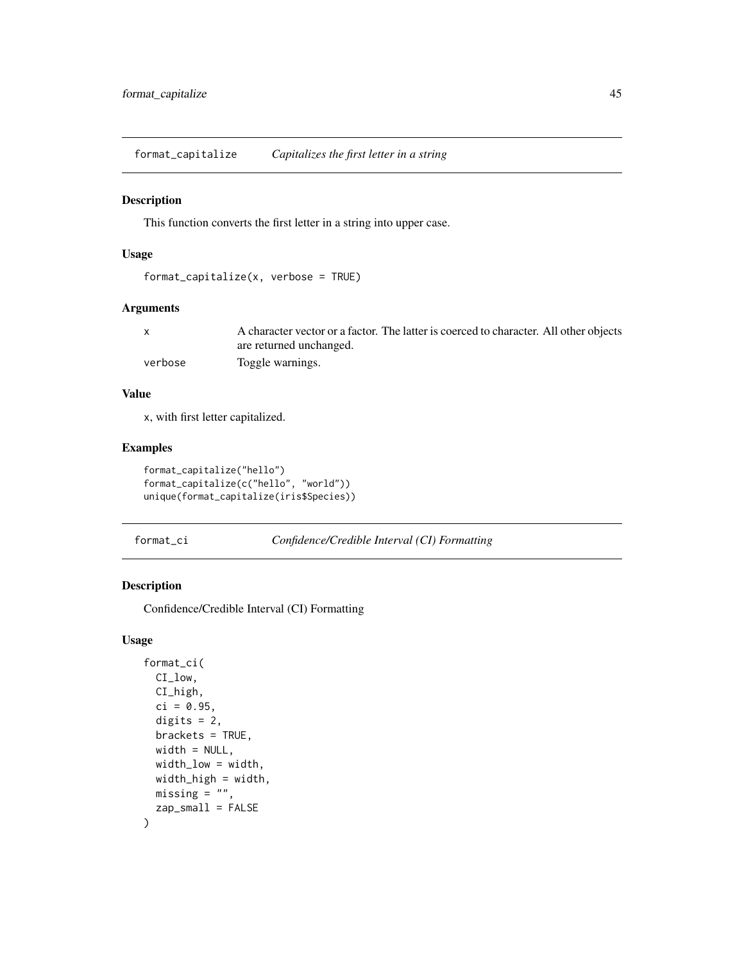format\_capitalize *Capitalizes the first letter in a string*

### Description

This function converts the first letter in a string into upper case.

## Usage

```
format_capitalize(x, verbose = TRUE)
```
## Arguments

|         | A character vector or a factor. The latter is coerced to character. All other objects |
|---------|---------------------------------------------------------------------------------------|
|         | are returned unchanged.                                                               |
| verbose | Toggle warnings.                                                                      |

### Value

x, with first letter capitalized.

## Examples

```
format_capitalize("hello")
format_capitalize(c("hello", "world"))
unique(format_capitalize(iris$Species))
```
format\_ci *Confidence/Credible Interval (CI) Formatting*

### Description

Confidence/Credible Interval (CI) Formatting

### Usage

```
format_ci(
 CI_low,
 CI_high,
 ci = 0.95,digits = 2,
 brackets = TRUE,
 width = NULL,width_low = width,
 width_high = width,
 missing = "",zap_small = FALSE
\mathcal{E}
```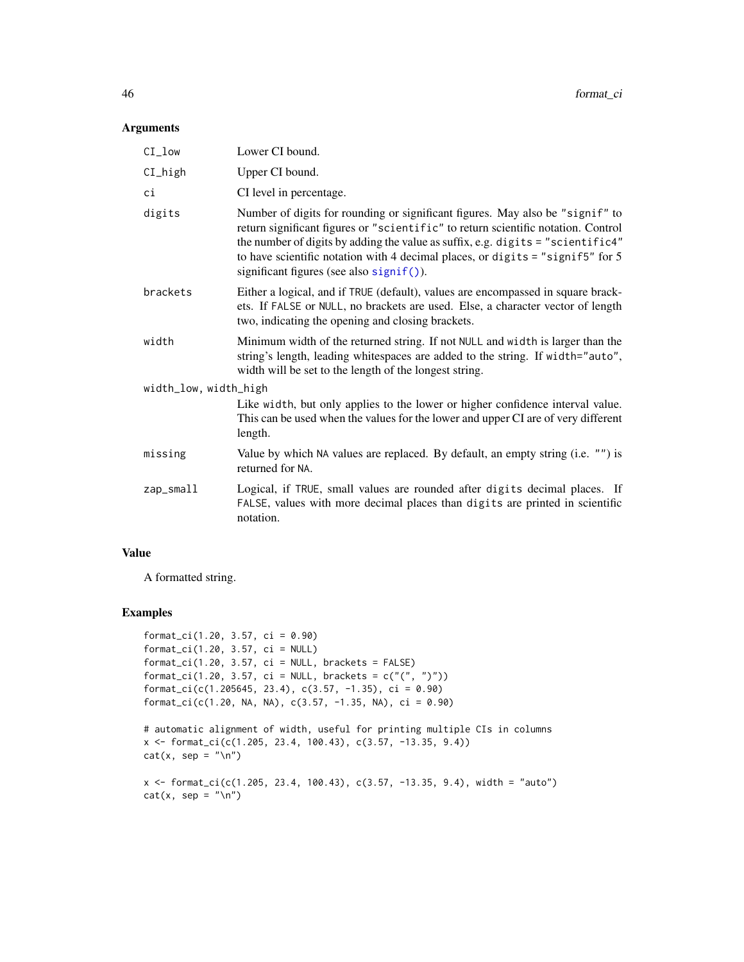# Arguments

| CI_low                | Lower CI bound.                                                                                                                                                                                                                                                                                                                                                                     |
|-----------------------|-------------------------------------------------------------------------------------------------------------------------------------------------------------------------------------------------------------------------------------------------------------------------------------------------------------------------------------------------------------------------------------|
| CI_high               | Upper CI bound.                                                                                                                                                                                                                                                                                                                                                                     |
| ci                    | CI level in percentage.                                                                                                                                                                                                                                                                                                                                                             |
| digits                | Number of digits for rounding or significant figures. May also be "signif" to<br>return significant figures or "scientific" to return scientific notation. Control<br>the number of digits by adding the value as suffix, e.g. digits = "scientific4"<br>to have scientific notation with 4 decimal places, or digits = "signif5" for 5<br>significant figures (see also signif()). |
| brackets              | Either a logical, and if TRUE (default), values are encompassed in square brack-<br>ets. If FALSE or NULL, no brackets are used. Else, a character vector of length<br>two, indicating the opening and closing brackets.                                                                                                                                                            |
| width                 | Minimum width of the returned string. If not NULL and width is larger than the<br>string's length, leading whitespaces are added to the string. If width="auto",<br>width will be set to the length of the longest string.                                                                                                                                                          |
| width_low, width_high |                                                                                                                                                                                                                                                                                                                                                                                     |
|                       | Like width, but only applies to the lower or higher confidence interval value.<br>This can be used when the values for the lower and upper CI are of very different<br>length.                                                                                                                                                                                                      |
| missing               | Value by which NA values are replaced. By default, an empty string (i.e. "") is<br>returned for NA.                                                                                                                                                                                                                                                                                 |
| zap_small             | Logical, if TRUE, small values are rounded after digits decimal places. If<br>FALSE, values with more decimal places than digits are printed in scientific<br>notation.                                                                                                                                                                                                             |
|                       |                                                                                                                                                                                                                                                                                                                                                                                     |

### Value

A formatted string.

```
format_ci(1.20, 3.57, ci = 0.90)
format_ci(1.20, 3.57, ci = NULL)
format_ci(1.20, 3.57, ci = NULL, brackets = FALSE)format_ci(1.20, 3.57, ci = NULL, brackets = c("(", ")"))
format_ci(c(1.205645, 23.4), c(3.57, -1.35), ci = 0.90)
format_ci(c(1.20, NA, NA), c(3.57, -1.35, NA), ci = 0.90)
```

```
# automatic alignment of width, useful for printing multiple CIs in columns
x <- format_ci(c(1.205, 23.4, 100.43), c(3.57, -13.35, 9.4))
cat(x, sep = "n")
```

```
x <- format_ci(c(1.205, 23.4, 100.43), c(3.57, -13.35, 9.4), width = "auto")
cat(x, sep = "\n")
```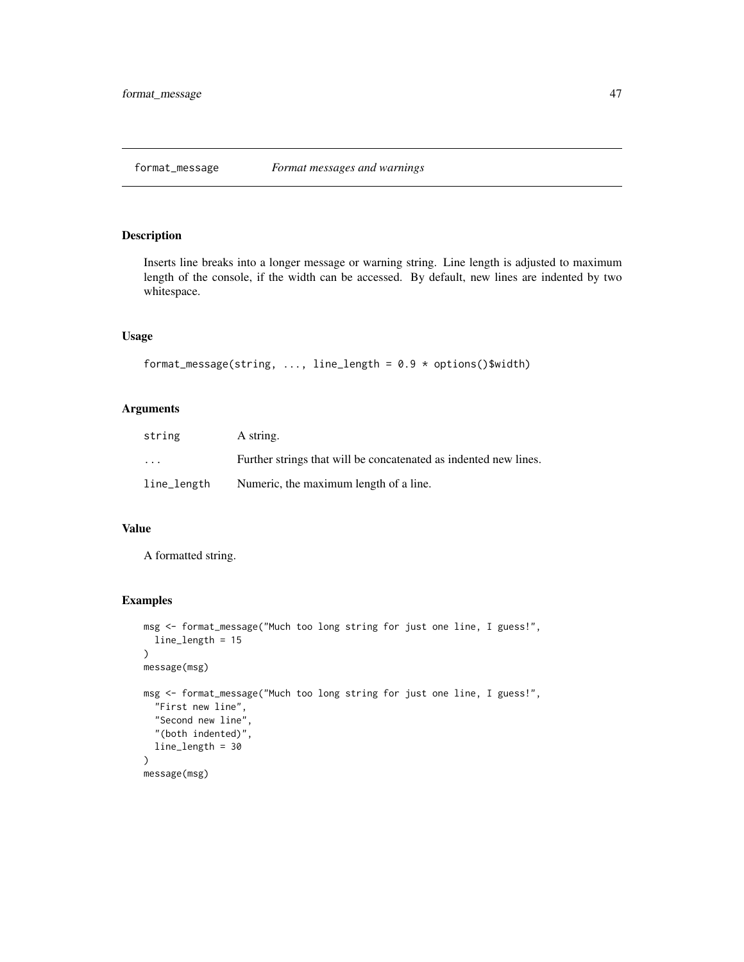Inserts line breaks into a longer message or warning string. Line length is adjusted to maximum length of the console, if the width can be accessed. By default, new lines are indented by two whitespace.

### Usage

```
format_message(string, ..., line_length = 0.9 * options()$width)
```
## Arguments

| string      | A string.                                                        |
|-------------|------------------------------------------------------------------|
| $\cdots$    | Further strings that will be concatenated as indented new lines. |
| line_length | Numeric, the maximum length of a line.                           |

### Value

A formatted string.

```
msg <- format_message("Much too long string for just one line, I guess!",
  line_length = 15
\mathcal{L}message(msg)
msg <- format_message("Much too long string for just one line, I guess!",
  "First new line",
  "Second new line",
  "(both indented)",
  line_length = 30
\mathcal{L}message(msg)
```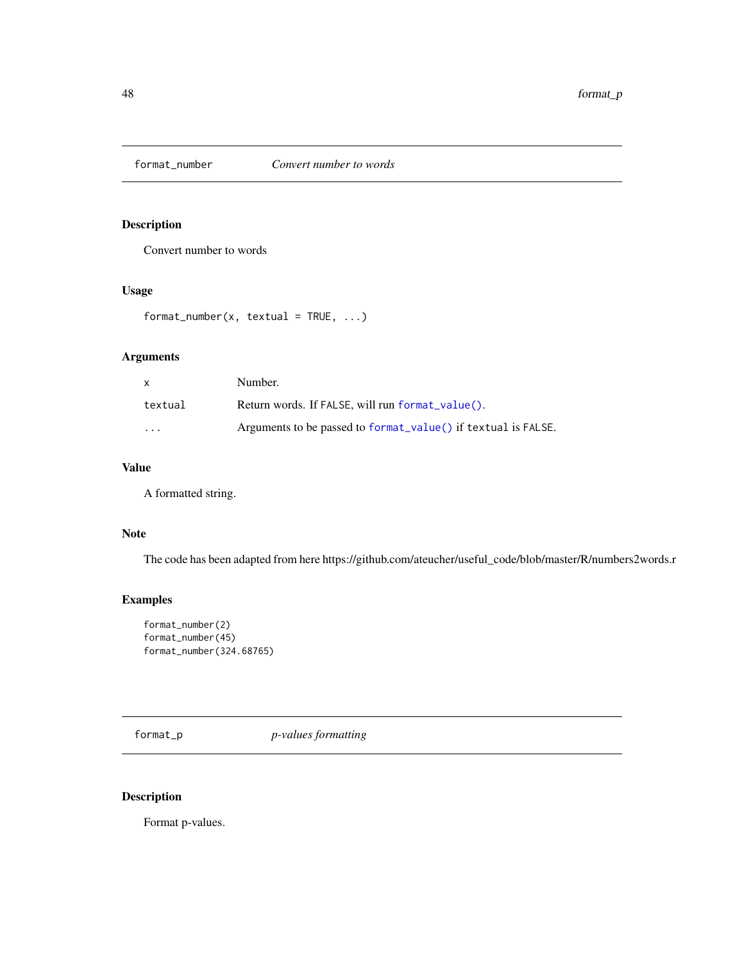Convert number to words

## Usage

```
format_number(x, textual = TRUE, ...)
```
## Arguments

| x                       | Number.                                                       |
|-------------------------|---------------------------------------------------------------|
| textual                 | Return words. If FALSE, will run format_value().              |
| $\cdot$ $\cdot$ $\cdot$ | Arguments to be passed to format_value() if textual is FALSE. |

# Value

A formatted string.

### Note

The code has been adapted from here https://github.com/ateucher/useful\_code/blob/master/R/numbers2words.r

## Examples

```
format_number(2)
format_number(45)
format_number(324.68765)
```
format\_p *p-values formatting*

# Description

Format p-values.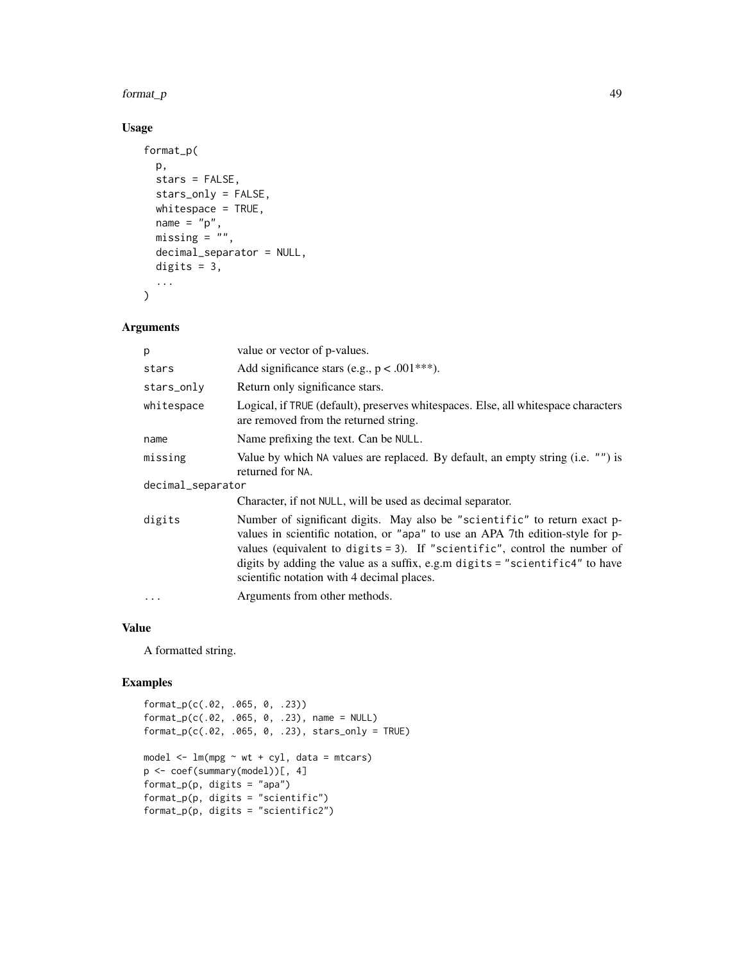### format\_p 49

# Usage

```
format_p(
 p,
  stars = FALSE,
  stars_only = FALSE,
 whitespace = TRUE,
 name = "p",missing = \mu",
 decimal_separator = NULL,
 digits = 3,
  ...
)
```
## Arguments

| p                 | value or vector of p-values.                                                                                                                                                                                                                                                                                                                                              |  |
|-------------------|---------------------------------------------------------------------------------------------------------------------------------------------------------------------------------------------------------------------------------------------------------------------------------------------------------------------------------------------------------------------------|--|
| stars             | Add significance stars (e.g., $p < .001***$ ).                                                                                                                                                                                                                                                                                                                            |  |
| stars_only        | Return only significance stars.                                                                                                                                                                                                                                                                                                                                           |  |
| whitespace        | Logical, if TRUE (default), preserves whitespaces. Else, all whitespace characters<br>are removed from the returned string.                                                                                                                                                                                                                                               |  |
| name              | Name prefixing the text. Can be NULL.                                                                                                                                                                                                                                                                                                                                     |  |
| missing           | Value by which NA values are replaced. By default, an empty string (i.e. "") is<br>returned for NA.                                                                                                                                                                                                                                                                       |  |
| decimal_separator |                                                                                                                                                                                                                                                                                                                                                                           |  |
|                   | Character, if not NULL, will be used as decimal separator.                                                                                                                                                                                                                                                                                                                |  |
| digits            | Number of significant digits. May also be "scientific" to return exact p-<br>values in scientific notation, or "apa" to use an APA 7th edition-style for p-<br>values (equivalent to digits $= 3$ ). If "scientific", control the number of<br>digits by adding the value as a suffix, e.g.m digits = "scientific4" to have<br>scientific notation with 4 decimal places. |  |
| .                 | Arguments from other methods.                                                                                                                                                                                                                                                                                                                                             |  |

### Value

A formatted string.

```
format_p(c(.02, .065, 0, .23))
format_p(c(.02, .065, 0, .23), name = NULL)
format_p(c(.02, .065, 0, .23), stars_only = TRUE)
model <- lm(mpg ~ wt + cyl, data = mtcars)
p <- coef(summary(model))[, 4]
format_p(p, digits = "apa")
format_p(p, digits = "scientific")format_p(p, digits = "scientific2")
```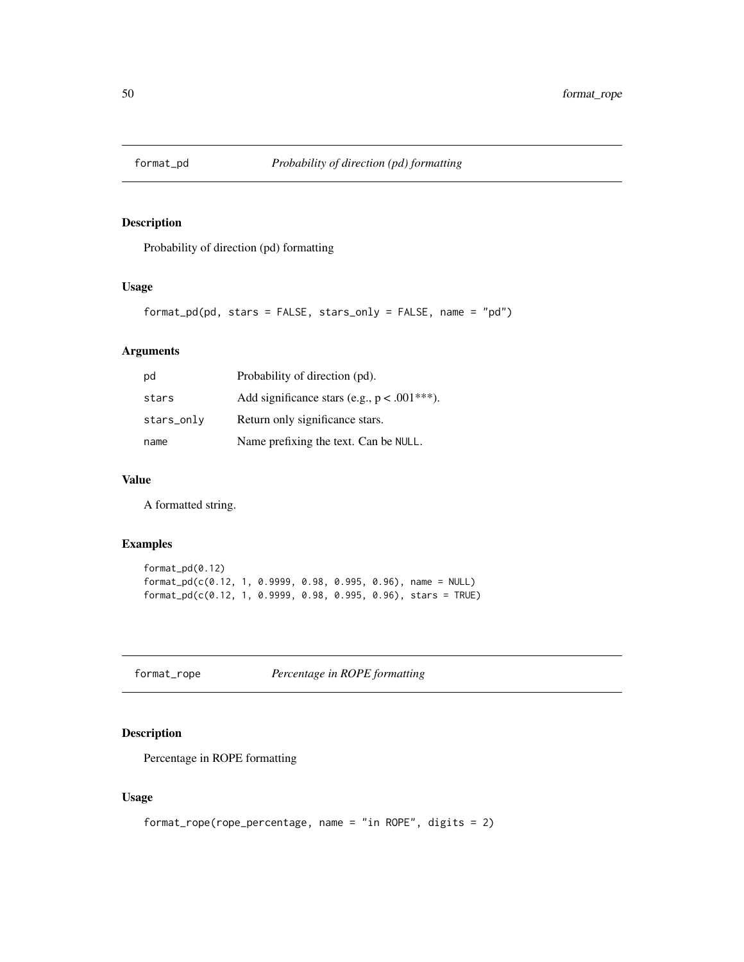Probability of direction (pd) formatting

## Usage

```
format_pd(pd, stars = FALSE, stars_only = FALSE, name = "pd")
```
## Arguments

| pd         | Probability of direction (pd).                 |
|------------|------------------------------------------------|
| stars      | Add significance stars (e.g., $p < .001***$ ). |
| stars_only | Return only significance stars.                |
| name       | Name prefixing the text. Can be NULL.          |

## Value

A formatted string.

## Examples

```
format_pd(0.12)
format_pd(c(0.12, 1, 0.9999, 0.98, 0.995, 0.96), name = NULL)
format_pd(c(0.12, 1, 0.9999, 0.98, 0.995, 0.96), stars = TRUE)
```
format\_rope *Percentage in ROPE formatting*

## Description

Percentage in ROPE formatting

## Usage

```
format_rope(rope_percentage, name = "in ROPE", digits = 2)
```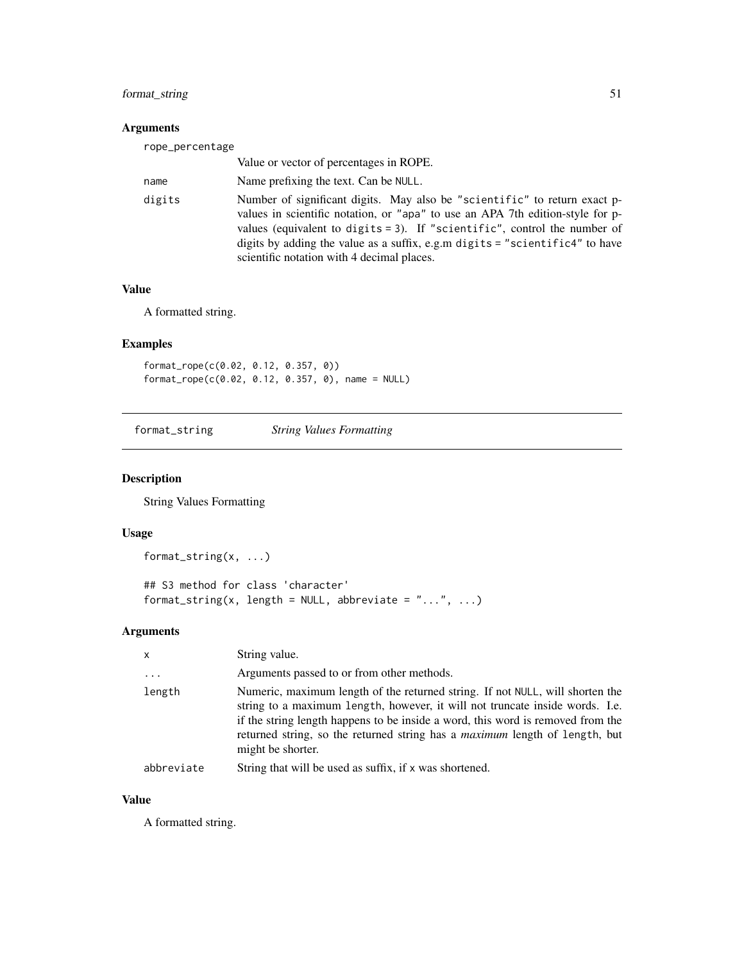## format\_string 51

# Arguments

| rope_percentage |                                                                                                                                                                                                                                                                                                                                                                        |
|-----------------|------------------------------------------------------------------------------------------------------------------------------------------------------------------------------------------------------------------------------------------------------------------------------------------------------------------------------------------------------------------------|
|                 | Value or vector of percentages in ROPE.                                                                                                                                                                                                                                                                                                                                |
| name            | Name prefixing the text. Can be NULL.                                                                                                                                                                                                                                                                                                                                  |
| digits          | Number of significant digits. May also be "scientific" to return exact p-<br>values in scientific notation, or "apa" to use an APA 7th edition-style for p-<br>values (equivalent to digits = 3). If "scientific", control the number of<br>digits by adding the value as a suffix, e.g.m digits = "scientific4" to have<br>scientific notation with 4 decimal places. |

# Value

A formatted string.

## Examples

format\_rope(c(0.02, 0.12, 0.357, 0)) format\_rope(c(0.02, 0.12, 0.357, 0), name = NULL)

format\_string *String Values Formatting*

## Description

String Values Formatting

## Usage

```
format_string(x, ...)
```
## S3 method for class 'character' format\_string(x, length = NULL, abbreviate =  $"...", ...$ )

## Arguments

| $\mathsf{x}$ | String value.                                                                                                                                                                                                                                                                                                                                               |
|--------------|-------------------------------------------------------------------------------------------------------------------------------------------------------------------------------------------------------------------------------------------------------------------------------------------------------------------------------------------------------------|
| .            | Arguments passed to or from other methods.                                                                                                                                                                                                                                                                                                                  |
| length       | Numeric, maximum length of the returned string. If not NULL, will shorten the<br>string to a maximum length, however, it will not truncate inside words. I.e.<br>if the string length happens to be inside a word, this word is removed from the<br>returned string, so the returned string has a <i>maximum</i> length of length, but<br>might be shorter. |
| abbreviate   | String that will be used as suffix, if x was shortened.                                                                                                                                                                                                                                                                                                     |

### Value

A formatted string.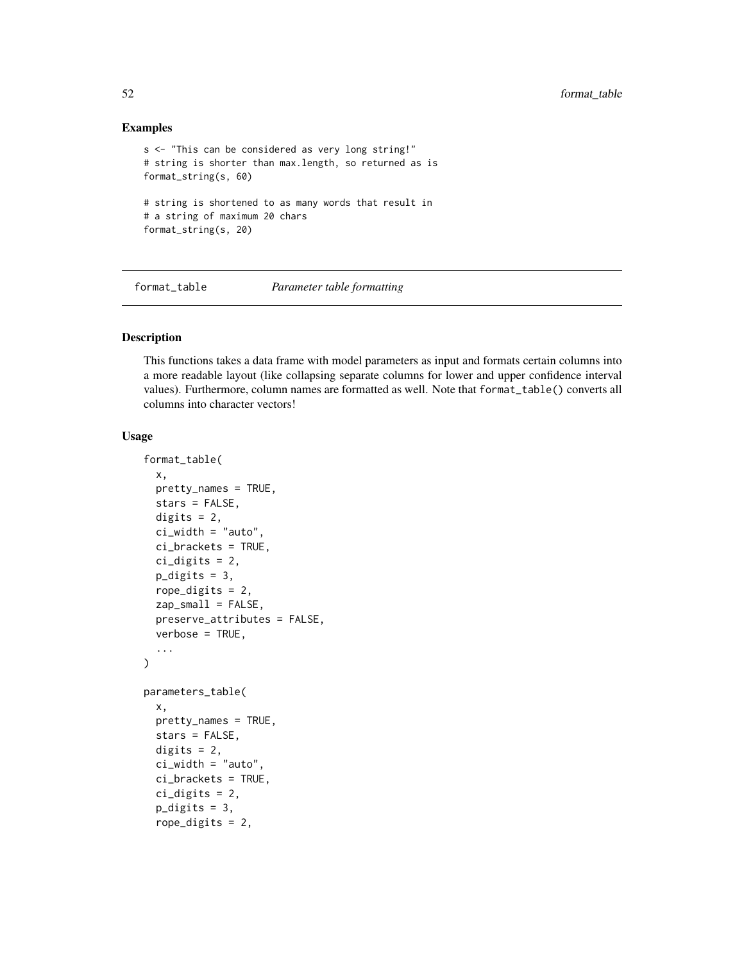### Examples

```
s <- "This can be considered as very long string!"
# string is shorter than max.length, so returned as is
format_string(s, 60)
# string is shortened to as many words that result in
# a string of maximum 20 chars
format_string(s, 20)
```
format\_table *Parameter table formatting*

### Description

This functions takes a data frame with model parameters as input and formats certain columns into a more readable layout (like collapsing separate columns for lower and upper confidence interval values). Furthermore, column names are formatted as well. Note that format\_table() converts all columns into character vectors!

### Usage

```
format_table(
  x,
 pretty_names = TRUE,
  stars = FALSE,
 digits = 2,
  ci_width = "auto",ci_brackets = TRUE,
  ci_digits = 2,
  p\_digits = 3,rope_digits = 2,
  zap\_small = FALSE,preserve_attributes = FALSE,
  verbose = TRUE,
  ...
\lambdaparameters_table(
  x,
 pretty_names = TRUE,
  stars = FALSE,
 digits = 2,
  ci_width = "auto",ci_brackets = TRUE,
  ci\_digits = 2,p_digits = 3,
  rope_digits = 2,
```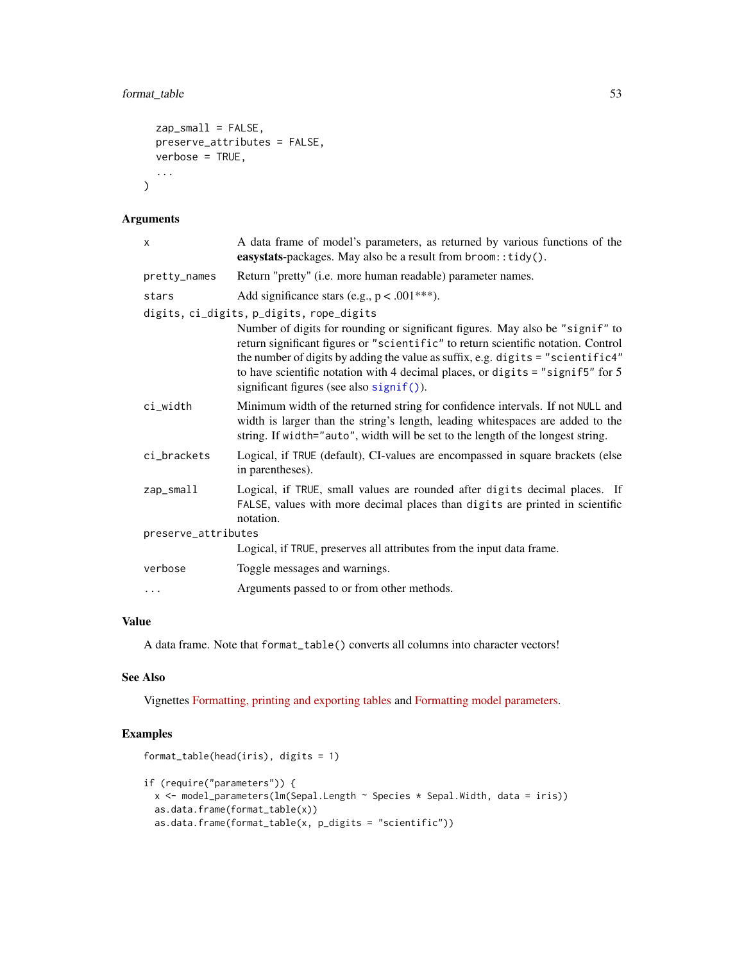## format\_table 53

```
zap_small = FALSE,
 preserve_attributes = FALSE,
 verbose = TRUE,
  ...
\mathcal{L}
```
## Arguments

| A data frame of model's parameters, as returned by various functions of the<br>easystats-packages. May also be a result from broom::tidy().                                                                                                                                                                                                                                                                                          |
|--------------------------------------------------------------------------------------------------------------------------------------------------------------------------------------------------------------------------------------------------------------------------------------------------------------------------------------------------------------------------------------------------------------------------------------|
| Return "pretty" (i.e. more human readable) parameter names.                                                                                                                                                                                                                                                                                                                                                                          |
| Add significance stars (e.g., $p < .001***$ ).                                                                                                                                                                                                                                                                                                                                                                                       |
| digits, ci_digits, p_digits, rope_digits<br>Number of digits for rounding or significant figures. May also be "signif" to<br>return significant figures or "scientific" to return scientific notation. Control<br>the number of digits by adding the value as suffix, e.g. digits = "scientific4"<br>to have scientific notation with 4 decimal places, or digits = "signif5" for $5$<br>significant figures (see also $signif()$ ). |
| Minimum width of the returned string for confidence intervals. If not NULL and<br>width is larger than the string's length, leading whitespaces are added to the<br>string. If width="auto", width will be set to the length of the longest string.                                                                                                                                                                                  |
| Logical, if TRUE (default), CI-values are encompassed in square brackets (else<br>in parentheses).                                                                                                                                                                                                                                                                                                                                   |
| Logical, if TRUE, small values are rounded after digits decimal places. If<br>FALSE, values with more decimal places than digits are printed in scientific<br>notation.                                                                                                                                                                                                                                                              |
| preserve_attributes                                                                                                                                                                                                                                                                                                                                                                                                                  |
| Logical, if TRUE, preserves all attributes from the input data frame.                                                                                                                                                                                                                                                                                                                                                                |
| Toggle messages and warnings.                                                                                                                                                                                                                                                                                                                                                                                                        |
| Arguments passed to or from other methods.                                                                                                                                                                                                                                                                                                                                                                                           |
|                                                                                                                                                                                                                                                                                                                                                                                                                                      |

# Value

A data frame. Note that format\_table() converts all columns into character vectors!

## See Also

Vignettes [Formatting, printing and exporting tables](https://easystats.github.io/insight/articles/display.html) and [Formatting model parameters.](https://easystats.github.io/parameters/articles/model_parameters_formatting.html)

```
format_table(head(iris), digits = 1)
if (require("parameters")) {
 x <- model_parameters(lm(Sepal.Length ~ Species * Sepal.Width, data = iris))
 as.data.frame(format_table(x))
 as.data.frame(format_table(x, p_digits = "scientific"))
```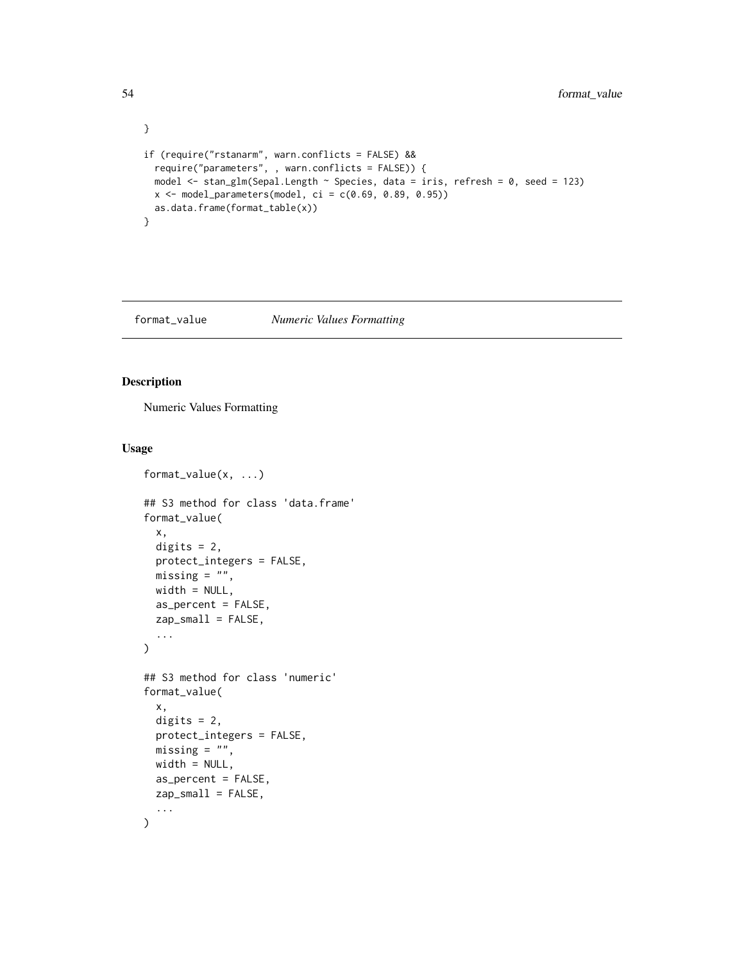```
}
if (require("rstanarm", warn.conflicts = FALSE) &&
  require("parameters", , warn.conflicts = FALSE)) {
  model <- stan_glm(Sepal.Length ~ Species, data = iris, refresh = 0, seed = 123)
  x \le model_parameters(model, ci = c(0.69, 0.89, 0.95))
  as.data.frame(format_table(x))
}
```
## <span id="page-53-0"></span>format\_value *Numeric Values Formatting*

## Description

Numeric Values Formatting

## Usage

```
format_value(x, ...)
## S3 method for class 'data.frame'
format_value(
 x,
 digits = 2,
 protect_integers = FALSE,
 missing = ",
 width = NULL,
 as_percent = FALSE,
 zap\_small = FALSE,...
\mathcal{L}## S3 method for class 'numeric'
format_value(
 x,
 digits = 2,
 protect_integers = FALSE,
 missing = "",
 width = NULL,
 as_percent = FALSE,
 zap\_small = FALSE,...
\mathcal{L}
```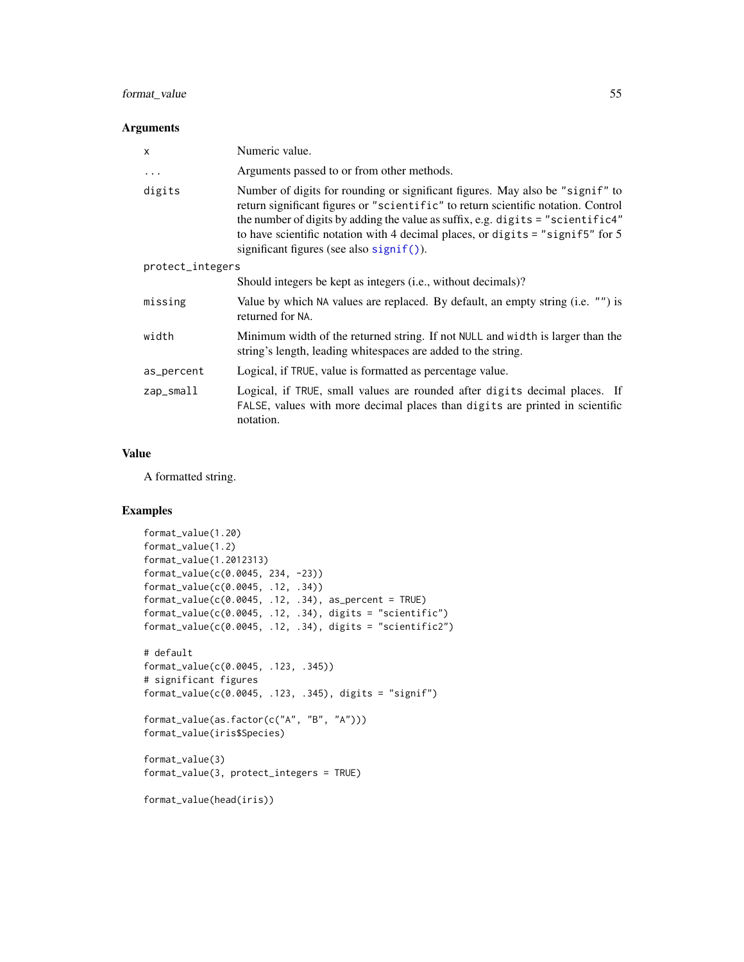## format\_value 55

### Arguments

| X                | Numeric value.                                                                                                                                                                                                                                                                                                                                                                           |  |
|------------------|------------------------------------------------------------------------------------------------------------------------------------------------------------------------------------------------------------------------------------------------------------------------------------------------------------------------------------------------------------------------------------------|--|
| .                | Arguments passed to or from other methods.                                                                                                                                                                                                                                                                                                                                               |  |
| digits           | Number of digits for rounding or significant figures. May also be "signif" to<br>return significant figures or "scientific" to return scientific notation. Control<br>the number of digits by adding the value as suffix, e.g. digits = "scientific4"<br>to have scientific notation with 4 decimal places, or digits $=$ "signif5" for 5<br>significant figures (see also $signif()$ ). |  |
| protect_integers |                                                                                                                                                                                                                                                                                                                                                                                          |  |
|                  | Should integers be kept as integers (i.e., without decimals)?                                                                                                                                                                                                                                                                                                                            |  |
| missing          | Value by which NA values are replaced. By default, an empty string (i.e. "") is<br>returned for NA.                                                                                                                                                                                                                                                                                      |  |
| width            | Minimum width of the returned string. If not NULL and width is larger than the<br>string's length, leading whitespaces are added to the string.                                                                                                                                                                                                                                          |  |
| as_percent       | Logical, if TRUE, value is formatted as percentage value.                                                                                                                                                                                                                                                                                                                                |  |
| $zap$ _small     | Logical, if TRUE, small values are rounded after digits decimal places. If<br>FALSE, values with more decimal places than digits are printed in scientific<br>notation.                                                                                                                                                                                                                  |  |

### Value

A formatted string.

```
format_value(1.20)
format_value(1.2)
format_value(1.2012313)
format_value(c(0.0045, 234, -23))
format_value(c(0.0045, .12, .34))
format_value(c(0.0045, .12, .34), as_percent = TRUE)
format_value(c(0.0045, .12, .34), digits = "scientific")
format_value(c(0.0045, .12, .34), digits = "scientific2")
# default
format_value(c(0.0045, .123, .345))
# significant figures
format_value(c(0.0045, .123, .345), digits = "signif")
format_value(as.factor(c("A", "B", "A")))
format_value(iris$Species)
format_value(3)
format_value(3, protect_integers = TRUE)
```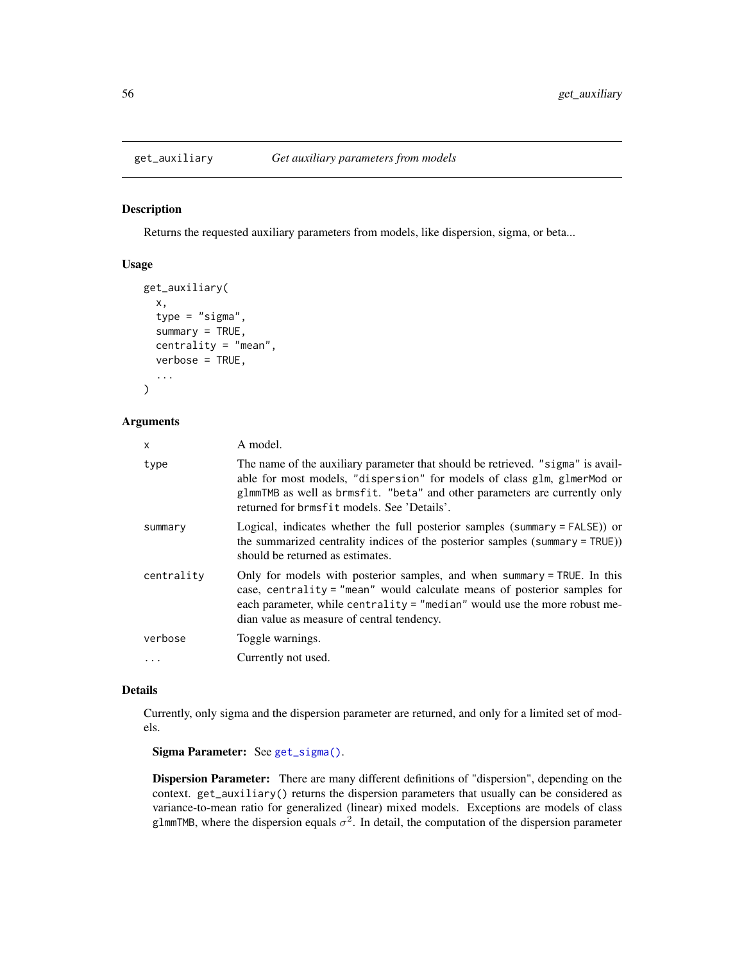Returns the requested auxiliary parameters from models, like dispersion, sigma, or beta...

### Usage

```
get_auxiliary(
  x,
  type = "sigma",summary = TRUE,
  centrality = "mean",
  verbose = TRUE,
  ...
\mathcal{L}
```
## Arguments

| x          | A model.                                                                                                                                                                                                                                                                                |
|------------|-----------------------------------------------------------------------------------------------------------------------------------------------------------------------------------------------------------------------------------------------------------------------------------------|
| type       | The name of the auxiliary parameter that should be retrieved. "sigma" is avail-<br>able for most models, "dispersion" for models of class glm, glmerMod or<br>glmmTMB as well as brmsfit. "beta" and other parameters are currently only<br>returned for brmsfit models. See 'Details'. |
| summary    | Logical, indicates whether the full posterior samples (summary = FALSE)) or<br>the summarized centrality indices of the posterior samples (summary = TRUE))<br>should be returned as estimates.                                                                                         |
| centrality | Only for models with posterior samples, and when summary = TRUE. In this<br>case, centrality = "mean" would calculate means of posterior samples for<br>each parameter, while centrality = "median" would use the more robust me-<br>dian value as measure of central tendency.         |
| verbose    | Toggle warnings.                                                                                                                                                                                                                                                                        |
| $\ddots$   | Currently not used.                                                                                                                                                                                                                                                                     |

## Details

Currently, only sigma and the dispersion parameter are returned, and only for a limited set of models.

Sigma Parameter: See [get\\_sigma\(\)](#page-92-0).

Dispersion Parameter: There are many different definitions of "dispersion", depending on the context. get\_auxiliary() returns the dispersion parameters that usually can be considered as variance-to-mean ratio for generalized (linear) mixed models. Exceptions are models of class glmmTMB, where the dispersion equals  $\sigma^2$ . In detail, the computation of the dispersion parameter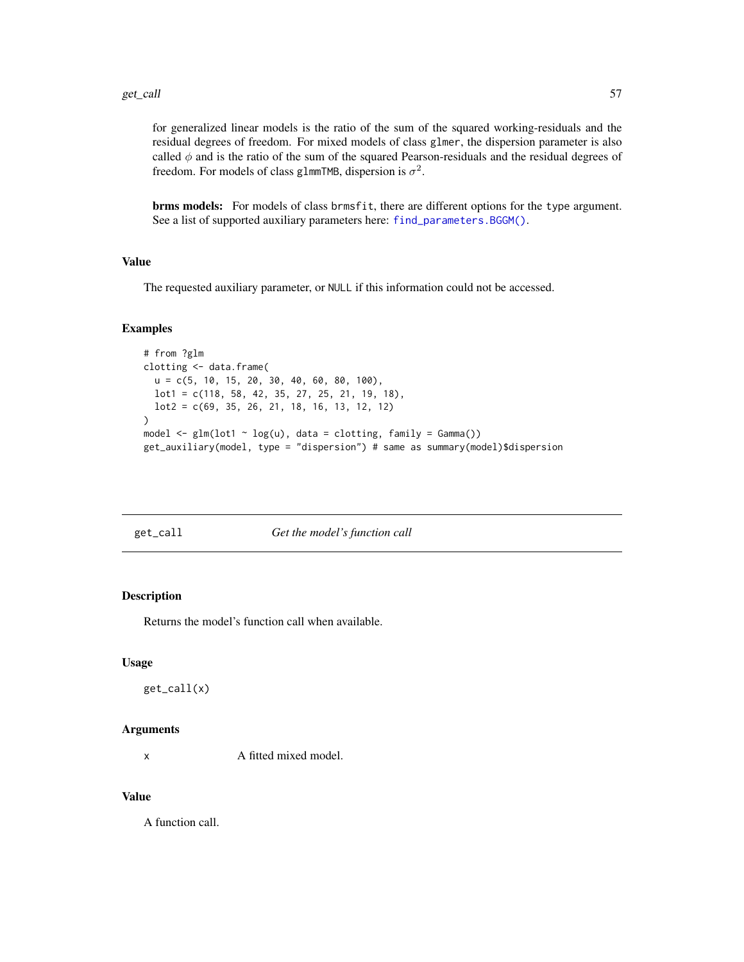for generalized linear models is the ratio of the sum of the squared working-residuals and the residual degrees of freedom. For mixed models of class glmer, the dispersion parameter is also called  $\phi$  and is the ratio of the sum of the squared Pearson-residuals and the residual degrees of freedom. For models of class glmmTMB, dispersion is  $\sigma^2$ .

brms models: For models of class brmsfit, there are different options for the type argument. See a list of supported auxiliary parameters here: [find\\_parameters.BGGM\(\)](#page-25-0).

## Value

The requested auxiliary parameter, or NULL if this information could not be accessed.

### Examples

```
# from ?glm
clotting <- data.frame(
 u = c(5, 10, 15, 20, 30, 40, 60, 80, 100),
 lot1 = c(118, 58, 42, 35, 27, 25, 21, 19, 18),
 lot2 = c(69, 35, 26, 21, 18, 16, 13, 12, 12)
)
model \leq glm(lot1 \sim log(u), data = clotting, family = Gamma())
get_auxiliary(model, type = "dispersion") # same as summary(model)$dispersion
```

| ൷ |                  |
|---|------------------|
|   | $\overline{d}$ i |
|   |                  |

### Get the model's function call

### Description

Returns the model's function call when available.

### Usage

get\_call(x)

### **Arguments**

x A fitted mixed model.

## Value

A function call.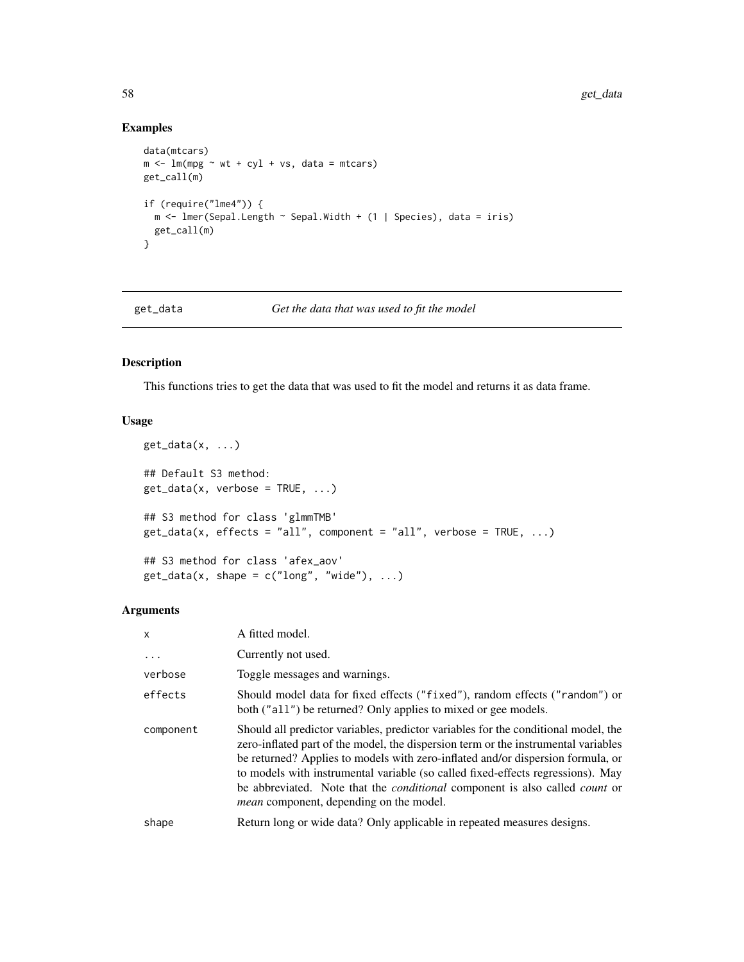## Examples

```
data(mtcars)
m <- lm(mpg \sim wt + cyl + vs, data = mtcars)get_call(m)
if (require("lme4")) {
  m <- lmer(Sepal.Length ~ Sepal.Width + (1 | Species), data = iris)
  get_call(m)
}
```
### get\_data *Get the data that was used to fit the model*

## Description

This functions tries to get the data that was used to fit the model and returns it as data frame.

## Usage

```
get_data(x, ...)## Default S3 method:
get_data(x, verbose = TRUE, ...)## S3 method for class 'glmmTMB'
get_data(x, effects = "all", component = "all", verbose = TRUE, ...)## S3 method for class 'afex_aov'
get_data(x, shape = c("long", "wide"), ...)
```

| x         | A fitted model.                                                                                                                                                                                                                                                                                                                                                                                                                                                                               |
|-----------|-----------------------------------------------------------------------------------------------------------------------------------------------------------------------------------------------------------------------------------------------------------------------------------------------------------------------------------------------------------------------------------------------------------------------------------------------------------------------------------------------|
| $\ddots$  | Currently not used.                                                                                                                                                                                                                                                                                                                                                                                                                                                                           |
| verbose   | Toggle messages and warnings.                                                                                                                                                                                                                                                                                                                                                                                                                                                                 |
| effects   | Should model data for fixed effects ("fixed"), random effects ("random") or<br>both ("all") be returned? Only applies to mixed or gee models.                                                                                                                                                                                                                                                                                                                                                 |
| component | Should all predictor variables, predictor variables for the conditional model, the<br>zero-inflated part of the model, the dispersion term or the instrumental variables<br>be returned? Applies to models with zero-inflated and/or dispersion formula, or<br>to models with instrumental variable (so called fixed-effects regressions). May<br>be abbreviated. Note that the <i>conditional</i> component is also called <i>count</i> or<br><i>mean</i> component, depending on the model. |
| shape     | Return long or wide data? Only applicable in repeated measures designs.                                                                                                                                                                                                                                                                                                                                                                                                                       |
|           |                                                                                                                                                                                                                                                                                                                                                                                                                                                                                               |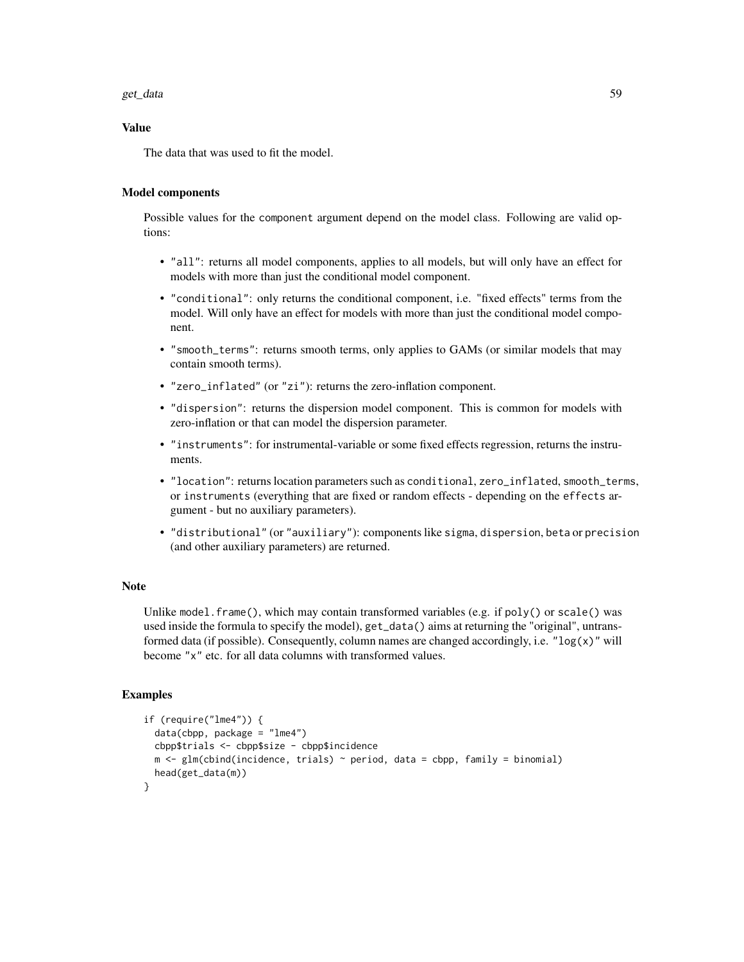### get\_data 59

### Value

The data that was used to fit the model.

## Model components

Possible values for the component argument depend on the model class. Following are valid options:

- "all": returns all model components, applies to all models, but will only have an effect for models with more than just the conditional model component.
- "conditional": only returns the conditional component, i.e. "fixed effects" terms from the model. Will only have an effect for models with more than just the conditional model component.
- "smooth\_terms": returns smooth terms, only applies to GAMs (or similar models that may contain smooth terms).
- "zero\_inflated" (or "zi"): returns the zero-inflation component.
- "dispersion": returns the dispersion model component. This is common for models with zero-inflation or that can model the dispersion parameter.
- "instruments": for instrumental-variable or some fixed effects regression, returns the instruments.
- "location": returns location parameters such as conditional, zero\_inflated, smooth\_terms, or instruments (everything that are fixed or random effects - depending on the effects argument - but no auxiliary parameters).
- "distributional" (or "auxiliary"): components like sigma, dispersion, beta or precision (and other auxiliary parameters) are returned.

### Note

Unlike model.frame(), which may contain transformed variables (e.g. if  $poly()$  or scale() was used inside the formula to specify the model), get\_data() aims at returning the "original", untransformed data (if possible). Consequently, column names are changed accordingly, i.e. " $log(x)$ " will become "x" etc. for all data columns with transformed values.

```
if (require("lme4")) {
 data(cbpp, package = "lme4")
 cbpp$trials <- cbpp$size - cbpp$incidence
 m \leftarrow glm(clbind(incidence, trials) \sim period, data = cbpp, family = binomial)head(get_data(m))
}
```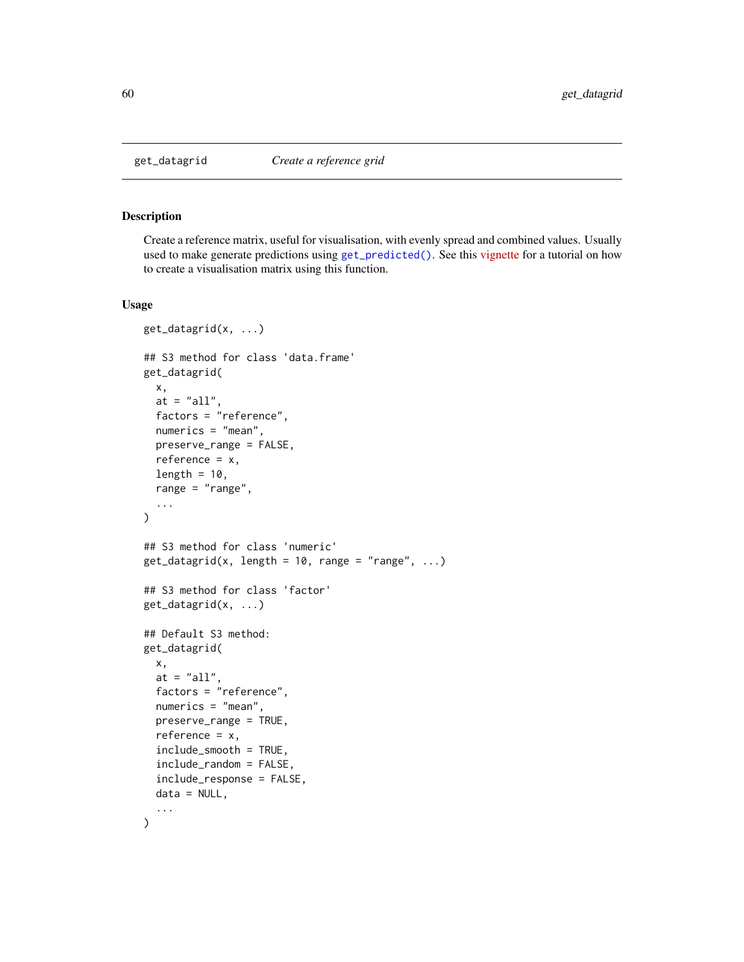Create a reference matrix, useful for visualisation, with evenly spread and combined values. Usually used to make generate predictions using [get\\_predicted\(\)](#page-80-0). See this [vignette](https://easystats.github.io/modelbased/articles/visualisation_matrix.html) for a tutorial on how to create a visualisation matrix using this function.

### Usage

```
get_datagrid(x, ...)
## S3 method for class 'data.frame'
get_datagrid(
  x,
  at = "all",factors = "reference",
  numerics = "mean",
 preserve_range = FALSE,
  reference = x,
  length = 10,
  range = "range",
  ...
\mathcal{L}## S3 method for class 'numeric'
get_datagrid(x, length = 10, range = "range", ...)## S3 method for class 'factor'
get_datagrid(x, ...)
## Default S3 method:
get_datagrid(
  x,
  at = "all",factors = "reference",
  numerics = "mean",
 preserve_range = TRUE,
  reference = x,
  include_smooth = TRUE,
  include_random = FALSE,
  include_response = FALSE,
  data = NULL,
  ...
)
```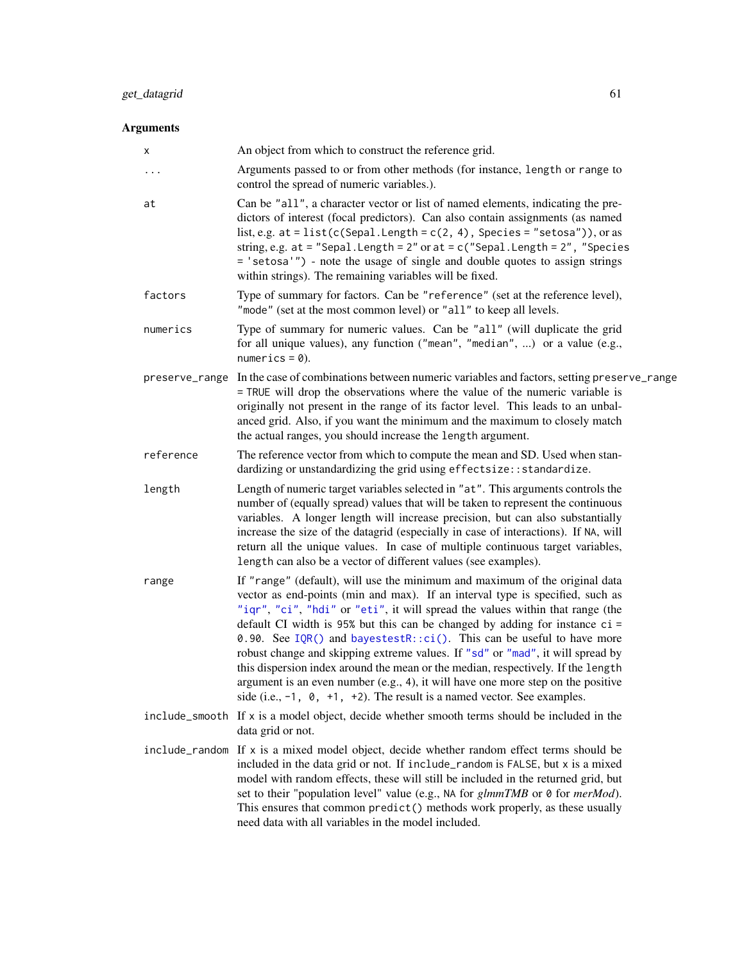# Arguments

| х              | An object from which to construct the reference grid.                                                                                                                                                                                                                                                                                                                                                                                                                                                                                                                                                                                                                                                                                                       |
|----------------|-------------------------------------------------------------------------------------------------------------------------------------------------------------------------------------------------------------------------------------------------------------------------------------------------------------------------------------------------------------------------------------------------------------------------------------------------------------------------------------------------------------------------------------------------------------------------------------------------------------------------------------------------------------------------------------------------------------------------------------------------------------|
| $\cdots$       | Arguments passed to or from other methods (for instance, length or range to<br>control the spread of numeric variables.).                                                                                                                                                                                                                                                                                                                                                                                                                                                                                                                                                                                                                                   |
| at             | Can be "all", a character vector or list of named elements, indicating the pre-<br>dictors of interest (focal predictors). Can also contain assignments (as named<br>list, e.g. $at = list(c(Sepal.length = c(2, 4), Species = "setosa"))$ , or as<br>string, e.g. at = "Sepal. Length = $2$ " or at = $c$ ("Sepal. Length = $2$ ", "Species<br>= 'setosa'") - note the usage of single and double quotes to assign strings<br>within strings). The remaining variables will be fixed.                                                                                                                                                                                                                                                                      |
| factors        | Type of summary for factors. Can be "reference" (set at the reference level),<br>"mode" (set at the most common level) or "all" to keep all levels.                                                                                                                                                                                                                                                                                                                                                                                                                                                                                                                                                                                                         |
| numerics       | Type of summary for numeric values. Can be "all" (will duplicate the grid<br>for all unique values), any function ("mean", "median", ) or a value (e.g.,<br>numerics = $0$ ).                                                                                                                                                                                                                                                                                                                                                                                                                                                                                                                                                                               |
| preserve_range | In the case of combinations between numeric variables and factors, setting preserve_range<br>= TRUE will drop the observations where the value of the numeric variable is<br>originally not present in the range of its factor level. This leads to an unbal-<br>anced grid. Also, if you want the minimum and the maximum to closely match<br>the actual ranges, you should increase the length argument.                                                                                                                                                                                                                                                                                                                                                  |
| reference      | The reference vector from which to compute the mean and SD. Used when stan-<br>dardizing or unstandardizing the grid using effectsize:: standardize.                                                                                                                                                                                                                                                                                                                                                                                                                                                                                                                                                                                                        |
| length         | Length of numeric target variables selected in "at". This arguments controls the<br>number of (equally spread) values that will be taken to represent the continuous<br>variables. A longer length will increase precision, but can also substantially<br>increase the size of the datagrid (especially in case of interactions). If NA, will<br>return all the unique values. In case of multiple continuous target variables,<br>length can also be a vector of different values (see examples).                                                                                                                                                                                                                                                          |
| range          | If "range" (default), will use the minimum and maximum of the original data<br>vector as end-points (min and max). If an interval type is specified, such as<br>"iqr", "ci", "hdi" or "eti", it will spread the values within that range (the<br>default CI width is 95% but this can be changed by adding for instance ci =<br>0.90. See IQR() and bayestestR::ci(). This can be useful to have more<br>robust change and skipping extreme values. If "sd" or "mad", it will spread by<br>this dispersion index around the mean or the median, respectively. If the length<br>argument is an even number (e.g., 4), it will have one more step on the positive<br>side (i.e., $-1$ , $\theta$ , $+1$ , $+2$ ). The result is a named vector. See examples. |
|                | include_smooth If x is a model object, decide whether smooth terms should be included in the<br>data grid or not.                                                                                                                                                                                                                                                                                                                                                                                                                                                                                                                                                                                                                                           |
|                | include_random If x is a mixed model object, decide whether random effect terms should be<br>included in the data grid or not. If include_random is FALSE, but x is a mixed<br>model with random effects, these will still be included in the returned grid, but<br>set to their "population level" value (e.g., NA for <i>glmmTMB</i> or 0 for <i>merMod</i> ).<br>This ensures that common predict() methods work properly, as these usually                                                                                                                                                                                                                                                                                                              |

need data with all variables in the model included.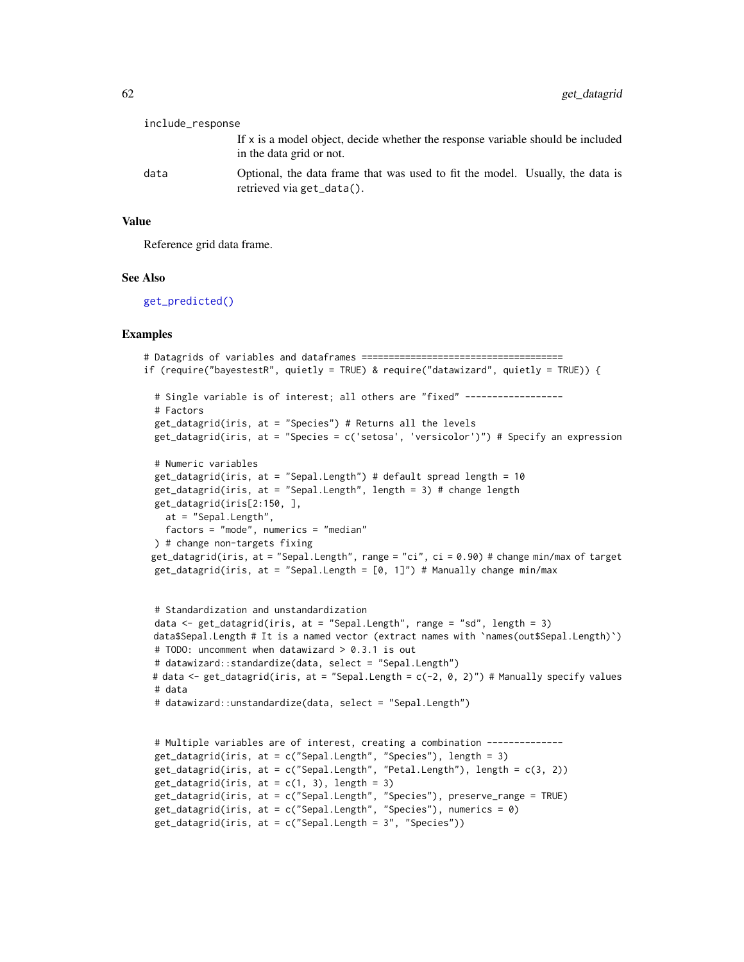| include_response |                                                                                                             |
|------------------|-------------------------------------------------------------------------------------------------------------|
|                  | If x is a model object, decide whether the response variable should be included<br>in the data grid or not. |
| data             | Optional, the data frame that was used to fit the model. Usually, the data is<br>retrieved via get_data().  |

### Value

Reference grid data frame.

### See Also

[get\\_predicted\(\)](#page-80-0)

```
# Datagrids of variables and dataframes =====================================
if (require("bayestestR", quietly = TRUE) & require("datawizard", quietly = TRUE)) {
 # Single variable is of interest; all others are "fixed" ------------------
 # Factors
 get_datagrid(iris, at = "Species") # Returns all the levels
 get_datagrid(iris, at = "Species = c('setosa', 'versicolor')") # Specify an expression
 # Numeric variables
 get_datagrid(iris, at = "Sepal.Length") # default spread length = 10
 get_datagrid(iris, at = "Sepal.Length", length = 3) # change length
 get_datagrid(iris[2:150, ],
   at = "Sepal.Length",
   factors = "mode", numerics = "median"
 ) # change non-targets fixing
 get_datagrid(iris, at = "Sepal.Length", range = "ci", ci = 0.90) # change min/max of target
 get_datagrid(iris, at = "Sepal.Length = [0, 1]") # Manually change min/max
 # Standardization and unstandardization
 data <- get_datagrid(iris, at = "Sepal.Length", range = "sd", length = 3)
 data$Sepal.Length # It is a named vector (extract names with `names(out$Sepal.Length)`)
 # TODO: uncomment when datawizard > 0.3.1 is out
 # datawizard::standardize(data, select = "Sepal.Length")
 # data <- get_datagrid(iris, at = "Sepal.Length = c(-2, 0, 2)") # Manually specify values
 # data
 # datawizard::unstandardize(data, select = "Sepal.Length")
 # Multiple variables are of interest, creating a combination --------------
 get_datagrid(iris, at = c("Sepal.Length", "Species"), length = 3)
 get_datagrid(iris, at = c("Sepal.Length", "Petal.Length"), length = c(3, 2))
 get_datagrid(iris, at = c(1, 3), length = 3)get_datagrid(iris, at = c("Sepal.Length", "Species"), preserve_range = TRUE)
 get_datagrid(iris, at = c("Sepal.Length", "Species"), numerics = 0)
 get_datagrid(iris, at = c("Sepal.Length = 3", "Species"))
```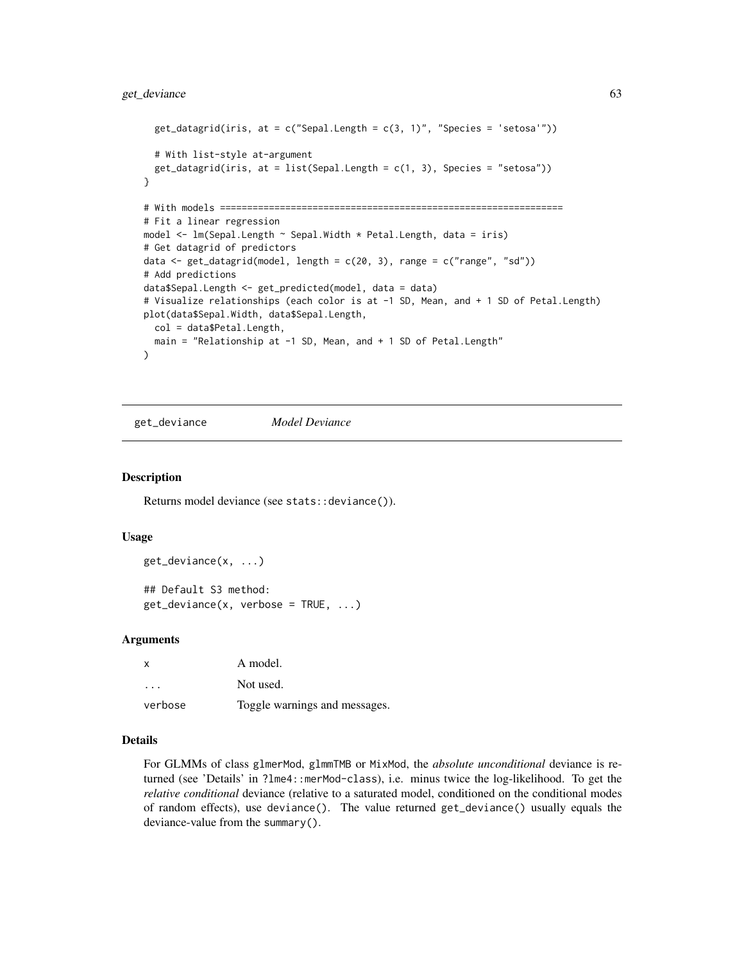```
get_datagrid(iris, at = c("Send.length = c(3, 1)", "Species = 'setosa'"))# With list-style at-argument
  get_datagrid(iris, at = list(Sepal.length = c(1, 3), Species = "setosa"))}
# With models ===============================================================
# Fit a linear regression
model <- lm(Sepal.Length ~ Sepal.Width * Petal.Length, data = iris)
# Get datagrid of predictors
data \leq get_datagrid(model, length = c(20, 3), range = c("range", "sd"))
# Add predictions
data$Sepal.Length <- get_predicted(model, data = data)
# Visualize relationships (each color is at -1 SD, Mean, and + 1 SD of Petal.Length)
plot(data$Sepal.Width, data$Sepal.Length,
  col = data$Petal.Length,
  main = "Relationship at -1 SD, Mean, and + 1 SD of Petal.Length"
)
```
get\_deviance *Model Deviance*

### **Description**

Returns model deviance (see stats::deviance()).

### Usage

```
get_deviance(x, ...)
## Default S3 method:
get\_deviance(x, verbose = TRUE, ...)
```
### Arguments

| X         | A model.                      |
|-----------|-------------------------------|
| $\ddotsc$ | Not used.                     |
| verbose   | Toggle warnings and messages. |

### Details

For GLMMs of class glmerMod, glmmTMB or MixMod, the *absolute unconditional* deviance is returned (see 'Details' in ?lme4::merMod-class), i.e. minus twice the log-likelihood. To get the *relative conditional* deviance (relative to a saturated model, conditioned on the conditional modes of random effects), use deviance(). The value returned get\_deviance() usually equals the deviance-value from the summary().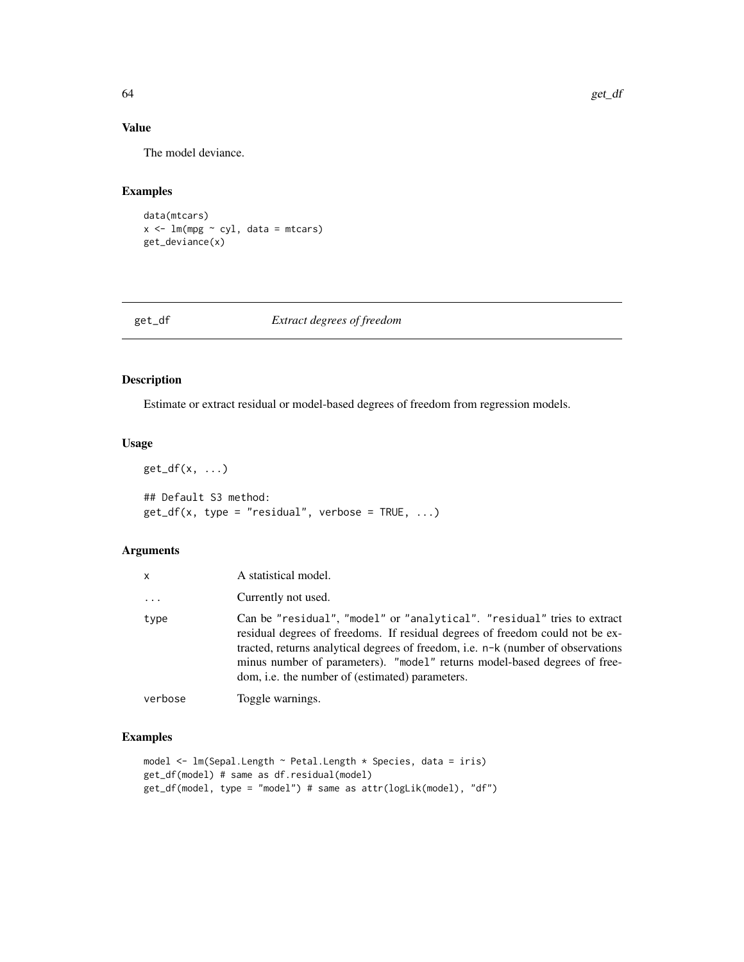# Value

The model deviance.

## Examples

```
data(mtcars)
x \leftarrow \text{lm(mpg} \sim \text{cyl}, \text{ data = mtcars})get_deviance(x)
```
## get\_df *Extract degrees of freedom*

## Description

Estimate or extract residual or model-based degrees of freedom from regression models.

### Usage

```
get_d(f(x, \ldots))## Default S3 method:
get_dff(x, type = "residual", verbose = TRUE, ...)
```
## Arguments

| x        | A statistical model.                                                                                                                                                                                                                                                                                                                                                                |
|----------|-------------------------------------------------------------------------------------------------------------------------------------------------------------------------------------------------------------------------------------------------------------------------------------------------------------------------------------------------------------------------------------|
| $\cdots$ | Currently not used.                                                                                                                                                                                                                                                                                                                                                                 |
| type     | Can be "residual", "model" or "analytical". "residual" tries to extract<br>residual degrees of freedoms. If residual degrees of freedom could not be ex-<br>tracted, returns analytical degrees of freedom, i.e. n-k (number of observations<br>minus number of parameters). "model" returns model-based degrees of free-<br>dom, <i>i.e.</i> the number of (estimated) parameters. |
| verbose  | Toggle warnings.                                                                                                                                                                                                                                                                                                                                                                    |

```
model <- lm(Sepal.Length ~ Petal.Length * Species, data = iris)
get_df(model) # same as df.residual(model)
get_df(model, type = "model") # same as attr(logLik(model), "df")
```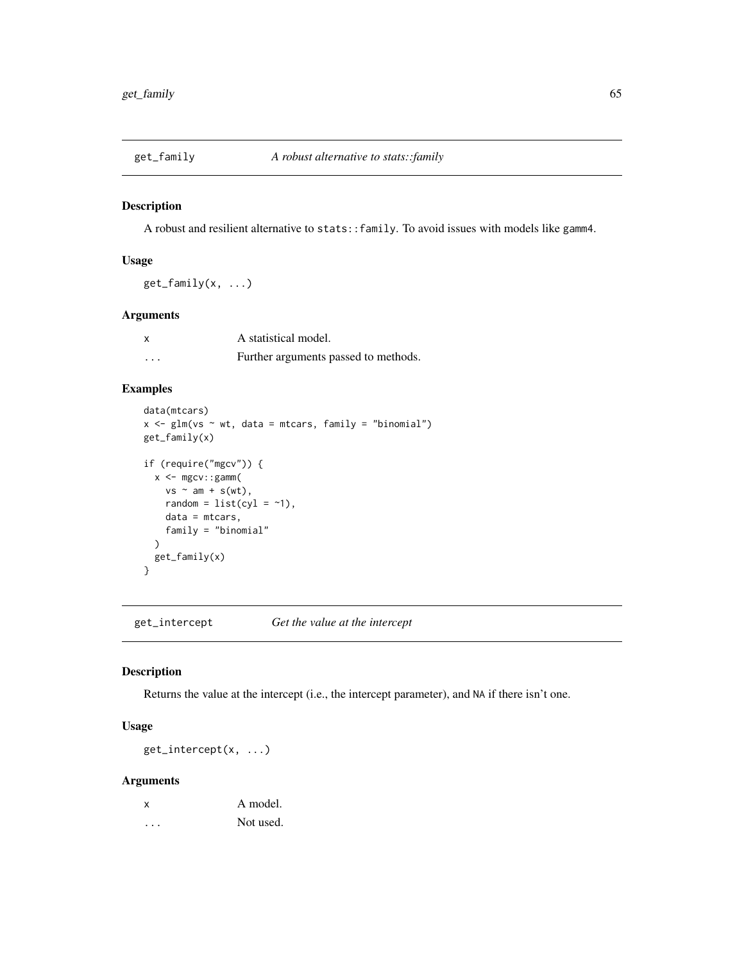A robust and resilient alternative to stats::family. To avoid issues with models like gamm4.

## Usage

 $get_family(x, \ldots)$ 

## Arguments

|         | A statistical model.                 |
|---------|--------------------------------------|
| $\cdot$ | Further arguments passed to methods. |

# Examples

```
data(mtcars)
x \leq-g \text{Im}(vs \sim wt, data = mtcars, family = "binomial")get_family(x)
if (require("mgcv")) {
  x < - mgcv::gamm(
    vs ~ am + s(wt),
    random = list(cyl = -1),
    data = mtcars,
    family = "binomial"
  )
  get_family(x)
}
```
get\_intercept *Get the value at the intercept*

## Description

Returns the value at the intercept (i.e., the intercept parameter), and NA if there isn't one.

## Usage

get\_intercept(x, ...)

| $\boldsymbol{\mathsf{x}}$ | A model.  |
|---------------------------|-----------|
|                           | Not used. |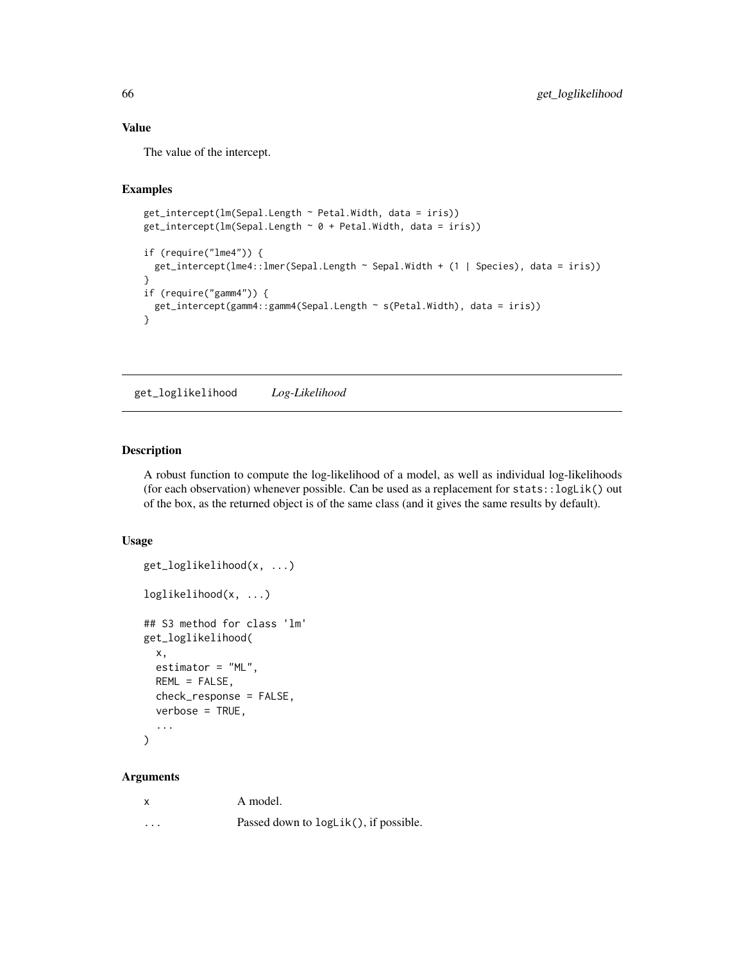### Value

The value of the intercept.

### Examples

```
get_intercept(lm(Sepal.Length ~ Petal.Width, data = iris))
get\_intercept(In(Sepal.length ~ 0 + Petal.Width, data = iris))if (require("lme4")) {
  get_intercept(lme4::lmer(Sepal.Length ~ Sepal.Width + (1 | Species), data = iris))
}
if (require("gamm4")) {
  get_intercept(gamm4::gamm4(Sepal.Length ~ s(Petal.Width), data = iris))
}
```
get\_loglikelihood *Log-Likelihood*

## Description

A robust function to compute the log-likelihood of a model, as well as individual log-likelihoods (for each observation) whenever possible. Can be used as a replacement for stats::logLik() out of the box, as the returned object is of the same class (and it gives the same results by default).

### Usage

```
get_loglikelihood(x, ...)
loglikelihood(x, ...)
## S3 method for class 'lm'
get_loglikelihood(
  x,
  estimator = "ML",
 REML = FALSE,
  check_response = FALSE,
  verbose = TRUE,
  ...
)
```

| X        | A model.                              |
|----------|---------------------------------------|
| $\cdots$ | Passed down to logLik(), if possible. |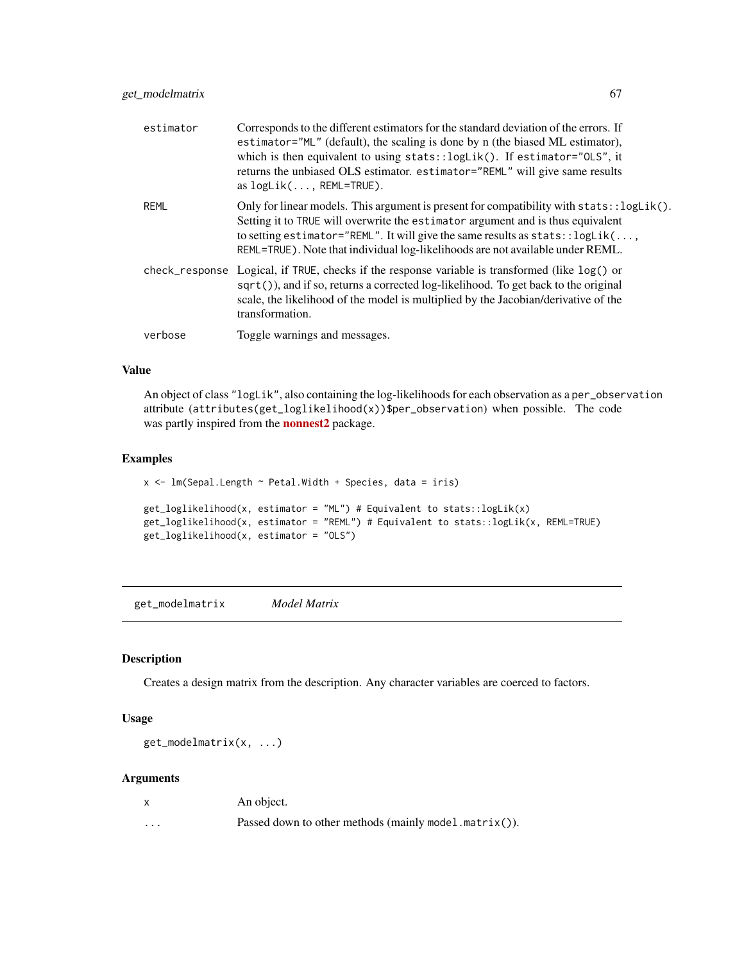| estimator   | Corresponds to the different estimators for the standard deviation of the errors. If<br>estimator="ML" (default), the scaling is done by n (the biased ML estimator),<br>which is then equivalent to using stats::logLik(). If estimator="0LS", it<br>returns the unbiased OLS estimator. estimator="REML" will give same results<br>as $logLik( \ldots, REML=True)$ . |
|-------------|------------------------------------------------------------------------------------------------------------------------------------------------------------------------------------------------------------------------------------------------------------------------------------------------------------------------------------------------------------------------|
| <b>REML</b> | Only for linear models. This argument is present for compatibility with $\text{stats}$ : $\text{logLik}()$ .<br>Setting it to TRUE will overwrite the estimator argument and is thus equivalent<br>to setting estimator="REML". It will give the same results as stats:: logLik(,<br>REML=TRUE). Note that individual log-likelihoods are not available under REML.    |
|             | check_response Logical, if TRUE, checks if the response variable is transformed (like $log()$ or<br>sqrt()), and if so, returns a corrected log-likelihood. To get back to the original<br>scale, the likelihood of the model is multiplied by the Jacobian/derivative of the<br>transformation.                                                                       |
| verbose     | Toggle warnings and messages.                                                                                                                                                                                                                                                                                                                                          |

### Value

An object of class "logLik", also containing the log-likelihoods for each observation as a per\_observation attribute (attributes(get\_loglikelihood(x))\$per\_observation) when possible. The code was partly inspired from the **[nonnest2](https://CRAN.R-project.org/package=nonnest2)** package.

### Examples

```
x \leq \text{lm}(\text{Send}. \text{Length} \sim \text{Petal}.\text{Width} + \text{Species}, \text{ data} = \text{iris})get\_loglikelihood(x, estimator = "ML") # Equivalent to stats::logLik(x)get_loglikelihood(x, estimator = "REML") # Equivalent to stats::logLik(x, REML=TRUE)
get_loglikelihood(x, estimator = "OLS")
```
get\_modelmatrix *Model Matrix*

### Description

Creates a design matrix from the description. Any character variables are coerced to factors.

### Usage

get\_modelmatrix(x, ...)

| $\mathsf{x}$ | An object.                                            |
|--------------|-------------------------------------------------------|
| .            | Passed down to other methods (mainly model.matrix()). |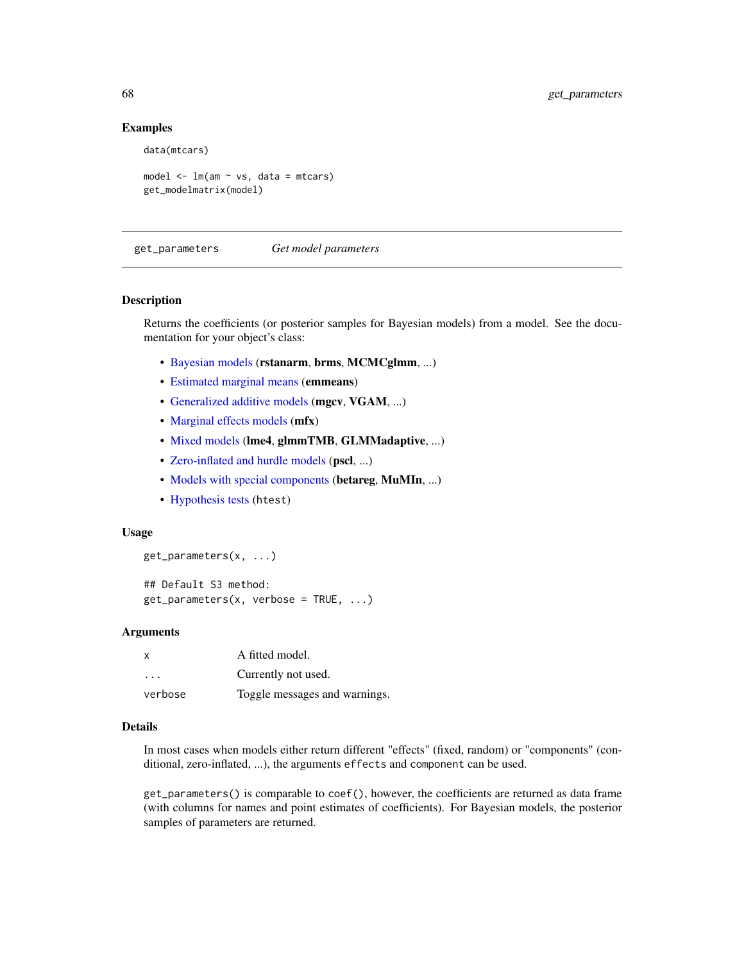### Examples

data(mtcars)

model  $\leq$   $\ln(\text{am} \leq \text{vs.} \text{data} = \text{mtcars})$ get\_modelmatrix(model)

get\_parameters *Get model parameters*

### Description

Returns the coefficients (or posterior samples for Bayesian models) from a model. See the documentation for your object's class:

- [Bayesian models](#page-71-0) (rstanarm, brms, MCMCglmm, ...)
- [Estimated marginal means](#page-74-0) (emmeans)
- [Generalized additive models](#page-76-0) (mgcv, VGAM, ...)
- [Marginal effects models](#page-68-0) (mfx)
- [Mixed models](#page-77-0) (lme4, glmmTMB, GLMMadaptive, ...)
- [Zero-inflated and hurdle models](#page-79-0) (pscl, ...)
- [Models with special components](#page-69-0) (betareg, MuMIn, ...)
- [Hypothesis tests](#page-78-0) (htest)

### Usage

get\_parameters(x, ...)

```
## Default S3 method:
get\_parameters(x, verbose = TRUE, \ldots)
```
### **Arguments**

| $\boldsymbol{\mathsf{x}}$ | A fitted model.               |
|---------------------------|-------------------------------|
| .                         | Currently not used.           |
| verbose                   | Toggle messages and warnings. |

### Details

In most cases when models either return different "effects" (fixed, random) or "components" (conditional, zero-inflated, ...), the arguments effects and component can be used.

get\_parameters() is comparable to coef(), however, the coefficients are returned as data frame (with columns for names and point estimates of coefficients). For Bayesian models, the posterior samples of parameters are returned.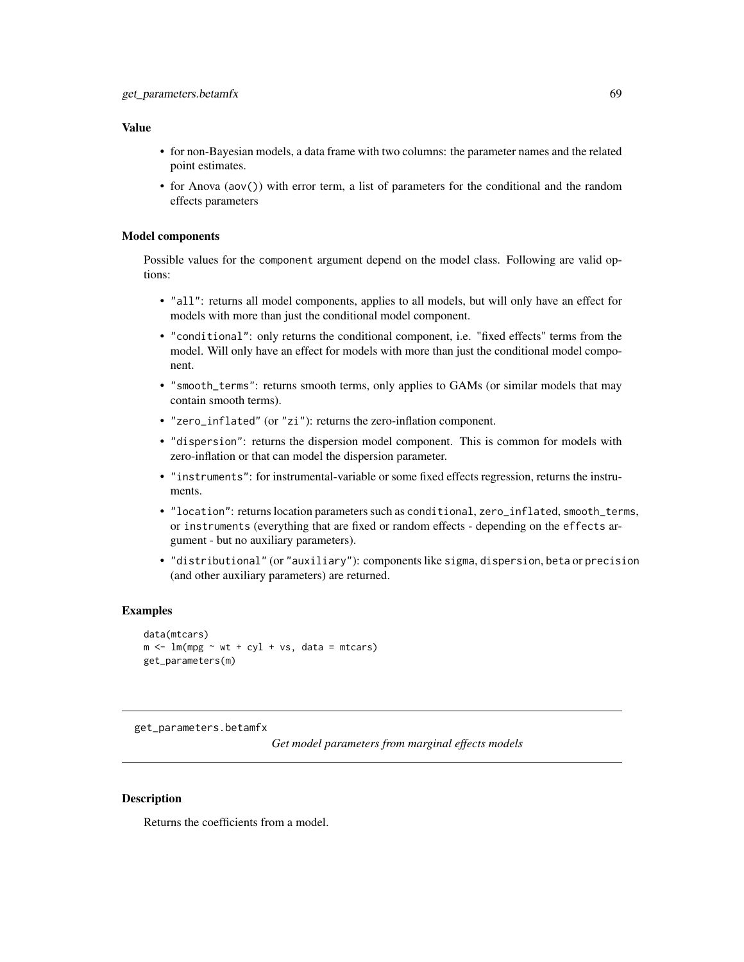### Value

- for non-Bayesian models, a data frame with two columns: the parameter names and the related point estimates.
- for Anova (aov()) with error term, a list of parameters for the conditional and the random effects parameters

### Model components

Possible values for the component argument depend on the model class. Following are valid options:

- "all": returns all model components, applies to all models, but will only have an effect for models with more than just the conditional model component.
- "conditional": only returns the conditional component, i.e. "fixed effects" terms from the model. Will only have an effect for models with more than just the conditional model component.
- "smooth\_terms": returns smooth terms, only applies to GAMs (or similar models that may contain smooth terms).
- "zero\_inflated" (or "zi"): returns the zero-inflation component.
- "dispersion": returns the dispersion model component. This is common for models with zero-inflation or that can model the dispersion parameter.
- "instruments": for instrumental-variable or some fixed effects regression, returns the instruments.
- "location": returns location parameters such as conditional, zero\_inflated, smooth\_terms, or instruments (everything that are fixed or random effects - depending on the effects argument - but no auxiliary parameters).
- "distributional" (or "auxiliary"): components like sigma, dispersion, beta or precision (and other auxiliary parameters) are returned.

### Examples

```
data(mtcars)
m < - \ln(mpg \sim wt + cyl + vs, data = mtcars)get_parameters(m)
```
<span id="page-68-0"></span>get\_parameters.betamfx

*Get model parameters from marginal effects models*

### **Description**

Returns the coefficients from a model.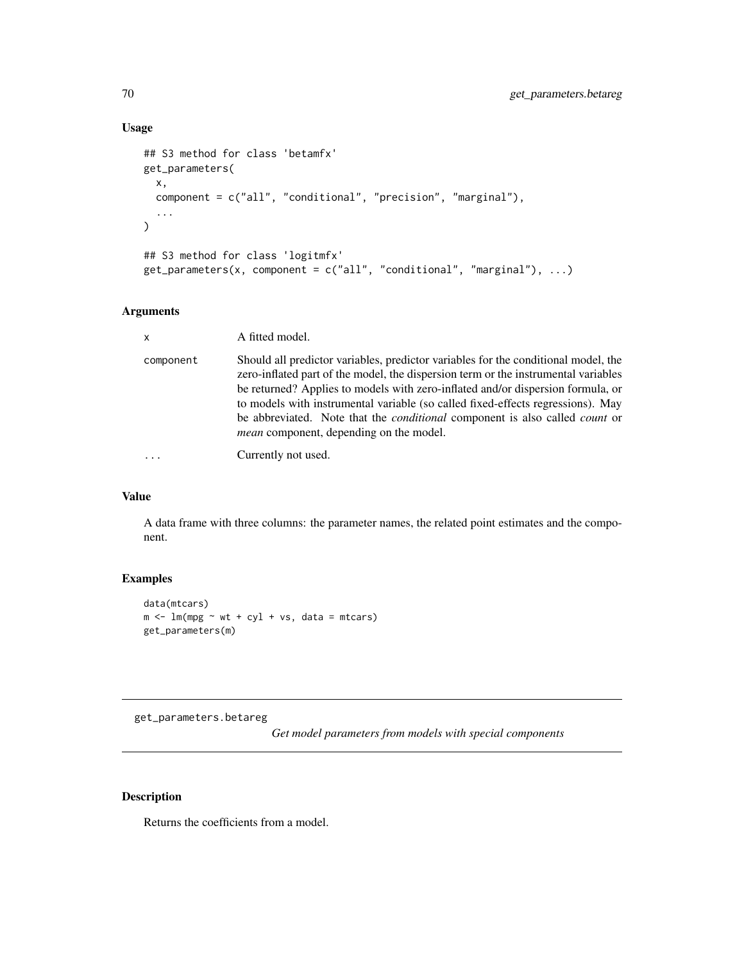## Usage

```
## S3 method for class 'betamfx'
get_parameters(
  x,
  component = c("all", "conditional", "precision", "marginal"),
  ...
)
## S3 method for class 'logitmfx'
get\_parameters(x, component = c("all", "conditional", "marginal"), ...)
```
# Arguments

| $\mathsf{x}$ | A fitted model.                                                                                                                                                                                                                                                                                                                                                                                                                                                                               |
|--------------|-----------------------------------------------------------------------------------------------------------------------------------------------------------------------------------------------------------------------------------------------------------------------------------------------------------------------------------------------------------------------------------------------------------------------------------------------------------------------------------------------|
| component    | Should all predictor variables, predictor variables for the conditional model, the<br>zero-inflated part of the model, the dispersion term or the instrumental variables<br>be returned? Applies to models with zero-inflated and/or dispersion formula, or<br>to models with instrumental variable (so called fixed-effects regressions). May<br>be abbreviated. Note that the <i>conditional</i> component is also called <i>count</i> or<br><i>mean</i> component, depending on the model. |
|              | Currently not used.                                                                                                                                                                                                                                                                                                                                                                                                                                                                           |

### Value

A data frame with three columns: the parameter names, the related point estimates and the component.

## Examples

```
data(mtcars)
m \le - \ln(mpg \sim wt + cyl + vs, data = mtcars)get_parameters(m)
```
<span id="page-69-0"></span>get\_parameters.betareg

*Get model parameters from models with special components*

## Description

Returns the coefficients from a model.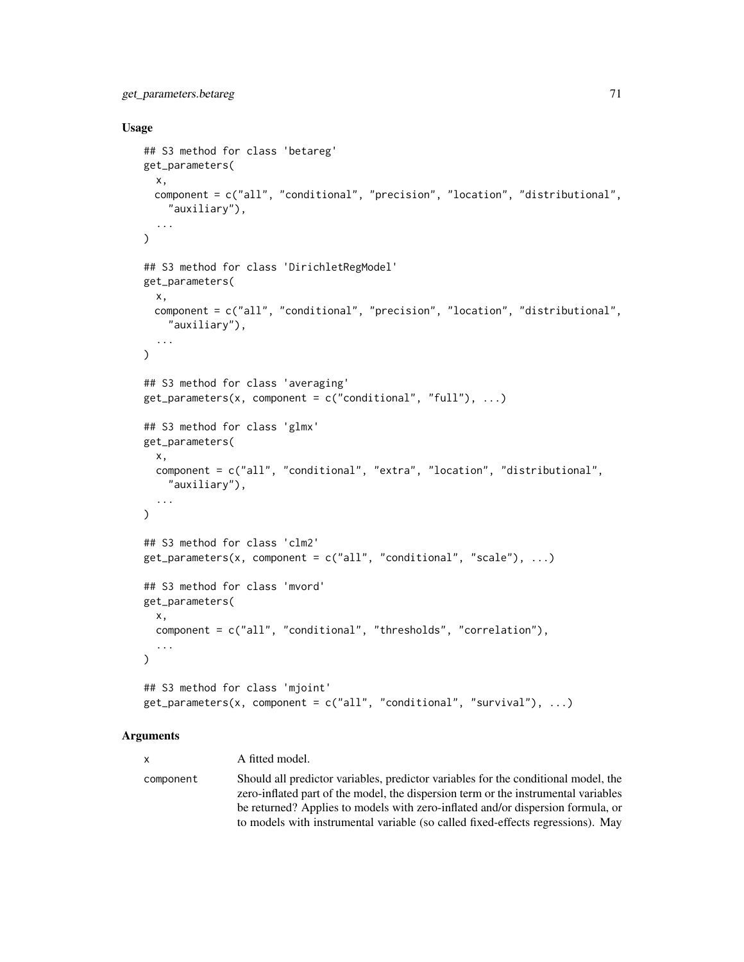### Usage

```
## S3 method for class 'betareg'
get_parameters(
 x,
 component = c("all", "conditional", "precision", "location", "distributional",
    "auxiliary"),
  ...
\lambda## S3 method for class 'DirichletRegModel'
get_parameters(
 x,
 component = c("all", "conditional", "precision", "location", "distributional",
    "auxiliary"),
  ...
)
## S3 method for class 'averaging'
get_{parameters}(x, component = c("conditional", "full"), ...)## S3 method for class 'glmx'
get_parameters(
 x,
 component = c("all", "conditional", "extra", "location", "distributional",
    "auxiliary"),
  ...
\mathcal{L}## S3 method for class 'clm2'
get_parameters(x, component = c("all", "conditional", "scale"), ...)## S3 method for class 'mvord'
get_parameters(
 x,
  component = c("all", "conditional", "thresholds", "correlation"),
  ...
\mathcal{L}## S3 method for class 'mjoint'
get\_parameters(x, component = c("all", "conditional", "survival"), ...)
```
### Arguments

x A fitted model. component Should all predictor variables, predictor variables for the conditional model, the zero-inflated part of the model, the dispersion term or the instrumental variables be returned? Applies to models with zero-inflated and/or dispersion formula, or to models with instrumental variable (so called fixed-effects regressions). May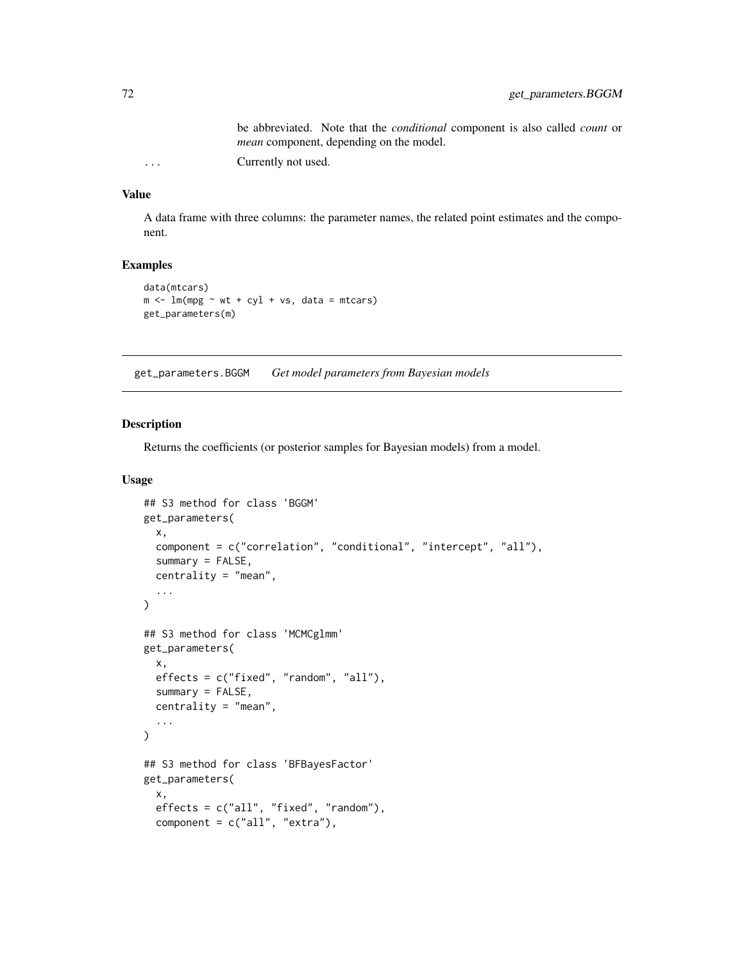be abbreviated. Note that the *conditional* component is also called *count* or *mean* component, depending on the model.

... Currently not used.

## Value

A data frame with three columns: the parameter names, the related point estimates and the component.

## Examples

```
data(mtcars)
m \le - \ln(mpg \sim wt + cyl + vs, data = mtcars)get_parameters(m)
```
<span id="page-71-0"></span>get\_parameters.BGGM *Get model parameters from Bayesian models*

### Description

Returns the coefficients (or posterior samples for Bayesian models) from a model.

### Usage

```
## S3 method for class 'BGGM'
get_parameters(
  x,
  component = c("correlation", "conditional", "intercept", "all"),
  summary = FALSE,
  centrality = "mean",
  ...
)
## S3 method for class 'MCMCglmm'
get_parameters(
  x,
  effects = c("fixed", "random", "all"),
  summary = FALSE,
  centrality = "mean",
  ...
\lambda## S3 method for class 'BFBayesFactor'
get_parameters(
  x,
  effects = c("all", "fixed", "random"),
  component = c("all", "extra"),
```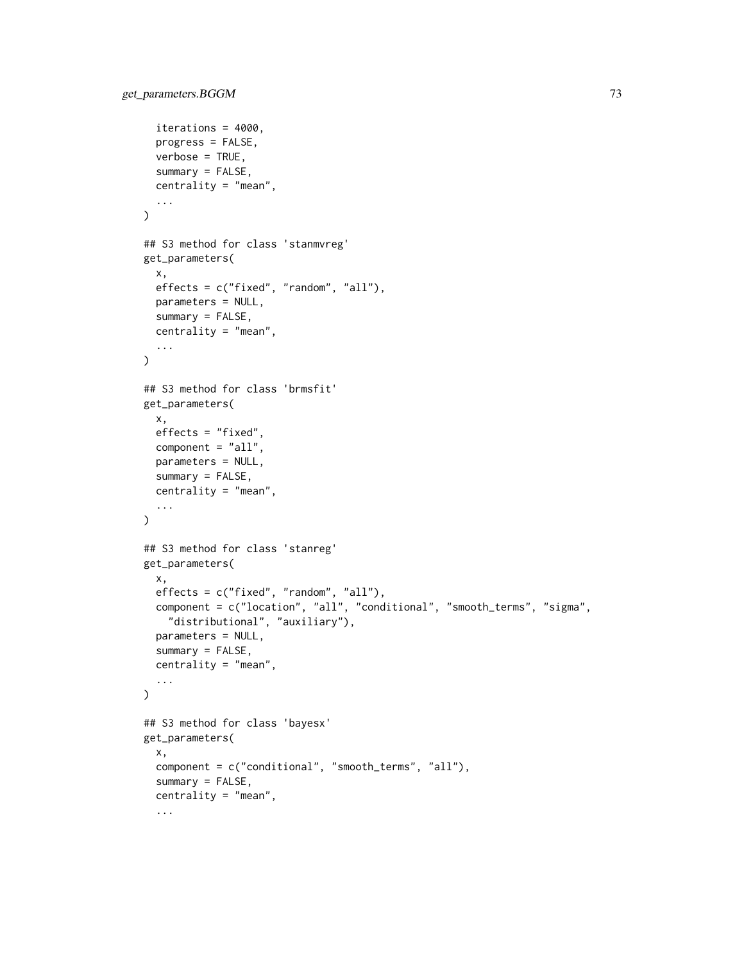```
iterations = 4000,
 progress = FALSE,
 verbose = TRUE,
  summary = FALSE,
  centrality = "mean",
  ...
\mathcal{L}## S3 method for class 'stanmvreg'
get_parameters(
 x,
 effects = c("fixed", "random", "all"),
 parameters = NULL,
 summary = FALSE,
 centrality = "mean",
  ...
\lambda## S3 method for class 'brmsfit'
get_parameters(
 x,
 effects = "fixed",
 component = "all",
 parameters = NULL,
 summary = FALSE,
 centrality = "mean",
  ...
\mathcal{L}## S3 method for class 'stanreg'
get_parameters(
 x,
  effects = c("fixed", "random", "all"),
  component = c("location", "all", "conditional", "smooth_terms", "sigma",
    "distributional", "auxiliary"),
 parameters = NULL,
  summarv = FALSE,
 centrality = "mean",
  ...
\mathcal{L}## S3 method for class 'bayesx'
get_parameters(
 x,
 component = c("conditional", "smooth_terms", "all"),
  summary = FALSE,
 centrality = "mean",
  ...
```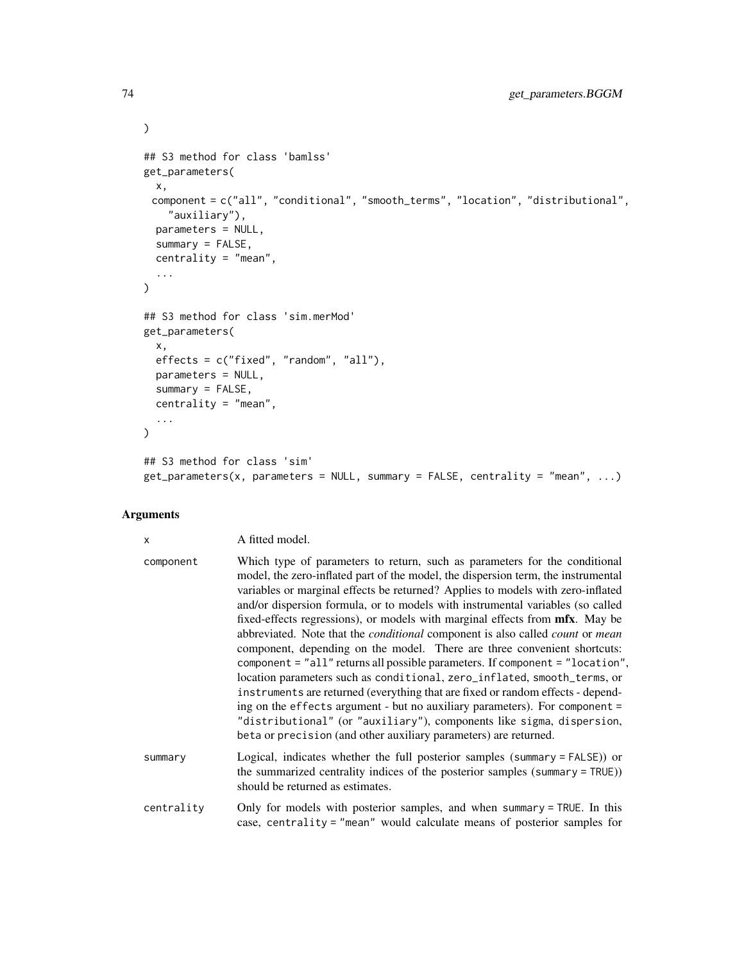```
## S3 method for class 'bamlss'
get_parameters(
 x,
 component = c("all", "conditional", "smooth_terms", "location", "distributional",
    "auxiliary"),
 parameters = NULL,
  summary = FALSE,
 centrality = "mean",
  ...
\mathcal{L}## S3 method for class 'sim.merMod'
get_parameters(
 x,
 effects = c("fixed", "random", "all"),
 parameters = NULL,
 summary = FALSE,centrality = "mean",
  ...
\mathcal{L}## S3 method for class 'sim'
get_parameters(x, parameters = NULL, summary = FALSE, centrality = "mean", ...)
```

| x          | A fitted model.                                                                                                                                                                                                                                                                                                                                                                                                                                                                                                                                                                                                                                                                                                                                                                                                                                                                                                                                                                                                                                                                    |  |
|------------|------------------------------------------------------------------------------------------------------------------------------------------------------------------------------------------------------------------------------------------------------------------------------------------------------------------------------------------------------------------------------------------------------------------------------------------------------------------------------------------------------------------------------------------------------------------------------------------------------------------------------------------------------------------------------------------------------------------------------------------------------------------------------------------------------------------------------------------------------------------------------------------------------------------------------------------------------------------------------------------------------------------------------------------------------------------------------------|--|
| component  | Which type of parameters to return, such as parameters for the conditional<br>model, the zero-inflated part of the model, the dispersion term, the instrumental<br>variables or marginal effects be returned? Applies to models with zero-inflated<br>and/or dispersion formula, or to models with instrumental variables (so called<br>fixed-effects regressions), or models with marginal effects from mfx. May be<br>abbreviated. Note that the <i>conditional</i> component is also called <i>count</i> or <i>mean</i><br>component, depending on the model. There are three convenient shortcuts:<br>component = "all" returns all possible parameters. If component = "location",<br>location parameters such as conditional, zero_inflated, smooth_terms, or<br>instruments are returned (everything that are fixed or random effects - depend-<br>ing on the effects argument - but no auxiliary parameters). For component =<br>"distributional" (or "auxiliary"), components like sigma, dispersion,<br>beta or precision (and other auxiliary parameters) are returned. |  |
| summary    | Logical, indicates whether the full posterior samples (summary = FALSE)) or<br>the summarized centrality indices of the posterior samples (summary = TRUE))<br>should be returned as estimates.                                                                                                                                                                                                                                                                                                                                                                                                                                                                                                                                                                                                                                                                                                                                                                                                                                                                                    |  |
| centrality | Only for models with posterior samples, and when summary = TRUE. In this                                                                                                                                                                                                                                                                                                                                                                                                                                                                                                                                                                                                                                                                                                                                                                                                                                                                                                                                                                                                           |  |

centrality Only for models with posterior samples, and when summary = TRUE. In this case, centrality = "mean" would calculate means of posterior samples for

 $\mathcal{L}$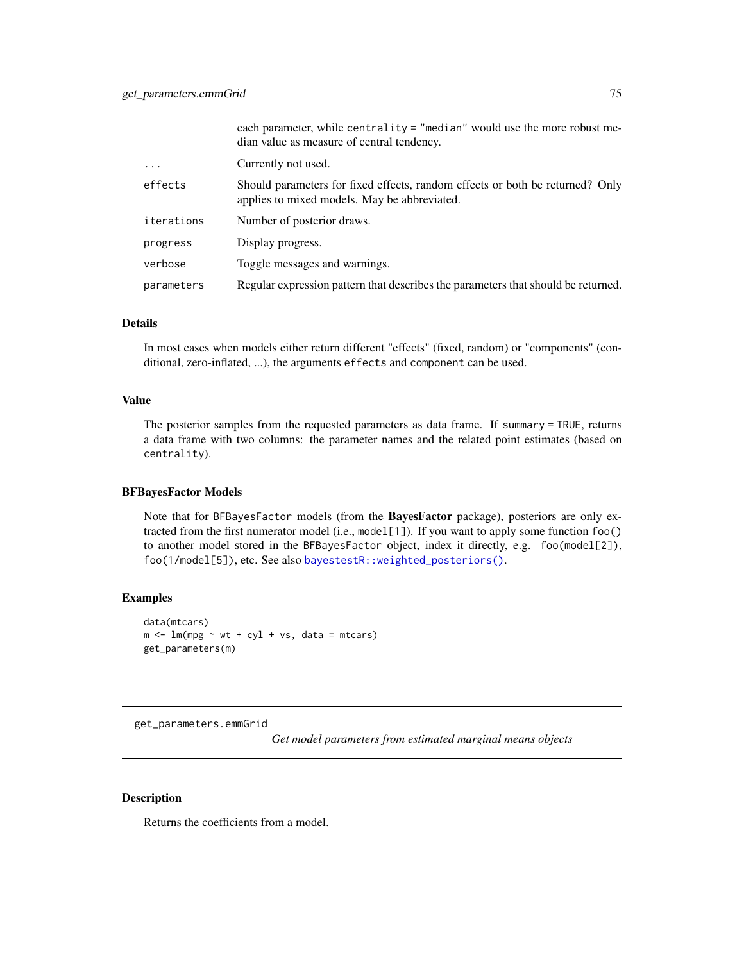|            | each parameter, while centrality = "median" would use the more robust me-<br>dian value as measure of central tendency.       |  |
|------------|-------------------------------------------------------------------------------------------------------------------------------|--|
| $\cdot$    | Currently not used.                                                                                                           |  |
| effects    | Should parameters for fixed effects, random effects or both be returned? Only<br>applies to mixed models. May be abbreviated. |  |
| iterations | Number of posterior draws.                                                                                                    |  |
| progress   | Display progress.                                                                                                             |  |
| verbose    | Toggle messages and warnings.                                                                                                 |  |
| parameters | Regular expression pattern that describes the parameters that should be returned.                                             |  |

### Details

In most cases when models either return different "effects" (fixed, random) or "components" (conditional, zero-inflated, ...), the arguments effects and component can be used.

## Value

The posterior samples from the requested parameters as data frame. If summary = TRUE, returns a data frame with two columns: the parameter names and the related point estimates (based on centrality).

#### BFBayesFactor Models

Note that for BFBayesFactor models (from the BayesFactor package), posteriors are only extracted from the first numerator model (i.e., model[1]). If you want to apply some function foo() to another model stored in the BFBayesFactor object, index it directly, e.g. foo(model[2]), foo(1/model[5]), etc. See also [bayestestR::weighted\\_posteriors\(\)](#page-0-0).

# Examples

```
data(mtcars)
m \le - \ln(mpg \sim wt + cyl + vs, data = mtcars)get_parameters(m)
```
get\_parameters.emmGrid

*Get model parameters from estimated marginal means objects*

### Description

Returns the coefficients from a model.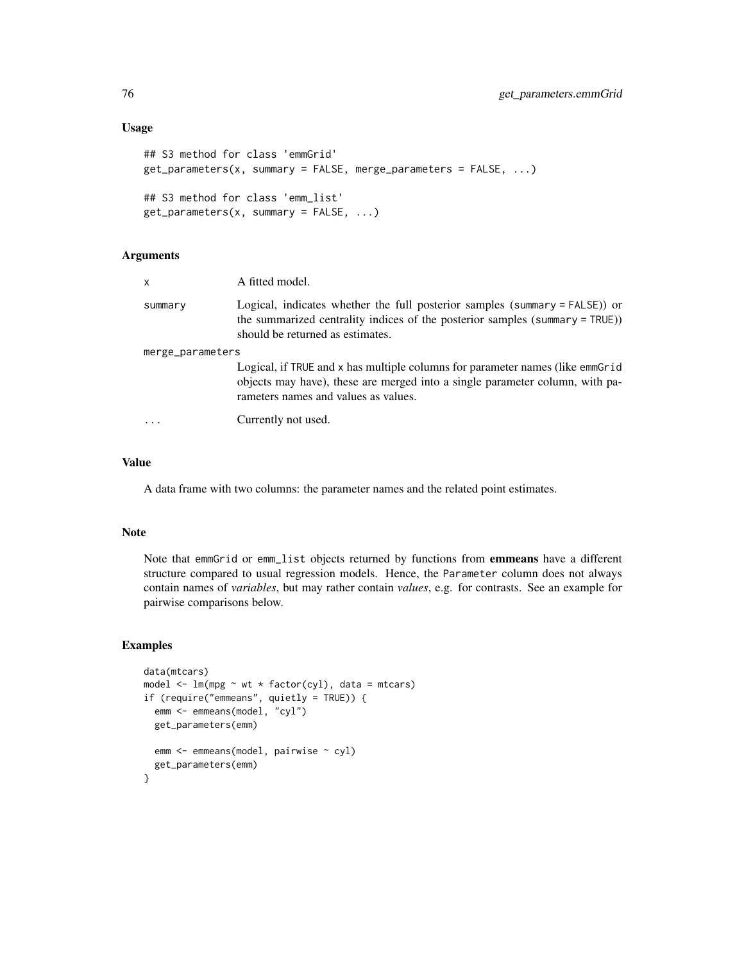```
## S3 method for class 'emmGrid'
get_parameters(x, summary = FALSE, merge_parameters = FALSE, ...)
## S3 method for class 'emm_list'
get_parameters(x, summary = FALSE, ...)
```

| $\mathsf{x}$     | A fitted model.                                                                                                                                                                                       |
|------------------|-------------------------------------------------------------------------------------------------------------------------------------------------------------------------------------------------------|
| summary          | Logical, indicates whether the full posterior samples (summary = FALSE)) or<br>the summarized centrality indices of the posterior samples (summary = TRUE))<br>should be returned as estimates.       |
| merge_parameters |                                                                                                                                                                                                       |
|                  | Logical, if TRUE and x has multiple columns for parameter names (like emmGrid<br>objects may have), these are merged into a single parameter column, with pa-<br>rameters names and values as values. |
|                  | Currently not used.                                                                                                                                                                                   |

# Value

A data frame with two columns: the parameter names and the related point estimates.

### Note

Note that emmGrid or emm\_list objects returned by functions from emmeans have a different structure compared to usual regression models. Hence, the Parameter column does not always contain names of *variables*, but may rather contain *values*, e.g. for contrasts. See an example for pairwise comparisons below.

```
data(mtcars)
model \leq lm(mpg \sim wt \star factor(cyl), data = mtcars)
if (require("emmeans", quietly = TRUE)) {
  emm <- emmeans(model, "cyl")
  get_parameters(emm)
  emm <- emmeans(model, pairwise ~ cyl)
  get_parameters(emm)
}
```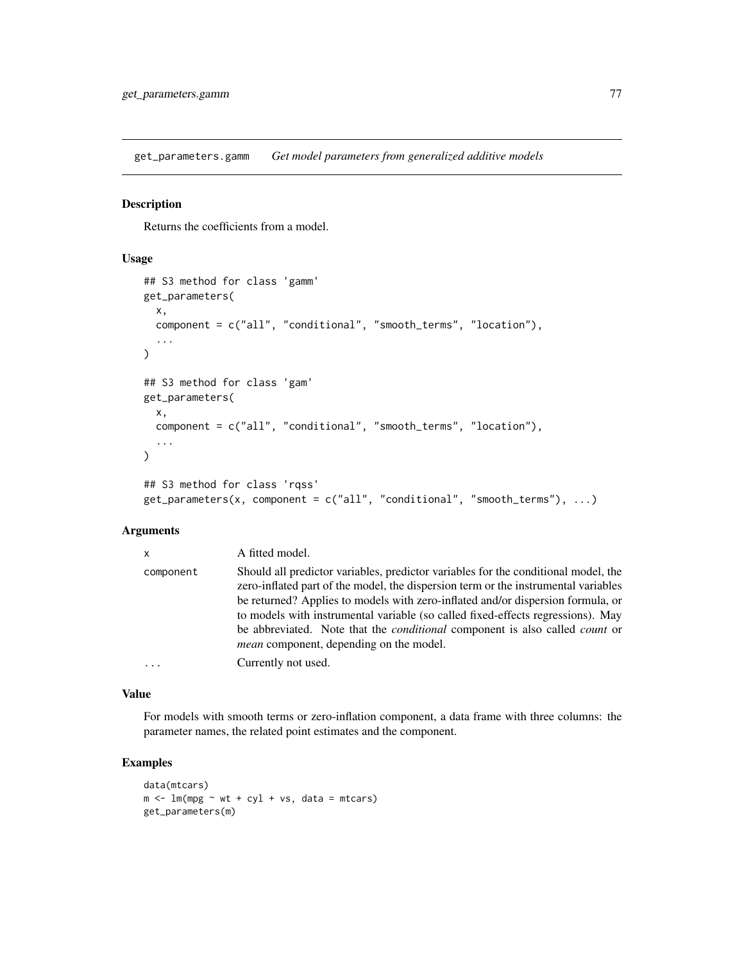get\_parameters.gamm *Get model parameters from generalized additive models*

#### Description

Returns the coefficients from a model.

### Usage

```
## S3 method for class 'gamm'
get_parameters(
  x,
  component = c("all", "conditional", "smooth_terms", "location"),
  ...
)
## S3 method for class 'gam'
get_parameters(
 x,
  component = c("all", "conditional", "smooth_terms", "location"),
  ...
\mathcal{L}## S3 method for class 'rqss'
get\_parameters(x, component = c("all", "conditional", "smooth\_terms"), ...)
```
# Arguments

| X         | A fitted model.                                                                                                                                                                                                                                                                                                                                                                                                                                                                               |  |
|-----------|-----------------------------------------------------------------------------------------------------------------------------------------------------------------------------------------------------------------------------------------------------------------------------------------------------------------------------------------------------------------------------------------------------------------------------------------------------------------------------------------------|--|
| component | Should all predictor variables, predictor variables for the conditional model, the<br>zero-inflated part of the model, the dispersion term or the instrumental variables<br>be returned? Applies to models with zero-inflated and/or dispersion formula, or<br>to models with instrumental variable (so called fixed-effects regressions). May<br>be abbreviated. Note that the <i>conditional</i> component is also called <i>count</i> or<br><i>mean</i> component, depending on the model. |  |
|           | Currently not used.                                                                                                                                                                                                                                                                                                                                                                                                                                                                           |  |

### Value

For models with smooth terms or zero-inflation component, a data frame with three columns: the parameter names, the related point estimates and the component.

```
data(mtcars)
m \le - \ln(mpg \sim wt + cyl + vs, data = mtcars)get_parameters(m)
```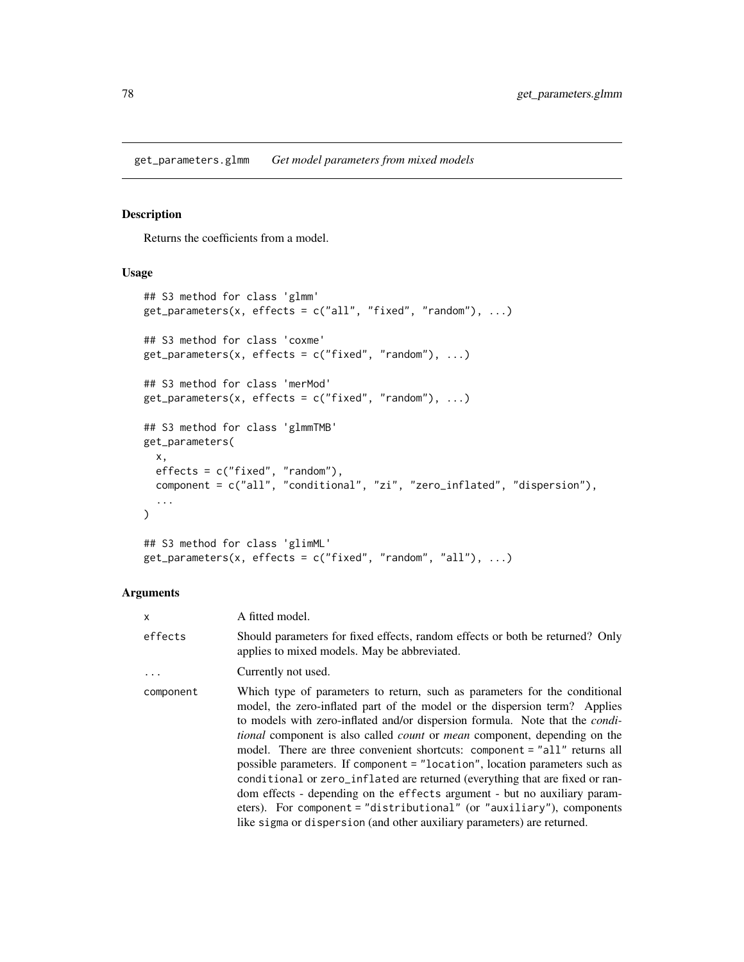get\_parameters.glmm *Get model parameters from mixed models*

# Description

Returns the coefficients from a model.

# Usage

```
## S3 method for class 'glmm'
get_{parameters}(x, effects = c("all", "fixed", "random"), ...)## S3 method for class 'coxme'
get_{parameters}(x, effects = c("fixed", "random"), ...)## S3 method for class 'merMod'
get\_parameters(x, effects = c("fixed", "random"), ...)## S3 method for class 'glmmTMB'
get_parameters(
 x,
 effects = c("fixed", "random"),
 component = c("all", "conditional", "zi", "zero_inflated", "dispersion"),
  ...
)
## S3 method for class 'glimML'
get\_parameters(x, effects = c("fixed", "random", "all"), ...)
```
#### Arguments

| X         | A fitted model.                                                                                                                                                                                                                                                                                                                                                                                                                                                                                                                                                                                                                                                                                                                                                                                                                  |
|-----------|----------------------------------------------------------------------------------------------------------------------------------------------------------------------------------------------------------------------------------------------------------------------------------------------------------------------------------------------------------------------------------------------------------------------------------------------------------------------------------------------------------------------------------------------------------------------------------------------------------------------------------------------------------------------------------------------------------------------------------------------------------------------------------------------------------------------------------|
| effects   | Should parameters for fixed effects, random effects or both be returned? Only<br>applies to mixed models. May be abbreviated.                                                                                                                                                                                                                                                                                                                                                                                                                                                                                                                                                                                                                                                                                                    |
| $\ddots$  | Currently not used.                                                                                                                                                                                                                                                                                                                                                                                                                                                                                                                                                                                                                                                                                                                                                                                                              |
| component | Which type of parameters to return, such as parameters for the conditional<br>model, the zero-inflated part of the model or the dispersion term? Applies<br>to models with zero-inflated and/or dispersion formula. Note that the <i>condi</i> -<br><i>tional</i> component is also called <i>count</i> or <i>mean</i> component, depending on the<br>model. There are three convenient shortcuts: component = "all" returns all<br>possible parameters. If component = "location", location parameters such as<br>conditional or zero_inflated are returned (everything that are fixed or ran-<br>dom effects - depending on the effects argument - but no auxiliary param-<br>eters). For component = "distributional" (or "auxiliary"), components<br>like sigma or dispersion (and other auxiliary parameters) are returned. |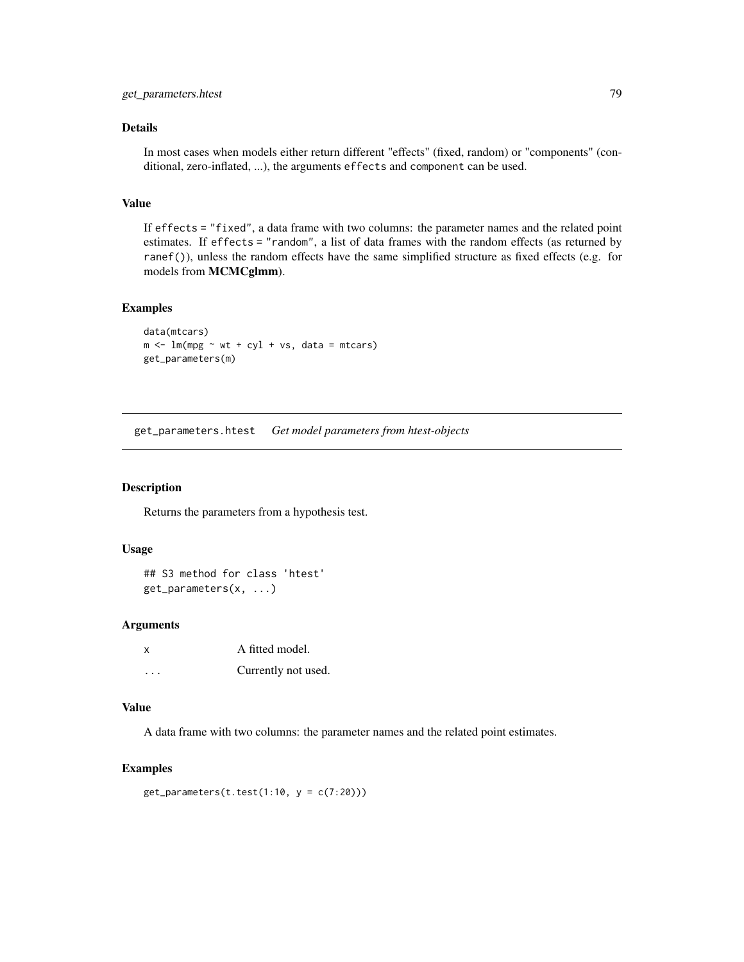# Details

In most cases when models either return different "effects" (fixed, random) or "components" (conditional, zero-inflated, ...), the arguments effects and component can be used.

# Value

If effects = "fixed", a data frame with two columns: the parameter names and the related point estimates. If effects = "random", a list of data frames with the random effects (as returned by ranef()), unless the random effects have the same simplified structure as fixed effects (e.g. for models from MCMCglmm).

# Examples

```
data(mtcars)
m \le - \ln(mpg \sim wt + cyl + vs, data = mtcars)get_parameters(m)
```
get\_parameters.htest *Get model parameters from htest-objects*

### Description

Returns the parameters from a hypothesis test.

### Usage

## S3 method for class 'htest' get\_parameters(x, ...)

#### Arguments

| X | A fitted model.     |
|---|---------------------|
| . | Currently not used. |

### Value

A data frame with two columns: the parameter names and the related point estimates.

# Examples

get\_parameters(t.test(1:10,  $y = c(7:20))$ )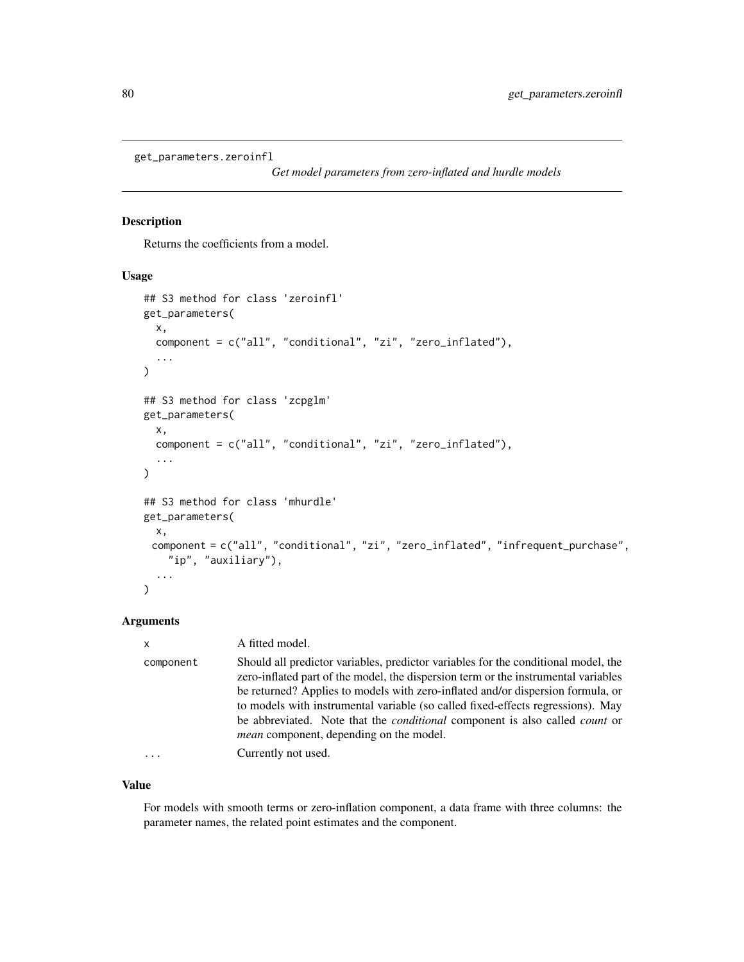```
get_parameters.zeroinfl
```
*Get model parameters from zero-inflated and hurdle models*

# Description

Returns the coefficients from a model.

#### Usage

```
## S3 method for class 'zeroinfl'
get_parameters(
  x,
  component = c("all", "conditional", "zi", "zero_inflated"),
  ...
)
## S3 method for class 'zcpglm'
get_parameters(
  x,
 component = c("all", "conditional", "zi", "zero_inflated"),
  ...
\mathcal{L}## S3 method for class 'mhurdle'
get_parameters(
 x,
 component = c("all", "conditional", "zi", "zero_inflated", "infrequent_purchase",
    "ip", "auxiliary"),
  ...
)
```
# Arguments

| $\mathsf{x}$ | A fitted model.                                                                                                                                                                                                                                                                                                                                                                                                                                                                               |  |
|--------------|-----------------------------------------------------------------------------------------------------------------------------------------------------------------------------------------------------------------------------------------------------------------------------------------------------------------------------------------------------------------------------------------------------------------------------------------------------------------------------------------------|--|
| component    | Should all predictor variables, predictor variables for the conditional model, the<br>zero-inflated part of the model, the dispersion term or the instrumental variables<br>be returned? Applies to models with zero-inflated and/or dispersion formula, or<br>to models with instrumental variable (so called fixed-effects regressions). May<br>be abbreviated. Note that the <i>conditional</i> component is also called <i>count</i> or<br><i>mean</i> component, depending on the model. |  |
|              | Currently not used.                                                                                                                                                                                                                                                                                                                                                                                                                                                                           |  |

### Value

For models with smooth terms or zero-inflation component, a data frame with three columns: the parameter names, the related point estimates and the component.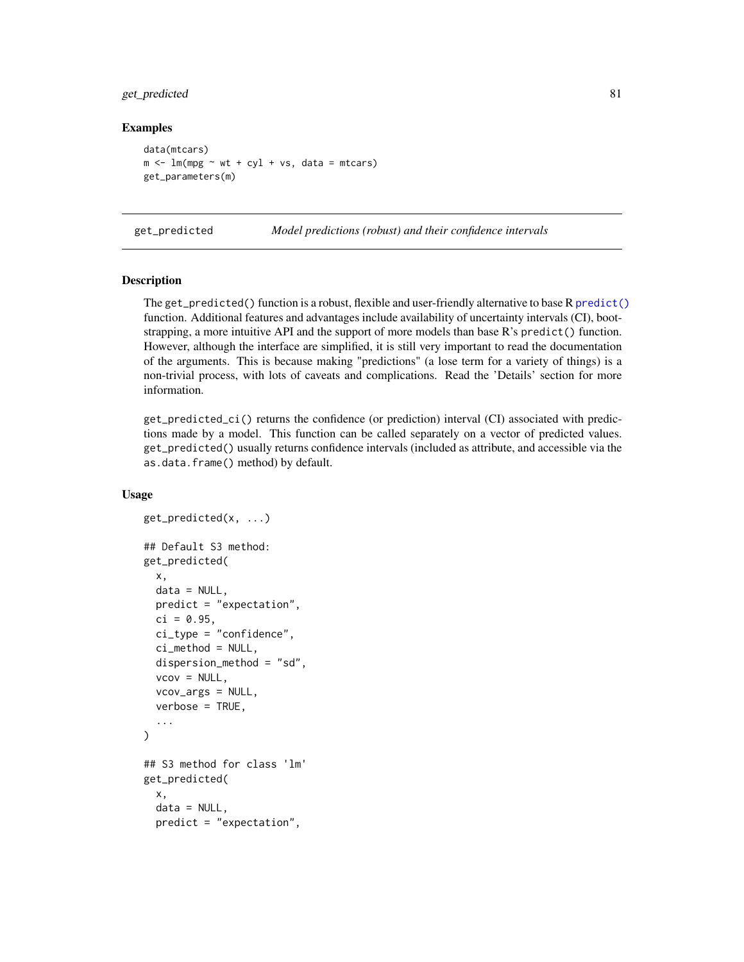# get\_predicted 81

### Examples

```
data(mtcars)
m \le - \ln(mpg \sim wt + cyl + vs, data = mtcars)get_parameters(m)
```
<span id="page-80-0"></span>

get\_predicted *Model predictions (robust) and their confidence intervals*

### Description

The get\_predicted() function is a robust, flexible and user-friendly alternative to base R [predict\(\)](#page-0-0) function. Additional features and advantages include availability of uncertainty intervals (CI), bootstrapping, a more intuitive API and the support of more models than base R's predict() function. However, although the interface are simplified, it is still very important to read the documentation of the arguments. This is because making "predictions" (a lose term for a variety of things) is a non-trivial process, with lots of caveats and complications. Read the 'Details' section for more information.

get\_predicted\_ci() returns the confidence (or prediction) interval (CI) associated with predictions made by a model. This function can be called separately on a vector of predicted values. get\_predicted() usually returns confidence intervals (included as attribute, and accessible via the as.data.frame() method) by default.

#### Usage

```
get_predicted(x, ...)
## Default S3 method:
get_predicted(
  x,
  data = NULL,
  predict = "expectation",
  ci = 0.95,ci_type = "confidence",
  ci_method = NULL,
  dispersion_method = "sd",
  vcov = NULL,vcov_args = NULL,
  verbose = TRUE,
  ...
\mathcal{L}## S3 method for class 'lm'
get_predicted(
  x,
  data = NULL,
  predict = "expectation",
```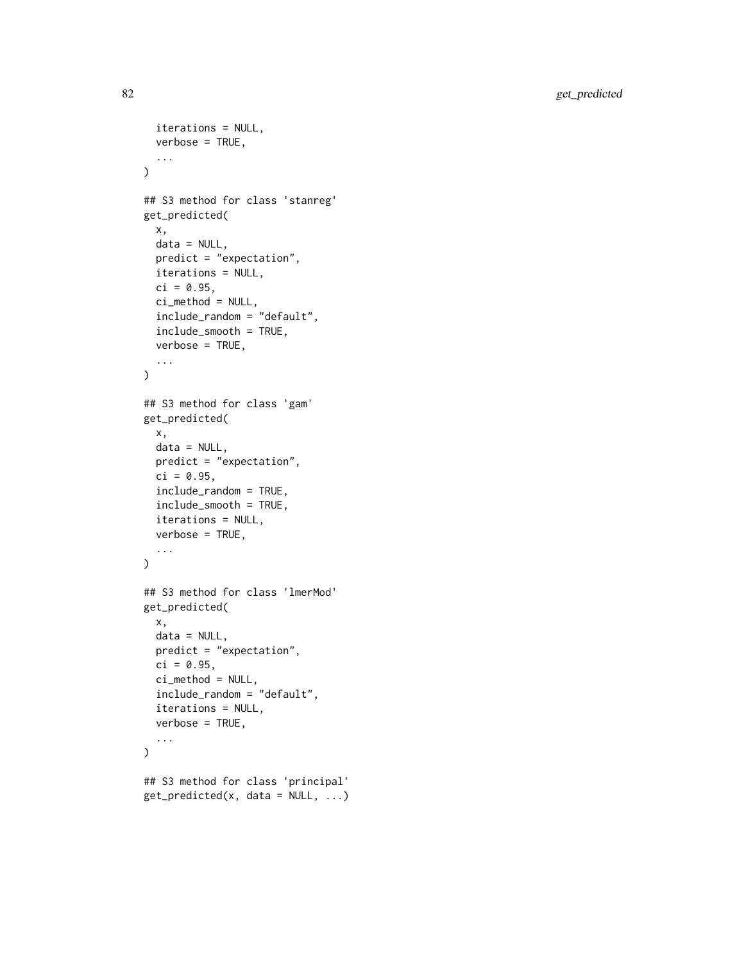82 get\_predicted

```
iterations = NULL,
 verbose = TRUE,
  ...
\lambda## S3 method for class 'stanreg'
get_predicted(
  x,
 data = NULL,
 predict = "expectation",
  iterations = NULL,
 ci = 0.95,ci_method = NULL,
  include_random = "default",
  include_smooth = TRUE,
  verbose = TRUE,
  ...
\mathcal{L}## S3 method for class 'gam'
get_predicted(
 x,
 data = NULL,predict = "expectation",
 ci = 0.95,include_random = TRUE,
  include_smooth = TRUE,
  iterations = NULL,
 verbose = TRUE,
  ...
\mathcal{L}## S3 method for class 'lmerMod'
get_predicted(
 x,
 data = NULL,
 predict = "expectation",
 ci = 0.95,ci_method = NULL,
  include_random = "default",
  iterations = NULL,
 verbose = TRUE,
  ...
\mathcal{L}## S3 method for class 'principal'
get\_predicted(x, data = NULL, ...)
```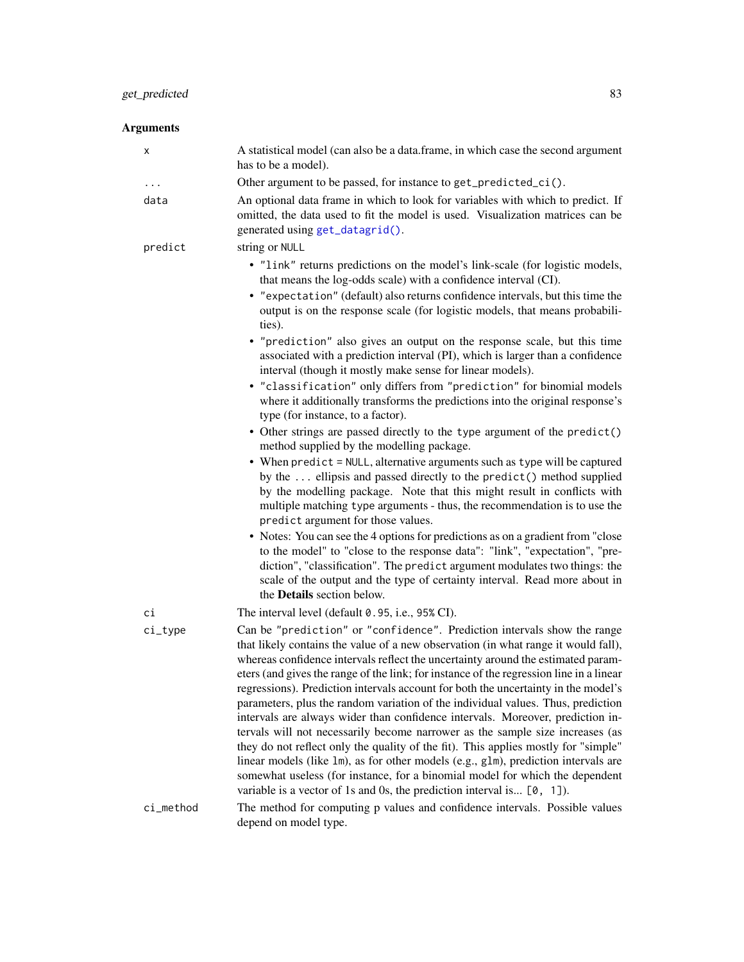| х         | A statistical model (can also be a data.frame, in which case the second argument<br>has to be a model).                                                                                                                                                                                                                                                                                                                                                                                                                                                                                                                                                                                                                                                                                                                                                                                                                                                                                                                          |  |
|-----------|----------------------------------------------------------------------------------------------------------------------------------------------------------------------------------------------------------------------------------------------------------------------------------------------------------------------------------------------------------------------------------------------------------------------------------------------------------------------------------------------------------------------------------------------------------------------------------------------------------------------------------------------------------------------------------------------------------------------------------------------------------------------------------------------------------------------------------------------------------------------------------------------------------------------------------------------------------------------------------------------------------------------------------|--|
|           | Other argument to be passed, for instance to get_predicted_ci().                                                                                                                                                                                                                                                                                                                                                                                                                                                                                                                                                                                                                                                                                                                                                                                                                                                                                                                                                                 |  |
| data      | An optional data frame in which to look for variables with which to predict. If<br>omitted, the data used to fit the model is used. Visualization matrices can be<br>generated using get_datagrid().                                                                                                                                                                                                                                                                                                                                                                                                                                                                                                                                                                                                                                                                                                                                                                                                                             |  |
| predict   | string or NULL                                                                                                                                                                                                                                                                                                                                                                                                                                                                                                                                                                                                                                                                                                                                                                                                                                                                                                                                                                                                                   |  |
|           | • "link" returns predictions on the model's link-scale (for logistic models,<br>that means the log-odds scale) with a confidence interval (CI).<br>• "expectation" (default) also returns confidence intervals, but this time the<br>output is on the response scale (for logistic models, that means probabili-<br>ties).                                                                                                                                                                                                                                                                                                                                                                                                                                                                                                                                                                                                                                                                                                       |  |
|           | • "prediction" also gives an output on the response scale, but this time<br>associated with a prediction interval (PI), which is larger than a confidence<br>interval (though it mostly make sense for linear models).                                                                                                                                                                                                                                                                                                                                                                                                                                                                                                                                                                                                                                                                                                                                                                                                           |  |
|           | • "classification" only differs from "prediction" for binomial models<br>where it additionally transforms the predictions into the original response's<br>type (for instance, to a factor).                                                                                                                                                                                                                                                                                                                                                                                                                                                                                                                                                                                                                                                                                                                                                                                                                                      |  |
|           | • Other strings are passed directly to the type argument of the predict()<br>method supplied by the modelling package.                                                                                                                                                                                                                                                                                                                                                                                                                                                                                                                                                                                                                                                                                                                                                                                                                                                                                                           |  |
|           | • When predict = NULL, alternative arguments such as type will be captured<br>by the  ellipsis and passed directly to the predict() method supplied<br>by the modelling package. Note that this might result in conflicts with<br>multiple matching type arguments - thus, the recommendation is to use the<br>predict argument for those values.                                                                                                                                                                                                                                                                                                                                                                                                                                                                                                                                                                                                                                                                                |  |
|           | • Notes: You can see the 4 options for predictions as on a gradient from "close"<br>to the model" to "close to the response data": "link", "expectation", "pre-<br>diction", "classification". The predict argument modulates two things: the<br>scale of the output and the type of certainty interval. Read more about in<br>the Details section below.                                                                                                                                                                                                                                                                                                                                                                                                                                                                                                                                                                                                                                                                        |  |
| сi        | The interval level (default 0.95, i.e., 95% CI).                                                                                                                                                                                                                                                                                                                                                                                                                                                                                                                                                                                                                                                                                                                                                                                                                                                                                                                                                                                 |  |
| $ci_type$ | Can be "prediction" or "confidence". Prediction intervals show the range<br>that likely contains the value of a new observation (in what range it would fall),<br>whereas confidence intervals reflect the uncertainty around the estimated param-<br>eters (and gives the range of the link; for instance of the regression line in a linear<br>regressions). Prediction intervals account for both the uncertainty in the model's<br>parameters, plus the random variation of the individual values. Thus, prediction<br>intervals are always wider than confidence intervals. Moreover, prediction in-<br>tervals will not necessarily become narrower as the sample size increases (as<br>they do not reflect only the quality of the fit). This applies mostly for "simple"<br>linear models (like 1m), as for other models (e.g., g1m), prediction intervals are<br>somewhat useless (for instance, for a binomial model for which the dependent<br>variable is a vector of 1s and 0s, the prediction interval is [0, 1]). |  |
| ci_method | The method for computing p values and confidence intervals. Possible values                                                                                                                                                                                                                                                                                                                                                                                                                                                                                                                                                                                                                                                                                                                                                                                                                                                                                                                                                      |  |
|           | depend on model type.                                                                                                                                                                                                                                                                                                                                                                                                                                                                                                                                                                                                                                                                                                                                                                                                                                                                                                                                                                                                            |  |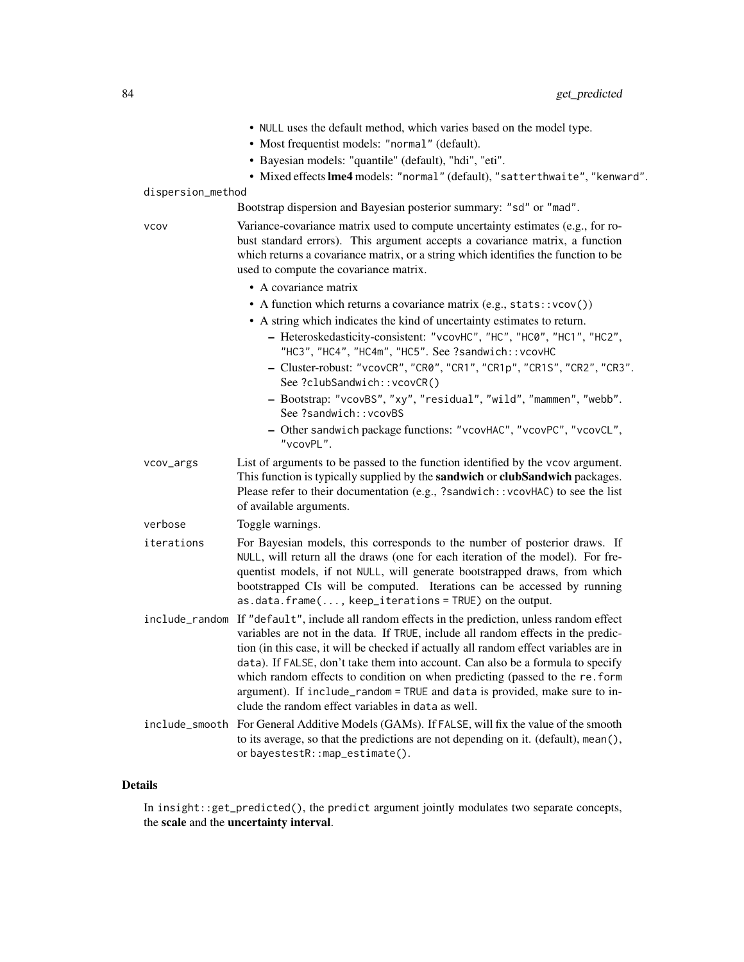- NULL uses the default method, which varies based on the model type.
- Most frequentist models: "normal" (default).
- Bayesian models: "quantile" (default), "hdi", "eti".
- Mixed effectslme4 models: "normal" (default), "satterthwaite", "kenward".

### dispersion\_method

Bootstrap dispersion and Bayesian posterior summary: "sd" or "mad".

vcov Variance-covariance matrix used to compute uncertainty estimates (e.g., for robust standard errors). This argument accepts a covariance matrix, a function which returns a covariance matrix, or a string which identifies the function to be used to compute the covariance matrix.

- A covariance matrix
- A function which returns a covariance matrix (e.g., stats::vcov())
- A string which indicates the kind of uncertainty estimates to return.
	- Heteroskedasticity-consistent: "vcovHC", "HC", "HC0", "HC1", "HC2", "HC3", "HC4", "HC4m", "HC5". See ?sandwich::vcovHC
	- Cluster-robust: "vcovCR", "CR0", "CR1", "CR1p", "CR1S", "CR2", "CR3". See ?clubSandwich::vcovCR()
	- Bootstrap: "vcovBS", "xy", "residual", "wild", "mammen", "webb". See ?sandwich::vcovBS
	- Other sandwich package functions: "vcovHAC", "vcovPC", "vcovCL", "vcovPL".
- vcov\_args List of arguments to be passed to the function identified by the vcov argument. This function is typically supplied by the **sandwich** or **clubSandwich** packages. Please refer to their documentation (e.g., ?sandwich::vcovHAC) to see the list of available arguments.

verbose Toggle warnings.

- iterations For Bayesian models, this corresponds to the number of posterior draws. If NULL, will return all the draws (one for each iteration of the model). For frequentist models, if not NULL, will generate bootstrapped draws, from which bootstrapped CIs will be computed. Iterations can be accessed by running as.data.frame(..., keep\_iterations = TRUE) on the output.
- include\_random If "default", include all random effects in the prediction, unless random effect variables are not in the data. If TRUE, include all random effects in the prediction (in this case, it will be checked if actually all random effect variables are in data). If FALSE, don't take them into account. Can also be a formula to specify which random effects to condition on when predicting (passed to the re.form argument). If include\_random = TRUE and data is provided, make sure to include the random effect variables in data as well.
- include\_smooth For General Additive Models (GAMs). If FALSE, will fix the value of the smooth to its average, so that the predictions are not depending on it. (default), mean(), or bayestestR::map\_estimate().

#### Details

In insight::get\_predicted(), the predict argument jointly modulates two separate concepts, the scale and the uncertainty interval.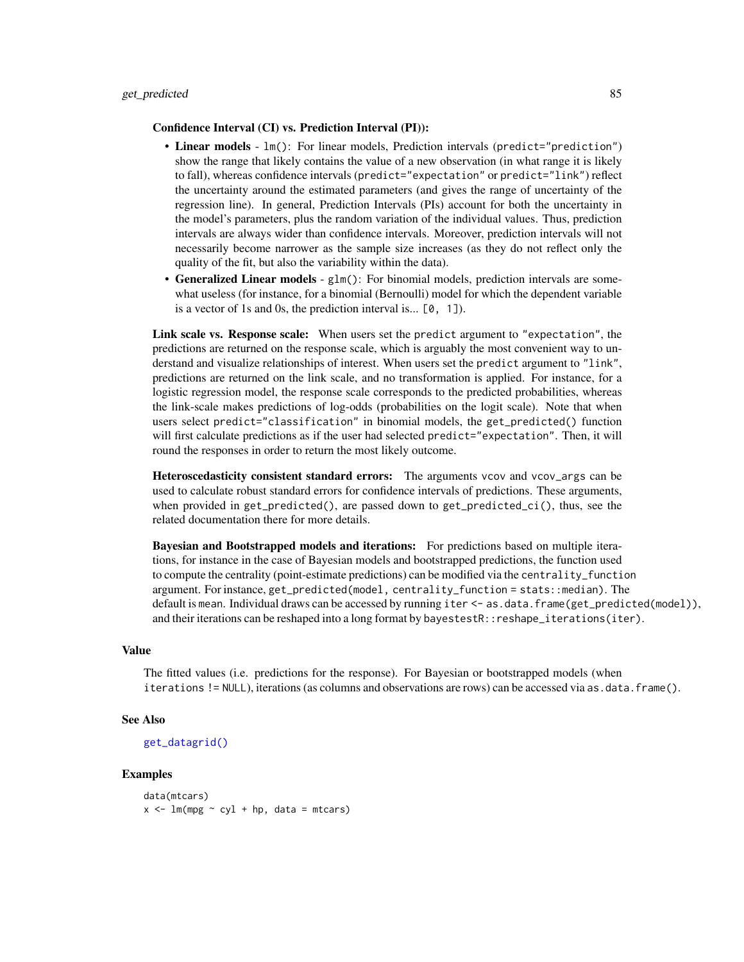#### Confidence Interval (CI) vs. Prediction Interval (PI)):

- Linear models  $lm()$ : For linear models, Prediction intervals (predict="prediction") show the range that likely contains the value of a new observation (in what range it is likely to fall), whereas confidence intervals (predict="expectation" or predict="link") reflect the uncertainty around the estimated parameters (and gives the range of uncertainty of the regression line). In general, Prediction Intervals (PIs) account for both the uncertainty in the model's parameters, plus the random variation of the individual values. Thus, prediction intervals are always wider than confidence intervals. Moreover, prediction intervals will not necessarily become narrower as the sample size increases (as they do not reflect only the quality of the fit, but also the variability within the data).
- Generalized Linear models glm(): For binomial models, prediction intervals are somewhat useless (for instance, for a binomial (Bernoulli) model for which the dependent variable is a vector of 1s and 0s, the prediction interval is...  $[0, 1]$ ).

Link scale vs. Response scale: When users set the predict argument to "expectation", the predictions are returned on the response scale, which is arguably the most convenient way to understand and visualize relationships of interest. When users set the predict argument to "link", predictions are returned on the link scale, and no transformation is applied. For instance, for a logistic regression model, the response scale corresponds to the predicted probabilities, whereas the link-scale makes predictions of log-odds (probabilities on the logit scale). Note that when users select predict="classification" in binomial models, the get\_predicted() function will first calculate predictions as if the user had selected predict="expectation". Then, it will round the responses in order to return the most likely outcome.

Heteroscedasticity consistent standard errors: The arguments vcov and vcov\_args can be used to calculate robust standard errors for confidence intervals of predictions. These arguments, when provided in get\_predicted(), are passed down to get\_predicted\_ci(), thus, see the related documentation there for more details.

Bayesian and Bootstrapped models and iterations: For predictions based on multiple iterations, for instance in the case of Bayesian models and bootstrapped predictions, the function used to compute the centrality (point-estimate predictions) can be modified via the centrality\_function argument. For instance, get\_predicted(model, centrality\_function = stats::median). The default is mean. Individual draws can be accessed by running iter <- as.data.frame(get\_predicted(model)), and their iterations can be reshaped into a long format by bayestestR::reshape\_iterations(iter).

### Value

The fitted values (i.e. predictions for the response). For Bayesian or bootstrapped models (when iterations != NULL), iterations (as columns and observations are rows) can be accessed via as.data.frame().

#### See Also

```
get_datagrid()
```

```
data(mtcars)
x \le - \ln(\text{mpg} \sim \text{cyl} + \text{hp}, \text{data} = \text{mtcars})
```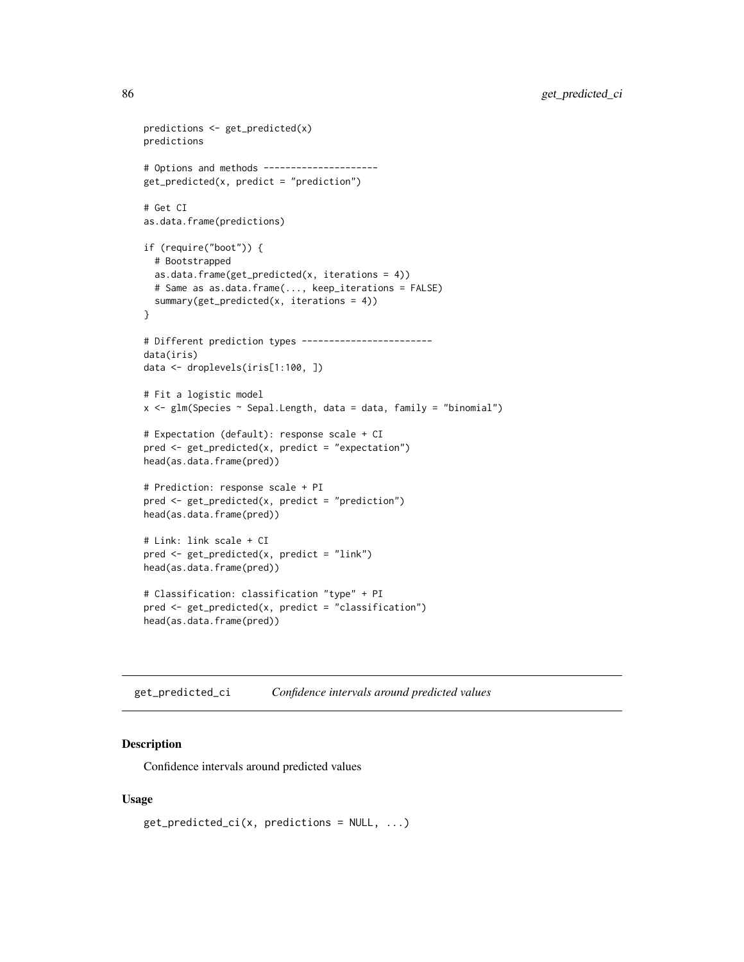```
predictions <- get_predicted(x)
predictions
# Options and methods ---------------------
get_predicted(x, predict = "prediction")
# Get CI
as.data.frame(predictions)
if (require("boot")) {
  # Bootstrapped
  as.data.frame(get_predicted(x, iterations = 4))
  # Same as as.data.frame(..., keep_iterations = FALSE)
  summary(get_predicted(x, iterations = 4))
}
# Different prediction types ------------------------
data(iris)
data <- droplevels(iris[1:100, ])
# Fit a logistic model
x \leq glm(Species \sim Sepal. Length, data = data, family = "binomial")
# Expectation (default): response scale + CI
pred <- get_predicted(x, predict = "expectation")
head(as.data.frame(pred))
# Prediction: response scale + PI
pred <- get_predicted(x, predict = "prediction")
head(as.data.frame(pred))
# Link: link scale + CI
pred <- get_predicted(x, predict = "link")
head(as.data.frame(pred))
# Classification: classification "type" + PI
pred <- get_predicted(x, predict = "classification")
head(as.data.frame(pred))
```

```
get_predicted_ci Confidence intervals around predicted values
```
### Description

Confidence intervals around predicted values

# Usage

```
get\_predicted\_ci(x, predictions = NULL, ...)
```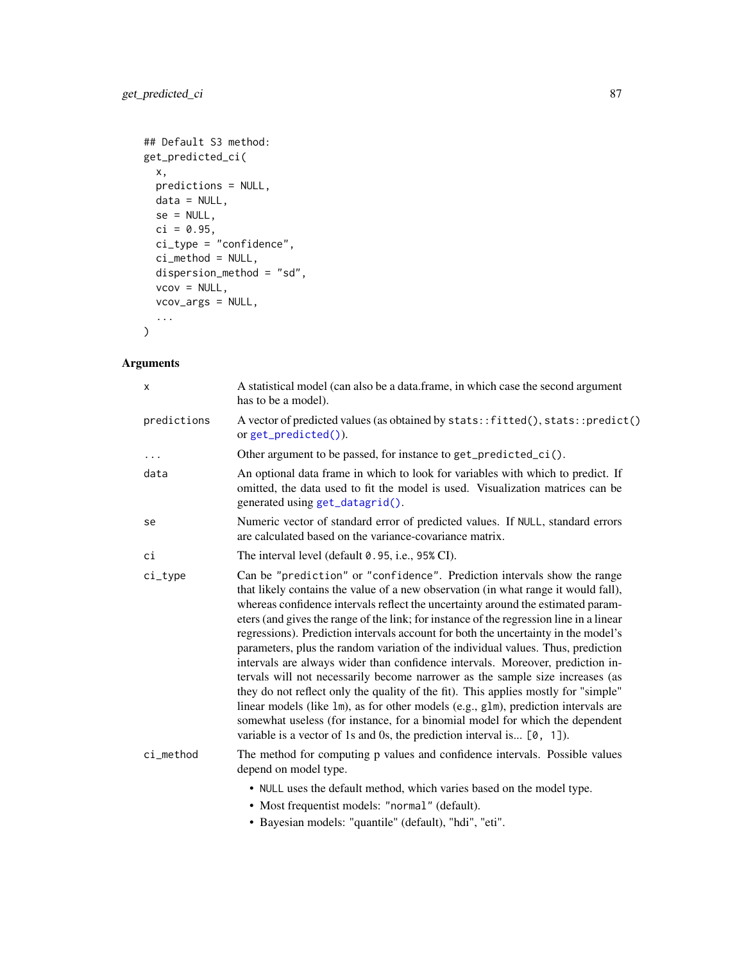```
## Default S3 method:
get_predicted_ci(
 x,
 predictions = NULL,
 data = NULL,
 se = NULL,ci = 0.95,ci_type = 'confidence',ci_method = NULL,
 dispersion_method = "sd",
 vcov = NULL,vcov_args = NULL,
  ...
\mathcal{L}
```

| X           | A statistical model (can also be a data.frame, in which case the second argument<br>has to be a model).                                                                                                                                                                                                                                                                                                                                                                                                                                                                                                                                                                                                                                                                                                                                                                                                                                                                                                                            |  |
|-------------|------------------------------------------------------------------------------------------------------------------------------------------------------------------------------------------------------------------------------------------------------------------------------------------------------------------------------------------------------------------------------------------------------------------------------------------------------------------------------------------------------------------------------------------------------------------------------------------------------------------------------------------------------------------------------------------------------------------------------------------------------------------------------------------------------------------------------------------------------------------------------------------------------------------------------------------------------------------------------------------------------------------------------------|--|
| predictions | A vector of predicted values (as obtained by stats:: fitted(), stats:: predict()<br>orget_predicted()).                                                                                                                                                                                                                                                                                                                                                                                                                                                                                                                                                                                                                                                                                                                                                                                                                                                                                                                            |  |
| $\ddots$    | Other argument to be passed, for instance to get_predicted_ci().                                                                                                                                                                                                                                                                                                                                                                                                                                                                                                                                                                                                                                                                                                                                                                                                                                                                                                                                                                   |  |
| data        | An optional data frame in which to look for variables with which to predict. If<br>omitted, the data used to fit the model is used. Visualization matrices can be<br>generated using get_datagrid().                                                                                                                                                                                                                                                                                                                                                                                                                                                                                                                                                                                                                                                                                                                                                                                                                               |  |
| se          | Numeric vector of standard error of predicted values. If NULL, standard errors<br>are calculated based on the variance-covariance matrix.                                                                                                                                                                                                                                                                                                                                                                                                                                                                                                                                                                                                                                                                                                                                                                                                                                                                                          |  |
| сi          | The interval level (default 0.95, i.e., 95% CI).                                                                                                                                                                                                                                                                                                                                                                                                                                                                                                                                                                                                                                                                                                                                                                                                                                                                                                                                                                                   |  |
| $ci_type$   | Can be "prediction" or "confidence". Prediction intervals show the range<br>that likely contains the value of a new observation (in what range it would fall),<br>whereas confidence intervals reflect the uncertainty around the estimated param-<br>eters (and gives the range of the link; for instance of the regression line in a linear<br>regressions). Prediction intervals account for both the uncertainty in the model's<br>parameters, plus the random variation of the individual values. Thus, prediction<br>intervals are always wider than confidence intervals. Moreover, prediction in-<br>tervals will not necessarily become narrower as the sample size increases (as<br>they do not reflect only the quality of the fit). This applies mostly for "simple"<br>linear models (like 1m), as for other models (e.g., g1m), prediction intervals are<br>somewhat useless (for instance, for a binomial model for which the dependent<br>variable is a vector of 1s and 0s, the prediction interval is $[0, 1]$ . |  |
| ci method   | The method for computing p values and confidence intervals. Possible values<br>depend on model type.                                                                                                                                                                                                                                                                                                                                                                                                                                                                                                                                                                                                                                                                                                                                                                                                                                                                                                                               |  |
|             | • NULL uses the default method, which varies based on the model type.<br>• Most frequentist models: "normal" (default).                                                                                                                                                                                                                                                                                                                                                                                                                                                                                                                                                                                                                                                                                                                                                                                                                                                                                                            |  |

• Bayesian models: "quantile" (default), "hdi", "eti".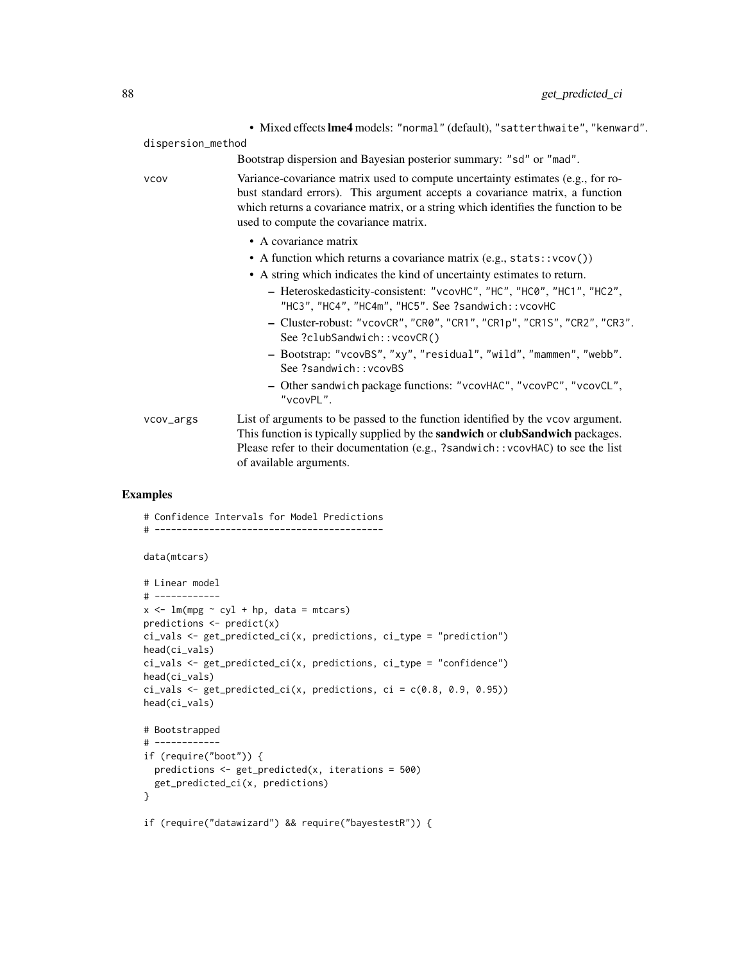|                                                                         |                   | . Mixed effects lme4 models: "normal" (default), "satterthwaite", "kenward".                                                                                                                                                                                                                    |
|-------------------------------------------------------------------------|-------------------|-------------------------------------------------------------------------------------------------------------------------------------------------------------------------------------------------------------------------------------------------------------------------------------------------|
|                                                                         | dispersion_method |                                                                                                                                                                                                                                                                                                 |
|                                                                         |                   | Bootstrap dispersion and Bayesian posterior summary: "sd" or "mad".                                                                                                                                                                                                                             |
| <b>VCOV</b>                                                             |                   | Variance-covariance matrix used to compute uncertainty estimates (e.g., for ro-<br>bust standard errors). This argument accepts a covariance matrix, a function<br>which returns a covariance matrix, or a string which identifies the function to be<br>used to compute the covariance matrix. |
|                                                                         |                   | • A covariance matrix                                                                                                                                                                                                                                                                           |
| • A function which returns a covariance matrix $(e.g., stats::vcov())$  |                   |                                                                                                                                                                                                                                                                                                 |
| • A string which indicates the kind of uncertainty estimates to return. |                   |                                                                                                                                                                                                                                                                                                 |
|                                                                         |                   | - Heteroskedasticity-consistent: "vcovHC", "HC", "HC0", "HC1", "HC2",<br>"HC3", "HC4", "HC4m", "HC5". See ?sandwich:: vcovHC                                                                                                                                                                    |
|                                                                         |                   | - Cluster-robust: "vcovCR", "CR0", "CR1", "CR1p", "CR1S", "CR2", "CR3".<br>See ?clubSandwich::vcovCR()                                                                                                                                                                                          |
|                                                                         |                   | - Bootstrap: "vcovBS", "xy", "residual", "wild", "mammen", "webb".<br>See ?sandwich:: vcovBS                                                                                                                                                                                                    |
|                                                                         |                   | - Other sandwich package functions: "vcovHAC", "vcovPC", "vcovCL",<br>"vcovPL".                                                                                                                                                                                                                 |
|                                                                         | vcov_args         | List of arguments to be passed to the function identified by the vcov argument.<br>This function is typically supplied by the <b>sandwich</b> or <b>clubSandwich</b> packages.<br>Please refer to their documentation (e.g., ?sandwich::vcovHAC) to see the list<br>of available arguments.     |

```
# Confidence Intervals for Model Predictions
# ------------------------------------------
data(mtcars)
# Linear model
# ------------
x \leftarrow \text{lm(mpg} \sim \text{cyl} + \text{hp}, \text{ data} = \text{mtcars}predictions <- predict(x)
ci_vals <- get_predicted_ci(x, predictions, ci_type = "prediction")
head(ci_vals)
ci_vals <- get_predicted_ci(x, predictions, ci_type = "confidence")
head(ci_vals)
ci_vals \leq get_predicted_ci(x, predictions, ci = c(0.8, 0.9, 0.95))
head(ci_vals)
# Bootstrapped
# ------------
if (require("boot")) {
  predictions <- get_predicted(x, iterations = 500)
  get_predicted_ci(x, predictions)
}
if (require("datawizard") && require("bayestestR")) {
```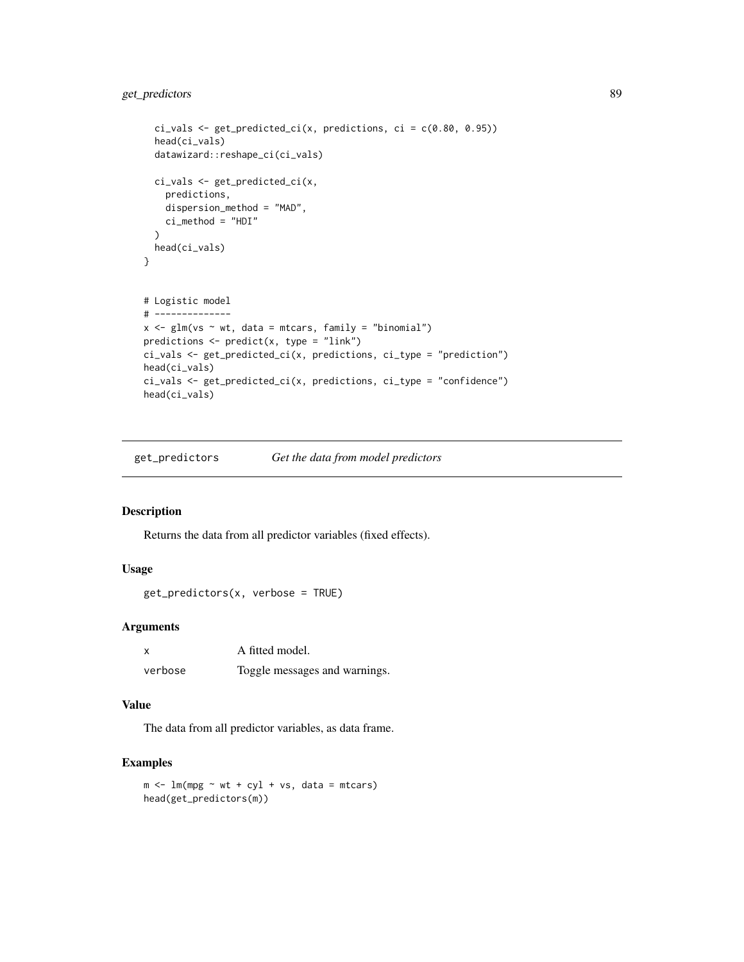```
ci_values < - get\_predicted_ci(x, predictions, ci = c(0.80, 0.95))head(ci_vals)
  datawizard::reshape_ci(ci_vals)
  ci_vals <- get_predicted_ci(x,
    predictions,
    dispersion_method = "MAD",
    ci_method = "HDI"
  \lambdahead(ci_vals)
}
# Logistic model
# --------------
x \leq -g \ln(\nu s \sim wt, data = m \tan s, family = "binomial")predictions <- predict(x, type = "link")
ci_vals <- get_predicted_ci(x, predictions, ci_type = "prediction")
head(ci_vals)
ci_vals <- get_predicted_ci(x, predictions, ci_type = "confidence")
head(ci_vals)
```
get\_predictors *Get the data from model predictors*

### Description

Returns the data from all predictor variables (fixed effects).

# Usage

```
get_predictors(x, verbose = TRUE)
```
# Arguments

| X       | A fitted model.               |
|---------|-------------------------------|
| verbose | Toggle messages and warnings. |

#### Value

The data from all predictor variables, as data frame.

```
m \le - \ln(mpg \sim wt + cyl + vs, data = mtcars)head(get_predictors(m))
```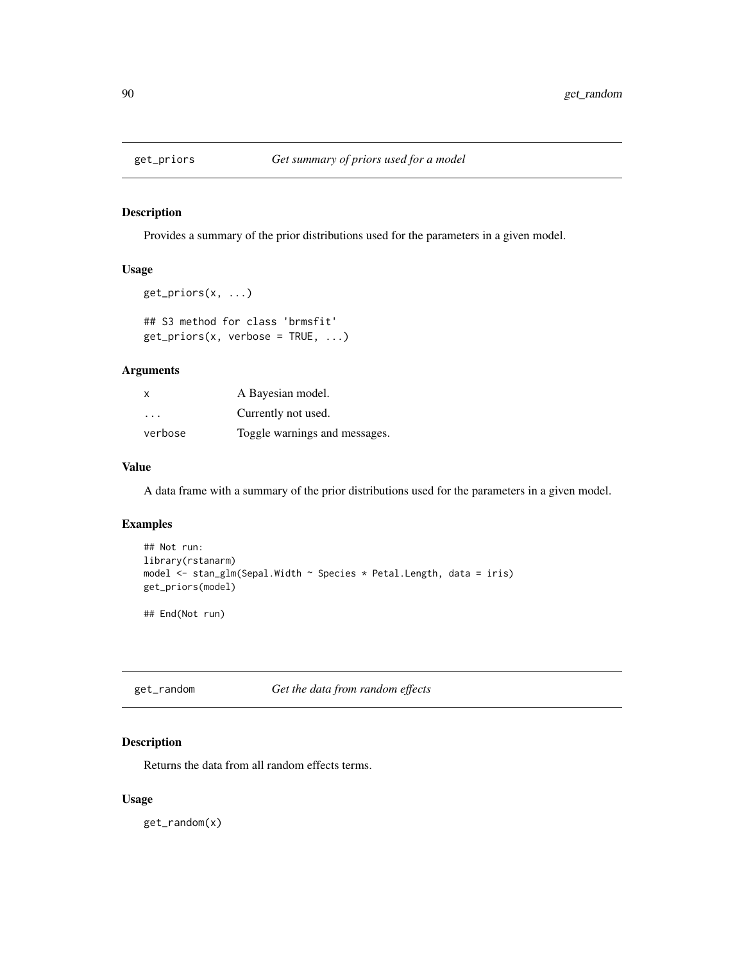# Description

Provides a summary of the prior distributions used for the parameters in a given model.

# Usage

```
get_priors(x, ...)
## S3 method for class 'brmsfit'
get_priors(x, verbose = TRUE, ...)
```
# Arguments

| X       | A Bayesian model.             |
|---------|-------------------------------|
| $\cdot$ | Currently not used.           |
| verbose | Toggle warnings and messages. |

# Value

A data frame with a summary of the prior distributions used for the parameters in a given model.

# Examples

```
## Not run:
library(rstanarm)
model <- stan_glm(Sepal.Width ~ Species * Petal.Length, data = iris)
get_priors(model)
```
## End(Not run)

get\_random *Get the data from random effects*

# Description

Returns the data from all random effects terms.

# Usage

get\_random(x)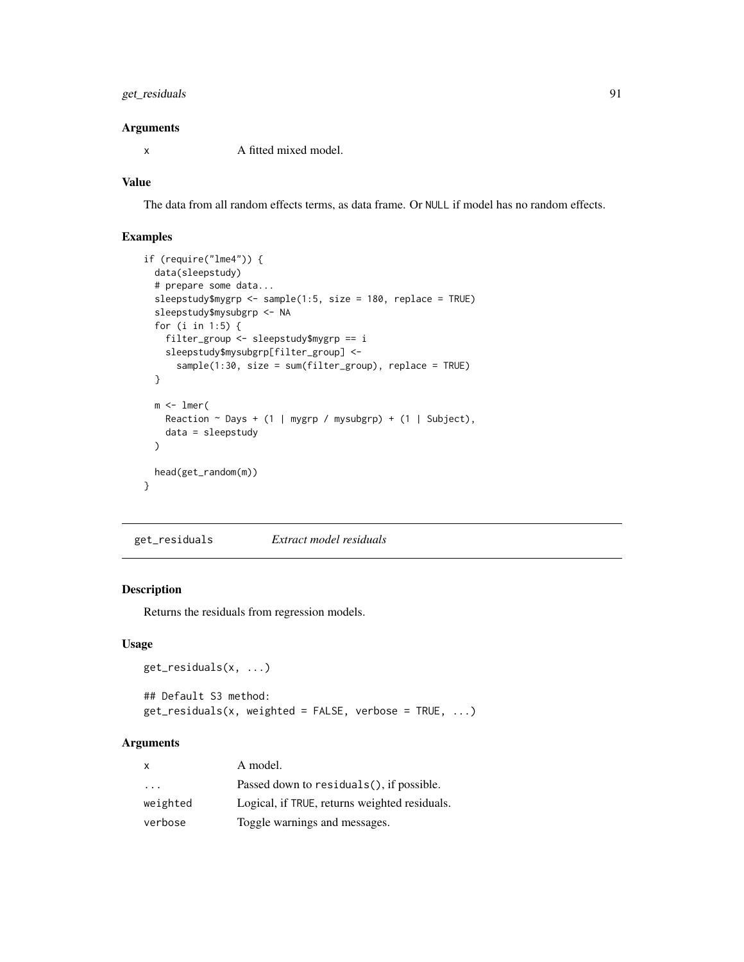# get\_residuals 91

# Arguments

x A fitted mixed model.

# Value

The data from all random effects terms, as data frame. Or NULL if model has no random effects.

# Examples

```
if (require("lme4")) {
 data(sleepstudy)
 # prepare some data...
 sleepstudy$mygrp <- sample(1:5, size = 180, replace = TRUE)
 sleepstudy$mysubgrp <- NA
 for (i in 1:5) {
   filter_group <- sleepstudy$mygrp == i
   sleepstudy$mysubgrp[filter_group] <-
      sample(1:30, size = sum(filter_group), replace = TRUE)
 }
 m \leq 1mer(
   Reaction \sim Days + (1 | mygrp / mysubgrp) + (1 | Subject),
   data = sleepstudy
 )
 head(get_random(m))
}
```
get\_residuals *Extract model residuals*

# Description

Returns the residuals from regression models.

#### Usage

```
get_residuals(x, ...)
## Default S3 method:
get\_residuals(x, weighted = FALSE, verbose = TRUE, ...)
```
# Arguments

| x                       | A model.                                      |
|-------------------------|-----------------------------------------------|
| $\cdot$ $\cdot$ $\cdot$ | Passed down to residuals(), if possible.      |
| weighted                | Logical, if TRUE, returns weighted residuals. |
| verbose                 | Toggle warnings and messages.                 |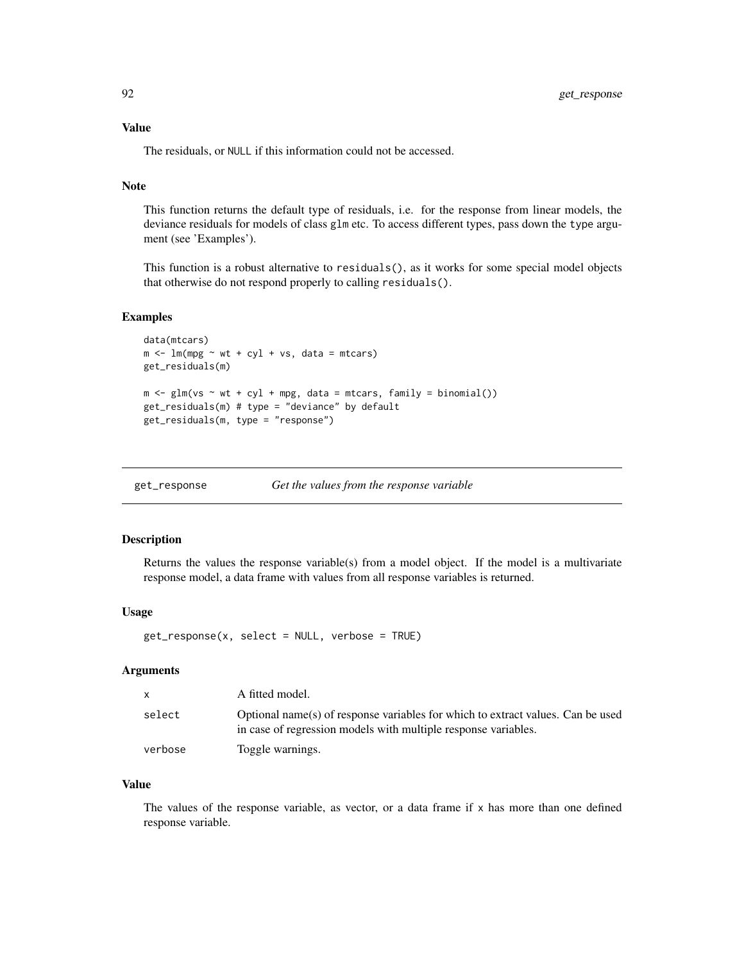### Value

The residuals, or NULL if this information could not be accessed.

# Note

This function returns the default type of residuals, i.e. for the response from linear models, the deviance residuals for models of class glm etc. To access different types, pass down the type argument (see 'Examples').

This function is a robust alternative to residuals(), as it works for some special model objects that otherwise do not respond properly to calling residuals().

#### Examples

```
data(mtcars)
m \le - \ln(mpg \sim wt + cyl + vs, data = mtcars)get_residuals(m)
m \leq -g \ln(\nu s \sim wt + cyl + mpg, data = mtcars, family = binomial())get_residuals(m) # type = "deviance" by default
get_residuals(m, type = "response")
```
#### Description

Returns the values the response variable(s) from a model object. If the model is a multivariate response model, a data frame with values from all response variables is returned.

#### Usage

get\_response(x, select = NULL, verbose = TRUE)

# Arguments

| $\mathsf{x}$ | A fitted model.                                                                                                                                   |
|--------------|---------------------------------------------------------------------------------------------------------------------------------------------------|
| select       | Optional name(s) of response variables for which to extract values. Can be used<br>in case of regression models with multiple response variables. |
| verbose      | Toggle warnings.                                                                                                                                  |

# Value

The values of the response variable, as vector, or a data frame if  $x$  has more than one defined response variable.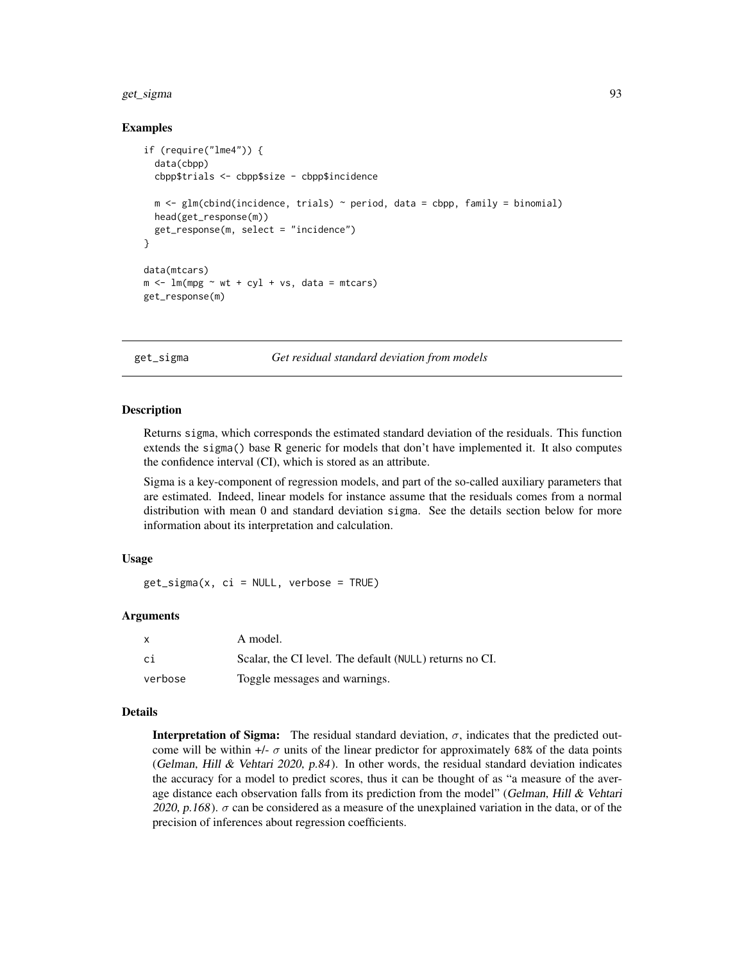#### get\_sigma 93

### Examples

```
if (require("lme4")) {
 data(cbpp)
 cbpp$trials <- cbpp$size - cbpp$incidence
 m \leftarrow glm(clind(incidence, trials) \sim period, data = cbpp, family = binomial)head(get_response(m))
 get_response(m, select = "incidence")
}
data(mtcars)
m \le - \ln(mpg \sim wt + cyl + vs, data = mtcars)get_response(m)
```
get\_sigma *Get residual standard deviation from models*

#### **Description**

Returns sigma, which corresponds the estimated standard deviation of the residuals. This function extends the sigma() base R generic for models that don't have implemented it. It also computes the confidence interval (CI), which is stored as an attribute.

Sigma is a key-component of regression models, and part of the so-called auxiliary parameters that are estimated. Indeed, linear models for instance assume that the residuals comes from a normal distribution with mean 0 and standard deviation sigma. See the details section below for more information about its interpretation and calculation.

# Usage

get\_sigma(x, ci = NULL, verbose = TRUE)

#### Arguments

|         | A model.                                                |
|---------|---------------------------------------------------------|
| -ci     | Scalar, the CI level. The default (NULL) returns no CI. |
| verbose | Toggle messages and warnings.                           |

#### Details

**Interpretation of Sigma:** The residual standard deviation,  $\sigma$ , indicates that the predicted outcome will be within  $+/- \sigma$  units of the linear predictor for approximately 68% of the data points (Gelman, Hill & Vehtari 2020,  $p.84$ ). In other words, the residual standard deviation indicates the accuracy for a model to predict scores, thus it can be thought of as "a measure of the average distance each observation falls from its prediction from the model" (Gelman, Hill  $\&$  Vehtari 2020, p.168).  $\sigma$  can be considered as a measure of the unexplained variation in the data, or of the precision of inferences about regression coefficients.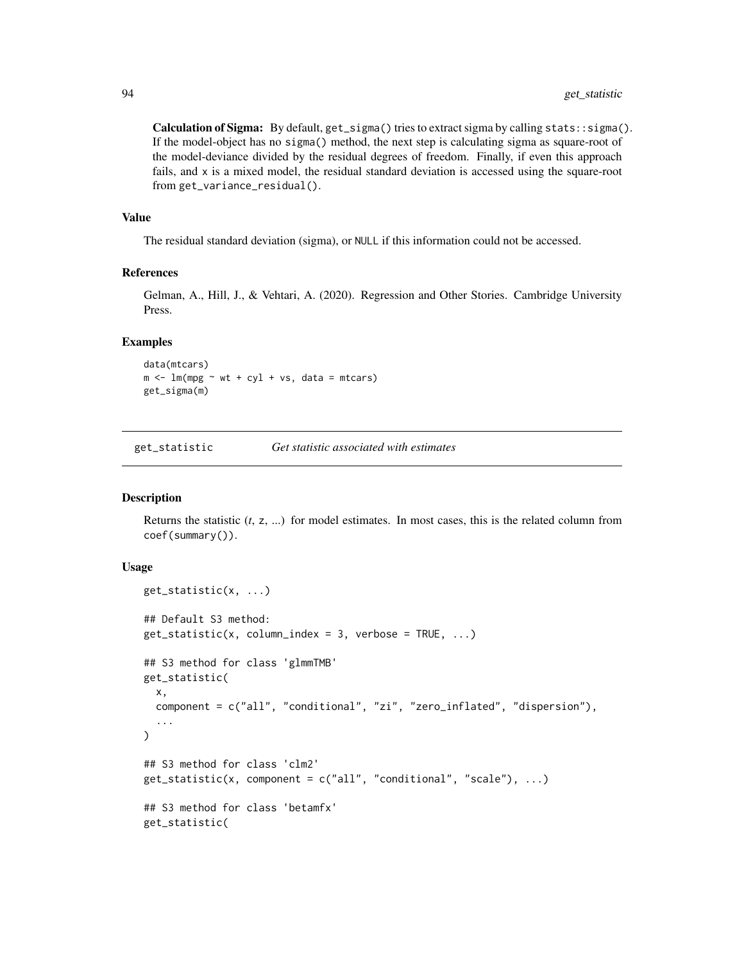Calculation of Sigma: By default, get\_sigma() tries to extract sigma by calling stats::sigma(). If the model-object has no sigma() method, the next step is calculating sigma as square-root of the model-deviance divided by the residual degrees of freedom. Finally, if even this approach fails, and x is a mixed model, the residual standard deviation is accessed using the square-root from get\_variance\_residual().

#### Value

The residual standard deviation (sigma), or NULL if this information could not be accessed.

# References

Gelman, A., Hill, J., & Vehtari, A. (2020). Regression and Other Stories. Cambridge University Press.

#### Examples

```
data(mtcars)
m \le - \ln(mpg \sim wt + cyl + vs, data = mtcars)get_sigma(m)
```
get\_statistic *Get statistic associated with estimates*

### Description

Returns the statistic (*t*, z, ...) for model estimates. In most cases, this is the related column from coef(summary()).

### Usage

```
get_statistic(x, ...)
## Default S3 method:
get\_statistic(x, column_index = 3, verbose = TRUE, ...)## S3 method for class 'glmmTMB'
get_statistic(
  x,
  component = c("all", "conditional", "zi", "zero_inflated", "dispersion"),
  ...
\lambda## S3 method for class 'clm2'
get\_statistic(x, component = c("all", "conditional", "scale"), ...)## S3 method for class 'betamfx'
get_statistic(
```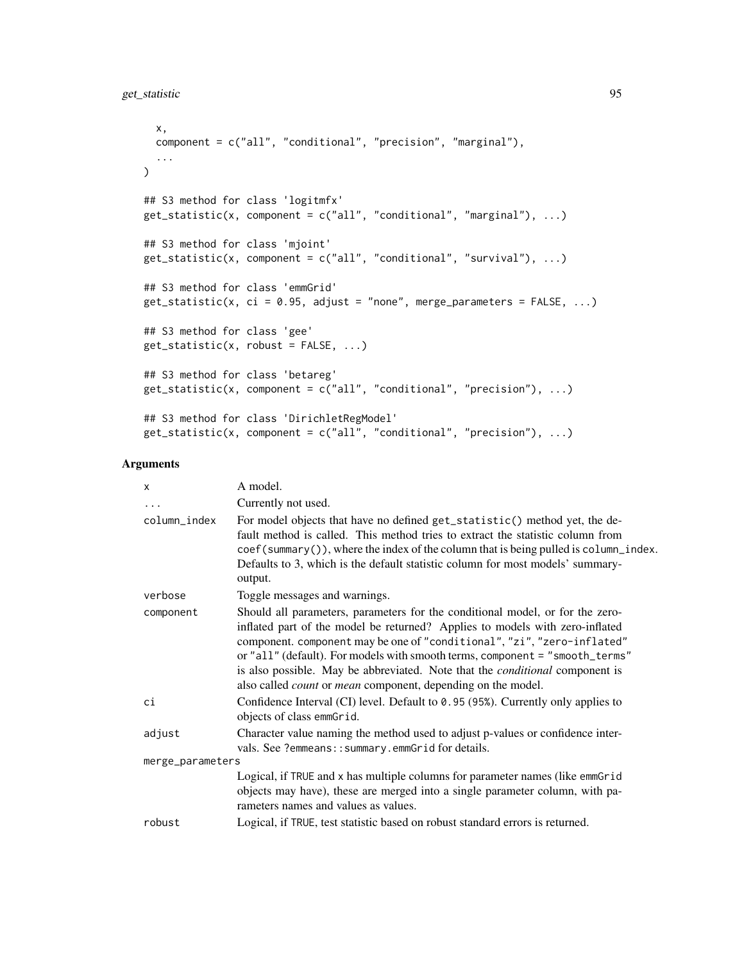```
x,
 component = c("all", "conditional", "precision", "marginal"),
  ...
\lambda## S3 method for class 'logitmfx'
get_statistic(x, component = c("all", "conditional", "marginal"), ...)
## S3 method for class 'mjoint'
get_statistic(x, component = c("all", "conditional", "survival"), ...)
## S3 method for class 'emmGrid'
get\_statistic(x, ci = 0.95, adjust = "none", merge\_parameters = FALSE, ...)## S3 method for class 'gee'
get_statistic(x, robust = FALSE, ...)
## S3 method for class 'betareg'
get\_statistic(x, component = c("all", "conditional", "precision"), ...)## S3 method for class 'DirichletRegModel'
get\_statistic(x, component = c("all", "conditional", "precision"), ...)
```

| $\times$         | A model.                                                                                                                                                                                                                                                                                                                                                                                                                                                                                      |
|------------------|-----------------------------------------------------------------------------------------------------------------------------------------------------------------------------------------------------------------------------------------------------------------------------------------------------------------------------------------------------------------------------------------------------------------------------------------------------------------------------------------------|
| $\ddots$ .       | Currently not used.                                                                                                                                                                                                                                                                                                                                                                                                                                                                           |
| column_index     | For model objects that have no defined get_statistic() method yet, the de-<br>fault method is called. This method tries to extract the statistic column from<br>$\text{coef}(\text{summary}())$ , where the index of the column that is being pulled is column_index.<br>Defaults to 3, which is the default statistic column for most models' summary-<br>output.                                                                                                                            |
| verbose          | Toggle messages and warnings.                                                                                                                                                                                                                                                                                                                                                                                                                                                                 |
| component        | Should all parameters, parameters for the conditional model, or for the zero-<br>inflated part of the model be returned? Applies to models with zero-inflated<br>component. component may be one of "conditional", "zi", "zero-inflated"<br>or "all" (default). For models with smooth terms, component = "smooth_terms"<br>is also possible. May be abbreviated. Note that the <i>conditional</i> component is<br>also called <i>count</i> or <i>mean</i> component, depending on the model. |
| сi               | Confidence Interval (CI) level. Default to 0.95 (95%). Currently only applies to<br>objects of class emmGrid.                                                                                                                                                                                                                                                                                                                                                                                 |
| adjust           | Character value naming the method used to adjust p-values or confidence inter-<br>vals. See ?emmeans:: summary.emmGrid for details.                                                                                                                                                                                                                                                                                                                                                           |
| merge_parameters |                                                                                                                                                                                                                                                                                                                                                                                                                                                                                               |
|                  | Logical, if TRUE and x has multiple columns for parameter names (like emmGrid<br>objects may have), these are merged into a single parameter column, with pa-<br>rameters names and values as values.                                                                                                                                                                                                                                                                                         |
| robust           | Logical, if TRUE, test statistic based on robust standard errors is returned.                                                                                                                                                                                                                                                                                                                                                                                                                 |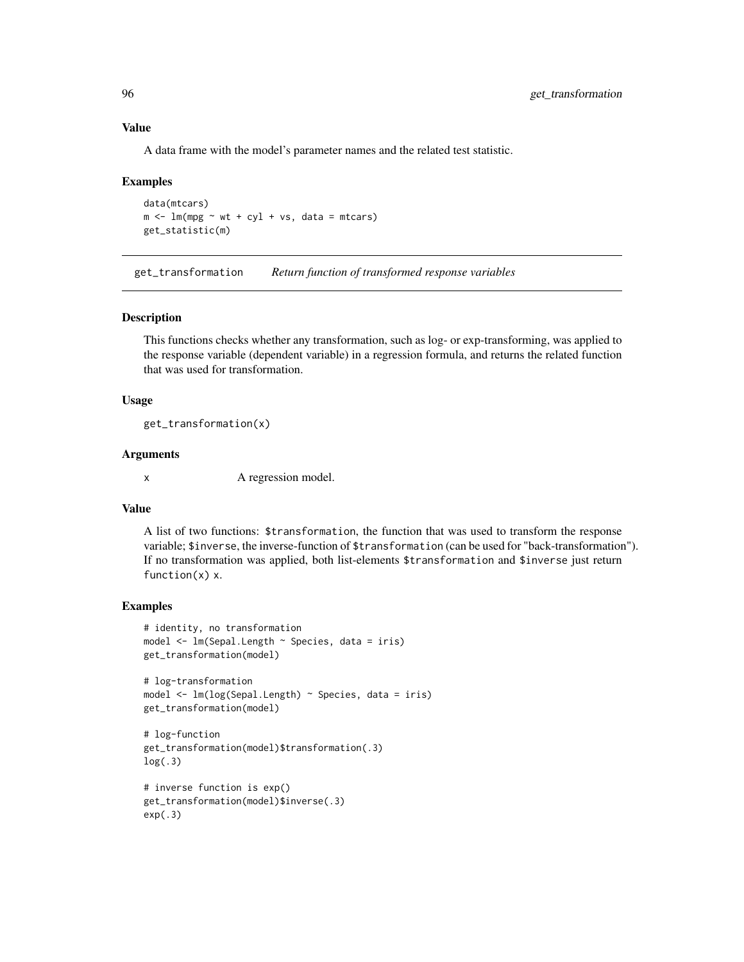#### Value

A data frame with the model's parameter names and the related test statistic.

### Examples

```
data(mtcars)
m \le - \ln(mpg \sim wt + cyl + vs, data = mtcars)get_statistic(m)
```
get\_transformation *Return function of transformed response variables*

#### Description

This functions checks whether any transformation, such as log- or exp-transforming, was applied to the response variable (dependent variable) in a regression formula, and returns the related function that was used for transformation.

### Usage

get\_transformation(x)

#### **Arguments**

x A regression model.

#### Value

A list of two functions: \$transformation, the function that was used to transform the response variable; \$inverse, the inverse-function of \$transformation (can be used for "back-transformation"). If no transformation was applied, both list-elements \$transformation and \$inverse just return function(x) x.

```
# identity, no transformation
model <- lm(Sepal.Length ~ Species, data = iris)
get_transformation(model)
```

```
# log-transformation
model <- lm(log(Sepal.Length) ~ Species, data = iris)
get_transformation(model)
```

```
# log-function
get_transformation(model)$transformation(.3)
log(.3)
```

```
# inverse function is exp()
get_transformation(model)$inverse(.3)
exp(.3)
```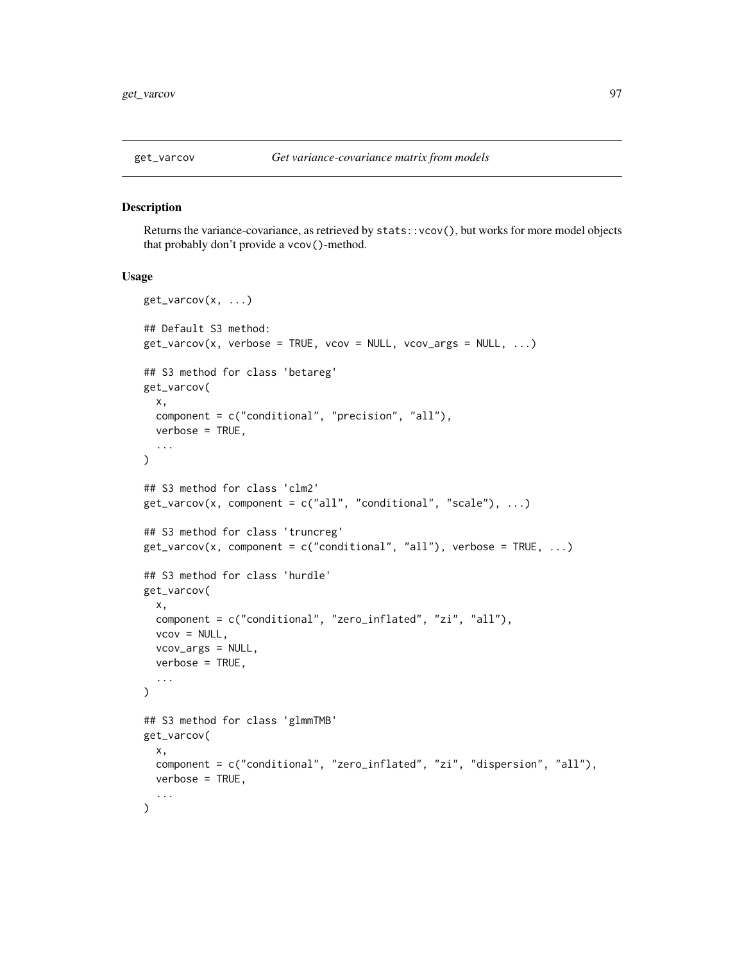#### Description

Returns the variance-covariance, as retrieved by stats::vcov(), but works for more model objects that probably don't provide a vcov()-method.

#### Usage

```
get_varcov(x, ...)
## Default S3 method:
get\_varcov(x, verbose = TRUE, vcov = NULL, vcov_args = NULL, ...)
## S3 method for class 'betareg'
get_varcov(
  x,
  component = c("conditional", "precision", "all"),
 verbose = TRUE,
  ...
)
## S3 method for class 'clm2'
get\_varcov(x, component = c("all", "conditional", "scale"), ...)## S3 method for class 'truncreg'
get\_varcov(x, component = c("conditional", "all"), verbose = TRUE, ...)## S3 method for class 'hurdle'
get_varcov(
  x,
  component = c("conditional", "zero_inflated", "zi", "all"),
  vcov = NULL,vcov_args = NULL,
  verbose = TRUE,
  ...
)
## S3 method for class 'glmmTMB'
get_varcov(
  x,
 component = c("conditional", "zero_inflated", "zi", "dispersion", "all"),
 verbose = TRUE,
  ...
)
```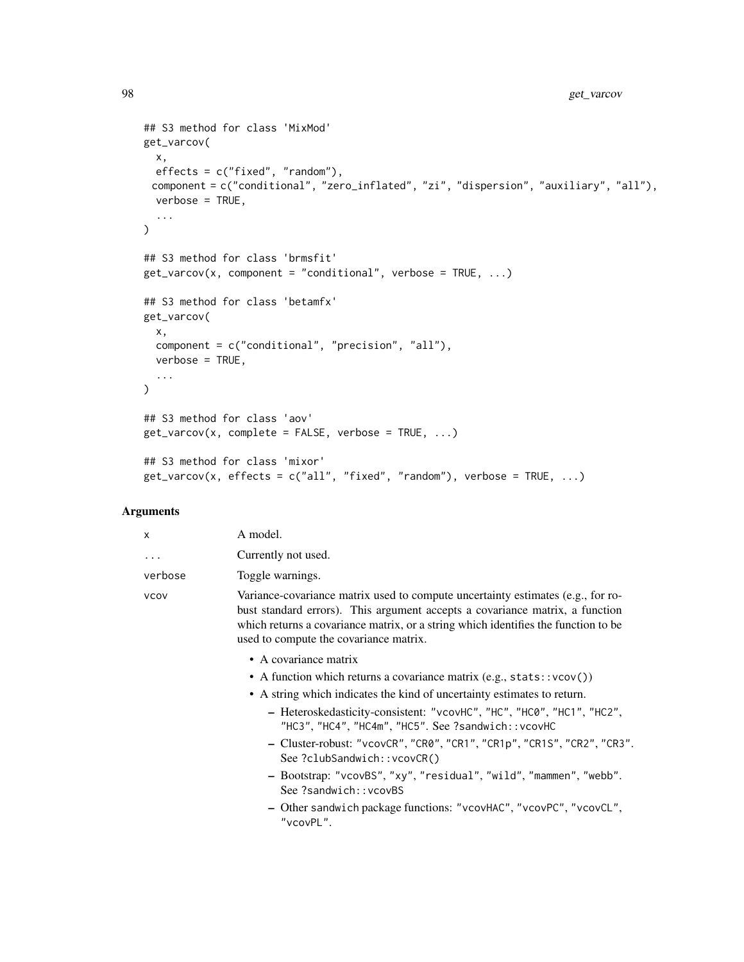```
## S3 method for class 'MixMod'
get_varcov(
 x,
 effects = c("fixed", "random"),
 component = c("conditional", "zero_inflated", "zi", "dispersion", "auxiliary", "all"),
 verbose = TRUE,
  ...
\mathcal{L}## S3 method for class 'brmsfit'
get\_varcov(x, component = "conditional", verbose = TRUE, ...)## S3 method for class 'betamfx'
get_varcov(
  x,
  component = c("conditional", "precision", "all"),
  verbose = TRUE,
  ...
\mathcal{L}## S3 method for class 'aov'
get\_varcov(x, complete = FALSE, verbose = TRUE, ...)## S3 method for class 'mixor'
get\_varcov(x, effects = c("all", "fixed", "random"), verbose = TRUE, ...)
```

| $\mathsf{x}$ | A model.                                                                                                                                                                                                                                                                                        |
|--------------|-------------------------------------------------------------------------------------------------------------------------------------------------------------------------------------------------------------------------------------------------------------------------------------------------|
| $\cdots$     | Currently not used.                                                                                                                                                                                                                                                                             |
| verbose      | Toggle warnings.                                                                                                                                                                                                                                                                                |
| <b>VCOV</b>  | Variance-covariance matrix used to compute uncertainty estimates (e.g., for ro-<br>bust standard errors). This argument accepts a covariance matrix, a function<br>which returns a covariance matrix, or a string which identifies the function to be<br>used to compute the covariance matrix. |

- A covariance matrix
- A function which returns a covariance matrix  $(e.g., stats::vcov())$
- A string which indicates the kind of uncertainty estimates to return.
	- Heteroskedasticity-consistent: "vcovHC", "HC", "HC0", "HC1", "HC2", "HC3", "HC4", "HC4m", "HC5". See ?sandwich::vcovHC
	- Cluster-robust: "vcovCR", "CR0", "CR1", "CR1p", "CR1S", "CR2", "CR3". See ?clubSandwich::vcovCR()
	- Bootstrap: "vcovBS", "xy", "residual", "wild", "mammen", "webb". See ?sandwich::vcovBS
	- Other sandwich package functions: "vcovHAC", "vcovPC", "vcovCL", "vcovPL".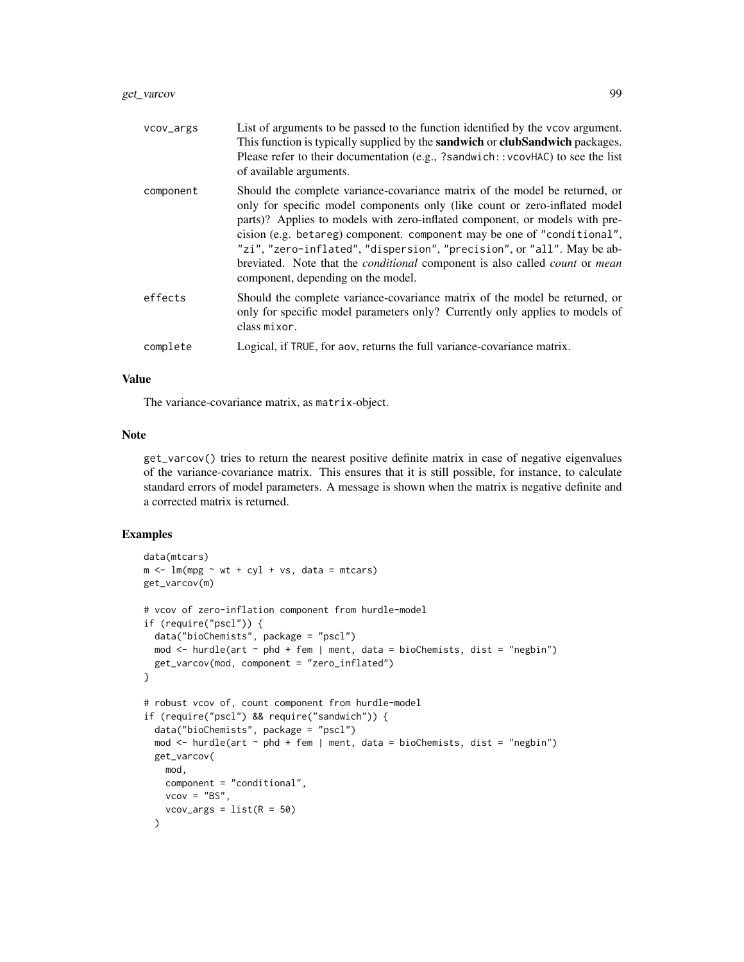| vcov_args | List of arguments to be passed to the function identified by the vcov argument.<br>This function is typically supplied by the <b>sandwich</b> or <b>clubSandwich</b> packages.<br>Please refer to their documentation (e.g., ?sandwich::vcovHAC) to see the list<br>of available arguments.                                                                                                                                                                                                                                              |
|-----------|------------------------------------------------------------------------------------------------------------------------------------------------------------------------------------------------------------------------------------------------------------------------------------------------------------------------------------------------------------------------------------------------------------------------------------------------------------------------------------------------------------------------------------------|
| component | Should the complete variance-covariance matrix of the model be returned, or<br>only for specific model components only (like count or zero-inflated model)<br>parts)? Applies to models with zero-inflated component, or models with pre-<br>cision (e.g. betareg) component. component may be one of "conditional",<br>"zi", "zero-inflated", "dispersion", "precision", or "all". May be ab-<br>breviated. Note that the <i>conditional</i> component is also called <i>count</i> or <i>mean</i><br>component, depending on the model. |
| effects   | Should the complete variance-covariance matrix of the model be returned, or<br>only for specific model parameters only? Currently only applies to models of<br>class mixor.                                                                                                                                                                                                                                                                                                                                                              |
| complete  | Logical, if TRUE, for aov, returns the full variance-covariance matrix.                                                                                                                                                                                                                                                                                                                                                                                                                                                                  |

# Value

The variance-covariance matrix, as matrix-object.

#### Note

get\_varcov() tries to return the nearest positive definite matrix in case of negative eigenvalues of the variance-covariance matrix. This ensures that it is still possible, for instance, to calculate standard errors of model parameters. A message is shown when the matrix is negative definite and a corrected matrix is returned.

```
data(mtcars)
m \le - \ln(mpg \sim wt + cyl + vs, data = mtcars)get_varcov(m)
# vcov of zero-inflation component from hurdle-model
if (require("pscl")) {
  data("bioChemists", package = "pscl")
  mod \le hurdle(art \sim phd + fem | ment, data = bioChemists, dist = "negbin")
  get_varcov(mod, component = "zero_inflated")
}
# robust vcov of, count component from hurdle-model
if (require("pscl") && require("sandwich")) {
  data("bioChemists", package = "pscl")
  mod \le hurdle(art \sim phd + fem | ment, data = bioChemists, dist = "negbin")
  get_varcov(
    mod,
    component = "conditional",
    vcov = "BS",vcov_{\text{args}} = \text{list}(R = 50))
```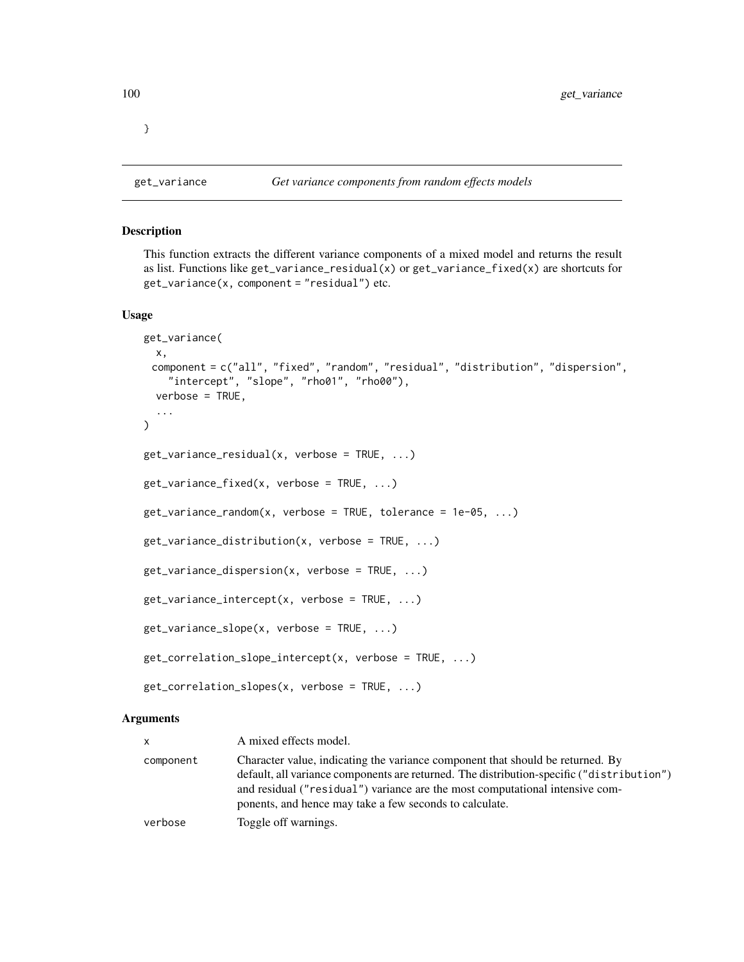}

# Description

This function extracts the different variance components of a mixed model and returns the result as list. Functions like  $get\_variance\_residual(x)$  or  $get\_variance\_fixed(x)$  are shortcuts for  $get\_variance(x, component = "residual")$  etc.

#### Usage

```
get_variance(
 x,
 component = c("all", "fixed", "random", "residual", "distribution", "dispersion",
    "intercept", "slope", "rho01", "rho00"),
  verbose = TRUE,
  ...
)
get_variance_residual(x, verbose = TRUE, ...)
get\_variance\_fixed(x, verbose = TRUE, \ldots)
get\_variance\_random(x, \text{ verbose} = TRUE, \text{tolerance} = 1e-05, \ldots)get\_variance\_distribution(x, verbose = TRUE, \ldots)
get_variance_dispersion(x, verbose = TRUE, ...)
get\_variance\_intercept(x, verbose = TRUE, ...)get_variance_slope(x, verbose = TRUE, ...)
get\_correlation\_slope\_intercept(x, verbose = TRUE, ...)get_correlation_slopes(x, verbose = TRUE, ...)
```
#### Arguments

| <b>X</b>  | A mixed effects model.                                                                                                                                                                                                                                      |
|-----------|-------------------------------------------------------------------------------------------------------------------------------------------------------------------------------------------------------------------------------------------------------------|
| component | Character value, indicating the variance component that should be returned. By<br>default, all variance components are returned. The distribution-specific ("distribution")<br>and residual ("residual") variance are the most computational intensive com- |
|           | ponents, and hence may take a few seconds to calculate.                                                                                                                                                                                                     |
| verbose   | Toggle off warnings.                                                                                                                                                                                                                                        |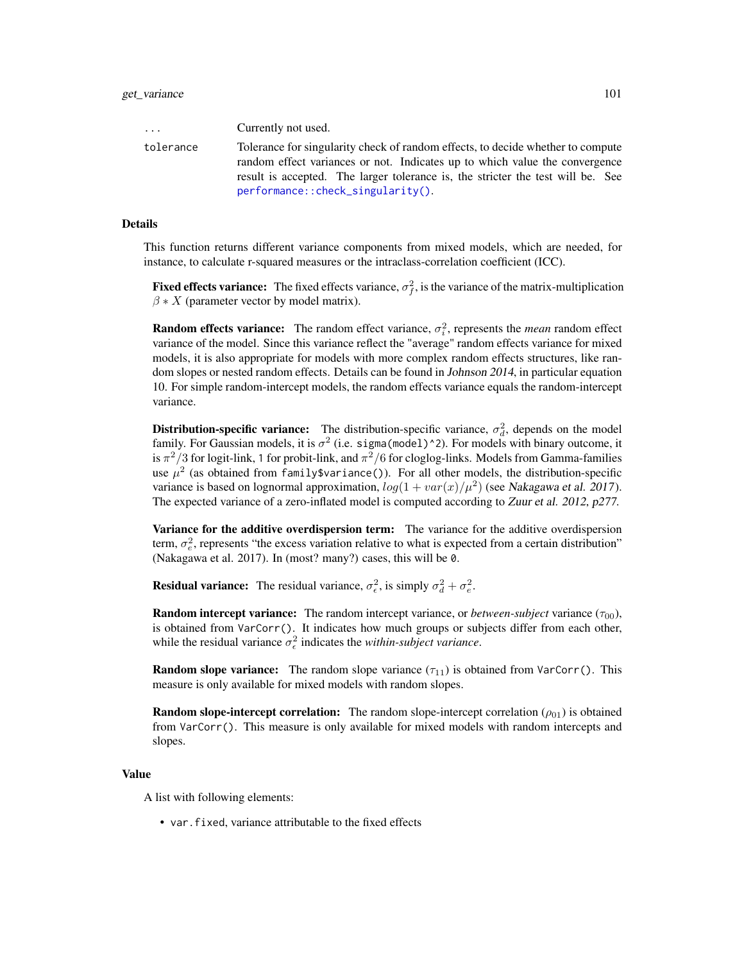| $\cdots$  | Currently not used.                                                                                                                                            |
|-----------|----------------------------------------------------------------------------------------------------------------------------------------------------------------|
| tolerance | Tolerance for singularity check of random effects, to decide whether to compute<br>random effect variances or not. Indicates up to which value the convergence |
|           | result is accepted. The larger tolerance is, the stricter the test will be. See                                                                                |
|           | performance::check_singularity().                                                                                                                              |

#### Details

This function returns different variance components from mixed models, which are needed, for instance, to calculate r-squared measures or the intraclass-correlation coefficient (ICC).

**Fixed effects variance:** The fixed effects variance,  $\sigma_f^2$ , is the variance of the matrix-multiplication  $\beta * X$  (parameter vector by model matrix).

**Random effects variance:** The random effect variance,  $\sigma_i^2$ , represents the *mean* random effect variance of the model. Since this variance reflect the "average" random effects variance for mixed models, it is also appropriate for models with more complex random effects structures, like random slopes or nested random effects. Details can be found in Johnson 2014, in particular equation 10. For simple random-intercept models, the random effects variance equals the random-intercept variance.

**Distribution-specific variance:** The distribution-specific variance,  $\sigma_d^2$ , depends on the model family. For Gaussian models, it is  $\sigma^2$  (i.e. sigma (model) ^2). For models with binary outcome, it is  $\pi^2/3$  for logit-link, 1 for probit-link, and  $\pi^2/6$  for cloglog-links. Models from Gamma-families use  $\mu^2$  (as obtained from family\$variance()). For all other models, the distribution-specific variance is based on lognormal approximation,  $log(1 + var(x)/\mu^2)$  (see Nakagawa et al. 2017). The expected variance of a zero-inflated model is computed according to Zuur et al. 2012, p277.

Variance for the additive overdispersion term: The variance for the additive overdispersion term,  $\sigma_e^2$ , represents "the excess variation relative to what is expected from a certain distribution" (Nakagawa et al. 2017). In (most? many?) cases, this will be 0.

**Residual variance:** The residual variance,  $\sigma_{\epsilon}^2$ , is simply  $\sigma_d^2 + \sigma_{\epsilon}^2$ .

**Random intercept variance:** The random intercept variance, or *between-subject* variance ( $\tau_{00}$ ), is obtained from VarCorr(). It indicates how much groups or subjects differ from each other, while the residual variance  $\sigma_{\epsilon}^2$  indicates the *within-subject variance*.

**Random slope variance:** The random slope variance  $(\tau_{11})$  is obtained from VarCorr(). This measure is only available for mixed models with random slopes.

**Random slope-intercept correlation:** The random slope-intercept correlation  $(\rho_{01})$  is obtained from VarCorr(). This measure is only available for mixed models with random intercepts and slopes.

#### Value

A list with following elements:

• var.fixed, variance attributable to the fixed effects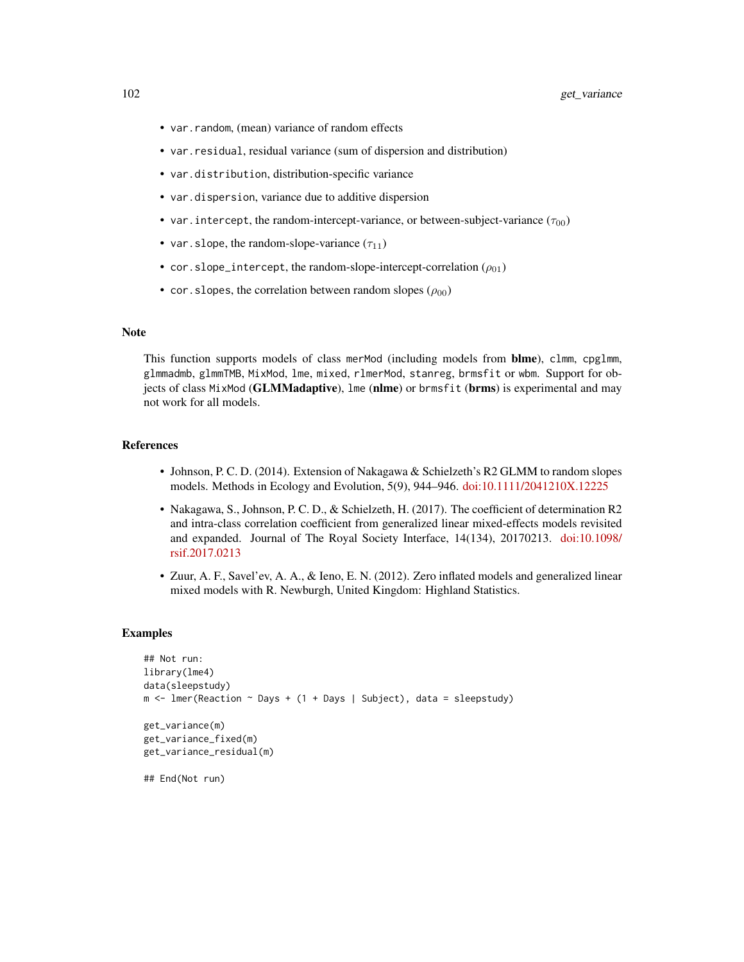- var.random, (mean) variance of random effects
- var.residual, residual variance (sum of dispersion and distribution)
- var.distribution, distribution-specific variance
- var.dispersion, variance due to additive dispersion
- var. intercept, the random-intercept-variance, or between-subject-variance  $(\tau_{00})$
- var. slope, the random-slope-variance  $(\tau_{11})$
- cor.slope\_intercept, the random-slope-intercept-correlation  $(\rho_{01})$
- cor. slopes, the correlation between random slopes  $(\rho_{00})$

#### Note

This function supports models of class merMod (including models from **blme**), clmm, cpglmm, glmmadmb, glmmTMB, MixMod, lme, mixed, rlmerMod, stanreg, brmsfit or wbm. Support for objects of class MixMod (GLMMadaptive), lme (nlme) or brmsfit (brms) is experimental and may not work for all models.

#### References

- Johnson, P. C. D. (2014). Extension of Nakagawa & Schielzeth's R2 GLMM to random slopes models. Methods in Ecology and Evolution, 5(9), 944–946. [doi:10.1111/2041210X.12225](https://doi.org/10.1111/2041-210X.12225)
- Nakagawa, S., Johnson, P. C. D., & Schielzeth, H. (2017). The coefficient of determination R2 and intra-class correlation coefficient from generalized linear mixed-effects models revisited and expanded. Journal of The Royal Society Interface, 14(134), 20170213. [doi:10.1098/](https://doi.org/10.1098/rsif.2017.0213) [rsif.2017.0213](https://doi.org/10.1098/rsif.2017.0213)
- Zuur, A. F., Savel'ev, A. A., & Ieno, E. N. (2012). Zero inflated models and generalized linear mixed models with R. Newburgh, United Kingdom: Highland Statistics.

```
## Not run:
library(lme4)
data(sleepstudy)
m \le - lmer(Reaction \sim Days + (1 + Days | Subject), data = sleepstudy)
get_variance(m)
get_variance_fixed(m)
get_variance_residual(m)
## End(Not run)
```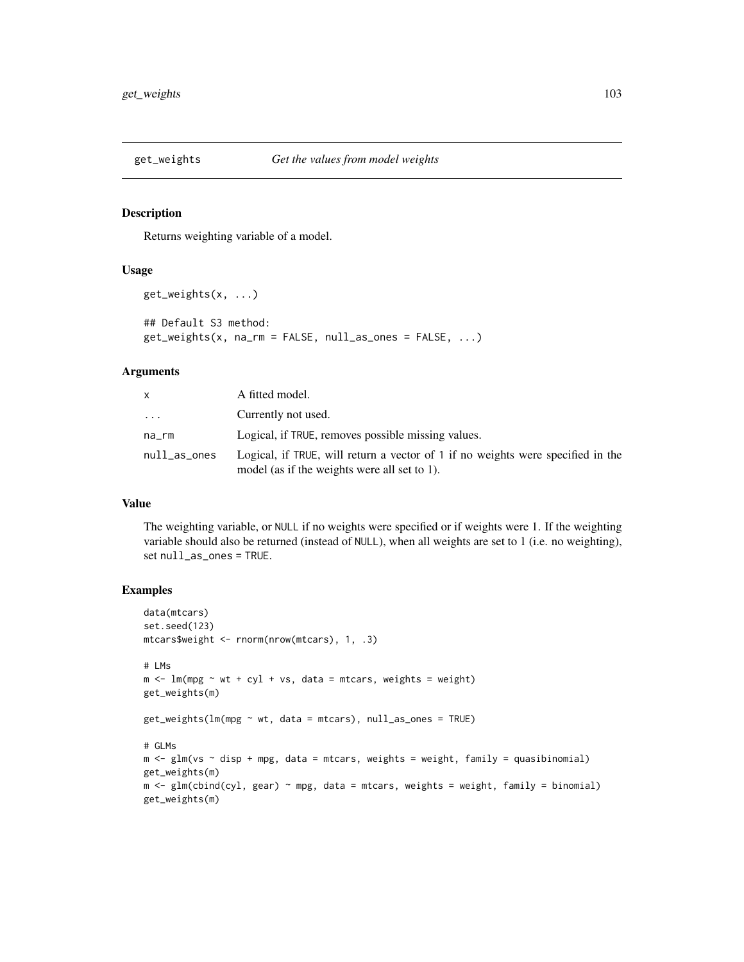# Description

Returns weighting variable of a model.

#### Usage

```
get_weights(x, ...)
## Default S3 method:
get_weights(x, na_rm = FALSE, null_as_ones = FALSE, ...)
```
### Arguments

| x            | A fitted model.                                                                                                                 |
|--------------|---------------------------------------------------------------------------------------------------------------------------------|
| .            | Currently not used.                                                                                                             |
| na rm        | Logical, if TRUE, removes possible missing values.                                                                              |
| null_as_ones | Logical, if TRUE, will return a vector of 1 if no weights were specified in the<br>model (as if the weights were all set to 1). |

#### Value

The weighting variable, or NULL if no weights were specified or if weights were 1. If the weighting variable should also be returned (instead of NULL), when all weights are set to 1 (i.e. no weighting), set null\_as\_ones = TRUE.

```
data(mtcars)
set.seed(123)
mtcars$weight <- rnorm(nrow(mtcars), 1, .3)
# LMs
m \le - \ln(mpg \sim wt + cyl + vs, data = mtcars, weights = weight)get_weights(m)
get_weights(lm(mpg ~ wt, data = mtcars), null_as_ones = TRUE)
# GLMs
m \leftarrow glm(vs \sim disp + mpg, data = mtcars, weights = weight, family = quasibinomial)get_weights(m)
m <- glm(cbind(cyl, gear) ~ mpg, data = mtcars, weights = weight, family = binomial)
get_weights(m)
```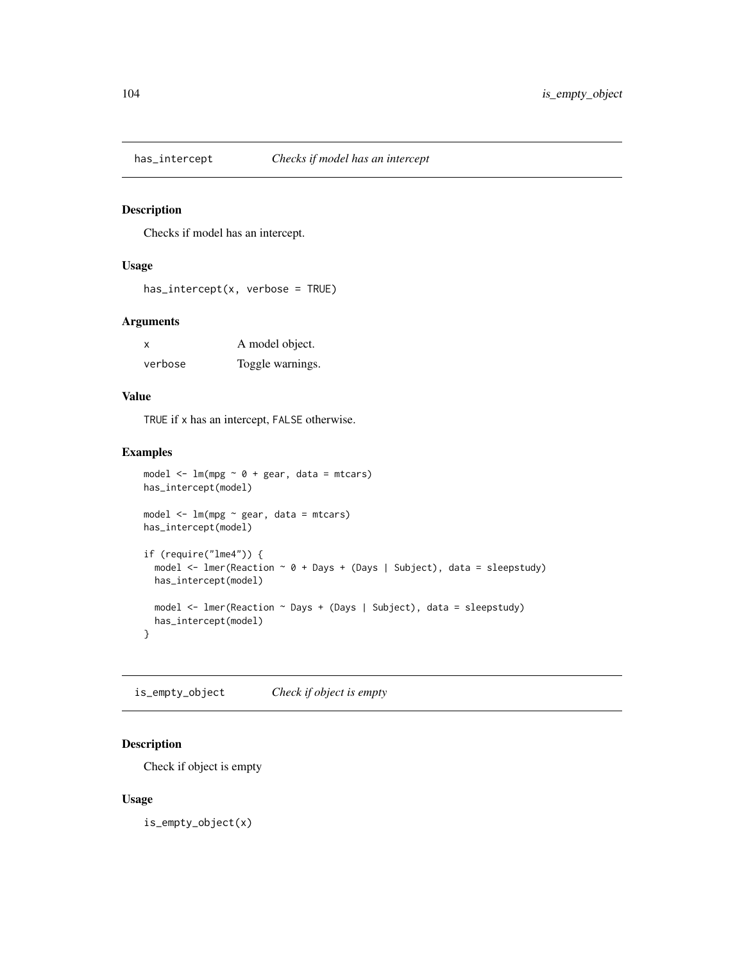# Description

Checks if model has an intercept.

# Usage

```
has\_intercept(x, verbose = TRUE)
```
# Arguments

| $\boldsymbol{\mathsf{x}}$ | A model object.  |
|---------------------------|------------------|
| verbose                   | Toggle warnings. |

# Value

TRUE if x has an intercept, FALSE otherwise.

### Examples

```
model \leq lm(mpg \sim 0 + gear, data = mtcars)
has_intercept(model)
model <- lm(mpg ~ gear, data = mtcars)
has_intercept(model)
if (require("lme4")) {
  model <- lmer(Reaction ~ 0 + Days + (Days | Subject), data = sleepstudy)
  has_intercept(model)
  model <- lmer(Reaction ~ Days + (Days | Subject), data = sleepstudy)
  has_intercept(model)
}
```
is\_empty\_object *Check if object is empty*

# Description

Check if object is empty

# Usage

is\_empty\_object(x)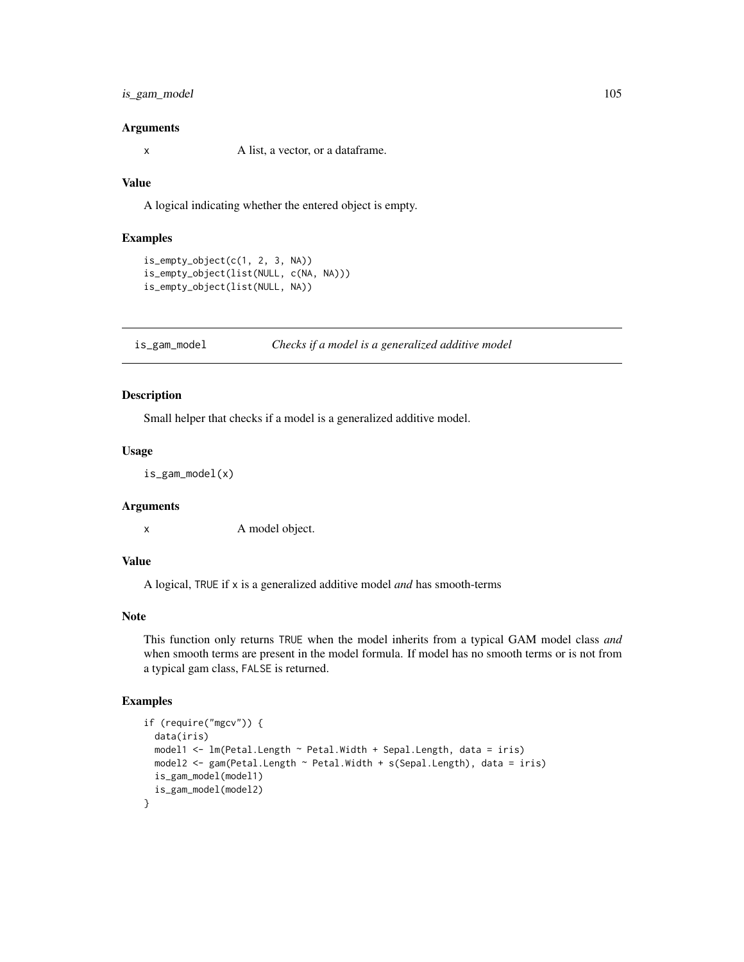# is\_gam\_model 105

#### Arguments

x A list, a vector, or a dataframe.

### Value

A logical indicating whether the entered object is empty.

### Examples

```
is\_empty\_object(c(1, 2, 3, NA))is_empty_object(list(NULL, c(NA, NA)))
is_empty_object(list(NULL, NA))
```
is\_gam\_model *Checks if a model is a generalized additive model*

# Description

Small helper that checks if a model is a generalized additive model.

#### Usage

```
is_gam_model(x)
```
#### Arguments

x A model object.

### Value

A logical, TRUE if x is a generalized additive model *and* has smooth-terms

### Note

This function only returns TRUE when the model inherits from a typical GAM model class *and* when smooth terms are present in the model formula. If model has no smooth terms or is not from a typical gam class, FALSE is returned.

```
if (require("mgcv")) {
 data(iris)
 model1 <- lm(Petal.Length ~ Petal.Width + Sepal.Length, data = iris)
 model2 <- gam(Petal.Length ~ Petal.Width + s(Sepal.Length), data = iris)
 is_gam_model(model1)
 is_gam_model(model2)
}
```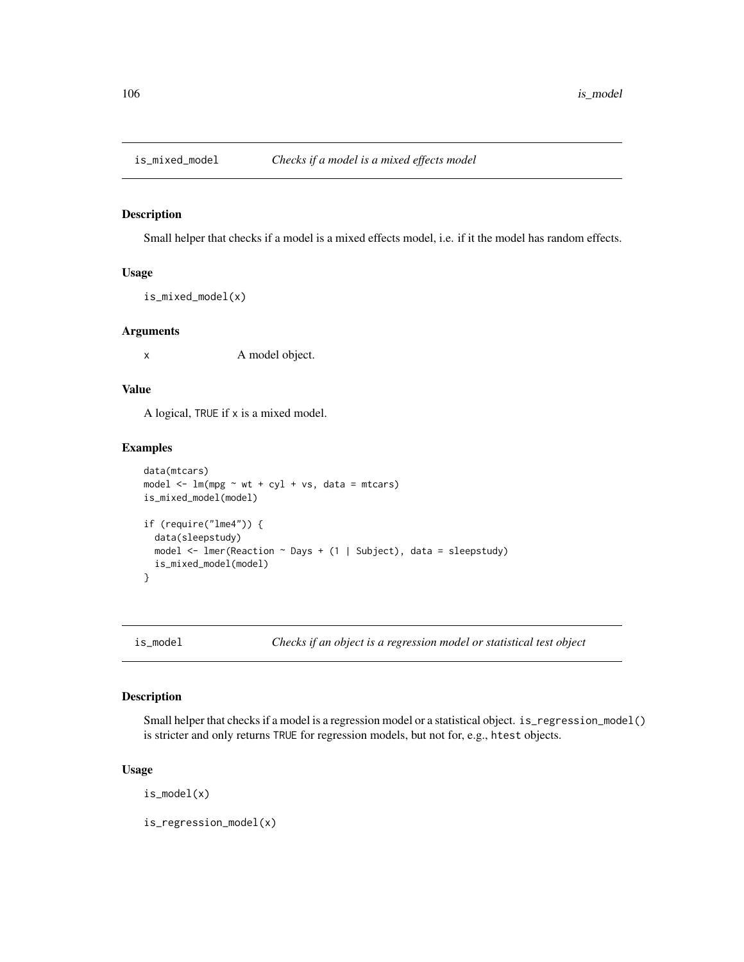# Description

Small helper that checks if a model is a mixed effects model, i.e. if it the model has random effects.

# Usage

is\_mixed\_model(x)

#### Arguments

x A model object.

# Value

A logical, TRUE if x is a mixed model.

# Examples

```
data(mtcars)
model \leq lm(mpg \sim wt + cyl + vs, data = mtcars)
is_mixed_model(model)
if (require("lme4")) {
  data(sleepstudy)
  model \leq lmer(Reaction \sim Days + (1 | Subject), data = sleepstudy)
  is_mixed_model(model)
}
```
is\_model *Checks if an object is a regression model or statistical test object*

# Description

Small helper that checks if a model is a regression model or a statistical object. is\_regression\_model() is stricter and only returns TRUE for regression models, but not for, e.g., htest objects.

#### Usage

is\_model(x)

is\_regression\_model(x)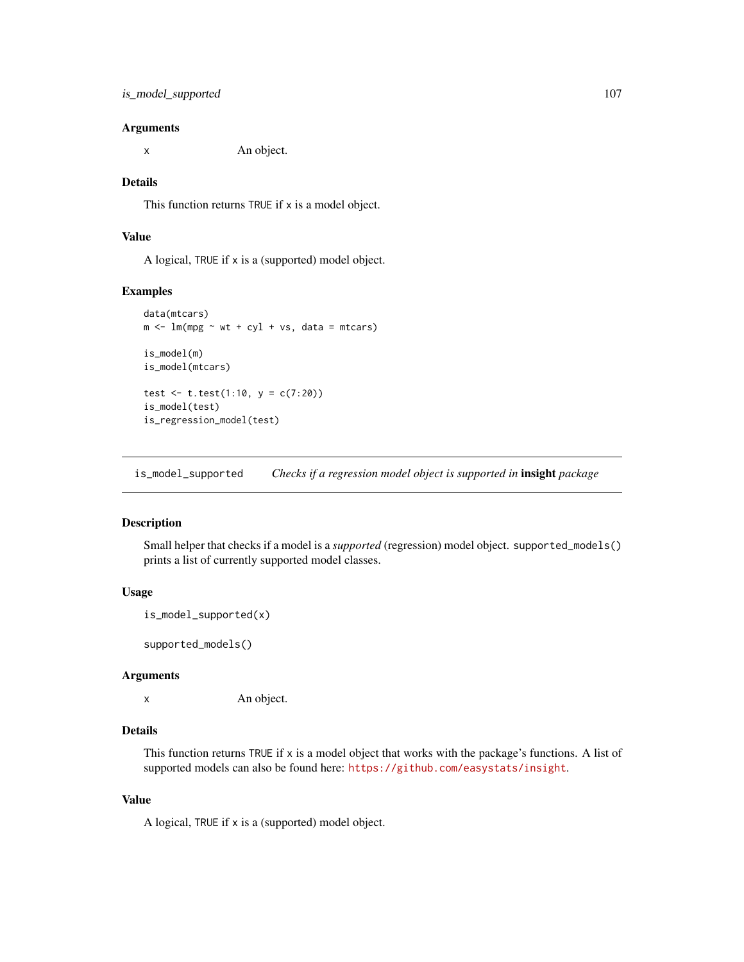x An object.

### Details

This function returns TRUE if x is a model object.

# Value

A logical, TRUE if x is a (supported) model object.

#### Examples

```
data(mtcars)
m <- lm(mpg \sim wt + cyl + vs, data = mtcars)is_model(m)
is_model(mtcars)
test <- t.test(1:10, y = c(7:20))
is_model(test)
is_regression_model(test)
```
is\_model\_supported *Checks if a regression model object is supported in* insight *package*

### Description

Small helper that checks if a model is a *supported* (regression) model object. supported\_models() prints a list of currently supported model classes.

# Usage

```
is_model_supported(x)
```
supported\_models()

# Arguments

x An object.

# Details

This function returns TRUE if x is a model object that works with the package's functions. A list of supported models can also be found here: <https://github.com/easystats/insight>.

# Value

A logical, TRUE if x is a (supported) model object.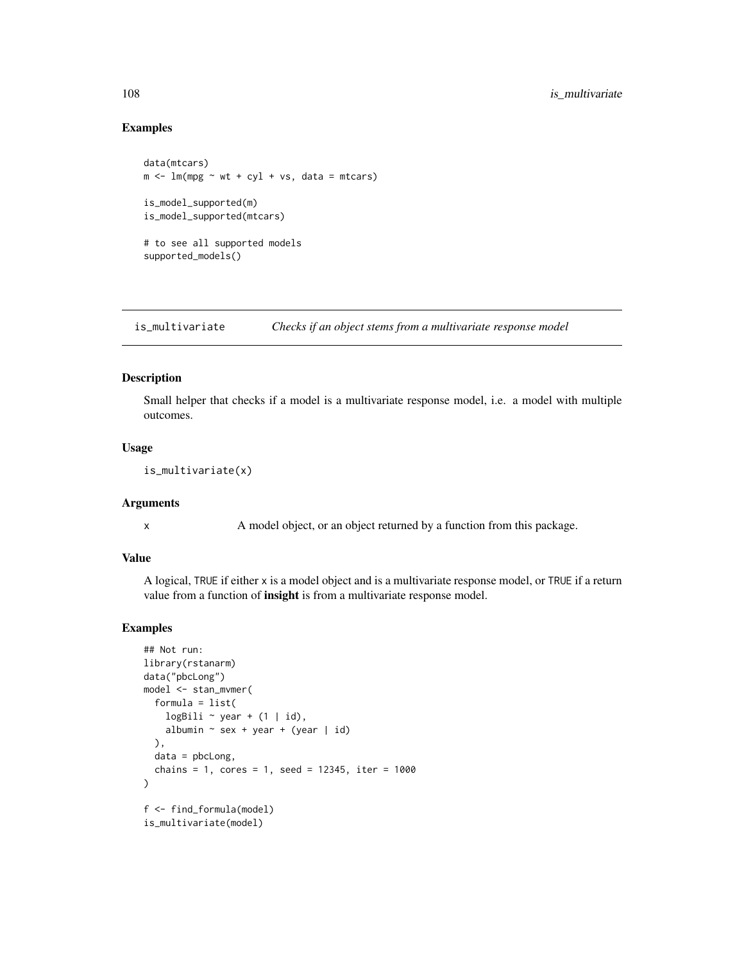### Examples

```
data(mtcars)
m \le - \ln(mpg \sim wt + cyl + vs, data = mtcars)is_model_supported(m)
is_model_supported(mtcars)
# to see all supported models
supported_models()
```
is\_multivariate *Checks if an object stems from a multivariate response model*

# Description

Small helper that checks if a model is a multivariate response model, i.e. a model with multiple outcomes.

# Usage

```
is_multivariate(x)
```
### **Arguments**

x A model object, or an object returned by a function from this package.

#### Value

A logical, TRUE if either x is a model object and is a multivariate response model, or TRUE if a return value from a function of insight is from a multivariate response model.

```
## Not run:
library(rstanarm)
data("pbcLong")
model <- stan_mvmer(
  formula = list(
    logBili \sim year + (1 | id),
    albumin \sim sex + year + (year | id)
  ),
  data = pbclong,chains = 1, cores = 1, seed = 12345, iter = 1000\mathcal{L}f <- find_formula(model)
is_multivariate(model)
```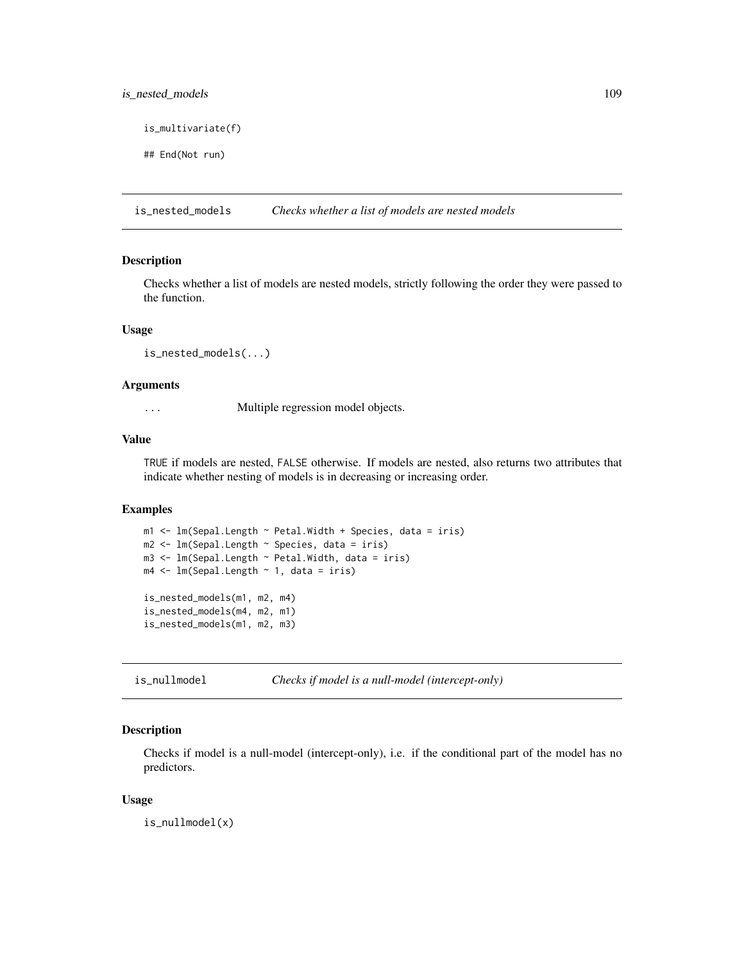# <span id="page-108-0"></span>is\_nested\_models 109

is\_multivariate(f)

## End(Not run)

is\_nested\_models *Checks whether a list of models are nested models*

## Description

Checks whether a list of models are nested models, strictly following the order they were passed to the function.

#### Usage

is\_nested\_models(...)

## Arguments

... Multiple regression model objects.

## Value

TRUE if models are nested, FALSE otherwise. If models are nested, also returns two attributes that indicate whether nesting of models is in decreasing or increasing order.

# Examples

```
m1 <- lm(Sepal.Length ~ Petal.Width + Species, data = iris)
m2 <- lm(Sepal.Length ~ Species, data = iris)
m3 <- lm(Sepal.Length ~ Petal.Width, data = iris)
m4 <- lm(Sepal.Length ~ 1, data = iris)
is_nested_models(m1, m2, m4)
is_nested_models(m4, m2, m1)
is_nested_models(m1, m2, m3)
```
is\_nullmodel *Checks if model is a null-model (intercept-only)*

#### Description

Checks if model is a null-model (intercept-only), i.e. if the conditional part of the model has no predictors.

#### Usage

is\_nullmodel(x)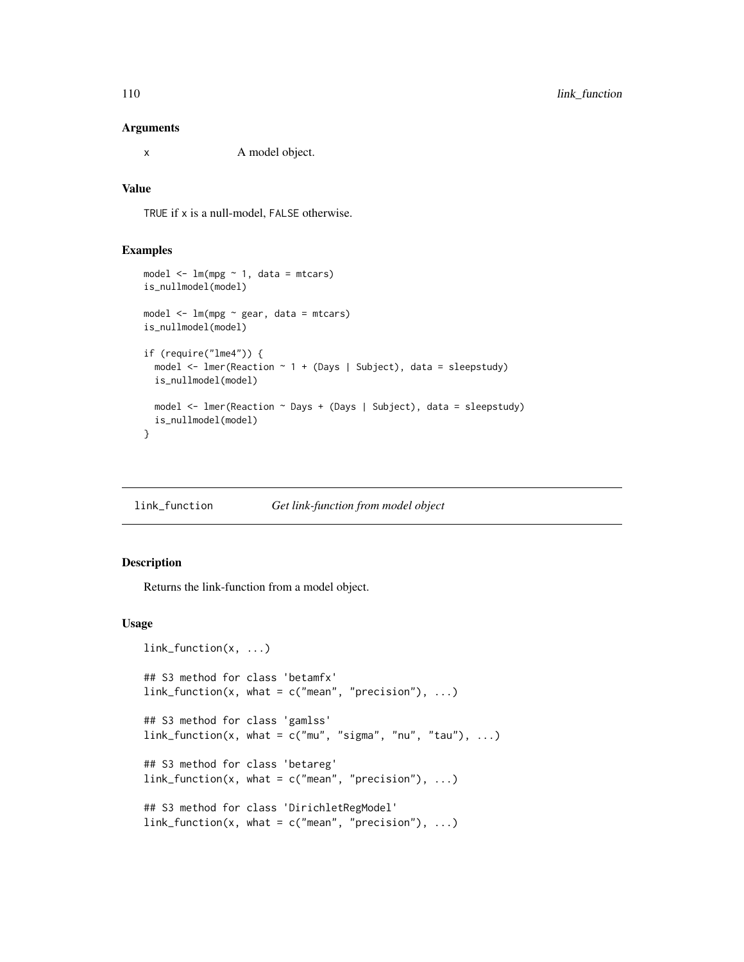#### <span id="page-109-0"></span>Arguments

x A model object.

## Value

TRUE if x is a null-model, FALSE otherwise.

## Examples

```
model \leq -\ln(mpg \sim 1, \text{ data = mtcars})is_nullmodel(model)
model <- lm(mpg ~ gear, data = mtcars)
is_nullmodel(model)
if (require("lme4")) {
 model <- lmer(Reaction ~ 1 + (Days | Subject), data = sleepstudy)
 is_nullmodel(model)
 model <- lmer(Reaction ~ Days + (Days | Subject), data = sleepstudy)
 is_nullmodel(model)
}
```
link\_function *Get link-function from model object*

## Description

Returns the link-function from a model object.

# Usage

```
link_function(x, ...)
## S3 method for class 'betamfx'
link_function(x, what = c("mean", "precision"), ...)## S3 method for class 'gamlss'
link_function(x, what = c("mu", "sigma", "nu", "tau", "tau"), ...)## S3 method for class 'betareg'
link_function(x, what = c("mean", "precision"), ...)## S3 method for class 'DirichletRegModel'
link_function(x, what = c("mean", "precision"), ...)
```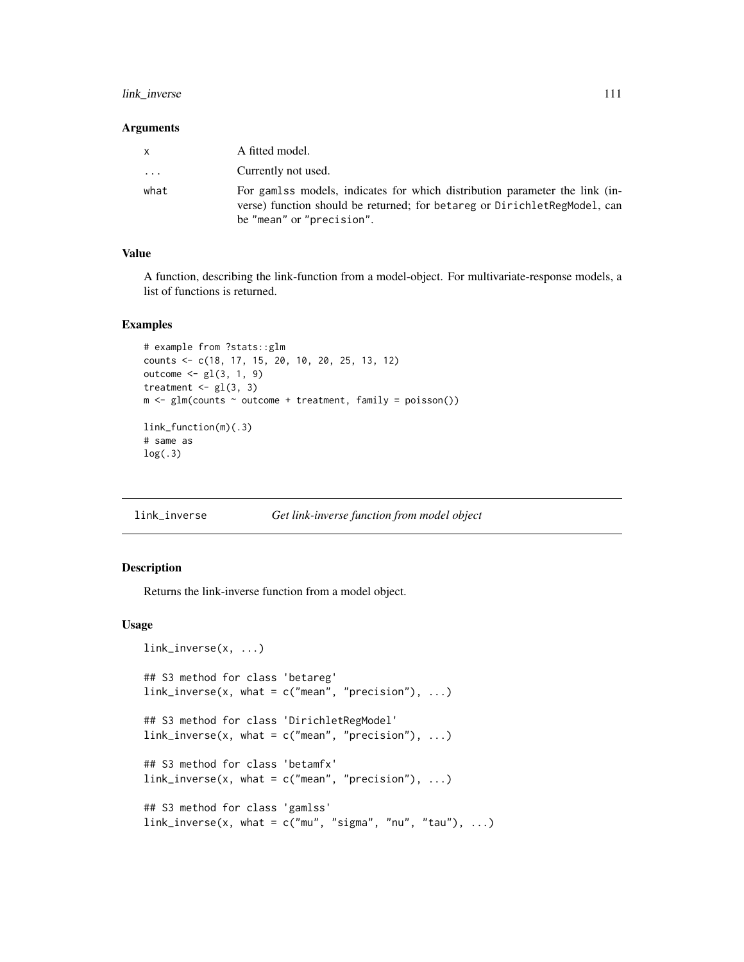## <span id="page-110-0"></span>link\_inverse 111

#### Arguments

| $\mathsf{X}$ | A fitted model.                                                                                                                                                                       |
|--------------|---------------------------------------------------------------------------------------------------------------------------------------------------------------------------------------|
| $\cdots$     | Currently not used.                                                                                                                                                                   |
| what         | For gamlss models, indicates for which distribution parameter the link (in-<br>verse) function should be returned; for betareg or DirichletRegModel, can<br>be "mean" or "precision". |

# Value

A function, describing the link-function from a model-object. For multivariate-response models, a list of functions is returned.

#### Examples

```
# example from ?stats::glm
counts <- c(18, 17, 15, 20, 10, 20, 25, 13, 12)
outcome <- gl(3, 1, 9)
treatment \leq gl(3, 3)
m \leq glm(counts \sim outcome + treatment, family = poisson())
link_function(m)(.3)
# same as
log(.3)
```
link\_inverse *Get link-inverse function from model object*

# Description

Returns the link-inverse function from a model object.

## Usage

```
link_inverse(x, ...)
## S3 method for class 'betareg'
link\_inverse(x, what = c("mean", "precision"), ...)## S3 method for class 'DirichletRegModel'
link_inverse(x, what = c("mean", "precision"), ...)## S3 method for class 'betamfx'
link_inverse(x, what = c("mean", "precision"), ...)## S3 method for class 'gamlss'
link_inverse(x, what = c("mu", "sigma", "nu", "tau", "tau"), ...)
```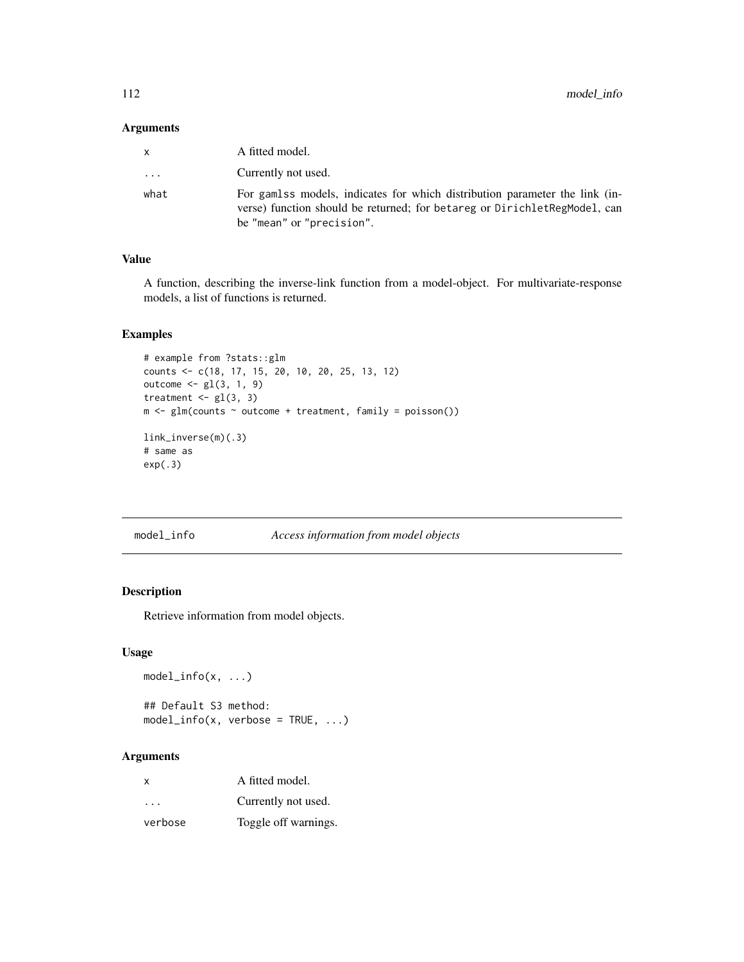## <span id="page-111-0"></span>Arguments

| x                       | A fitted model.                                                                                                                                                                       |
|-------------------------|---------------------------------------------------------------------------------------------------------------------------------------------------------------------------------------|
| $\cdot$ $\cdot$ $\cdot$ | Currently not used.                                                                                                                                                                   |
| what                    | For gamlss models, indicates for which distribution parameter the link (in-<br>verse) function should be returned; for betareg or DirichletRegModel, can<br>be "mean" or "precision". |

# Value

A function, describing the inverse-link function from a model-object. For multivariate-response models, a list of functions is returned.

# Examples

```
# example from ?stats::glm
counts <- c(18, 17, 15, 20, 10, 20, 25, 13, 12)
outcome \leq gl(3, 1, 9)
treatment \leq gl(3, 3)
m <- glm(counts ~ outcome + treatment, family = poisson())
link_inverse(m)(.3)
# same as
exp(.3)
```

```
model_info Access information from model objects
```
# Description

Retrieve information from model objects.

## Usage

```
model_info(x, \ldots)
```
## Default S3 method:  $model_info(x, verbose = TRUE, ...)$ 

## Arguments

| $\times$             | A fitted model.      |
|----------------------|----------------------|
| $\sim$ $\sim$ $\sim$ | Currently not used.  |
| verbose              | Toggle off warnings. |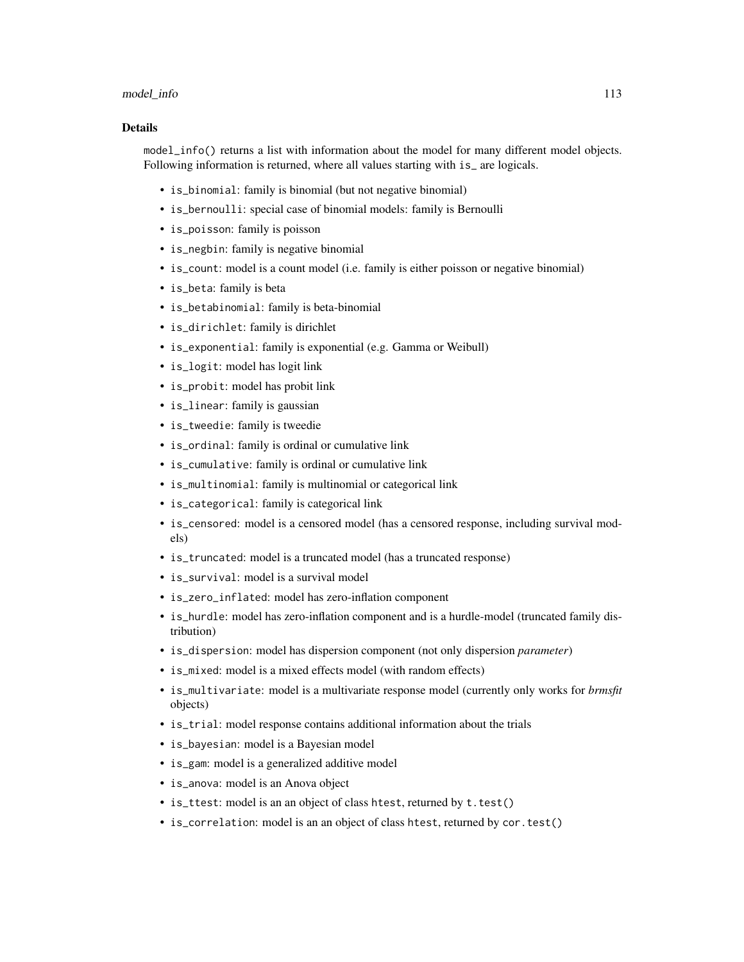#### model\_info 113

#### Details

model\_info() returns a list with information about the model for many different model objects. Following information is returned, where all values starting with is\_ are logicals.

- is\_binomial: family is binomial (but not negative binomial)
- is\_bernoulli: special case of binomial models: family is Bernoulli
- is\_poisson: family is poisson
- is\_negbin: family is negative binomial
- is\_count: model is a count model (i.e. family is either poisson or negative binomial)
- is\_beta: family is beta
- is\_betabinomial: family is beta-binomial
- is\_dirichlet: family is dirichlet
- is\_exponential: family is exponential (e.g. Gamma or Weibull)
- is\_logit: model has logit link
- is\_probit: model has probit link
- is\_linear: family is gaussian
- is\_tweedie: family is tweedie
- is\_ordinal: family is ordinal or cumulative link
- is\_cumulative: family is ordinal or cumulative link
- is\_multinomial: family is multinomial or categorical link
- is\_categorical: family is categorical link
- is\_censored: model is a censored model (has a censored response, including survival models)
- is\_truncated: model is a truncated model (has a truncated response)
- is\_survival: model is a survival model
- is\_zero\_inflated: model has zero-inflation component
- is\_hurdle: model has zero-inflation component and is a hurdle-model (truncated family distribution)
- is\_dispersion: model has dispersion component (not only dispersion *parameter*)
- is\_mixed: model is a mixed effects model (with random effects)
- is\_multivariate: model is a multivariate response model (currently only works for *brmsfit* objects)
- is\_trial: model response contains additional information about the trials
- is\_bayesian: model is a Bayesian model
- is\_gam: model is a generalized additive model
- is\_anova: model is an Anova object
- is\_ttest: model is an an object of class htest, returned by t. test()
- is\_correlation: model is an an object of class htest, returned by cor.test()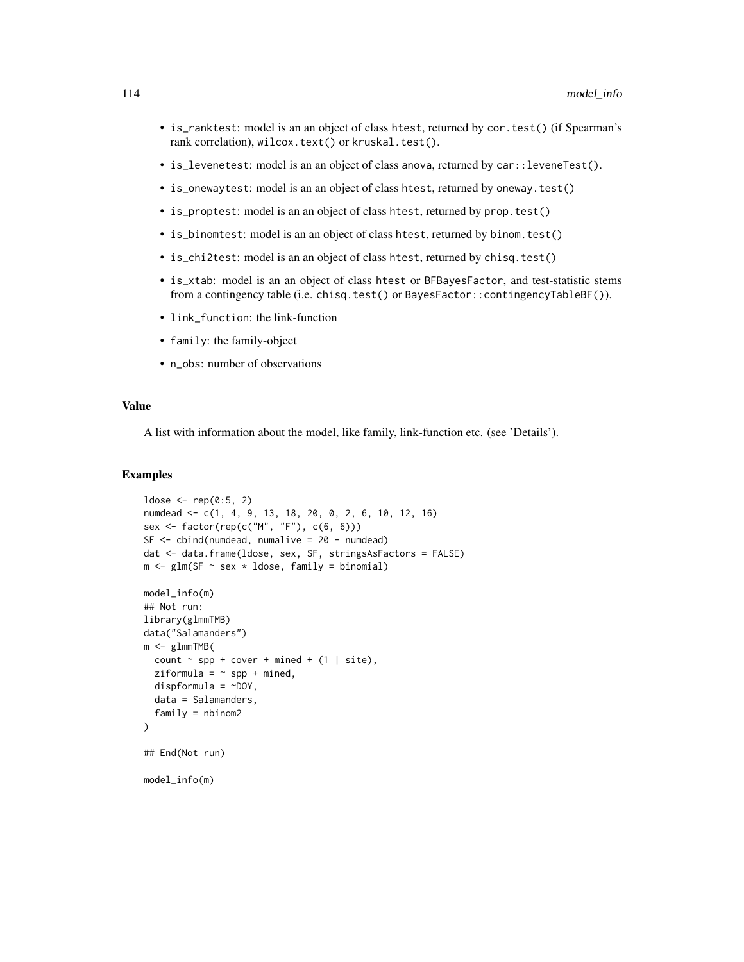- is\_ranktest: model is an an object of class htest, returned by cor.test() (if Spearman's rank correlation), wilcox.text() or kruskal.test().
- is\_levenetest: model is an an object of class anova, returned by car::leveneTest().
- is\_onewaytest: model is an an object of class htest, returned by oneway.test()
- is\_proptest: model is an an object of class htest, returned by prop.test()
- is\_binomtest: model is an an object of class htest, returned by binom.test()
- is\_chi2test: model is an an object of class htest, returned by chisq.test()
- is\_xtab: model is an an object of class htest or BFBayesFactor, and test-statistic stems from a contingency table (i.e. chisq.test() or BayesFactor::contingencyTableBF()).
- link\_function: the link-function
- family: the family-object
- n\_obs: number of observations

## Value

A list with information about the model, like family, link-function etc. (see 'Details').

#### Examples

```
ldose < rep(0:5, 2)numdead <- c(1, 4, 9, 13, 18, 20, 0, 2, 6, 10, 12, 16)
sex <- factor(rep(c("M", "F"), c(6, 6)))
SF <- cbind(numdead, numalive = 20 - numdead)
dat <- data.frame(ldose, sex, SF, stringsAsFactors = FALSE)
m \leq -g \ln(SF \sim sex * ldose, family = binomial)model_info(m)
## Not run:
library(glmmTMB)
data("Salamanders")
m <- glmmTMB(
  count \sim spp + cover + mined + (1 | site),
  ziformula = \sim spp + mined,
  dispformula = \simDOY,
  data = Salamanders,
  family = nbinom2
)
## End(Not run)
model_info(m)
```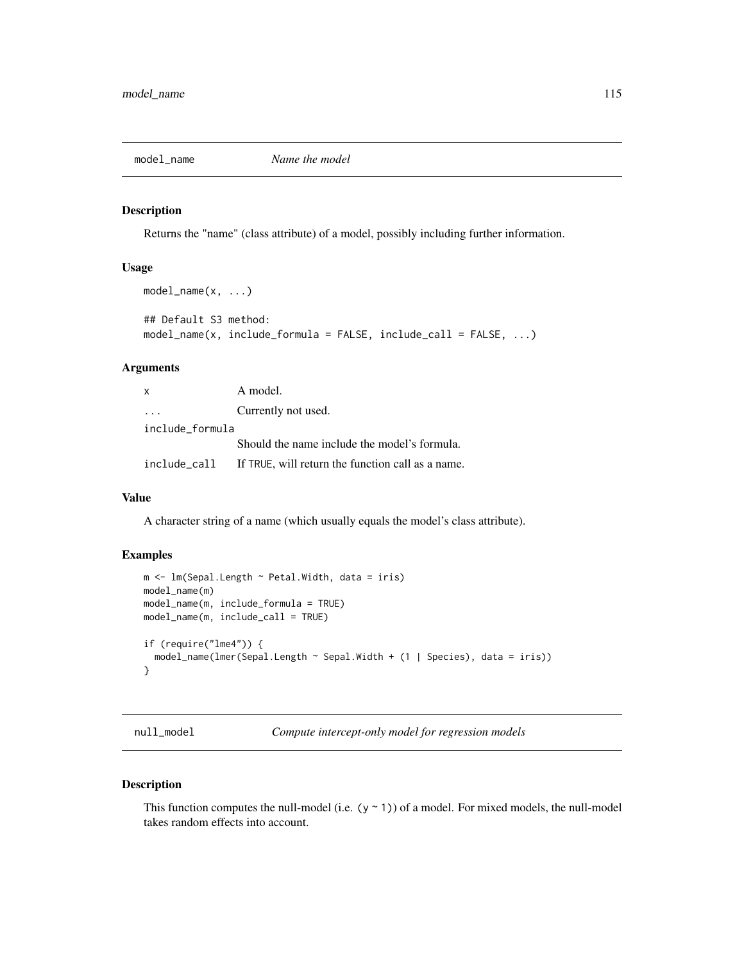<span id="page-114-0"></span>

#### Description

Returns the "name" (class attribute) of a model, possibly including further information.

# Usage

```
model_name(x, \ldots)## Default S3 method:
model_name(x, include_formula = FALSE, include_call = FALSE, ...)
```
# Arguments

| $\mathsf{x}$    | A model.                                          |
|-----------------|---------------------------------------------------|
|                 | Currently not used.                               |
| include formula |                                                   |
|                 | Should the name include the model's formula.      |
| include call    | If TRUE, will return the function call as a name. |

## Value

A character string of a name (which usually equals the model's class attribute).

#### Examples

```
m \le - \ln(Sepal.length \sim Petal.Width, data = iris)model_name(m)
model_name(m, include_formula = TRUE)
model_name(m, include_call = TRUE)
if (require("lme4")) {
  model_name(lmer(Sepal.Length ~ Sepal.Width + (1 | Species), data = iris))
}
```
null\_model *Compute intercept-only model for regression models*

## Description

This function computes the null-model (i.e.  $(y \sim 1)$ ) of a model. For mixed models, the null-model takes random effects into account.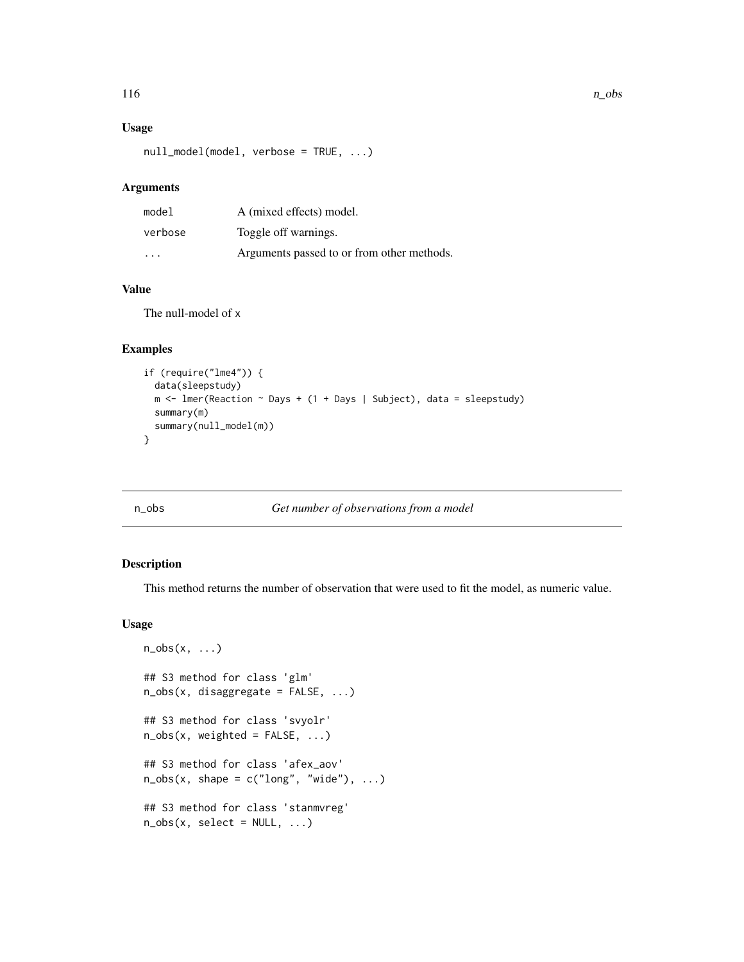## Usage

null\_model(model, verbose = TRUE, ...)

# Arguments

| model                   | A (mixed effects) model.                   |
|-------------------------|--------------------------------------------|
| verbose                 | Toggle off warnings.                       |
| $\cdot$ $\cdot$ $\cdot$ | Arguments passed to or from other methods. |

# Value

The null-model of x

# Examples

```
if (require("lme4")) {
  data(sleepstudy)
  m <- lmer(Reaction \sim Days + (1 + Days | Subject), data = sleepstudy)
  summary(m)
  summary(null_model(m))
}
```
# n\_obs *Get number of observations from a model*

## Description

This method returns the number of observation that were used to fit the model, as numeric value.

## Usage

```
n\_obs(x, \ldots)## S3 method for class 'glm'
n_obs(x, disaggregate = FALSE, ...)
## S3 method for class 'svyolr'
n\_obs(x, weighted = FALSE, ...)## S3 method for class 'afex_aov'
n\_obs(x, shape = c("long", "wide"), ...)## S3 method for class 'stanmvreg'
n\_obs(x, select = NULL, ...)
```
<span id="page-115-0"></span>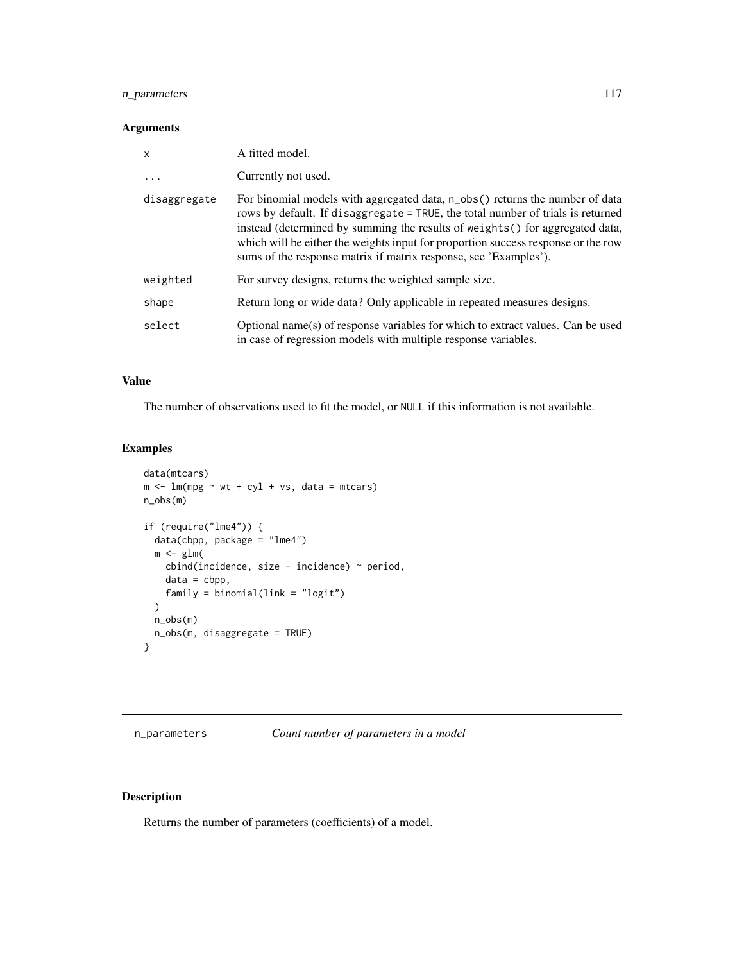# <span id="page-116-0"></span>n\_parameters 117

## Arguments

| X            | A fitted model.                                                                                                                                                                                                                                                                                                                                                                                           |
|--------------|-----------------------------------------------------------------------------------------------------------------------------------------------------------------------------------------------------------------------------------------------------------------------------------------------------------------------------------------------------------------------------------------------------------|
| $\ddots$ .   | Currently not used.                                                                                                                                                                                                                                                                                                                                                                                       |
| disaggregate | For binomial models with aggregated data, n_obs() returns the number of data<br>rows by default. If disaggregate = TRUE, the total number of trials is returned<br>instead (determined by summing the results of weights () for aggregated data,<br>which will be either the weights input for proportion success response or the row<br>sums of the response matrix if matrix response, see 'Examples'). |
| weighted     | For survey designs, returns the weighted sample size.                                                                                                                                                                                                                                                                                                                                                     |
| shape        | Return long or wide data? Only applicable in repeated measures designs.                                                                                                                                                                                                                                                                                                                                   |
| select       | Optional name(s) of response variables for which to extract values. Can be used<br>in case of regression models with multiple response variables.                                                                                                                                                                                                                                                         |

# Value

The number of observations used to fit the model, or NULL if this information is not available.

# Examples

```
data(mtcars)
m \leftarrow \text{lm}(mpg \sim wt + cyl + vs, data = mtcars)n_obs(m)
if (require("lme4")) {
  data(cbpp, package = "lme4")
  m \leftarrow \text{glm}()cbind(incidence, size - incidence) \sim period,
    data = cbp,
    family = binomial(link = "logit")
  )
  n_obs(m)
  n_obs(m, disaggregate = TRUE)
}
```
# Description

Returns the number of parameters (coefficients) of a model.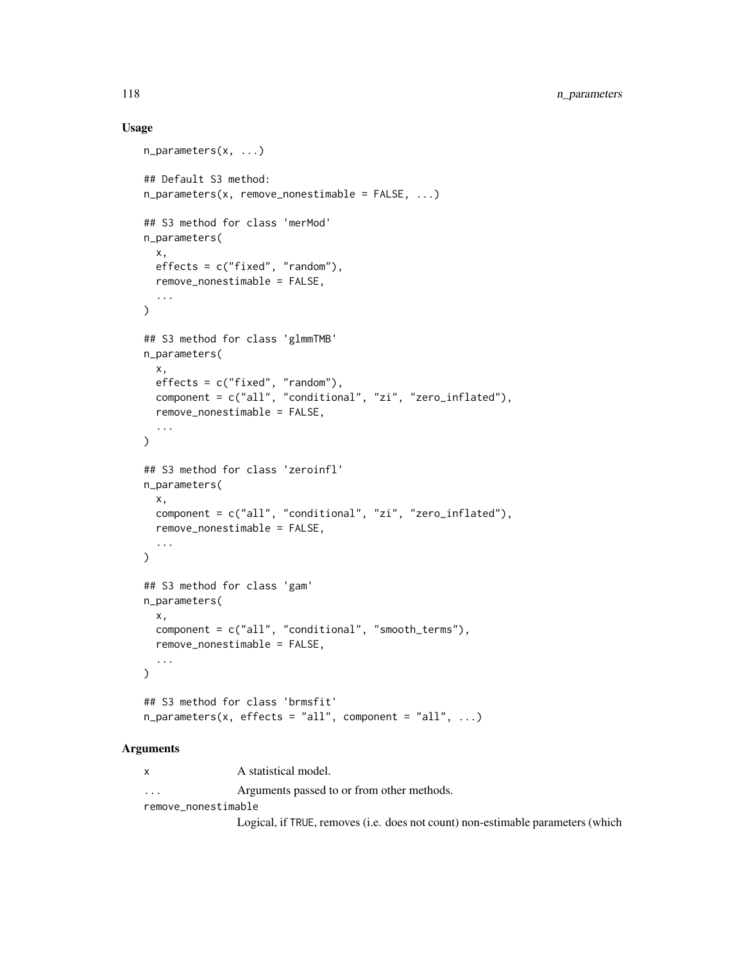## Usage

```
n_parameters(x, ...)
## Default S3 method:
n_parameters(x, remove_nonestimable = FALSE, ...)
## S3 method for class 'merMod'
n_parameters(
  x,
 effects = c("fixed", "random"),
  remove_nonestimable = FALSE,
  ...
\mathcal{L}## S3 method for class 'glmmTMB'
n_parameters(
 x,
 effects = c("fixed", "random"),
  component = c("all", "conditional", "zi", "zero_inflated"),
  remove_nonestimable = FALSE,
  ...
\mathcal{L}## S3 method for class 'zeroinfl'
n_parameters(
  x,
  component = c("all", "conditional", "zi", "zero_inflated"),
  remove_nonestimable = FALSE,
  ...
\mathcal{L}## S3 method for class 'gam'
n_parameters(
  x,
  component = c("all", "conditional", "smooth_terms"),
  remove_nonestimable = FALSE,
  ...
\lambda## S3 method for class 'brmsfit'
n-parameters(x, effects = "all", component = "all", ...)
```
## Arguments

x A statistical model. ... Arguments passed to or from other methods.

remove\_nonestimable

Logical, if TRUE, removes (i.e. does not count) non-estimable parameters (which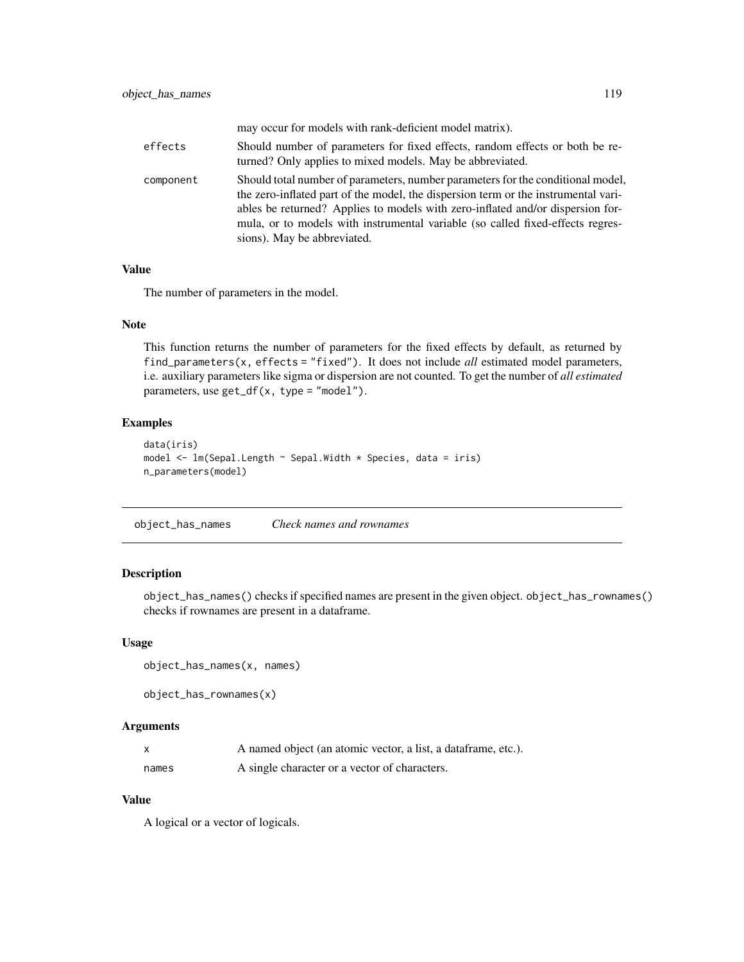<span id="page-118-0"></span>

|           | may occur for models with rank-deficient model matrix).                                                                                                                                                                                                                                                                                                                  |
|-----------|--------------------------------------------------------------------------------------------------------------------------------------------------------------------------------------------------------------------------------------------------------------------------------------------------------------------------------------------------------------------------|
| effects   | Should number of parameters for fixed effects, random effects or both be re-<br>turned? Only applies to mixed models. May be abbreviated.                                                                                                                                                                                                                                |
| component | Should total number of parameters, number parameters for the conditional model,<br>the zero-inflated part of the model, the dispersion term or the instrumental vari-<br>ables be returned? Applies to models with zero-inflated and/or dispersion for-<br>mula, or to models with instrumental variable (so called fixed-effects regres-<br>sions). May be abbreviated. |

## Value

The number of parameters in the model.

#### Note

This function returns the number of parameters for the fixed effects by default, as returned by find\_parameters(x, effects = "fixed"). It does not include *all* estimated model parameters, i.e. auxiliary parameters like sigma or dispersion are not counted. To get the number of *all estimated* parameters, use get\_df(x, type = "model").

# Examples

```
data(iris)
model <- lm(Sepal.Length ~ Sepal.Width * Species, data = iris)
n_parameters(model)
```
object\_has\_names *Check names and rownames*

# Description

object\_has\_names() checks if specified names are present in the given object. object\_has\_rownames() checks if rownames are present in a dataframe.

#### Usage

```
object_has_names(x, names)
```

```
object_has_rownames(x)
```
## Arguments

| X     | A named object (an atomic vector, a list, a dataframe, etc.). |
|-------|---------------------------------------------------------------|
| names | A single character or a vector of characters.                 |

# Value

A logical or a vector of logicals.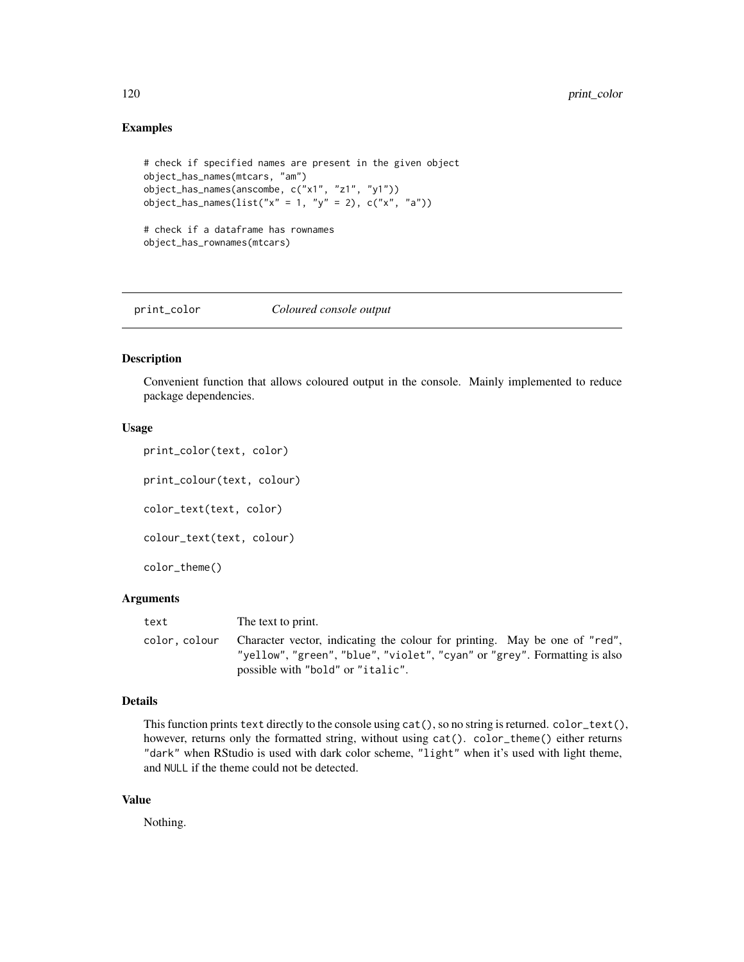## Examples

```
# check if specified names are present in the given object
object_has_names(mtcars, "am")
object_has_names(anscombe, c("x1", "z1", "y1"))
object_has_names(list("x" = 1, "y" = 2), c("x", "a"))
# check if a dataframe has rownames
object_has_rownames(mtcars)
```
print\_color *Coloured console output*

## Description

Convenient function that allows coloured output in the console. Mainly implemented to reduce package dependencies.

# Usage

```
print_color(text, color)
```
print\_colour(text, colour)

color\_text(text, color)

colour\_text(text, colour)

color\_theme()

#### Arguments

| text         | The text to print.                                                                                                                                                                           |
|--------------|----------------------------------------------------------------------------------------------------------------------------------------------------------------------------------------------|
| color.colour | Character vector, indicating the colour for printing. May be one of "red",<br>"yellow", "green", "blue", "violet", "cyan" or "grey". Formatting is also<br>possible with "bold" or "italic". |

# Details

This function prints text directly to the console using  $cat()$ , so no string is returned.  $color\_text()$ , however, returns only the formatted string, without using  $cat()$ .  $color{\text{red}{other}}()$  either returns "dark" when RStudio is used with dark color scheme, "light" when it's used with light theme, and NULL if the theme could not be detected.

# Value

Nothing.

<span id="page-119-0"></span>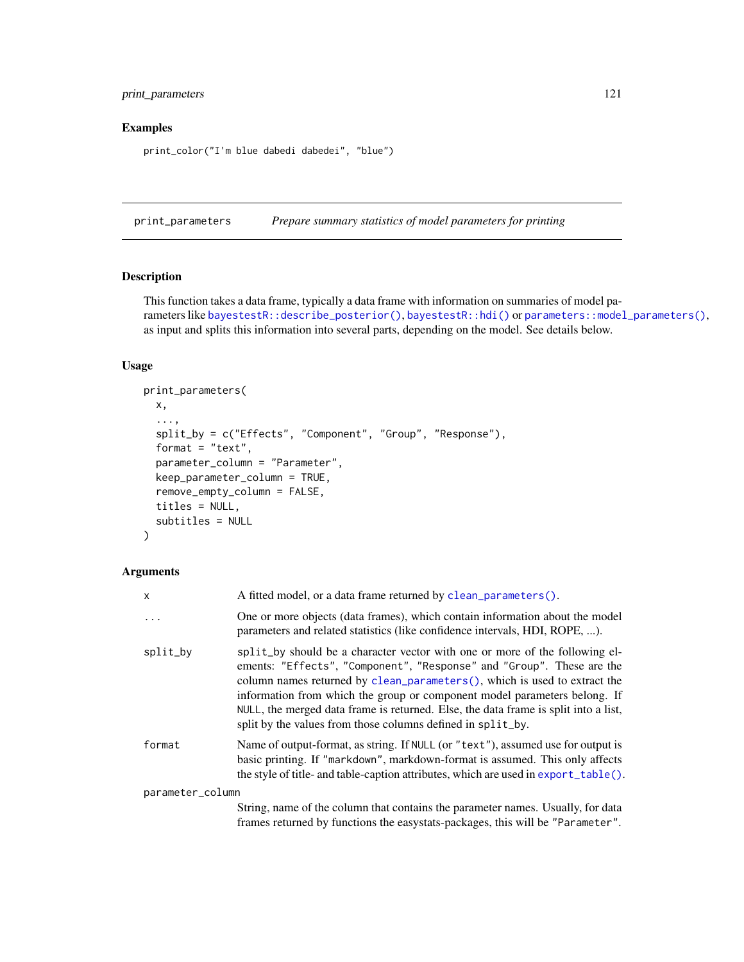# <span id="page-120-0"></span>print\_parameters 121

# Examples

print\_color("I'm blue dabedi dabedei", "blue")

print\_parameters *Prepare summary statistics of model parameters for printing*

# Description

This function takes a data frame, typically a data frame with information on summaries of model parameters like [bayestestR::describe\\_posterior\(\)](#page-0-0), [bayestestR::hdi\(\)](#page-0-0) or [parameters::model\\_parameters\(\)](#page-0-0), as input and splits this information into several parts, depending on the model. See details below.

## Usage

```
print_parameters(
 x,
  ...,
  split_by = c("Effects", "Component", "Group", "Response"),
  format = "text;
 parameter_column = "Parameter",
 keep_parameter_column = TRUE,
  remove_empty_column = FALSE,
  titles = NULL,
  subtitles = NULL
)
```
## Arguments

| X                | A fitted model, or a data frame returned by clean_parameters().                                                                                                                                                                                                                                                                                                                                                                                                      |
|------------------|----------------------------------------------------------------------------------------------------------------------------------------------------------------------------------------------------------------------------------------------------------------------------------------------------------------------------------------------------------------------------------------------------------------------------------------------------------------------|
| $\cdots$         | One or more objects (data frames), which contain information about the model<br>parameters and related statistics (like confidence intervals, HDI, ROPE, ).                                                                                                                                                                                                                                                                                                          |
| split_by         | split_by should be a character vector with one or more of the following el-<br>ements: "Effects", "Component", "Response" and "Group". These are the<br>column names returned by clean_parameters(), which is used to extract the<br>information from which the group or component model parameters belong. If<br>NULL, the merged data frame is returned. Else, the data frame is split into a list,<br>split by the values from those columns defined in split_by. |
| format           | Name of output-format, as string. If NULL (or "text"), assumed use for output is<br>basic printing. If "markdown", markdown-format is assumed. This only affects<br>the style of title- and table-caption attributes, which are used in export_table().                                                                                                                                                                                                              |
| parameter_column |                                                                                                                                                                                                                                                                                                                                                                                                                                                                      |
|                  | String, name of the column that contains the parameter names. Usually, for data<br>frames returned by functions the easystats-packages, this will be "Parameter".                                                                                                                                                                                                                                                                                                    |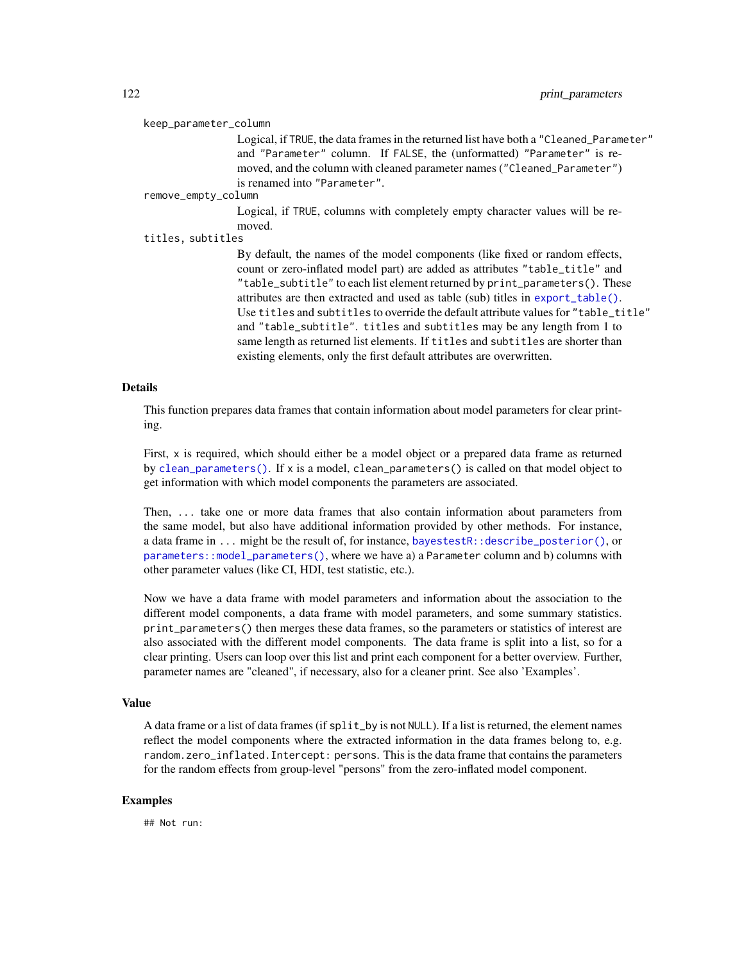<span id="page-121-0"></span>keep\_parameter\_column

Logical, if TRUE, the data frames in the returned list have both a "Cleaned\_Parameter" and "Parameter" column. If FALSE, the (unformatted) "Parameter" is removed, and the column with cleaned parameter names ("Cleaned\_Parameter") is renamed into "Parameter".

remove\_empty\_column

Logical, if TRUE, columns with completely empty character values will be removed.

titles, subtitles

By default, the names of the model components (like fixed or random effects, count or zero-inflated model part) are added as attributes "table\_title" and "table\_subtitle" to each list element returned by print\_parameters(). These attributes are then extracted and used as table (sub) titles in [export\\_table\(\)](#page-13-0). Use titles and subtitles to override the default attribute values for "table\_title" and "table\_subtitle". titles and subtitles may be any length from 1 to same length as returned list elements. If titles and subtitles are shorter than existing elements, only the first default attributes are overwritten.

#### Details

This function prepares data frames that contain information about model parameters for clear printing.

First, x is required, which should either be a model object or a prepared data frame as returned by [clean\\_parameters\(\)](#page-7-0). If x is a model, clean\_parameters() is called on that model object to get information with which model components the parameters are associated.

Then, ... take one or more data frames that also contain information about parameters from the same model, but also have additional information provided by other methods. For instance, a data frame in ... might be the result of, for instance, [bayestestR::describe\\_posterior\(\)](#page-0-0), or [parameters::model\\_parameters\(\)](#page-0-0), where we have a) a Parameter column and b) columns with other parameter values (like CI, HDI, test statistic, etc.).

Now we have a data frame with model parameters and information about the association to the different model components, a data frame with model parameters, and some summary statistics. print\_parameters() then merges these data frames, so the parameters or statistics of interest are also associated with the different model components. The data frame is split into a list, so for a clear printing. Users can loop over this list and print each component for a better overview. Further, parameter names are "cleaned", if necessary, also for a cleaner print. See also 'Examples'.

# Value

A data frame or a list of data frames (if split\_by is not NULL). If a list is returned, the element names reflect the model components where the extracted information in the data frames belong to, e.g. random.zero\_inflated.Intercept: persons. This is the data frame that contains the parameters for the random effects from group-level "persons" from the zero-inflated model component.

## Examples

## Not run: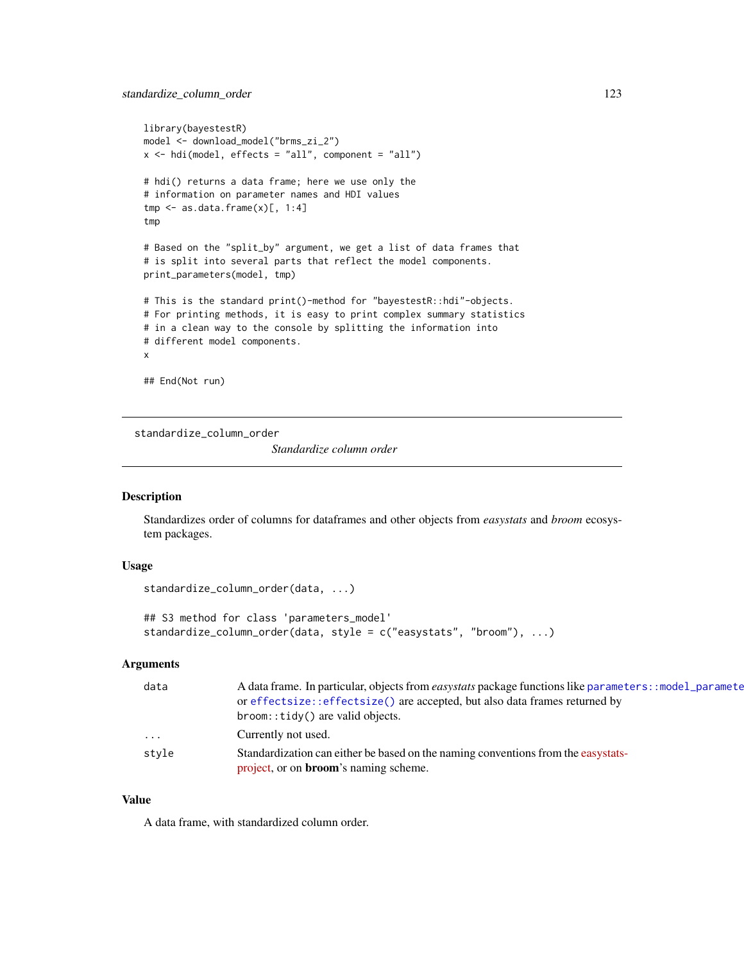# <span id="page-122-0"></span>standardize\_column\_order 123

```
library(bayestestR)
model <- download_model("brms_zi_2")
x \le - hdi(model, effects = "all", component = "all")
# hdi() returns a data frame; here we use only the
# information on parameter names and HDI values
tmp \leftarrow as.data-frame(x)[, 1:4]tmp
# Based on the "split_by" argument, we get a list of data frames that
# is split into several parts that reflect the model components.
print_parameters(model, tmp)
# This is the standard print()-method for "bayestestR::hdi"-objects.
# For printing methods, it is easy to print complex summary statistics
# in a clean way to the console by splitting the information into
# different model components.
x
## End(Not run)
```
standardize\_column\_order

*Standardize column order*

#### Description

Standardizes order of columns for dataframes and other objects from *easystats* and *broom* ecosystem packages.

# Usage

```
standardize_column_order(data, ...)
```

```
## S3 method for class 'parameters_model'
standardize_column_order(data, style = c("easystats", "broom"), ...)
```
#### Arguments

| data     | A data frame. In particular, objects from <i>easystats</i> package functions like parameters: : model_paramete |
|----------|----------------------------------------------------------------------------------------------------------------|
|          | or effectsize::effectsize() are accepted, but also data frames returned by                                     |
|          | broom::tidy() are valid objects.                                                                               |
| $\cdots$ | Currently not used.                                                                                            |
| style    | Standardization can either be based on the naming conventions from the easystats-                              |
|          | project, or on <b>broom</b> 's naming scheme.                                                                  |

## Value

A data frame, with standardized column order.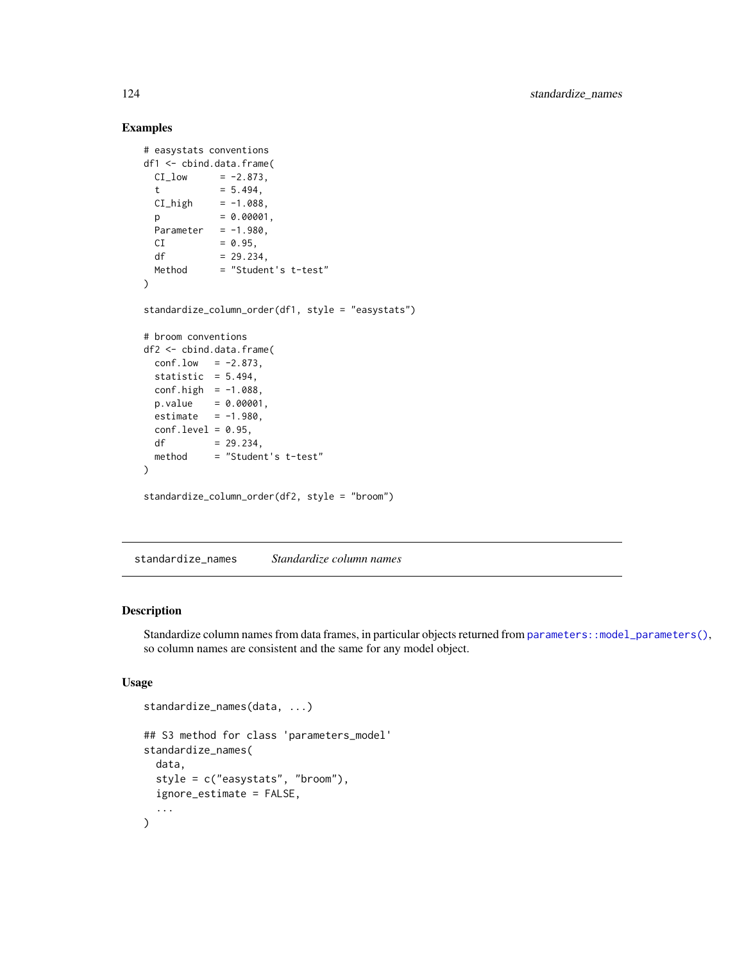# Examples

```
# easystats conventions
df1 <- cbind.data.frame(
 CI\_low = -2.873,
 t = 5.494,
 CI_{high} = -1.088,
 p = 0.00001,Parameter = -1.980,
 CI = 0.95,df = 29.234,
 Method = "Student's t-test"
)
standardize_column_order(df1, style = "easystats")
# broom conventions
df2 <- cbind.data.frame(
 conf.low = -2.873,statistic = 5.494,
 conf.high = -1.088,
 p.value = 0.00001,estimate = -1.980,
 conf. level = 0.95,
 df = 29.234,
 method = "Student's t-test"
)
standardize_column_order(df2, style = "broom")
```
standardize\_names *Standardize column names*

# Description

Standardize column names from data frames, in particular objects returned from [parameters::model\\_parameters\(\)](#page-0-0), so column names are consistent and the same for any model object.

## Usage

```
standardize_names(data, ...)
## S3 method for class 'parameters_model'
standardize_names(
  data,
  style = c("easystats", "broom"),
  ignore_estimate = FALSE,
  ...
\mathcal{L}
```
<span id="page-123-0"></span>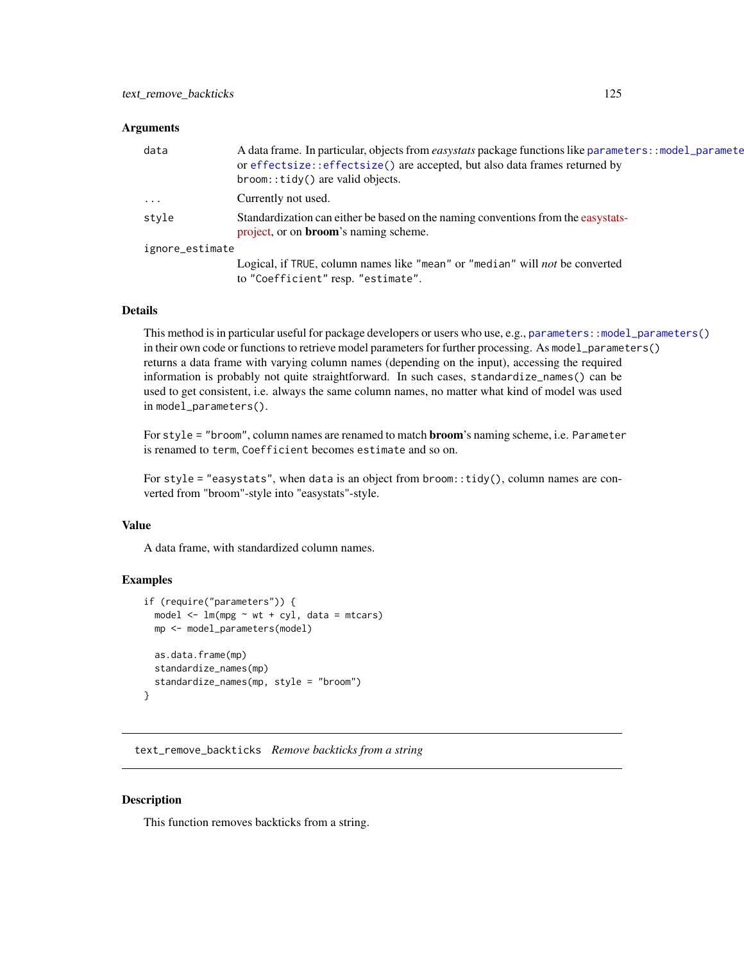#### <span id="page-124-0"></span>Arguments

| data            | A data frame. In particular, objects from <i>easystats</i> package functions like parameters: : model_paramete<br>or effectsize::effectsize() are accepted, but also data frames returned by<br>broom:: tidy() are valid objects. |  |
|-----------------|-----------------------------------------------------------------------------------------------------------------------------------------------------------------------------------------------------------------------------------|--|
| $\cdot$         | Currently not used.                                                                                                                                                                                                               |  |
| style           | Standardization can either be based on the naming conventions from the easystats-<br>project, or on <b>broom</b> 's naming scheme.                                                                                                |  |
| ignore_estimate |                                                                                                                                                                                                                                   |  |
|                 | Logical, if TRUE, column names like "mean" or "median" will not be converted<br>to "Coefficient" resp. "estimate".                                                                                                                |  |

#### Details

This method is in particular useful for package developers or users who use, e.g., [parameters::model\\_parameters\(\)](#page-0-0) in their own code or functions to retrieve model parameters for further processing. As model\_parameters() returns a data frame with varying column names (depending on the input), accessing the required information is probably not quite straightforward. In such cases, standardize\_names() can be used to get consistent, i.e. always the same column names, no matter what kind of model was used in model\_parameters().

For style = "broom", column names are renamed to match broom's naming scheme, i.e. Parameter is renamed to term, Coefficient becomes estimate and so on.

For style = "easystats", when data is an object from  $brown$ : tidy(), column names are converted from "broom"-style into "easystats"-style.

## Value

A data frame, with standardized column names.

## Examples

```
if (require("parameters")) {
 model <- lm(mpg ~ wt + cyl, data = mtcars)
 mp <- model_parameters(model)
 as.data.frame(mp)
 standardize_names(mp)
 standardize_names(mp, style = "broom")
}
```
text\_remove\_backticks *Remove backticks from a string*

## Description

This function removes backticks from a string.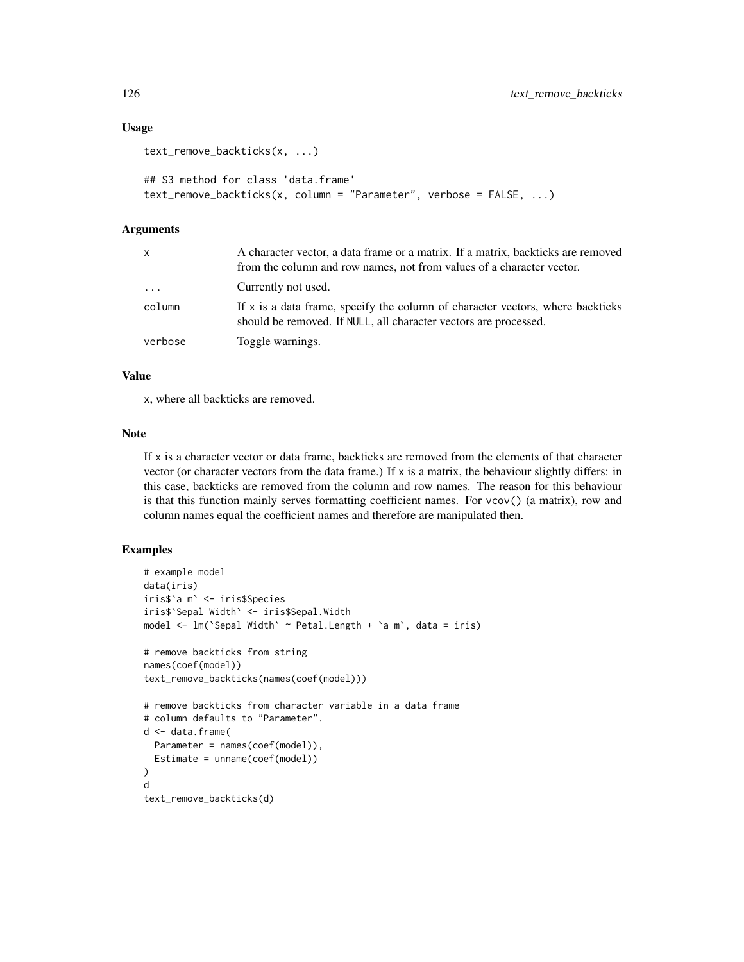## Usage

```
text_remove_backticks(x, ...)
## S3 method for class 'data.frame'
```
#### $text$ \_packticks(x, column = "Parameter", verbose = FALSE, ...)

## Arguments

| x        | A character vector, a data frame or a matrix. If a matrix, backticks are removed<br>from the column and row names, not from values of a character vector. |
|----------|-----------------------------------------------------------------------------------------------------------------------------------------------------------|
| $\cdots$ | Currently not used.                                                                                                                                       |
| column   | If x is a data frame, specify the column of character vectors, where backticks<br>should be removed. If NULL, all character vectors are processed.        |
| verbose  | Toggle warnings.                                                                                                                                          |

# Value

x, where all backticks are removed.

## Note

If x is a character vector or data frame, backticks are removed from the elements of that character vector (or character vectors from the data frame.) If  $x$  is a matrix, the behaviour slightly differs: in this case, backticks are removed from the column and row names. The reason for this behaviour is that this function mainly serves formatting coefficient names. For vcov() (a matrix), row and column names equal the coefficient names and therefore are manipulated then.

# Examples

```
# example model
data(iris)
iris$`a m` <- iris$Species
iris$`Sepal Width` <- iris$Sepal.Width
model <- lm(`Sepal Width` ~ Petal.Length + `a m`, data = iris)
# remove backticks from string
names(coef(model))
text_remove_backticks(names(coef(model)))
# remove backticks from character variable in a data frame
# column defaults to "Parameter".
d <- data.frame(
 Parameter = names(coef(model)),
  Estimate = unname(coef(model))
)
d
text_remove_backticks(d)
```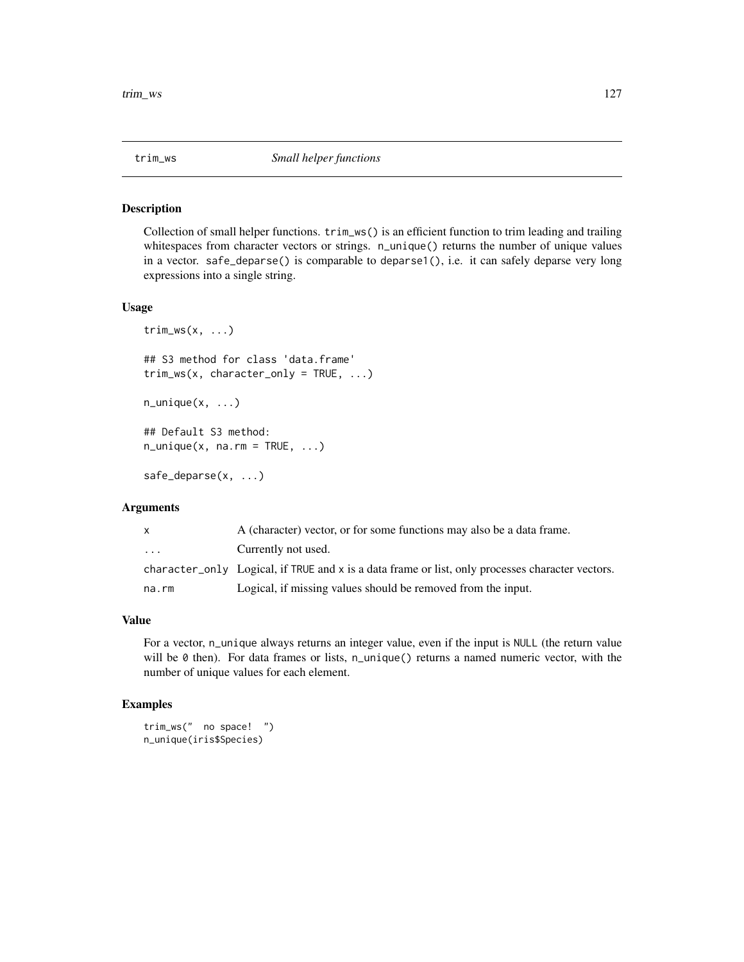<span id="page-126-0"></span>

## Description

Collection of small helper functions. trim\_ws() is an efficient function to trim leading and trailing whitespaces from character vectors or strings. n\_unique() returns the number of unique values in a vector. safe\_deparse() is comparable to deparse1(), i.e. it can safely deparse very long expressions into a single string.

## Usage

```
trim_ws(x, \ldots)## S3 method for class 'data.frame'
trim_ws(x, character_only = TRUE, ...)
n\_unique(x, \ldots)## Default S3 method:
n\_unique(x, na.rm = TRUE, ...)
```
safe\_deparse(x, ...)

# Arguments

| X        | A (character) vector, or for some functions may also be a data frame.                            |
|----------|--------------------------------------------------------------------------------------------------|
| $\cdots$ | Currently not used.                                                                              |
|          | character_only Logical, if TRUE and x is a data frame or list, only processes character vectors. |
| na.rm    | Logical, if missing values should be removed from the input.                                     |

# Value

For a vector, n\_unique always returns an integer value, even if the input is NULL (the return value will be  $\emptyset$  then). For data frames or lists, n\_unique() returns a named numeric vector, with the number of unique values for each element.

## Examples

```
trim_ws(" no space! ")
n_unique(iris$Species)
```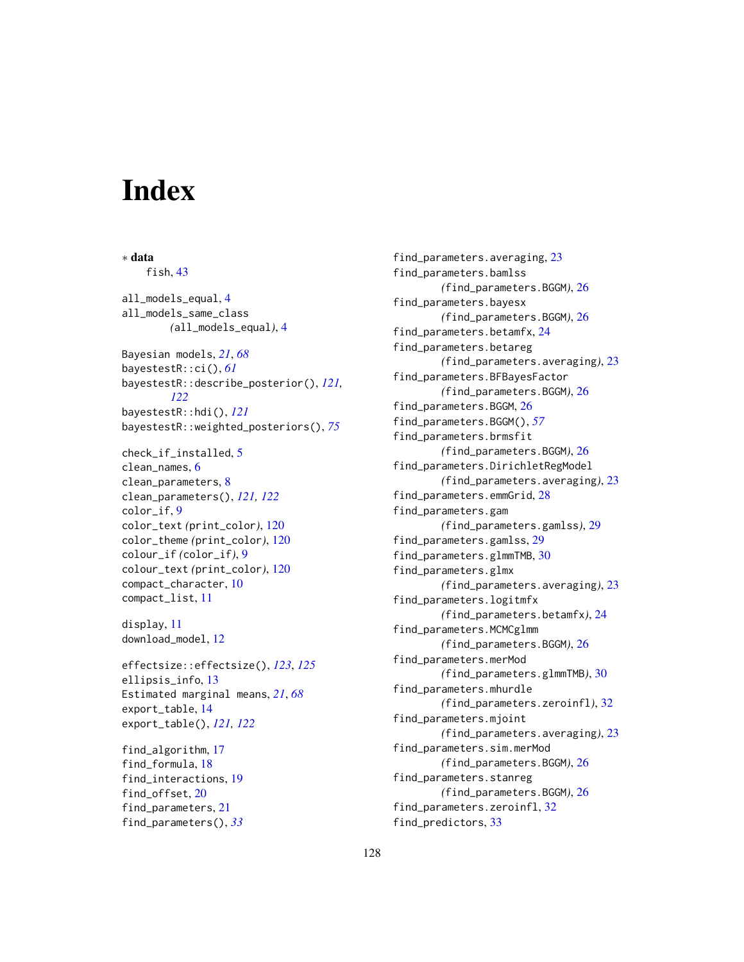# **Index**

∗ data fish, [43](#page-42-0) all\_models\_equal, [4](#page-3-0) all\_models\_same\_class *(*all\_models\_equal*)*, [4](#page-3-0) Bayesian models, *[21](#page-20-0)*, *[68](#page-67-0)* bayestestR::ci(), *[61](#page-60-0)* bayestestR::describe\_posterior(), *[121,](#page-120-0) [122](#page-121-0)* bayestestR::hdi(), *[121](#page-120-0)* bayestestR::weighted\_posteriors(), *[75](#page-74-0)* check\_if\_installed, [5](#page-4-0) clean\_names, [6](#page-5-0) clean\_parameters, [8](#page-7-1) clean\_parameters(), *[121,](#page-120-0) [122](#page-121-0)* color\_if, [9](#page-8-0) color\_text *(*print\_color*)*, [120](#page-119-0) color\_theme *(*print\_color*)*, [120](#page-119-0) colour\_if *(*color\_if*)*, [9](#page-8-0) colour\_text *(*print\_color*)*, [120](#page-119-0) compact\_character, [10](#page-9-0) compact\_list, [11](#page-10-0) display, [11](#page-10-0) download\_model, [12](#page-11-0) effectsize::effectsize(), *[123](#page-122-0)*, *[125](#page-124-0)* ellipsis\_info, [13](#page-12-0) Estimated marginal means, *[21](#page-20-0)*, *[68](#page-67-0)* export\_table, [14](#page-13-1) export\_table(), *[121,](#page-120-0) [122](#page-121-0)* find\_algorithm, [17](#page-16-0) find\_formula, [18](#page-17-0) find\_interactions, [19](#page-18-0) find\_offset, [20](#page-19-0) find\_parameters, [21](#page-20-0)

find\_parameters(), *[33](#page-32-0)*

find\_parameters.averaging, [23](#page-22-0) find\_parameters.bamlss *(*find\_parameters.BGGM*)*, [26](#page-25-0) find\_parameters.bayesx *(*find\_parameters.BGGM*)*, [26](#page-25-0) find\_parameters.betamfx, [24](#page-23-0) find\_parameters.betareg *(*find\_parameters.averaging*)*, [23](#page-22-0) find\_parameters.BFBayesFactor *(*find\_parameters.BGGM*)*, [26](#page-25-0) find\_parameters.BGGM, [26](#page-25-0) find\_parameters.BGGM(), *[57](#page-56-0)* find\_parameters.brmsfit *(*find\_parameters.BGGM*)*, [26](#page-25-0) find\_parameters.DirichletRegModel *(*find\_parameters.averaging*)*, [23](#page-22-0) find\_parameters.emmGrid, [28](#page-27-0) find\_parameters.gam *(*find\_parameters.gamlss*)*, [29](#page-28-0) find\_parameters.gamlss, [29](#page-28-0) find\_parameters.glmmTMB, [30](#page-29-0) find\_parameters.glmx *(*find\_parameters.averaging*)*, [23](#page-22-0) find\_parameters.logitmfx *(*find\_parameters.betamfx*)*, [24](#page-23-0) find\_parameters.MCMCglmm *(*find\_parameters.BGGM*)*, [26](#page-25-0) find\_parameters.merMod *(*find\_parameters.glmmTMB*)*, [30](#page-29-0) find\_parameters.mhurdle *(*find\_parameters.zeroinfl*)*, [32](#page-31-0) find\_parameters.mjoint *(*find\_parameters.averaging*)*, [23](#page-22-0) find\_parameters.sim.merMod *(*find\_parameters.BGGM*)*, [26](#page-25-0) find\_parameters.stanreg *(*find\_parameters.BGGM*)*, [26](#page-25-0) find\_parameters.zeroinfl, [32](#page-31-0) find\_predictors, [33](#page-32-0)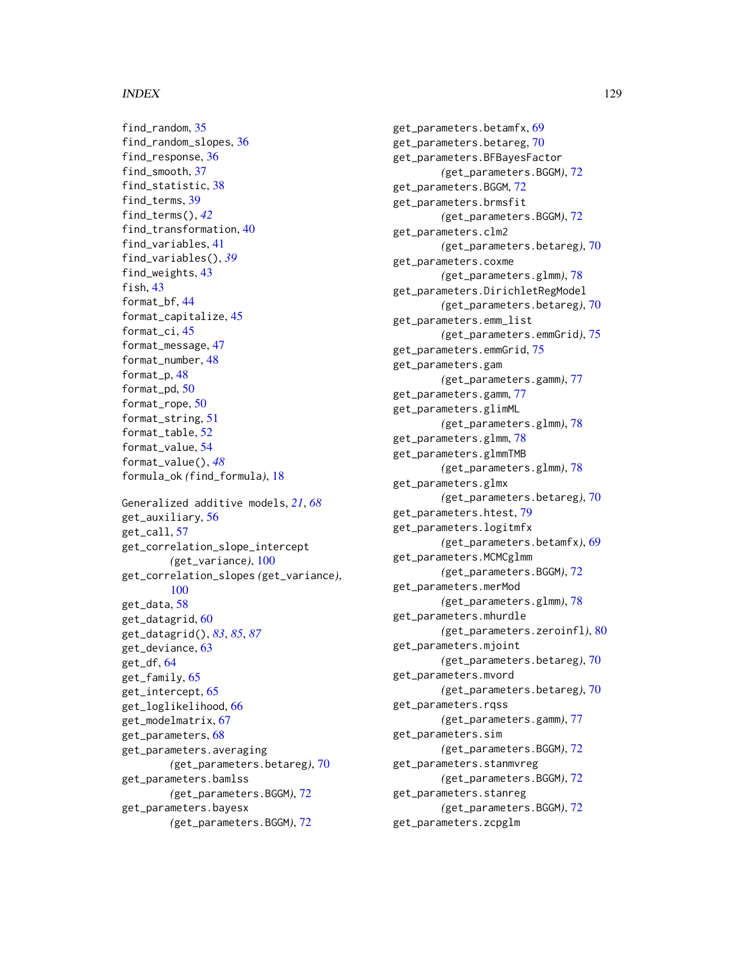#### INDEX 229

find\_random, [35](#page-34-0) find\_random\_slopes, [36](#page-35-0) find\_response, [36](#page-35-0) find\_smooth, [37](#page-36-0) find\_statistic, [38](#page-37-0) find\_terms, [39](#page-38-0) find\_terms(), *[42](#page-41-0)* find\_transformation, [40](#page-39-0) find\_variables, [41](#page-40-0) find\_variables(), *[39](#page-38-0)* find\_weights, [43](#page-42-0) fish, [43](#page-42-0) format\_bf, [44](#page-43-0) format\_capitalize, [45](#page-44-0) format\_ci, [45](#page-44-0) format\_message, [47](#page-46-0) format\_number, [48](#page-47-0) format\_p, [48](#page-47-0) format\_pd, [50](#page-49-0) format\_rope, [50](#page-49-0) format\_string, [51](#page-50-0) format\_table, [52](#page-51-0) format\_value, [54](#page-53-0) format\_value(), *[48](#page-47-0)* formula\_ok *(*find\_formula*)*, [18](#page-17-0) Generalized additive models, *[21](#page-20-0)*, *[68](#page-67-0)* get\_auxiliary, [56](#page-55-0) get\_call, [57](#page-56-0) get\_correlation\_slope\_intercept *(*get\_variance*)*, [100](#page-99-0) get\_correlation\_slopes *(*get\_variance*)*, [100](#page-99-0) get\_data, [58](#page-57-0) get\_datagrid, [60](#page-59-0) get\_datagrid(), *[83](#page-82-0)*, *[85](#page-84-0)*, *[87](#page-86-0)* get\_deviance, [63](#page-62-0) get\_df, [64](#page-63-0) get\_family, [65](#page-64-0) get\_intercept, [65](#page-64-0) get\_loglikelihood, [66](#page-65-0) get\_modelmatrix, [67](#page-66-0) get\_parameters, [68](#page-67-0) get\_parameters.averaging *(*get\_parameters.betareg*)*, [70](#page-69-0) get\_parameters.bamlss *(*get\_parameters.BGGM*)*, [72](#page-71-0) get\_parameters.bayesx *(*get\_parameters.BGGM*)*, [72](#page-71-0)

get\_parameters.betamfx, [69](#page-68-0) get\_parameters.betareg, [70](#page-69-0) get\_parameters.BFBayesFactor *(*get\_parameters.BGGM*)*, [72](#page-71-0) get\_parameters.BGGM, [72](#page-71-0) get\_parameters.brmsfit *(*get\_parameters.BGGM*)*, [72](#page-71-0) get\_parameters.clm2 *(*get\_parameters.betareg*)*, [70](#page-69-0) get\_parameters.coxme *(*get\_parameters.glmm*)*, [78](#page-77-0) get\_parameters.DirichletRegModel *(*get\_parameters.betareg*)*, [70](#page-69-0) get\_parameters.emm\_list *(*get\_parameters.emmGrid*)*, [75](#page-74-0) get\_parameters.emmGrid, [75](#page-74-0) get\_parameters.gam *(*get\_parameters.gamm*)*, [77](#page-76-0) get\_parameters.gamm, [77](#page-76-0) get\_parameters.glimML *(*get\_parameters.glmm*)*, [78](#page-77-0) get\_parameters.glmm, [78](#page-77-0) get\_parameters.glmmTMB *(*get\_parameters.glmm*)*, [78](#page-77-0) get\_parameters.glmx *(*get\_parameters.betareg*)*, [70](#page-69-0) get\_parameters.htest, [79](#page-78-0) get\_parameters.logitmfx *(*get\_parameters.betamfx*)*, [69](#page-68-0) get\_parameters.MCMCglmm *(*get\_parameters.BGGM*)*, [72](#page-71-0) get\_parameters.merMod *(*get\_parameters.glmm*)*, [78](#page-77-0) get\_parameters.mhurdle *(*get\_parameters.zeroinfl*)*, [80](#page-79-0) get\_parameters.mjoint *(*get\_parameters.betareg*)*, [70](#page-69-0) get\_parameters.mvord *(*get\_parameters.betareg*)*, [70](#page-69-0) get\_parameters.rqss *(*get\_parameters.gamm*)*, [77](#page-76-0) get\_parameters.sim *(*get\_parameters.BGGM*)*, [72](#page-71-0) get\_parameters.stanmvreg *(*get\_parameters.BGGM*)*, [72](#page-71-0) get\_parameters.stanreg *(*get\_parameters.BGGM*)*, [72](#page-71-0) get\_parameters.zcpglm